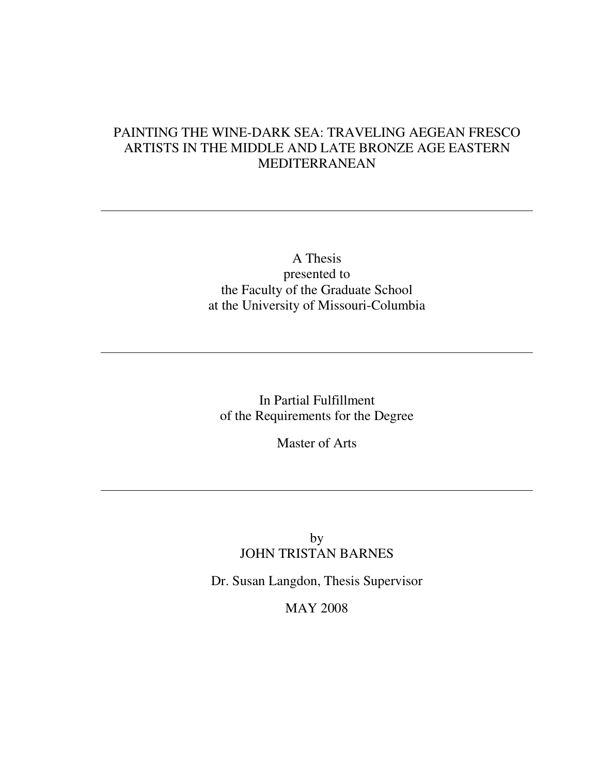# PAINTING THE WINE-DARK SEA: TRAVELING AEGEAN FRESCO ARTISTS IN THE MIDDLE AND LATE BRONZE AGE EASTERN MEDITERRANEAN

A Thesis presented to the Faculty of the Graduate School at the University of Missouri-Columbia

In Partial Fulfillment of the Requirements for the Degree

Master of Arts

# by JOHN TRISTAN BARNES

Dr. Susan Langdon, Thesis Supervisor

MAY 2008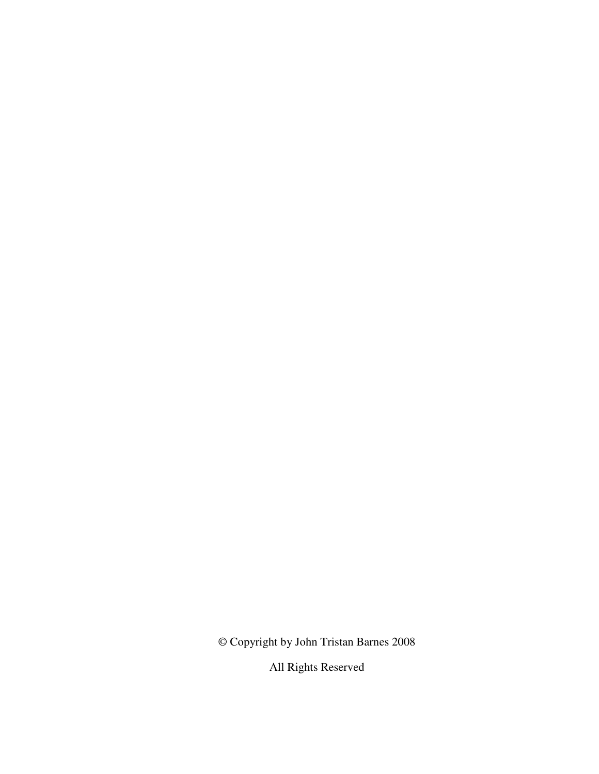© Copyright by John Tristan Barnes 2008

All Rights Reserved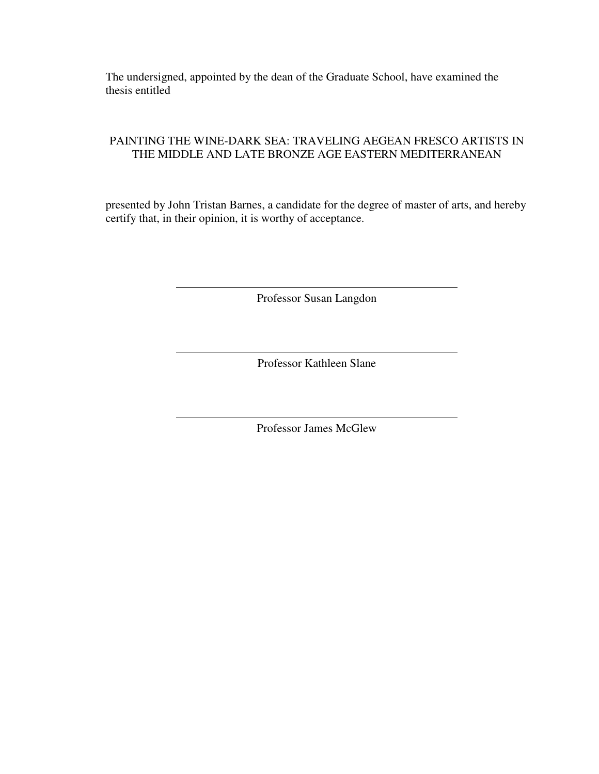The undersigned, appointed by the dean of the Graduate School, have examined the thesis entitled

## PAINTING THE WINE-DARK SEA: TRAVELING AEGEAN FRESCO ARTISTS IN THE MIDDLE AND LATE BRONZE AGE EASTERN MEDITERRANEAN

presented by John Tristan Barnes, a candidate for the degree of master of arts, and hereby certify that, in their opinion, it is worthy of acceptance.

Professor Susan Langdon

Professor Kathleen Slane

Professor James McGlew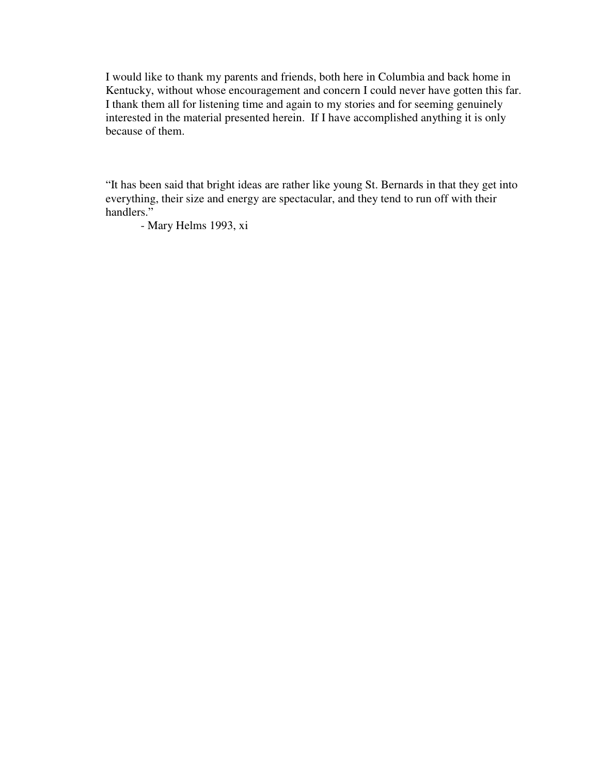I would like to thank my parents and friends, both here in Columbia and back home in Kentucky, without whose encouragement and concern I could never have gotten this far. I thank them all for listening time and again to my stories and for seeming genuinely interested in the material presented herein. If I have accomplished anything it is only because of them.

"It has been said that bright ideas are rather like young St. Bernards in that they get into everything, their size and energy are spectacular, and they tend to run off with their handlers."

- Mary Helms 1993, xi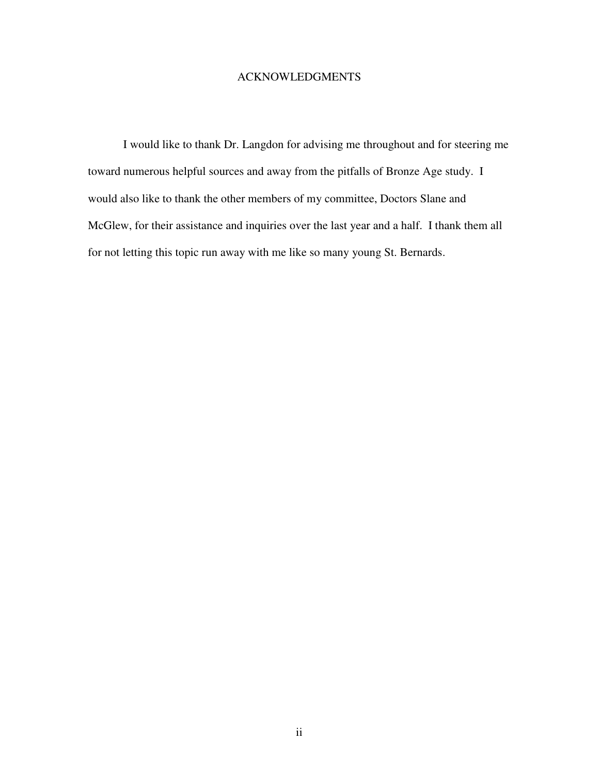### ACKNOWLEDGMENTS

I would like to thank Dr. Langdon for advising me throughout and for steering me toward numerous helpful sources and away from the pitfalls of Bronze Age study. I would also like to thank the other members of my committee, Doctors Slane and McGlew, for their assistance and inquiries over the last year and a half. I thank them all for not letting this topic run away with me like so many young St. Bernards.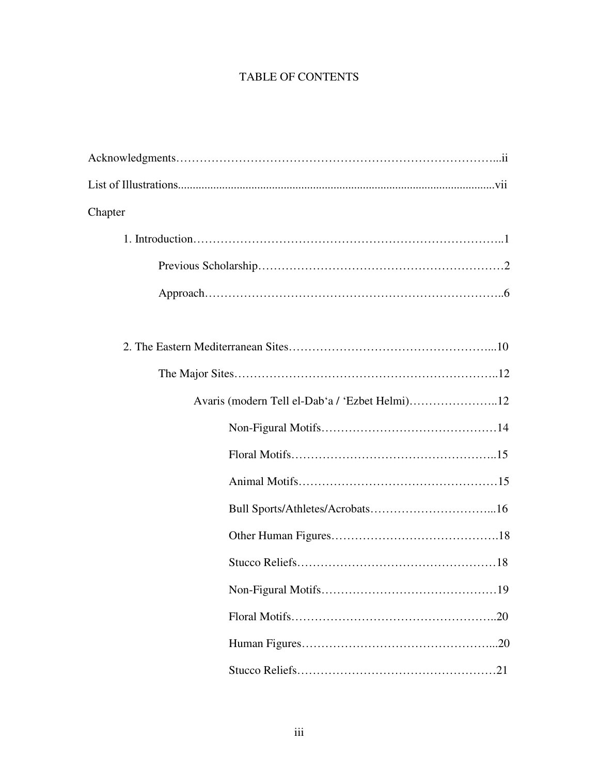# TABLE OF CONTENTS

| Chapter                                        |
|------------------------------------------------|
|                                                |
|                                                |
|                                                |
|                                                |
|                                                |
|                                                |
| Avaris (modern Tell el-Dab'a / 'Ezbet Helmi)12 |
|                                                |
|                                                |
|                                                |
|                                                |
|                                                |
|                                                |
|                                                |
|                                                |
|                                                |
|                                                |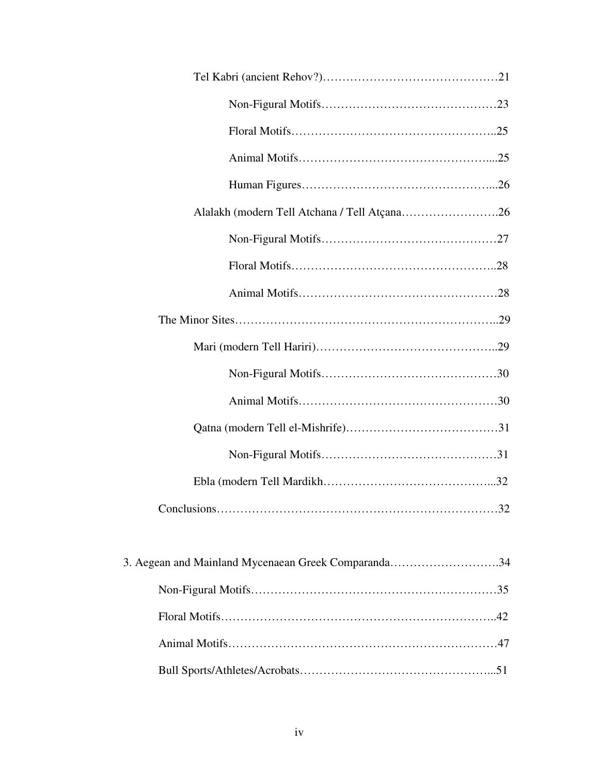| Alalakh (modern Tell Atchana / Tell Atçana26        |
|-----------------------------------------------------|
|                                                     |
|                                                     |
|                                                     |
|                                                     |
|                                                     |
|                                                     |
|                                                     |
|                                                     |
|                                                     |
|                                                     |
| $Conclusions. \dots 32$                             |
|                                                     |
| 3. Aegean and Mainland Mycenaean Greek Comparanda34 |
|                                                     |
|                                                     |
|                                                     |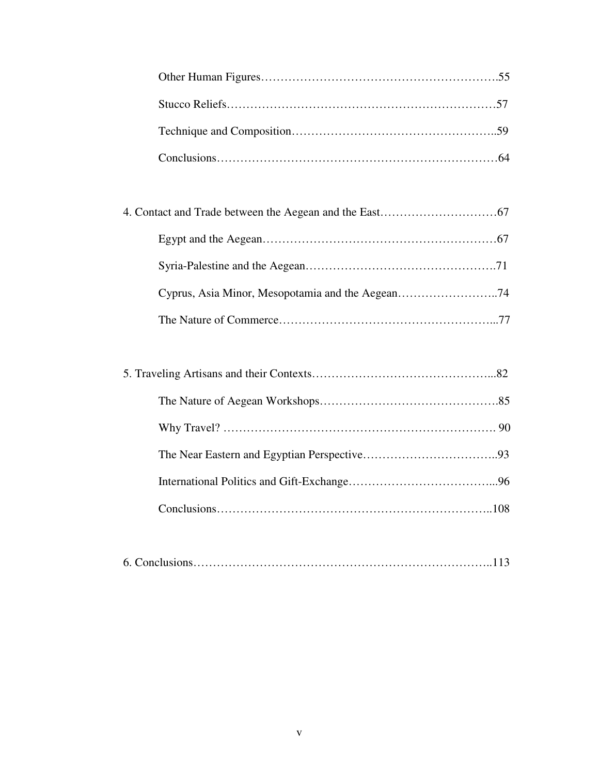|--|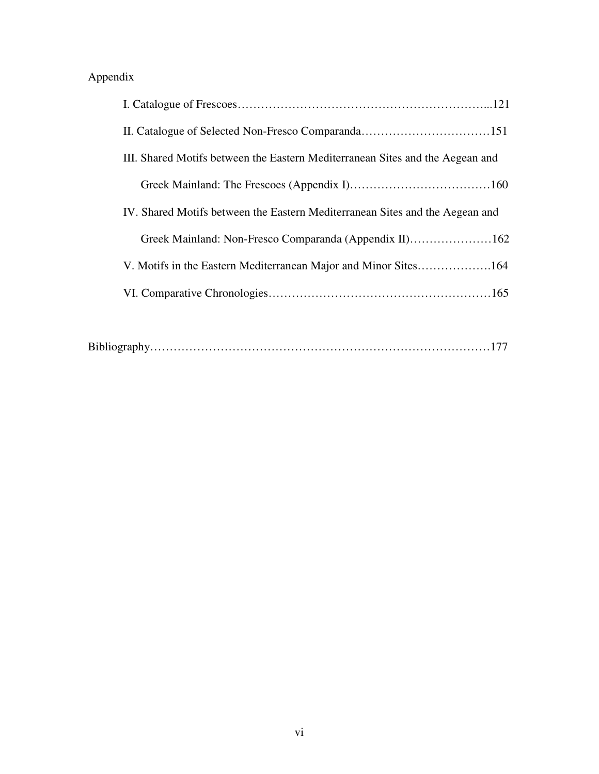# Appendix

| III. Shared Motifs between the Eastern Mediterranean Sites and the Aegean and |
|-------------------------------------------------------------------------------|
|                                                                               |
| IV. Shared Motifs between the Eastern Mediterranean Sites and the Aegean and  |
| Greek Mainland: Non-Fresco Comparanda (Appendix II)162                        |
| V. Motifs in the Eastern Mediterranean Major and Minor Sites164               |
|                                                                               |
|                                                                               |

|--|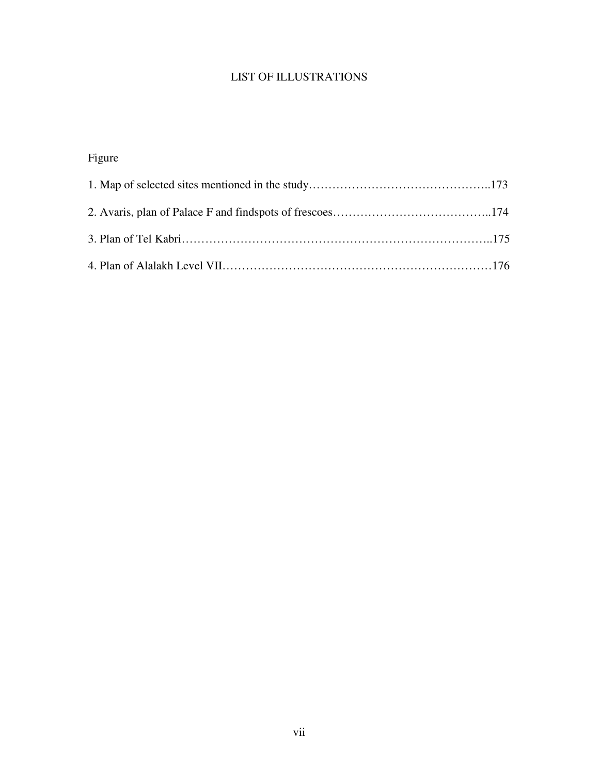# LIST OF ILLUSTRATIONS

# Figure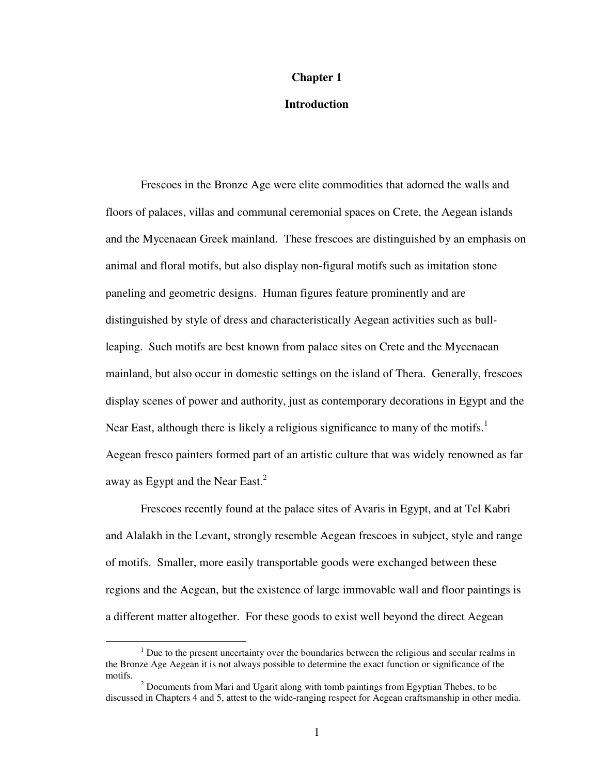#### **Chapter 1**

#### **Introduction**

 Frescoes in the Bronze Age were elite commodities that adorned the walls and floors of palaces, villas and communal ceremonial spaces on Crete, the Aegean islands and the Mycenaean Greek mainland. These frescoes are distinguished by an emphasis on animal and floral motifs, but also display non-figural motifs such as imitation stone paneling and geometric designs. Human figures feature prominently and are distinguished by style of dress and characteristically Aegean activities such as bullleaping. Such motifs are best known from palace sites on Crete and the Mycenaean mainland, but also occur in domestic settings on the island of Thera. Generally, frescoes display scenes of power and authority, just as contemporary decorations in Egypt and the Near East, although there is likely a religious significance to many of the motifs.<sup>1</sup> Aegean fresco painters formed part of an artistic culture that was widely renowned as far away as Egypt and the Near East. $^{2}$ 

 Frescoes recently found at the palace sites of Avaris in Egypt, and at Tel Kabri and Alalakh in the Levant, strongly resemble Aegean frescoes in subject, style and range of motifs. Smaller, more easily transportable goods were exchanged between these regions and the Aegean, but the existence of large immovable wall and floor paintings is a different matter altogether. For these goods to exist well beyond the direct Aegean

 $<sup>1</sup>$  Due to the present uncertainty over the boundaries between the religious and secular realms in</sup> the Bronze Age Aegean it is not always possible to determine the exact function or significance of the motifs.

 $2^{2}$  Documents from Mari and Ugarit along with tomb paintings from Egyptian Thebes, to be discussed in Chapters 4 and 5, attest to the wide-ranging respect for Aegean craftsmanship in other media.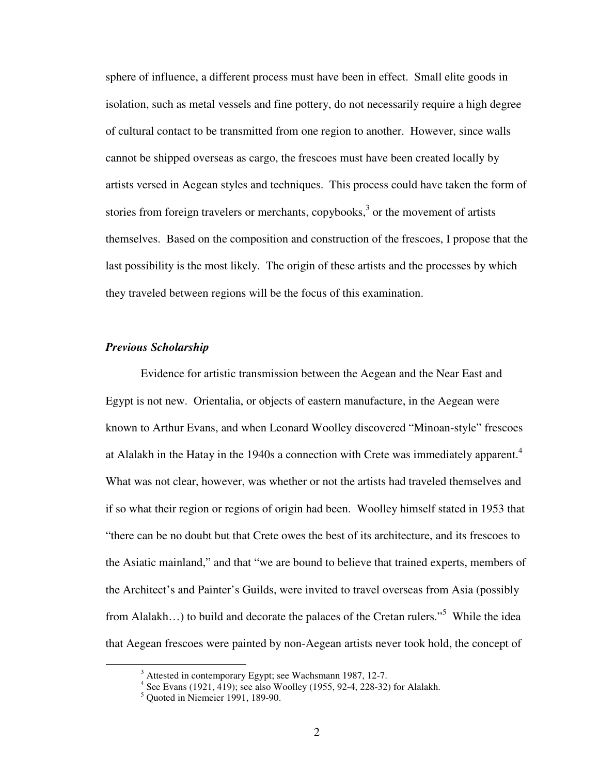sphere of influence, a different process must have been in effect. Small elite goods in isolation, such as metal vessels and fine pottery, do not necessarily require a high degree of cultural contact to be transmitted from one region to another. However, since walls cannot be shipped overseas as cargo, the frescoes must have been created locally by artists versed in Aegean styles and techniques. This process could have taken the form of stories from foreign travelers or merchants, copybooks, $3$  or the movement of artists themselves. Based on the composition and construction of the frescoes, I propose that the last possibility is the most likely. The origin of these artists and the processes by which they traveled between regions will be the focus of this examination.

#### *Previous Scholarship*

 Evidence for artistic transmission between the Aegean and the Near East and Egypt is not new. Orientalia, or objects of eastern manufacture, in the Aegean were known to Arthur Evans, and when Leonard Woolley discovered "Minoan-style" frescoes at Alalakh in the Hatay in the 1940s a connection with Crete was immediately apparent.<sup>4</sup> What was not clear, however, was whether or not the artists had traveled themselves and if so what their region or regions of origin had been. Woolley himself stated in 1953 that "there can be no doubt but that Crete owes the best of its architecture, and its frescoes to the Asiatic mainland," and that "we are bound to believe that trained experts, members of the Architect's and Painter's Guilds, were invited to travel overseas from Asia (possibly from Alalakh...) to build and decorate the palaces of the Cretan rulers."<sup>5</sup> While the idea that Aegean frescoes were painted by non-Aegean artists never took hold, the concept of

<sup>&</sup>lt;sup>3</sup> Attested in contemporary Egypt; see Wachsmann 1987, 12-7.<br><sup>4</sup> See Evans (1921, 419); see also Woolley (1955, 92-4, 228-32) for Alalakh.

<sup>5</sup> Quoted in Niemeier 1991, 189-90.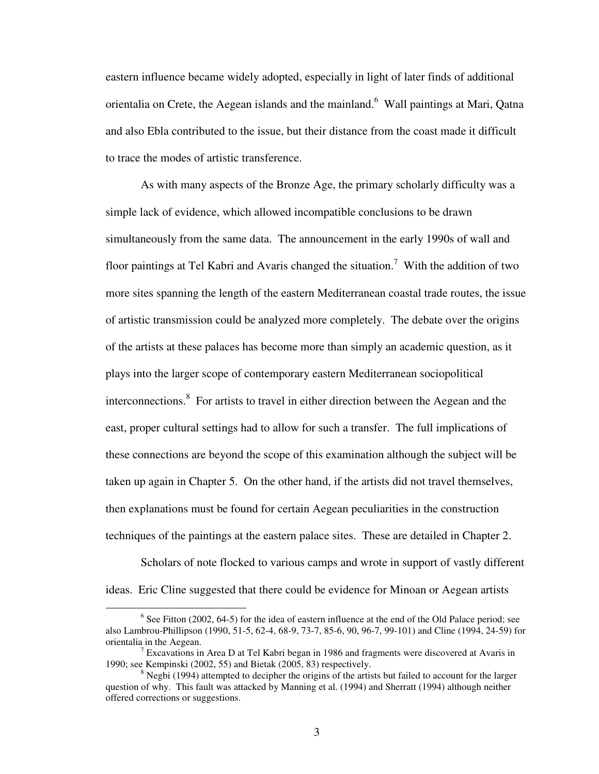eastern influence became widely adopted, especially in light of later finds of additional orientalia on Crete, the Aegean islands and the mainland. Wall paintings at Mari, Qatna and also Ebla contributed to the issue, but their distance from the coast made it difficult to trace the modes of artistic transference.

 As with many aspects of the Bronze Age, the primary scholarly difficulty was a simple lack of evidence, which allowed incompatible conclusions to be drawn simultaneously from the same data. The announcement in the early 1990s of wall and floor paintings at Tel Kabri and Avaris changed the situation.<sup>7</sup> With the addition of two more sites spanning the length of the eastern Mediterranean coastal trade routes, the issue of artistic transmission could be analyzed more completely. The debate over the origins of the artists at these palaces has become more than simply an academic question, as it plays into the larger scope of contemporary eastern Mediterranean sociopolitical interconnections. $8\,$  For artists to travel in either direction between the Aegean and the east, proper cultural settings had to allow for such a transfer. The full implications of these connections are beyond the scope of this examination although the subject will be taken up again in Chapter 5. On the other hand, if the artists did not travel themselves, then explanations must be found for certain Aegean peculiarities in the construction techniques of the paintings at the eastern palace sites. These are detailed in Chapter 2.

Scholars of note flocked to various camps and wrote in support of vastly different ideas. Eric Cline suggested that there could be evidence for Minoan or Aegean artists

 $6$  See Fitton (2002, 64-5) for the idea of eastern influence at the end of the Old Palace period; see also Lambrou-Phillipson (1990, 51-5, 62-4, 68-9, 73-7, 85-6, 90, 96-7, 99-101) and Cline (1994, 24-59) for orientalia in the Aegean.

<sup>&</sup>lt;sup>7</sup> Excavations in Area D at Tel Kabri began in 1986 and fragments were discovered at Avaris in 1990; see Kempinski (2002, 55) and Bietak (2005, 83) respectively.

 $8$  Negbi (1994) attempted to decipher the origins of the artists but failed to account for the larger question of why. This fault was attacked by Manning et al. (1994) and Sherratt (1994) although neither offered corrections or suggestions.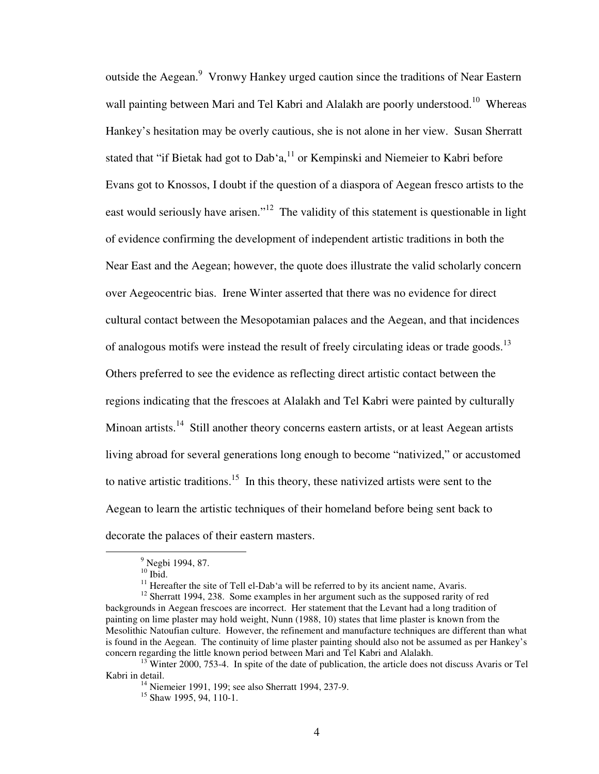outside the Aegean.<sup>9</sup> Vronwy Hankey urged caution since the traditions of Near Eastern wall painting between Mari and Tel Kabri and Alalakh are poorly understood.<sup>10</sup> Whereas Hankey's hesitation may be overly cautious, she is not alone in her view. Susan Sherratt stated that "if Bietak had got to Dab'a, $^{11}$  or Kempinski and Niemeier to Kabri before Evans got to Knossos, I doubt if the question of a diaspora of Aegean fresco artists to the east would seriously have arisen."<sup>12</sup> The validity of this statement is questionable in light of evidence confirming the development of independent artistic traditions in both the Near East and the Aegean; however, the quote does illustrate the valid scholarly concern over Aegeocentric bias. Irene Winter asserted that there was no evidence for direct cultural contact between the Mesopotamian palaces and the Aegean, and that incidences of analogous motifs were instead the result of freely circulating ideas or trade goods.<sup>13</sup> Others preferred to see the evidence as reflecting direct artistic contact between the regions indicating that the frescoes at Alalakh and Tel Kabri were painted by culturally Minoan artists.<sup>14</sup> Still another theory concerns eastern artists, or at least Aegean artists living abroad for several generations long enough to become "nativized," or accustomed to native artistic traditions.<sup>15</sup> In this theory, these nativized artists were sent to the Aegean to learn the artistic techniques of their homeland before being sent back to decorate the palaces of their eastern masters.

<sup>&</sup>lt;sup>9</sup> Negbi 1994, 87.

 $10$  Ibid.

 $11$  Hereafter the site of Tell el-Dab'a will be referred to by its ancient name, Avaris.

<sup>&</sup>lt;sup>12</sup> Sherratt 1994, 238. Some examples in her argument such as the supposed rarity of red backgrounds in Aegean frescoes are incorrect. Her statement that the Levant had a long tradition of painting on lime plaster may hold weight, Nunn (1988, 10) states that lime plaster is known from the Mesolithic Natoufian culture. However, the refinement and manufacture techniques are different than what is found in the Aegean. The continuity of lime plaster painting should also not be assumed as per Hankey's concern regarding the little known period between Mari and Tel Kabri and Alalakh.

 $13$ <sup>T</sup>Winter 2000, 753-4. In spite of the date of publication, the article does not discuss Avaris or Tel Kabri in detail.

 $14$  Niemeier 1991, 199; see also Sherratt 1994, 237-9.

<sup>&</sup>lt;sup>15</sup> Shaw 1995, 94, 110-1.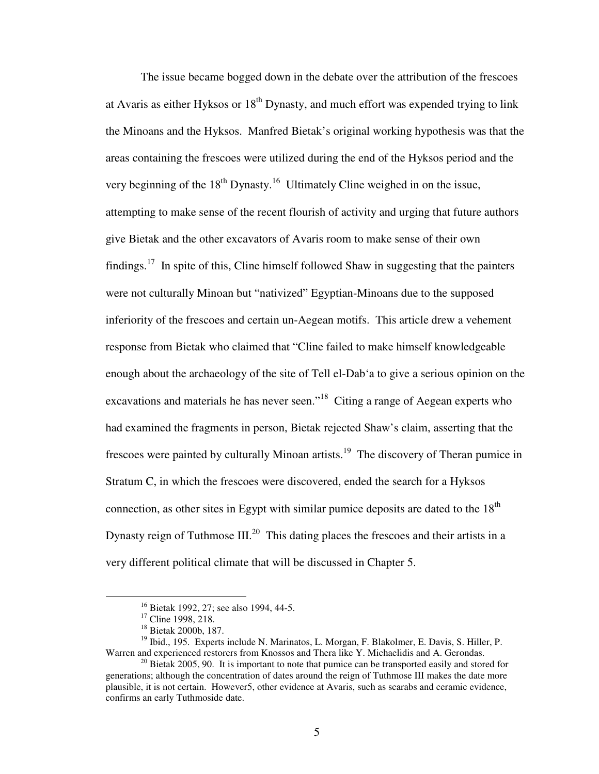The issue became bogged down in the debate over the attribution of the frescoes at Avaris as either Hyksos or  $18<sup>th</sup>$  Dynasty, and much effort was expended trying to link the Minoans and the Hyksos. Manfred Bietak's original working hypothesis was that the areas containing the frescoes were utilized during the end of the Hyksos period and the very beginning of the  $18<sup>th</sup>$  Dynasty.<sup>16</sup> Ultimately Cline weighed in on the issue, attempting to make sense of the recent flourish of activity and urging that future authors give Bietak and the other excavators of Avaris room to make sense of their own findings.<sup>17</sup> In spite of this, Cline himself followed Shaw in suggesting that the painters were not culturally Minoan but "nativized" Egyptian-Minoans due to the supposed inferiority of the frescoes and certain un-Aegean motifs. This article drew a vehement response from Bietak who claimed that "Cline failed to make himself knowledgeable enough about the archaeology of the site of Tell el-Dab'a to give a serious opinion on the excavations and materials he has never seen."<sup>18</sup> Citing a range of Aegean experts who had examined the fragments in person, Bietak rejected Shaw's claim, asserting that the frescoes were painted by culturally Minoan artists.<sup>19</sup> The discovery of Theran pumice in Stratum C, in which the frescoes were discovered, ended the search for a Hyksos connection, as other sites in Egypt with similar pumice deposits are dated to the  $18<sup>th</sup>$ Dynasty reign of Tuthmose  $III^{20}$ . This dating places the frescoes and their artists in a very different political climate that will be discussed in Chapter 5.

<sup>&</sup>lt;sup>16</sup> Bietak 1992, 27; see also 1994, 44-5.

<sup>&</sup>lt;sup>17</sup> Cline 1998, 218.

<sup>18</sup> Bietak 2000b, 187.

<sup>&</sup>lt;sup>19</sup> Ibid., 195. Experts include N. Marinatos, L. Morgan, F. Blakolmer, E. Davis, S. Hiller, P. Warren and experienced restorers from Knossos and Thera like Y. Michaelidis and A. Gerondas.

 $^{20}$  Bietak 2005, 90. It is important to note that pumice can be transported easily and stored for generations; although the concentration of dates around the reign of Tuthmose III makes the date more plausible, it is not certain. However5, other evidence at Avaris, such as scarabs and ceramic evidence, confirms an early Tuthmoside date.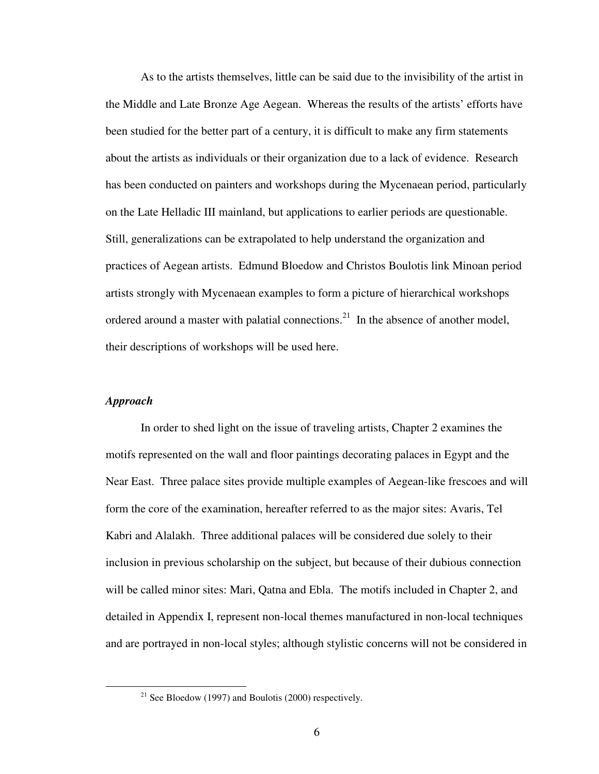As to the artists themselves, little can be said due to the invisibility of the artist in the Middle and Late Bronze Age Aegean. Whereas the results of the artists' efforts have been studied for the better part of a century, it is difficult to make any firm statements about the artists as individuals or their organization due to a lack of evidence. Research has been conducted on painters and workshops during the Mycenaean period, particularly on the Late Helladic III mainland, but applications to earlier periods are questionable. Still, generalizations can be extrapolated to help understand the organization and practices of Aegean artists. Edmund Bloedow and Christos Boulotis link Minoan period artists strongly with Mycenaean examples to form a picture of hierarchical workshops ordered around a master with palatial connections.<sup>21</sup> In the absence of another model, their descriptions of workshops will be used here.

#### *Approach*

 $\overline{a}$ 

 In order to shed light on the issue of traveling artists, Chapter 2 examines the motifs represented on the wall and floor paintings decorating palaces in Egypt and the Near East. Three palace sites provide multiple examples of Aegean-like frescoes and will form the core of the examination, hereafter referred to as the major sites: Avaris, Tel Kabri and Alalakh. Three additional palaces will be considered due solely to their inclusion in previous scholarship on the subject, but because of their dubious connection will be called minor sites: Mari, Qatna and Ebla. The motifs included in Chapter 2, and detailed in Appendix I, represent non-local themes manufactured in non-local techniques and are portrayed in non-local styles; although stylistic concerns will not be considered in

<sup>&</sup>lt;sup>21</sup> See Bloedow (1997) and Boulotis (2000) respectively.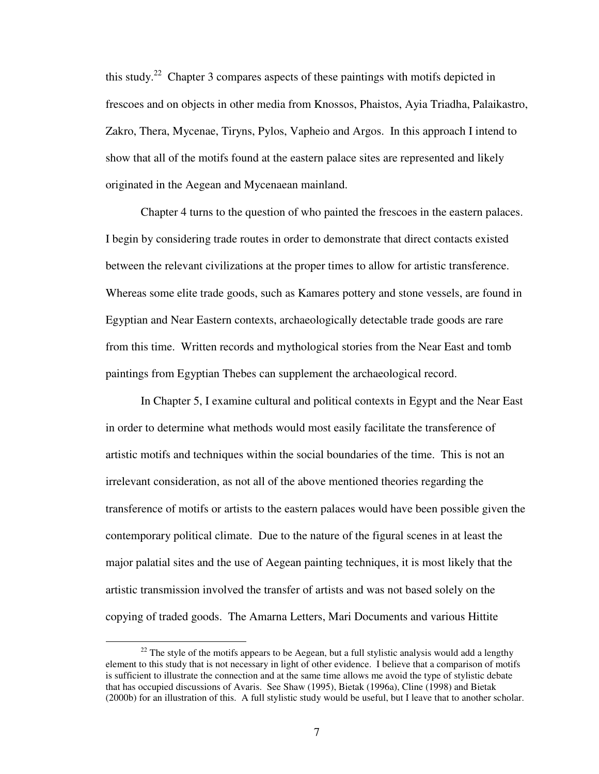this study.<sup>22</sup> Chapter 3 compares aspects of these paintings with motifs depicted in frescoes and on objects in other media from Knossos, Phaistos, Ayia Triadha, Palaikastro, Zakro, Thera, Mycenae, Tiryns, Pylos, Vapheio and Argos. In this approach I intend to show that all of the motifs found at the eastern palace sites are represented and likely originated in the Aegean and Mycenaean mainland.

Chapter 4 turns to the question of who painted the frescoes in the eastern palaces. I begin by considering trade routes in order to demonstrate that direct contacts existed between the relevant civilizations at the proper times to allow for artistic transference. Whereas some elite trade goods, such as Kamares pottery and stone vessels, are found in Egyptian and Near Eastern contexts, archaeologically detectable trade goods are rare from this time. Written records and mythological stories from the Near East and tomb paintings from Egyptian Thebes can supplement the archaeological record.

In Chapter 5, I examine cultural and political contexts in Egypt and the Near East in order to determine what methods would most easily facilitate the transference of artistic motifs and techniques within the social boundaries of the time. This is not an irrelevant consideration, as not all of the above mentioned theories regarding the transference of motifs or artists to the eastern palaces would have been possible given the contemporary political climate. Due to the nature of the figural scenes in at least the major palatial sites and the use of Aegean painting techniques, it is most likely that the artistic transmission involved the transfer of artists and was not based solely on the copying of traded goods. The Amarna Letters, Mari Documents and various Hittite

 $22$  The style of the motifs appears to be Aegean, but a full stylistic analysis would add a lengthy element to this study that is not necessary in light of other evidence. I believe that a comparison of motifs is sufficient to illustrate the connection and at the same time allows me avoid the type of stylistic debate that has occupied discussions of Avaris. See Shaw (1995), Bietak (1996a), Cline (1998) and Bietak (2000b) for an illustration of this. A full stylistic study would be useful, but I leave that to another scholar.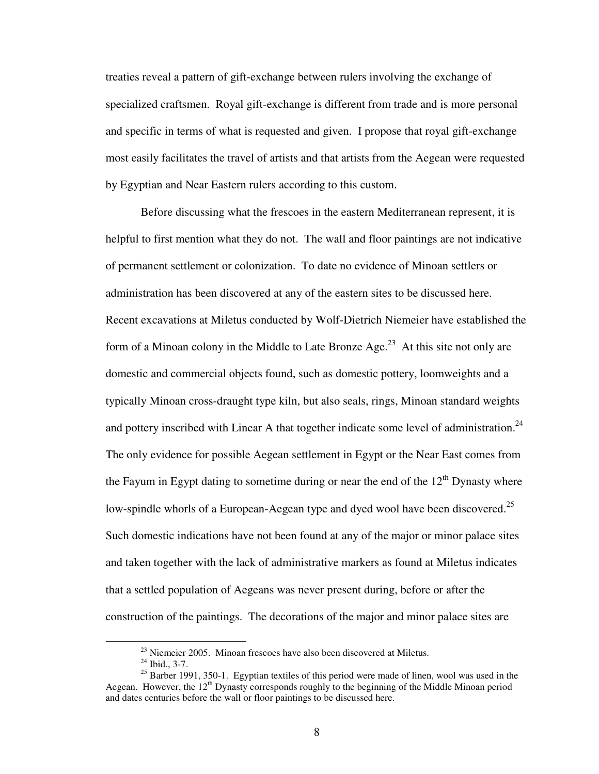treaties reveal a pattern of gift-exchange between rulers involving the exchange of specialized craftsmen. Royal gift-exchange is different from trade and is more personal and specific in terms of what is requested and given. I propose that royal gift-exchange most easily facilitates the travel of artists and that artists from the Aegean were requested by Egyptian and Near Eastern rulers according to this custom.

Before discussing what the frescoes in the eastern Mediterranean represent, it is helpful to first mention what they do not. The wall and floor paintings are not indicative of permanent settlement or colonization. To date no evidence of Minoan settlers or administration has been discovered at any of the eastern sites to be discussed here. Recent excavations at Miletus conducted by Wolf-Dietrich Niemeier have established the form of a Minoan colony in the Middle to Late Bronze  $Age<sup>23</sup>$  At this site not only are domestic and commercial objects found, such as domestic pottery, loomweights and a typically Minoan cross-draught type kiln, but also seals, rings, Minoan standard weights and pottery inscribed with Linear A that together indicate some level of administration.<sup>24</sup> The only evidence for possible Aegean settlement in Egypt or the Near East comes from the Fayum in Egypt dating to sometime during or near the end of the  $12<sup>th</sup>$  Dynasty where low-spindle whorls of a European-Aegean type and dyed wool have been discovered.<sup>25</sup> Such domestic indications have not been found at any of the major or minor palace sites and taken together with the lack of administrative markers as found at Miletus indicates that a settled population of Aegeans was never present during, before or after the construction of the paintings. The decorations of the major and minor palace sites are

 $^{23}$  Niemeier 2005. Minoan frescoes have also been discovered at Miletus.

 $24$  Ibid., 3-7.

 $25$  Barber 1991, 350-1. Egyptian textiles of this period were made of linen, wool was used in the Aegean. However, the 12<sup>th</sup> Dynasty corresponds roughly to the beginning of the Middle Minoan period and dates centuries before the wall or floor paintings to be discussed here.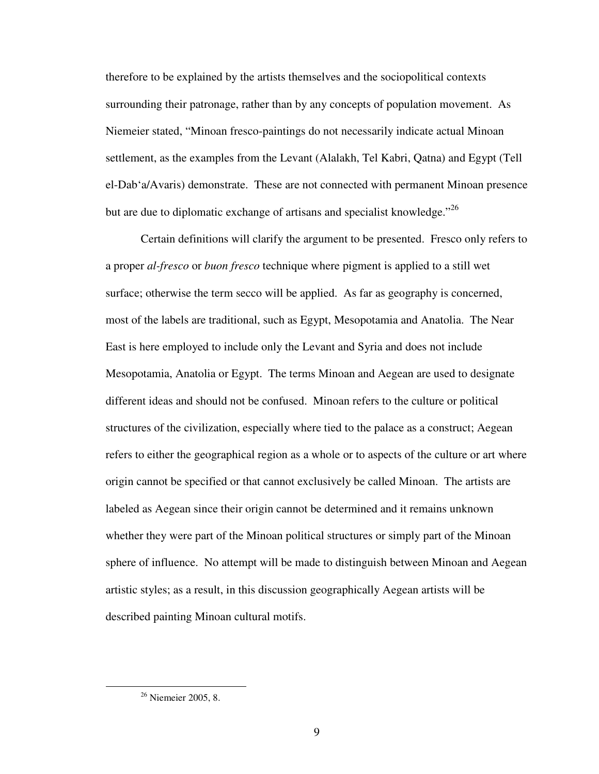therefore to be explained by the artists themselves and the sociopolitical contexts surrounding their patronage, rather than by any concepts of population movement. As Niemeier stated, "Minoan fresco-paintings do not necessarily indicate actual Minoan settlement, as the examples from the Levant (Alalakh, Tel Kabri, Qatna) and Egypt (Tell el-Dab'a/Avaris) demonstrate. These are not connected with permanent Minoan presence but are due to diplomatic exchange of artisans and specialist knowledge."<sup>26</sup>

 Certain definitions will clarify the argument to be presented. Fresco only refers to a proper *al-fresco* or *buon fresco* technique where pigment is applied to a still wet surface; otherwise the term secco will be applied. As far as geography is concerned, most of the labels are traditional, such as Egypt, Mesopotamia and Anatolia. The Near East is here employed to include only the Levant and Syria and does not include Mesopotamia, Anatolia or Egypt. The terms Minoan and Aegean are used to designate different ideas and should not be confused. Minoan refers to the culture or political structures of the civilization, especially where tied to the palace as a construct; Aegean refers to either the geographical region as a whole or to aspects of the culture or art where origin cannot be specified or that cannot exclusively be called Minoan. The artists are labeled as Aegean since their origin cannot be determined and it remains unknown whether they were part of the Minoan political structures or simply part of the Minoan sphere of influence. No attempt will be made to distinguish between Minoan and Aegean artistic styles; as a result, in this discussion geographically Aegean artists will be described painting Minoan cultural motifs.

<sup>&</sup>lt;sup>26</sup> Niemeier 2005, 8.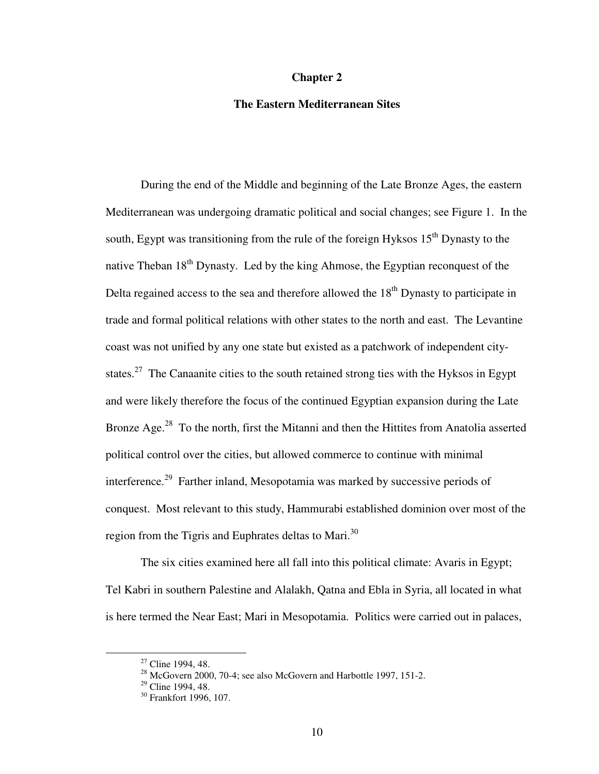#### **Chapter 2**

#### **The Eastern Mediterranean Sites**

 During the end of the Middle and beginning of the Late Bronze Ages, the eastern Mediterranean was undergoing dramatic political and social changes; see Figure 1. In the south, Egypt was transitioning from the rule of the foreign Hyksos  $15<sup>th</sup>$  Dynasty to the native Theban  $18<sup>th</sup>$  Dynasty. Led by the king Ahmose, the Egyptian reconquest of the Delta regained access to the sea and therefore allowed the  $18<sup>th</sup>$  Dynasty to participate in trade and formal political relations with other states to the north and east. The Levantine coast was not unified by any one state but existed as a patchwork of independent citystates.<sup>27</sup> The Canaanite cities to the south retained strong ties with the Hyksos in Egypt and were likely therefore the focus of the continued Egyptian expansion during the Late Bronze Age.<sup>28</sup> To the north, first the Mitanni and then the Hittites from Anatolia asserted political control over the cities, but allowed commerce to continue with minimal interference.<sup>29</sup> Farther inland, Mesopotamia was marked by successive periods of conquest. Most relevant to this study, Hammurabi established dominion over most of the region from the Tigris and Euphrates deltas to Mari.<sup>30</sup>

 The six cities examined here all fall into this political climate: Avaris in Egypt; Tel Kabri in southern Palestine and Alalakh, Qatna and Ebla in Syria, all located in what is here termed the Near East; Mari in Mesopotamia. Politics were carried out in palaces,

 $27$  Cline 1994, 48.

 $^{28}$  McGovern 2000, 70-4; see also McGovern and Harbottle 1997, 151-2.

 $29$  Cline 1994, 48.

<sup>&</sup>lt;sup>30</sup> Frankfort 1996, 107.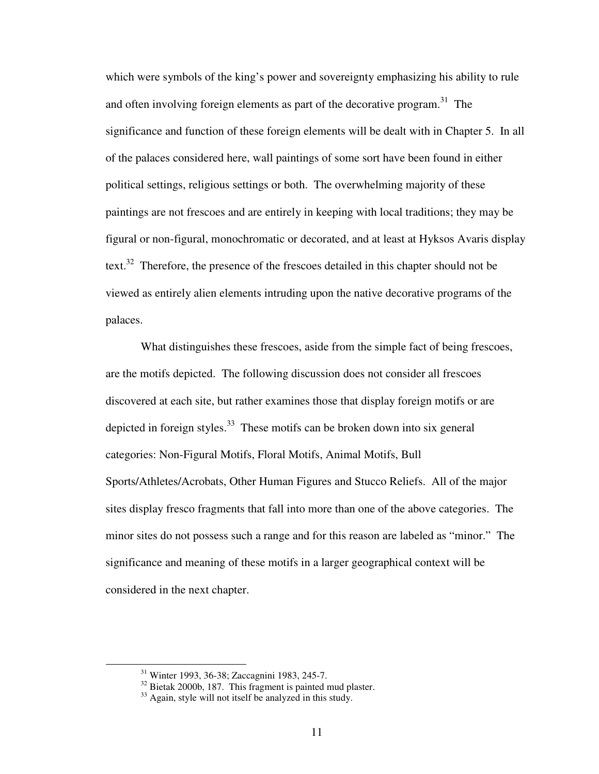which were symbols of the king's power and sovereignty emphasizing his ability to rule and often involving foreign elements as part of the decorative program.<sup>31</sup> The significance and function of these foreign elements will be dealt with in Chapter 5. In all of the palaces considered here, wall paintings of some sort have been found in either political settings, religious settings or both. The overwhelming majority of these paintings are not frescoes and are entirely in keeping with local traditions; they may be figural or non-figural, monochromatic or decorated, and at least at Hyksos Avaris display text.<sup>32</sup> Therefore, the presence of the frescoes detailed in this chapter should not be viewed as entirely alien elements intruding upon the native decorative programs of the palaces.

What distinguishes these frescoes, aside from the simple fact of being frescoes, are the motifs depicted. The following discussion does not consider all frescoes discovered at each site, but rather examines those that display foreign motifs or are depicted in foreign styles. $33$  These motifs can be broken down into six general categories: Non-Figural Motifs, Floral Motifs, Animal Motifs, Bull Sports/Athletes/Acrobats, Other Human Figures and Stucco Reliefs. All of the major sites display fresco fragments that fall into more than one of the above categories. The minor sites do not possess such a range and for this reason are labeled as "minor." The significance and meaning of these motifs in a larger geographical context will be considered in the next chapter.

<sup>31</sup> Winter 1993, 36-38; Zaccagnini 1983, 245-7.

<sup>&</sup>lt;sup>32</sup> Bietak 2000b, 187. This fragment is painted mud plaster.

<sup>&</sup>lt;sup>33</sup> Again, style will not itself be analyzed in this study.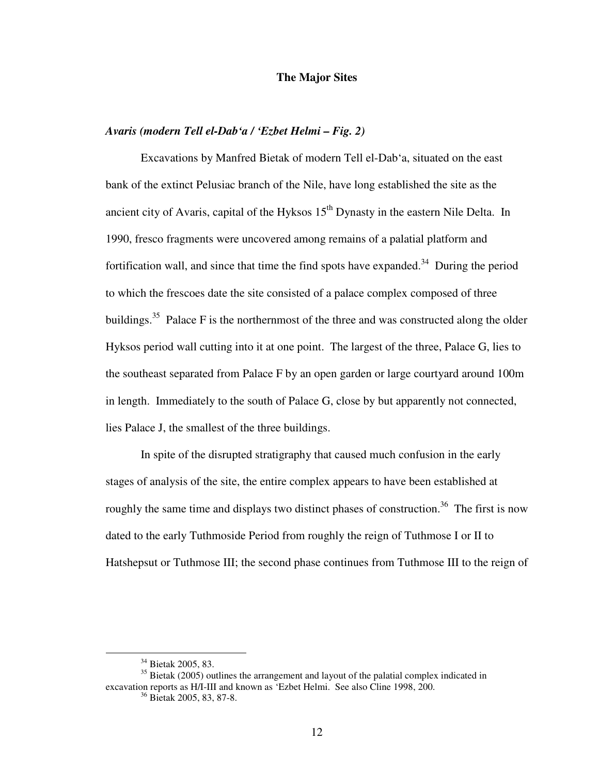#### **The Major Sites**

### *Avaris (modern Tell el-Dab'a / 'Ezbet Helmi – Fig. 2)*

Excavations by Manfred Bietak of modern Tell el-Dab'a, situated on the east bank of the extinct Pelusiac branch of the Nile, have long established the site as the ancient city of Avaris, capital of the Hyksos  $15<sup>th</sup>$  Dynasty in the eastern Nile Delta. In 1990, fresco fragments were uncovered among remains of a palatial platform and fortification wall, and since that time the find spots have expanded.<sup>34</sup> During the period to which the frescoes date the site consisted of a palace complex composed of three buildings.<sup>35</sup> Palace F is the northernmost of the three and was constructed along the older Hyksos period wall cutting into it at one point. The largest of the three, Palace G, lies to the southeast separated from Palace F by an open garden or large courtyard around 100m in length. Immediately to the south of Palace G, close by but apparently not connected, lies Palace J, the smallest of the three buildings.

In spite of the disrupted stratigraphy that caused much confusion in the early stages of analysis of the site, the entire complex appears to have been established at roughly the same time and displays two distinct phases of construction.<sup>36</sup> The first is now dated to the early Tuthmoside Period from roughly the reign of Tuthmose I or II to Hatshepsut or Tuthmose III; the second phase continues from Tuthmose III to the reign of

<sup>34</sup> Bietak 2005, 83.

 $35$  Bietak (2005) outlines the arrangement and layout of the palatial complex indicated in excavation reports as H/I-III and known as 'Ezbet Helmi. See also Cline 1998, 200.

<sup>36</sup> Bietak 2005, 83, 87-8.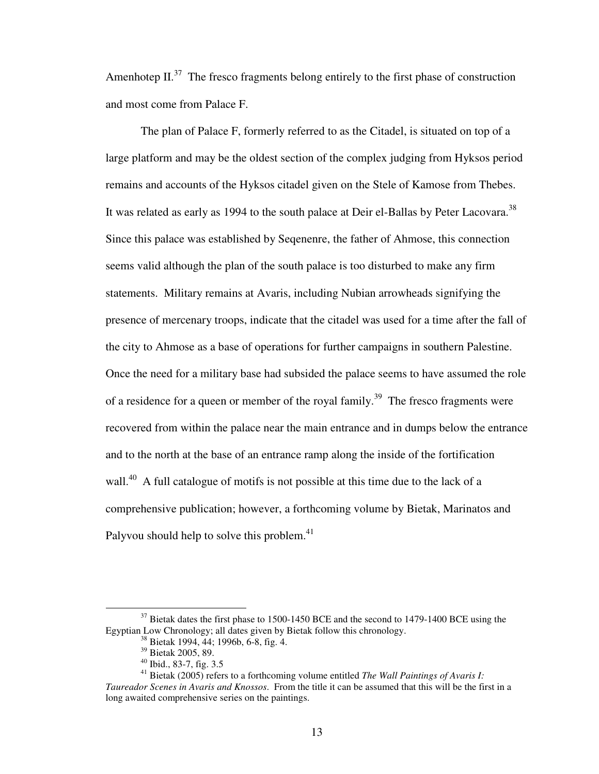Amenhotep II. $^{37}$  The fresco fragments belong entirely to the first phase of construction and most come from Palace F.

The plan of Palace F, formerly referred to as the Citadel, is situated on top of a large platform and may be the oldest section of the complex judging from Hyksos period remains and accounts of the Hyksos citadel given on the Stele of Kamose from Thebes. It was related as early as 1994 to the south palace at Deir el-Ballas by Peter Lacovara.<sup>38</sup> Since this palace was established by Seqenenre, the father of Ahmose, this connection seems valid although the plan of the south palace is too disturbed to make any firm statements. Military remains at Avaris, including Nubian arrowheads signifying the presence of mercenary troops, indicate that the citadel was used for a time after the fall of the city to Ahmose as a base of operations for further campaigns in southern Palestine. Once the need for a military base had subsided the palace seems to have assumed the role of a residence for a queen or member of the royal family.<sup>39</sup> The fresco fragments were recovered from within the palace near the main entrance and in dumps below the entrance and to the north at the base of an entrance ramp along the inside of the fortification wall.<sup>40</sup> A full catalogue of motifs is not possible at this time due to the lack of a comprehensive publication; however, a forthcoming volume by Bietak, Marinatos and Palyvou should help to solve this problem.<sup>41</sup>

 $37$  Bietak dates the first phase to 1500-1450 BCE and the second to 1479-1400 BCE using the Egyptian Low Chronology; all dates given by Bietak follow this chronology.

<sup>38</sup> Bietak 1994, 44; 1996b, 6-8, fig. 4.

<sup>39</sup> Bietak 2005, 89.

<sup>40</sup> Ibid., 83-7, fig. 3.5

<sup>41</sup> Bietak (2005) refers to a forthcoming volume entitled *The Wall Paintings of Avaris I: Taureador Scenes in Avaris and Knossos*. From the title it can be assumed that this will be the first in a long awaited comprehensive series on the paintings.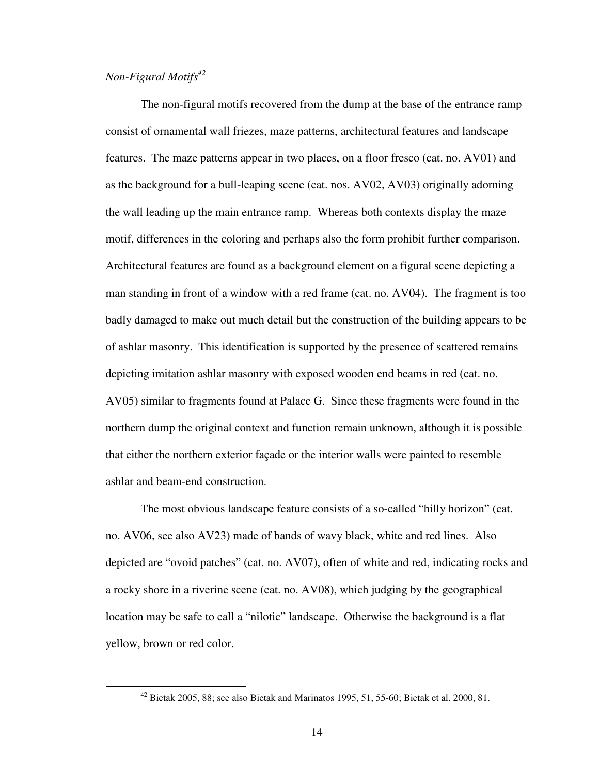## *Non-Figural Motifs<sup>42</sup>*

 $\overline{a}$ 

 The non-figural motifs recovered from the dump at the base of the entrance ramp consist of ornamental wall friezes, maze patterns, architectural features and landscape features. The maze patterns appear in two places, on a floor fresco (cat. no. AV01) and as the background for a bull-leaping scene (cat. nos. AV02, AV03) originally adorning the wall leading up the main entrance ramp. Whereas both contexts display the maze motif, differences in the coloring and perhaps also the form prohibit further comparison. Architectural features are found as a background element on a figural scene depicting a man standing in front of a window with a red frame (cat. no. AV04). The fragment is too badly damaged to make out much detail but the construction of the building appears to be of ashlar masonry. This identification is supported by the presence of scattered remains depicting imitation ashlar masonry with exposed wooden end beams in red (cat. no. AV05) similar to fragments found at Palace G. Since these fragments were found in the northern dump the original context and function remain unknown, although it is possible that either the northern exterior façade or the interior walls were painted to resemble ashlar and beam-end construction.

The most obvious landscape feature consists of a so-called "hilly horizon" (cat. no. AV06, see also AV23) made of bands of wavy black, white and red lines. Also depicted are "ovoid patches" (cat. no. AV07), often of white and red, indicating rocks and a rocky shore in a riverine scene (cat. no. AV08), which judging by the geographical location may be safe to call a "nilotic" landscape. Otherwise the background is a flat yellow, brown or red color.

<sup>42</sup> Bietak 2005, 88; see also Bietak and Marinatos 1995, 51, 55-60; Bietak et al. 2000, 81.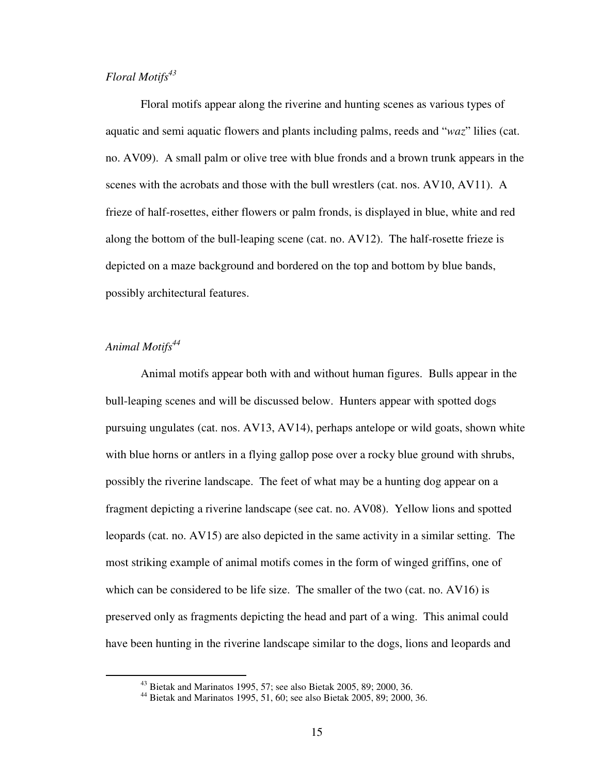## *Floral Motifs<sup>43</sup>*

 Floral motifs appear along the riverine and hunting scenes as various types of aquatic and semi aquatic flowers and plants including palms, reeds and "*waz*" lilies (cat. no. AV09). A small palm or olive tree with blue fronds and a brown trunk appears in the scenes with the acrobats and those with the bull wrestlers (cat. nos. AV10, AV11). A frieze of half-rosettes, either flowers or palm fronds, is displayed in blue, white and red along the bottom of the bull-leaping scene (cat. no. AV12). The half-rosette frieze is depicted on a maze background and bordered on the top and bottom by blue bands, possibly architectural features.

## *Animal Motifs<sup>44</sup>*

 $\overline{a}$ 

 Animal motifs appear both with and without human figures. Bulls appear in the bull-leaping scenes and will be discussed below. Hunters appear with spotted dogs pursuing ungulates (cat. nos. AV13, AV14), perhaps antelope or wild goats, shown white with blue horns or antlers in a flying gallop pose over a rocky blue ground with shrubs, possibly the riverine landscape. The feet of what may be a hunting dog appear on a fragment depicting a riverine landscape (see cat. no. AV08). Yellow lions and spotted leopards (cat. no. AV15) are also depicted in the same activity in a similar setting. The most striking example of animal motifs comes in the form of winged griffins, one of which can be considered to be life size. The smaller of the two (cat. no. AV16) is preserved only as fragments depicting the head and part of a wing. This animal could have been hunting in the riverine landscape similar to the dogs, lions and leopards and

<sup>43</sup> Bietak and Marinatos 1995, 57; see also Bietak 2005, 89; 2000, 36.

<sup>44</sup> Bietak and Marinatos 1995, 51, 60; see also Bietak 2005, 89; 2000, 36.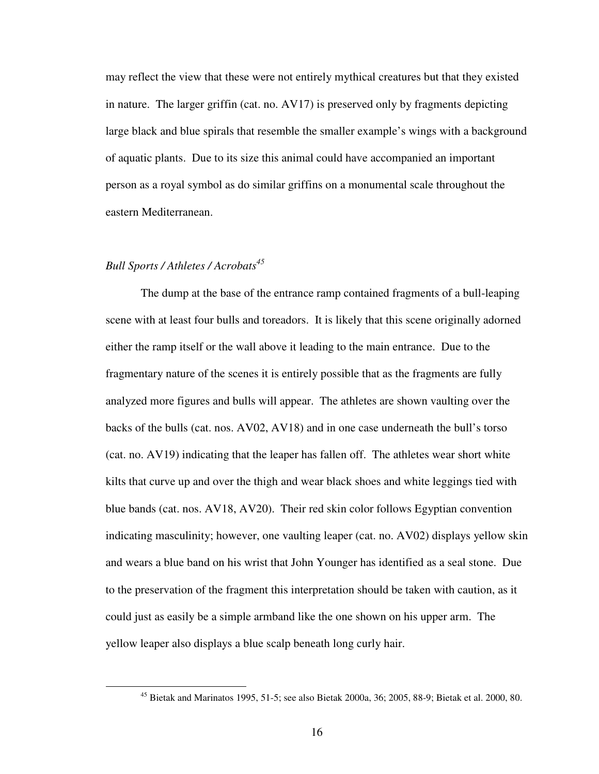may reflect the view that these were not entirely mythical creatures but that they existed in nature. The larger griffin (cat. no. AV17) is preserved only by fragments depicting large black and blue spirals that resemble the smaller example's wings with a background of aquatic plants. Due to its size this animal could have accompanied an important person as a royal symbol as do similar griffins on a monumental scale throughout the eastern Mediterranean.

#### *Bull Sports / Athletes / Acrobats<sup>45</sup>*

 $\overline{a}$ 

The dump at the base of the entrance ramp contained fragments of a bull-leaping scene with at least four bulls and toreadors. It is likely that this scene originally adorned either the ramp itself or the wall above it leading to the main entrance. Due to the fragmentary nature of the scenes it is entirely possible that as the fragments are fully analyzed more figures and bulls will appear. The athletes are shown vaulting over the backs of the bulls (cat. nos. AV02, AV18) and in one case underneath the bull's torso (cat. no. AV19) indicating that the leaper has fallen off. The athletes wear short white kilts that curve up and over the thigh and wear black shoes and white leggings tied with blue bands (cat. nos. AV18, AV20). Their red skin color follows Egyptian convention indicating masculinity; however, one vaulting leaper (cat. no. AV02) displays yellow skin and wears a blue band on his wrist that John Younger has identified as a seal stone. Due to the preservation of the fragment this interpretation should be taken with caution, as it could just as easily be a simple armband like the one shown on his upper arm. The yellow leaper also displays a blue scalp beneath long curly hair.

<sup>45</sup> Bietak and Marinatos 1995, 51-5; see also Bietak 2000a, 36; 2005, 88-9; Bietak et al. 2000, 80.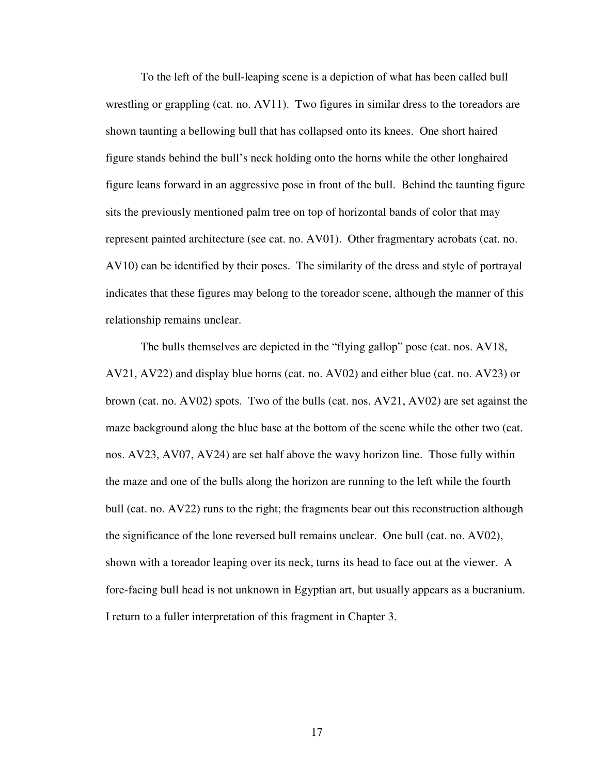To the left of the bull-leaping scene is a depiction of what has been called bull wrestling or grappling (cat. no. AV11). Two figures in similar dress to the toreadors are shown taunting a bellowing bull that has collapsed onto its knees. One short haired figure stands behind the bull's neck holding onto the horns while the other longhaired figure leans forward in an aggressive pose in front of the bull. Behind the taunting figure sits the previously mentioned palm tree on top of horizontal bands of color that may represent painted architecture (see cat. no. AV01). Other fragmentary acrobats (cat. no. AV10) can be identified by their poses. The similarity of the dress and style of portrayal indicates that these figures may belong to the toreador scene, although the manner of this relationship remains unclear.

The bulls themselves are depicted in the "flying gallop" pose (cat. nos. AV18, AV21, AV22) and display blue horns (cat. no. AV02) and either blue (cat. no. AV23) or brown (cat. no. AV02) spots. Two of the bulls (cat. nos. AV21, AV02) are set against the maze background along the blue base at the bottom of the scene while the other two (cat. nos. AV23, AV07, AV24) are set half above the wavy horizon line. Those fully within the maze and one of the bulls along the horizon are running to the left while the fourth bull (cat. no. AV22) runs to the right; the fragments bear out this reconstruction although the significance of the lone reversed bull remains unclear. One bull (cat. no. AV02), shown with a toreador leaping over its neck, turns its head to face out at the viewer. A fore-facing bull head is not unknown in Egyptian art, but usually appears as a bucranium. I return to a fuller interpretation of this fragment in Chapter 3.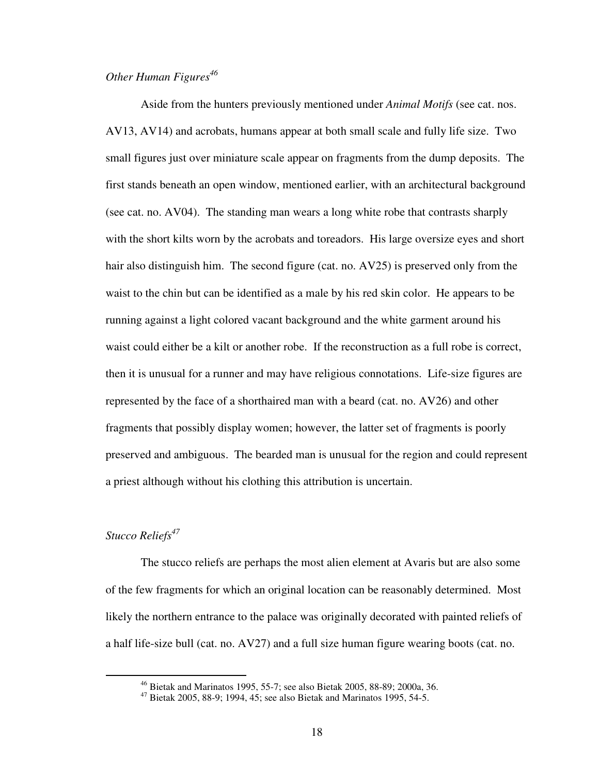## *Other Human Figures<sup>46</sup>*

 Aside from the hunters previously mentioned under *Animal Motifs* (see cat. nos. AV13, AV14) and acrobats, humans appear at both small scale and fully life size. Two small figures just over miniature scale appear on fragments from the dump deposits. The first stands beneath an open window, mentioned earlier, with an architectural background (see cat. no. AV04). The standing man wears a long white robe that contrasts sharply with the short kilts worn by the acrobats and toreadors. His large oversize eyes and short hair also distinguish him. The second figure (cat. no. AV25) is preserved only from the waist to the chin but can be identified as a male by his red skin color. He appears to be running against a light colored vacant background and the white garment around his waist could either be a kilt or another robe. If the reconstruction as a full robe is correct, then it is unusual for a runner and may have religious connotations. Life-size figures are represented by the face of a shorthaired man with a beard (cat. no. AV26) and other fragments that possibly display women; however, the latter set of fragments is poorly preserved and ambiguous. The bearded man is unusual for the region and could represent a priest although without his clothing this attribution is uncertain.

#### *Stucco Reliefs<sup>47</sup>*

1

 The stucco reliefs are perhaps the most alien element at Avaris but are also some of the few fragments for which an original location can be reasonably determined. Most likely the northern entrance to the palace was originally decorated with painted reliefs of a half life-size bull (cat. no. AV27) and a full size human figure wearing boots (cat. no.

<sup>46</sup> Bietak and Marinatos 1995, 55-7; see also Bietak 2005, 88-89; 2000a, 36.

 $47$  Bietak 2005, 88-9; 1994, 45; see also Bietak and Marinatos 1995, 54-5.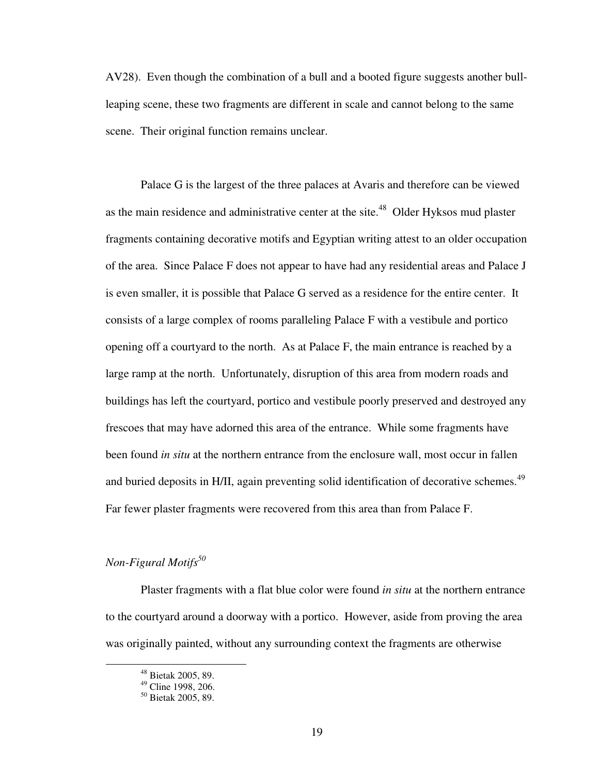AV28). Even though the combination of a bull and a booted figure suggests another bullleaping scene, these two fragments are different in scale and cannot belong to the same scene. Their original function remains unclear.

 Palace G is the largest of the three palaces at Avaris and therefore can be viewed as the main residence and administrative center at the site.<sup>48</sup> Older Hyksos mud plaster fragments containing decorative motifs and Egyptian writing attest to an older occupation of the area. Since Palace F does not appear to have had any residential areas and Palace J is even smaller, it is possible that Palace G served as a residence for the entire center. It consists of a large complex of rooms paralleling Palace F with a vestibule and portico opening off a courtyard to the north. As at Palace F, the main entrance is reached by a large ramp at the north. Unfortunately, disruption of this area from modern roads and buildings has left the courtyard, portico and vestibule poorly preserved and destroyed any frescoes that may have adorned this area of the entrance. While some fragments have been found *in situ* at the northern entrance from the enclosure wall, most occur in fallen and buried deposits in H/II, again preventing solid identification of decorative schemes.<sup>49</sup> Far fewer plaster fragments were recovered from this area than from Palace F.

# *Non-Figural Motifs<sup>50</sup>*

 $\overline{a}$ 

 Plaster fragments with a flat blue color were found *in situ* at the northern entrance to the courtyard around a doorway with a portico. However, aside from proving the area was originally painted, without any surrounding context the fragments are otherwise

<sup>48</sup> Bietak 2005, 89.

 $49$  Cline 1998, 206.

<sup>50</sup> Bietak 2005, 89.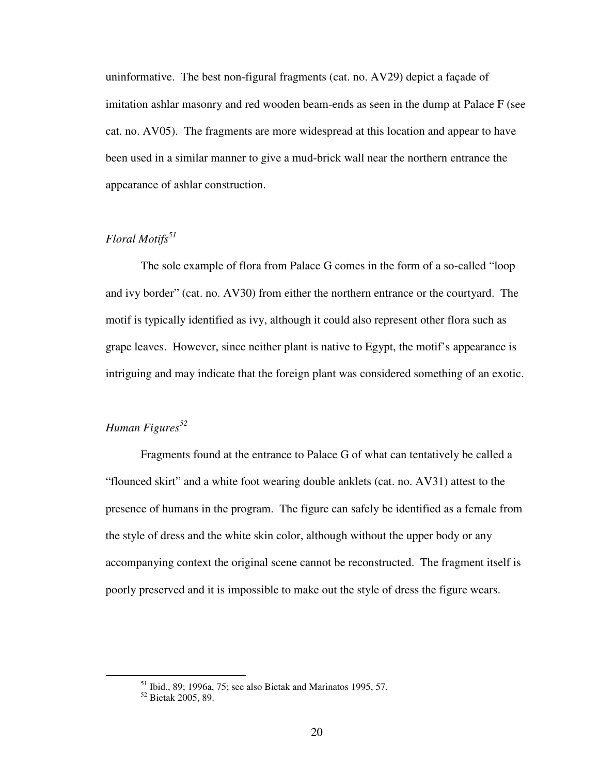uninformative. The best non-figural fragments (cat. no. AV29) depict a façade of imitation ashlar masonry and red wooden beam-ends as seen in the dump at Palace F (see cat. no. AV05). The fragments are more widespread at this location and appear to have been used in a similar manner to give a mud-brick wall near the northern entrance the appearance of ashlar construction.

## *Floral Motifs<sup>51</sup>*

 The sole example of flora from Palace G comes in the form of a so-called "loop and ivy border" (cat. no. AV30) from either the northern entrance or the courtyard. The motif is typically identified as ivy, although it could also represent other flora such as grape leaves. However, since neither plant is native to Egypt, the motif's appearance is intriguing and may indicate that the foreign plant was considered something of an exotic.

## *Human Figures<sup>52</sup>*

 Fragments found at the entrance to Palace G of what can tentatively be called a "flounced skirt" and a white foot wearing double anklets (cat. no. AV31) attest to the presence of humans in the program. The figure can safely be identified as a female from the style of dress and the white skin color, although without the upper body or any accompanying context the original scene cannot be reconstructed. The fragment itself is poorly preserved and it is impossible to make out the style of dress the figure wears.

 $51$  Ibid., 89; 1996a, 75; see also Bietak and Marinatos 1995, 57.

<sup>52</sup> Bietak 2005, 89.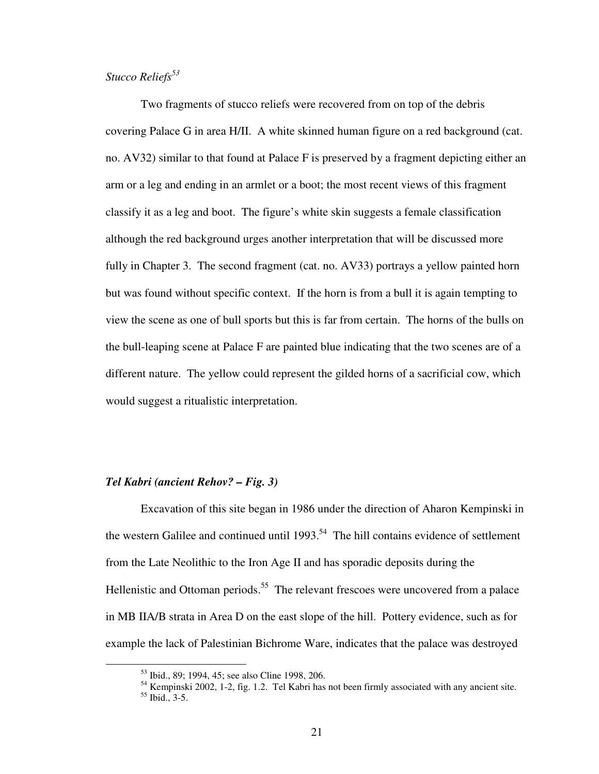#### *Stucco Reliefs<sup>53</sup>*

 Two fragments of stucco reliefs were recovered from on top of the debris covering Palace G in area H/II. A white skinned human figure on a red background (cat. no. AV32) similar to that found at Palace F is preserved by a fragment depicting either an arm or a leg and ending in an armlet or a boot; the most recent views of this fragment classify it as a leg and boot. The figure's white skin suggests a female classification although the red background urges another interpretation that will be discussed more fully in Chapter 3. The second fragment (cat. no. AV33) portrays a yellow painted horn but was found without specific context. If the horn is from a bull it is again tempting to view the scene as one of bull sports but this is far from certain. The horns of the bulls on the bull-leaping scene at Palace F are painted blue indicating that the two scenes are of a different nature. The yellow could represent the gilded horns of a sacrificial cow, which would suggest a ritualistic interpretation.

#### *Tel Kabri (ancient Rehov? – Fig. 3)*

 $\overline{a}$ 

 Excavation of this site began in 1986 under the direction of Aharon Kempinski in the western Galilee and continued until  $1993$ <sup>54</sup>. The hill contains evidence of settlement from the Late Neolithic to the Iron Age II and has sporadic deposits during the Hellenistic and Ottoman periods.<sup>55</sup> The relevant frescoes were uncovered from a palace in MB IIA/B strata in Area D on the east slope of the hill. Pottery evidence, such as for example the lack of Palestinian Bichrome Ware, indicates that the palace was destroyed

<sup>&</sup>lt;sup>53</sup> Ibid., 89; 1994, 45; see also Cline 1998, 206.

 $54$  Kempinski 2002, 1-2, fig. 1.2. Tel Kabri has not been firmly associated with any ancient site. <sup>55</sup> Ibid., 3-5.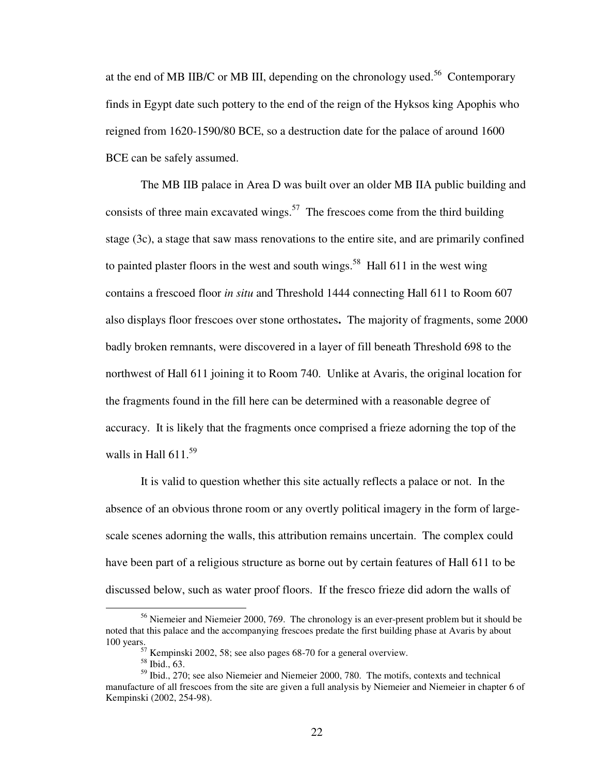at the end of MB IIB/C or MB III, depending on the chronology used.<sup>56</sup> Contemporary finds in Egypt date such pottery to the end of the reign of the Hyksos king Apophis who reigned from 1620-1590/80 BCE, so a destruction date for the palace of around 1600 BCE can be safely assumed.

The MB IIB palace in Area D was built over an older MB IIA public building and consists of three main excavated wings.<sup>57</sup> The frescoes come from the third building stage (3c), a stage that saw mass renovations to the entire site, and are primarily confined to painted plaster floors in the west and south wings.<sup>58</sup> Hall 611 in the west wing contains a frescoed floor *in situ* and Threshold 1444 connecting Hall 611 to Room 607 also displays floor frescoes over stone orthostates**.** The majority of fragments, some 2000 badly broken remnants, were discovered in a layer of fill beneath Threshold 698 to the northwest of Hall 611 joining it to Room 740. Unlike at Avaris, the original location for the fragments found in the fill here can be determined with a reasonable degree of accuracy. It is likely that the fragments once comprised a frieze adorning the top of the walls in Hall  $611^{59}$ 

It is valid to question whether this site actually reflects a palace or not. In the absence of an obvious throne room or any overtly political imagery in the form of largescale scenes adorning the walls, this attribution remains uncertain. The complex could have been part of a religious structure as borne out by certain features of Hall 611 to be discussed below, such as water proof floors. If the fresco frieze did adorn the walls of

<sup>&</sup>lt;sup>56</sup> Niemeier and Niemeier 2000, 769. The chronology is an ever-present problem but it should be noted that this palace and the accompanying frescoes predate the first building phase at Avaris by about 100 years.

 $57$  Kempinski 2002, 58; see also pages 68-70 for a general overview.

<sup>58</sup> Ibid., 63.

<sup>59</sup> Ibid., 270; see also Niemeier and Niemeier 2000, 780. The motifs, contexts and technical manufacture of all frescoes from the site are given a full analysis by Niemeier and Niemeier in chapter 6 of Kempinski (2002, 254-98).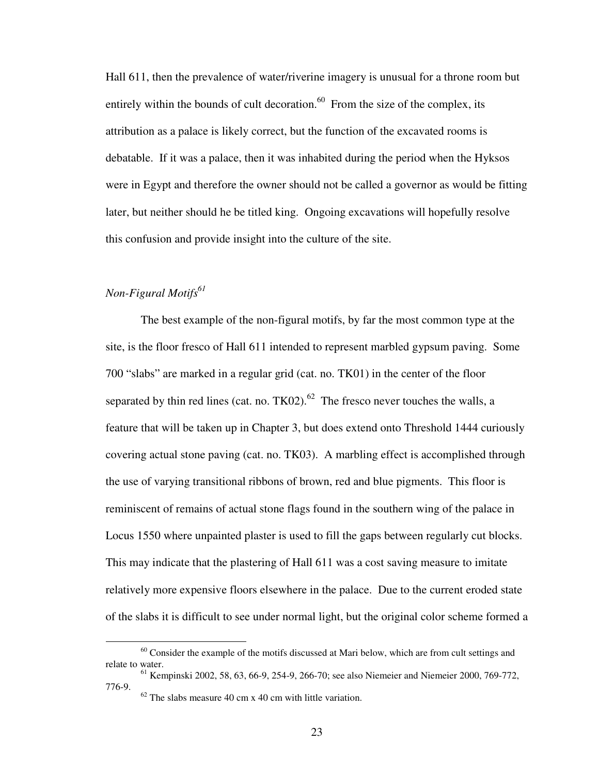Hall 611, then the prevalence of water/riverine imagery is unusual for a throne room but entirely within the bounds of cult decoration.<sup>60</sup> From the size of the complex, its attribution as a palace is likely correct, but the function of the excavated rooms is debatable. If it was a palace, then it was inhabited during the period when the Hyksos were in Egypt and therefore the owner should not be called a governor as would be fitting later, but neither should he be titled king. Ongoing excavations will hopefully resolve this confusion and provide insight into the culture of the site.

# *Non-Figural Motifs<sup>61</sup>*

 $\overline{a}$ 

 The best example of the non-figural motifs, by far the most common type at the site, is the floor fresco of Hall 611 intended to represent marbled gypsum paving. Some 700 "slabs" are marked in a regular grid (cat. no. TK01) in the center of the floor separated by thin red lines (cat. no.  $TK02$ ).<sup>62</sup> The fresco never touches the walls, a feature that will be taken up in Chapter 3, but does extend onto Threshold 1444 curiously covering actual stone paving (cat. no. TK03). A marbling effect is accomplished through the use of varying transitional ribbons of brown, red and blue pigments. This floor is reminiscent of remains of actual stone flags found in the southern wing of the palace in Locus 1550 where unpainted plaster is used to fill the gaps between regularly cut blocks. This may indicate that the plastering of Hall 611 was a cost saving measure to imitate relatively more expensive floors elsewhere in the palace. Due to the current eroded state of the slabs it is difficult to see under normal light, but the original color scheme formed a

 $60$  Consider the example of the motifs discussed at Mari below, which are from cult settings and relate to water.

 $61$  Kempinski 2002, 58, 63, 66-9, 254-9, 266-70; see also Niemeier and Niemeier 2000, 769-772, 776-9.

 $62$  The slabs measure 40 cm x 40 cm with little variation.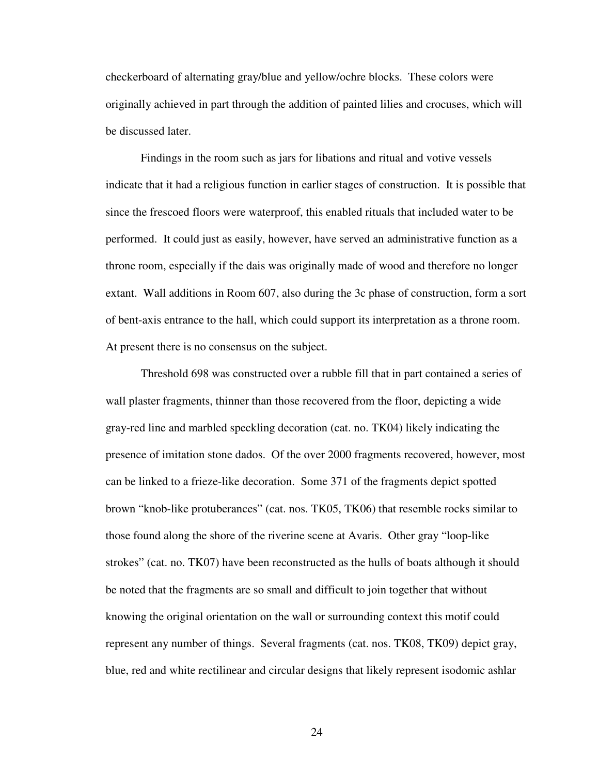checkerboard of alternating gray/blue and yellow/ochre blocks. These colors were originally achieved in part through the addition of painted lilies and crocuses, which will be discussed later.

Findings in the room such as jars for libations and ritual and votive vessels indicate that it had a religious function in earlier stages of construction. It is possible that since the frescoed floors were waterproof, this enabled rituals that included water to be performed. It could just as easily, however, have served an administrative function as a throne room, especially if the dais was originally made of wood and therefore no longer extant. Wall additions in Room 607, also during the 3c phase of construction, form a sort of bent-axis entrance to the hall, which could support its interpretation as a throne room. At present there is no consensus on the subject.

 Threshold 698 was constructed over a rubble fill that in part contained a series of wall plaster fragments, thinner than those recovered from the floor, depicting a wide gray-red line and marbled speckling decoration (cat. no. TK04) likely indicating the presence of imitation stone dados. Of the over 2000 fragments recovered, however, most can be linked to a frieze-like decoration. Some 371 of the fragments depict spotted brown "knob-like protuberances" (cat. nos. TK05, TK06) that resemble rocks similar to those found along the shore of the riverine scene at Avaris. Other gray "loop-like strokes" (cat. no. TK07) have been reconstructed as the hulls of boats although it should be noted that the fragments are so small and difficult to join together that without knowing the original orientation on the wall or surrounding context this motif could represent any number of things. Several fragments (cat. nos. TK08, TK09) depict gray, blue, red and white rectilinear and circular designs that likely represent isodomic ashlar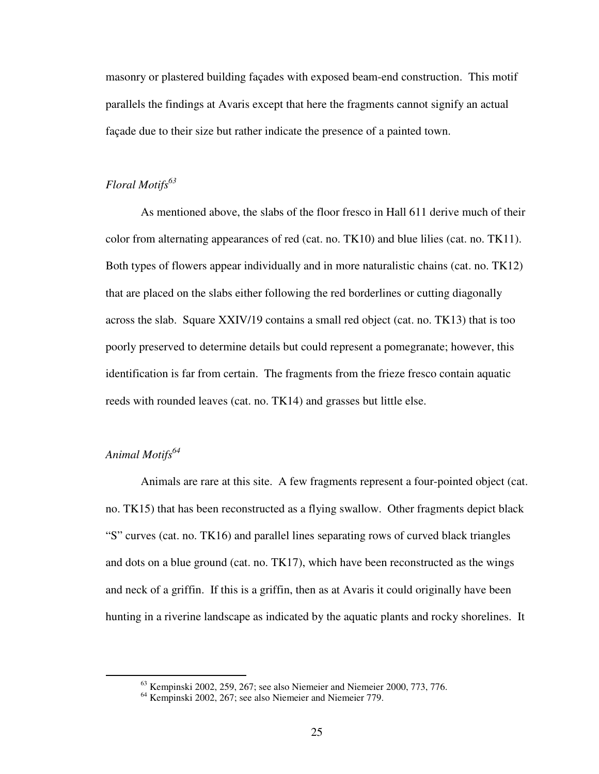masonry or plastered building façades with exposed beam-end construction. This motif parallels the findings at Avaris except that here the fragments cannot signify an actual façade due to their size but rather indicate the presence of a painted town.

## *Floral Motifs<sup>63</sup>*

 As mentioned above, the slabs of the floor fresco in Hall 611 derive much of their color from alternating appearances of red (cat. no. TK10) and blue lilies (cat. no. TK11). Both types of flowers appear individually and in more naturalistic chains (cat. no. TK12) that are placed on the slabs either following the red borderlines or cutting diagonally across the slab. Square XXIV/19 contains a small red object (cat. no. TK13) that is too poorly preserved to determine details but could represent a pomegranate; however, this identification is far from certain. The fragments from the frieze fresco contain aquatic reeds with rounded leaves (cat. no. TK14) and grasses but little else.

# *Animal Motifs<sup>64</sup>*

 $\overline{a}$ 

 Animals are rare at this site. A few fragments represent a four-pointed object (cat. no. TK15) that has been reconstructed as a flying swallow. Other fragments depict black "S" curves (cat. no. TK16) and parallel lines separating rows of curved black triangles and dots on a blue ground (cat. no. TK17), which have been reconstructed as the wings and neck of a griffin. If this is a griffin, then as at Avaris it could originally have been hunting in a riverine landscape as indicated by the aquatic plants and rocky shorelines. It

 $63$  Kempinski 2002, 259, 267; see also Niemeier and Niemeier 2000, 773, 776.

<sup>64</sup> Kempinski 2002, 267; see also Niemeier and Niemeier 779.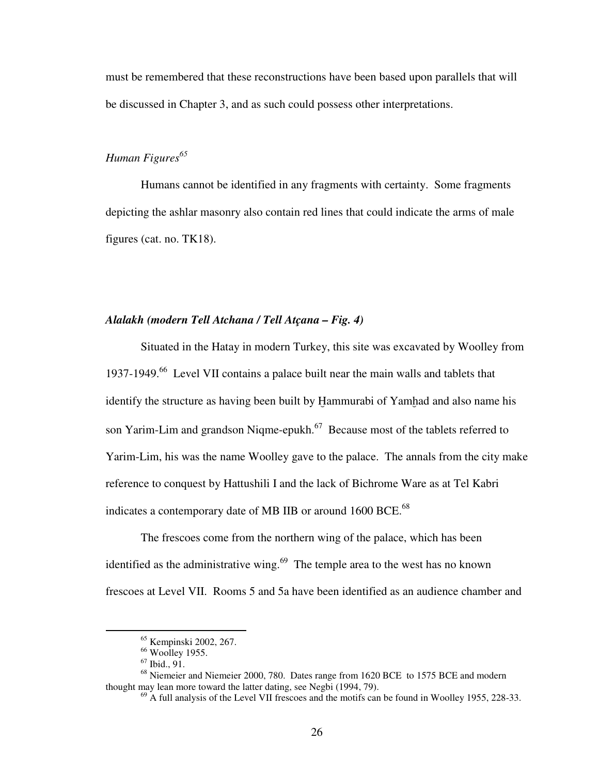must be remembered that these reconstructions have been based upon parallels that will be discussed in Chapter 3, and as such could possess other interpretations.

# *Human Figures<sup>65</sup>*

 Humans cannot be identified in any fragments with certainty. Some fragments depicting the ashlar masonry also contain red lines that could indicate the arms of male figures (cat. no. TK18).

## *Alalakh (modern Tell Atchana / Tell Atçana – Fig. 4)*

 Situated in the Hatay in modern Turkey, this site was excavated by Woolley from 1937-1949.<sup>66</sup> Level VII contains a palace built near the main walls and tablets that identify the structure as having been built by Hammurabi of Yamhad and also name his son Yarim-Lim and grandson Niqme-epukh.<sup>67</sup> Because most of the tablets referred to Yarim-Lim, his was the name Woolley gave to the palace. The annals from the city make reference to conquest by Hattushili I and the lack of Bichrome Ware as at Tel Kabri indicates a contemporary date of MB IIB or around 1600 BCE.<sup>68</sup>

 The frescoes come from the northern wing of the palace, which has been identified as the administrative wing. $69$  The temple area to the west has no known frescoes at Level VII. Rooms 5 and 5a have been identified as an audience chamber and

<sup>65</sup> Kempinski 2002, 267.

 $66$  Woolley 1955.

 $67$  Ibid., 91.

<sup>68</sup> Niemeier and Niemeier 2000, 780. Dates range from 1620 BCE to 1575 BCE and modern thought may lean more toward the latter dating, see Negbi (1994, 79).

 $^{69}$  A full analysis of the Level VII frescoes and the motifs can be found in Woolley 1955, 228-33.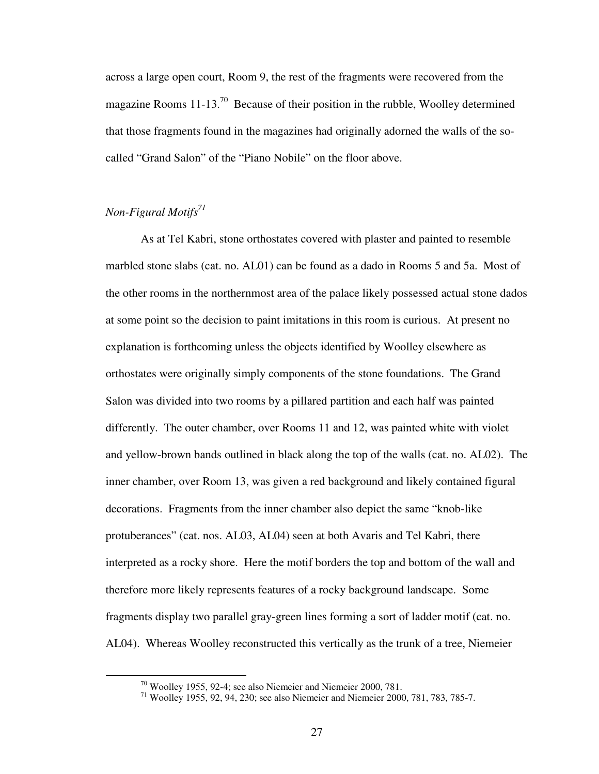across a large open court, Room 9, the rest of the fragments were recovered from the magazine Rooms  $11-13<sup>70</sup>$  Because of their position in the rubble, Woolley determined that those fragments found in the magazines had originally adorned the walls of the socalled "Grand Salon" of the "Piano Nobile" on the floor above.

# *Non-Figural Motifs<sup>71</sup>*

 $\overline{a}$ 

 As at Tel Kabri, stone orthostates covered with plaster and painted to resemble marbled stone slabs (cat. no. AL01) can be found as a dado in Rooms 5 and 5a. Most of the other rooms in the northernmost area of the palace likely possessed actual stone dados at some point so the decision to paint imitations in this room is curious. At present no explanation is forthcoming unless the objects identified by Woolley elsewhere as orthostates were originally simply components of the stone foundations. The Grand Salon was divided into two rooms by a pillared partition and each half was painted differently. The outer chamber, over Rooms 11 and 12, was painted white with violet and yellow-brown bands outlined in black along the top of the walls (cat. no. AL02). The inner chamber, over Room 13, was given a red background and likely contained figural decorations. Fragments from the inner chamber also depict the same "knob-like protuberances" (cat. nos. AL03, AL04) seen at both Avaris and Tel Kabri, there interpreted as a rocky shore. Here the motif borders the top and bottom of the wall and therefore more likely represents features of a rocky background landscape. Some fragments display two parallel gray-green lines forming a sort of ladder motif (cat. no. AL04). Whereas Woolley reconstructed this vertically as the trunk of a tree, Niemeier

<sup>70</sup> Woolley 1955, 92-4; see also Niemeier and Niemeier 2000, 781.

<sup>71</sup> Woolley 1955, 92, 94, 230; see also Niemeier and Niemeier 2000, 781, 783, 785-7.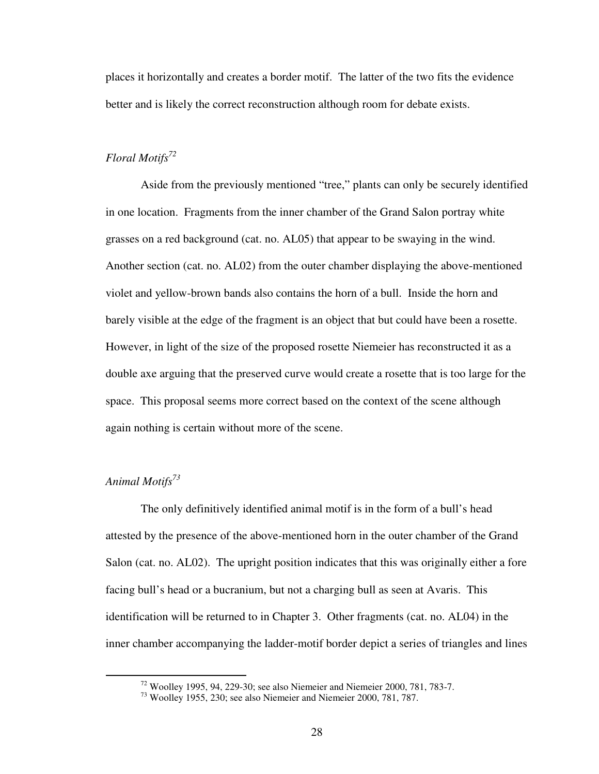places it horizontally and creates a border motif. The latter of the two fits the evidence better and is likely the correct reconstruction although room for debate exists.

# *Floral Motifs<sup>72</sup>*

Aside from the previously mentioned "tree," plants can only be securely identified in one location. Fragments from the inner chamber of the Grand Salon portray white grasses on a red background (cat. no. AL05) that appear to be swaying in the wind. Another section (cat. no. AL02) from the outer chamber displaying the above-mentioned violet and yellow-brown bands also contains the horn of a bull. Inside the horn and barely visible at the edge of the fragment is an object that but could have been a rosette. However, in light of the size of the proposed rosette Niemeier has reconstructed it as a double axe arguing that the preserved curve would create a rosette that is too large for the space. This proposal seems more correct based on the context of the scene although again nothing is certain without more of the scene.

# *Animal Motifs<sup>73</sup>*

 $\overline{a}$ 

 The only definitively identified animal motif is in the form of a bull's head attested by the presence of the above-mentioned horn in the outer chamber of the Grand Salon (cat. no. AL02). The upright position indicates that this was originally either a fore facing bull's head or a bucranium, but not a charging bull as seen at Avaris. This identification will be returned to in Chapter 3. Other fragments (cat. no. AL04) in the inner chamber accompanying the ladder-motif border depict a series of triangles and lines

 $72$  Woolley 1995, 94, 229-30; see also Niemeier and Niemeier 2000, 781, 783-7.

 $^{73}$  Woolley 1955, 230; see also Niemeier and Niemeier 2000, 781, 787.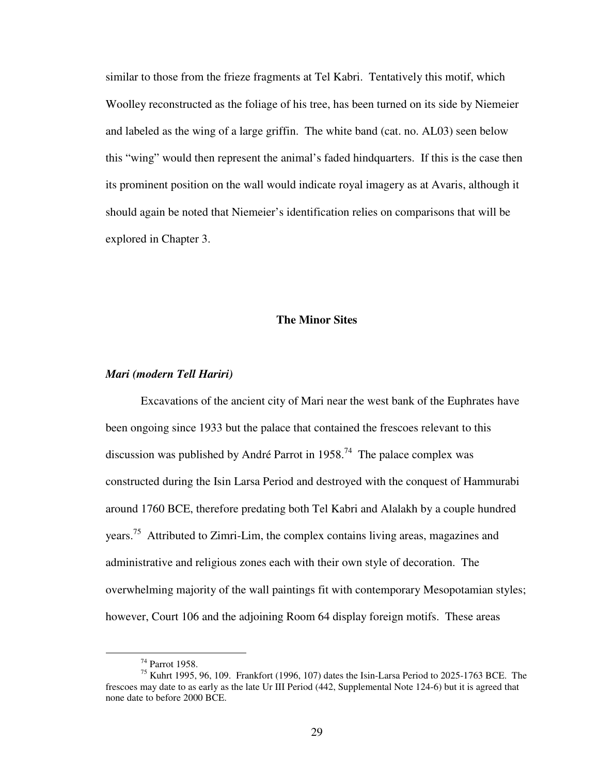similar to those from the frieze fragments at Tel Kabri. Tentatively this motif, which Woolley reconstructed as the foliage of his tree, has been turned on its side by Niemeier and labeled as the wing of a large griffin. The white band (cat. no. AL03) seen below this "wing" would then represent the animal's faded hindquarters. If this is the case then its prominent position on the wall would indicate royal imagery as at Avaris, although it should again be noted that Niemeier's identification relies on comparisons that will be explored in Chapter 3.

## **The Minor Sites**

#### *Mari (modern Tell Hariri)*

 Excavations of the ancient city of Mari near the west bank of the Euphrates have been ongoing since 1933 but the palace that contained the frescoes relevant to this discussion was published by André Parrot in  $1958$ <sup>74</sup>. The palace complex was constructed during the Isin Larsa Period and destroyed with the conquest of Hammurabi around 1760 BCE, therefore predating both Tel Kabri and Alalakh by a couple hundred years.<sup>75</sup> Attributed to Zimri-Lim, the complex contains living areas, magazines and administrative and religious zones each with their own style of decoration. The overwhelming majority of the wall paintings fit with contemporary Mesopotamian styles; however, Court 106 and the adjoining Room 64 display foreign motifs. These areas

1

<sup>74</sup> Parrot 1958.

<sup>75</sup> Kuhrt 1995, 96, 109. Frankfort (1996, 107) dates the Isin-Larsa Period to 2025-1763 BCE. The frescoes may date to as early as the late Ur III Period (442, Supplemental Note 124-6) but it is agreed that none date to before 2000 BCE.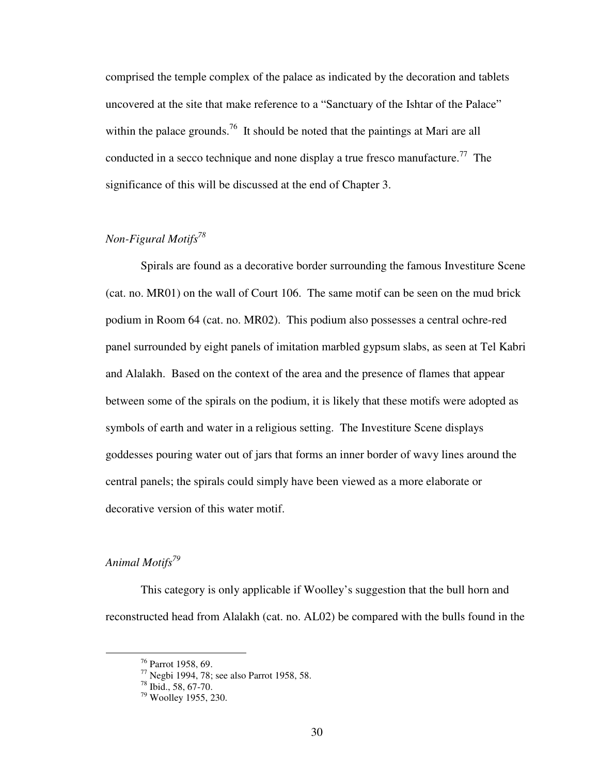comprised the temple complex of the palace as indicated by the decoration and tablets uncovered at the site that make reference to a "Sanctuary of the Ishtar of the Palace" within the palace grounds.<sup>76</sup> It should be noted that the paintings at Mari are all conducted in a secco technique and none display a true fresco manufacture.<sup>77</sup> The significance of this will be discussed at the end of Chapter 3.

# *Non-Figural Motifs<sup>78</sup>*

 Spirals are found as a decorative border surrounding the famous Investiture Scene (cat. no. MR01) on the wall of Court 106. The same motif can be seen on the mud brick podium in Room 64 (cat. no. MR02). This podium also possesses a central ochre-red panel surrounded by eight panels of imitation marbled gypsum slabs, as seen at Tel Kabri and Alalakh. Based on the context of the area and the presence of flames that appear between some of the spirals on the podium, it is likely that these motifs were adopted as symbols of earth and water in a religious setting. The Investiture Scene displays goddesses pouring water out of jars that forms an inner border of wavy lines around the central panels; the spirals could simply have been viewed as a more elaborate or decorative version of this water motif.

# *Animal Motifs<sup>79</sup>*

 $\overline{a}$ 

 This category is only applicable if Woolley's suggestion that the bull horn and reconstructed head from Alalakh (cat. no. AL02) be compared with the bulls found in the

<sup>76</sup> Parrot 1958, 69.

<sup>&</sup>lt;sup>77</sup> Negbi 1994, 78; see also Parrot 1958, 58.

 $78$  Ibid., 58, 67-70.

<sup>79</sup> Woolley 1955, 230.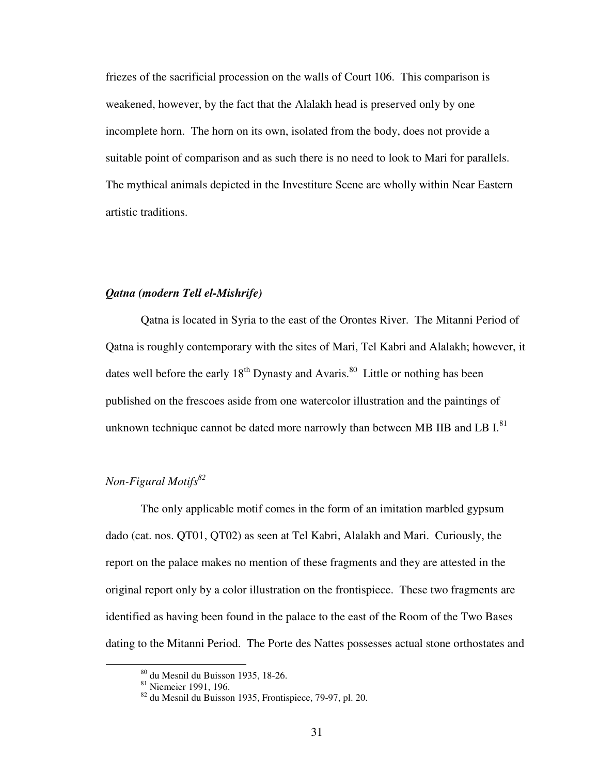friezes of the sacrificial procession on the walls of Court 106. This comparison is weakened, however, by the fact that the Alalakh head is preserved only by one incomplete horn. The horn on its own, isolated from the body, does not provide a suitable point of comparison and as such there is no need to look to Mari for parallels. The mythical animals depicted in the Investiture Scene are wholly within Near Eastern artistic traditions.

# *Qatna (modern Tell el-Mishrife)*

 Qatna is located in Syria to the east of the Orontes River. The Mitanni Period of Qatna is roughly contemporary with the sites of Mari, Tel Kabri and Alalakh; however, it dates well before the early  $18<sup>th</sup>$  Dynasty and Avaris.<sup>80</sup> Little or nothing has been published on the frescoes aside from one watercolor illustration and the paintings of unknown technique cannot be dated more narrowly than between MB IIB and LB  $I<sup>81</sup>$ 

# *Non-Figural Motifs<sup>82</sup>*

 The only applicable motif comes in the form of an imitation marbled gypsum dado (cat. nos. QT01, QT02) as seen at Tel Kabri, Alalakh and Mari. Curiously, the report on the palace makes no mention of these fragments and they are attested in the original report only by a color illustration on the frontispiece. These two fragments are identified as having been found in the palace to the east of the Room of the Two Bases dating to the Mitanni Period. The Porte des Nattes possesses actual stone orthostates and

<sup>80</sup> du Mesnil du Buisson 1935, 18-26.

<sup>&</sup>lt;sup>81</sup> Niemeier 1991, 196.

<sup>82</sup> du Mesnil du Buisson 1935, Frontispiece, 79-97, pl. 20.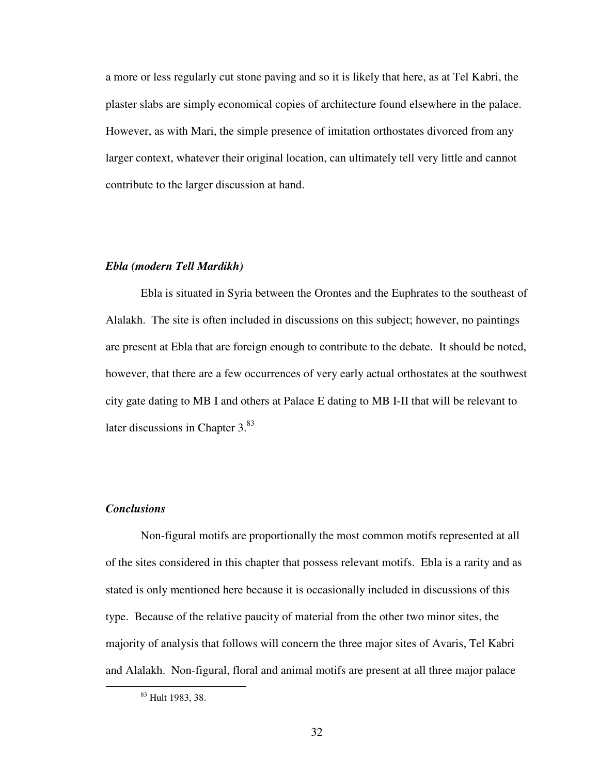a more or less regularly cut stone paving and so it is likely that here, as at Tel Kabri, the plaster slabs are simply economical copies of architecture found elsewhere in the palace. However, as with Mari, the simple presence of imitation orthostates divorced from any larger context, whatever their original location, can ultimately tell very little and cannot contribute to the larger discussion at hand.

#### *Ebla (modern Tell Mardikh)*

 Ebla is situated in Syria between the Orontes and the Euphrates to the southeast of Alalakh. The site is often included in discussions on this subject; however, no paintings are present at Ebla that are foreign enough to contribute to the debate. It should be noted, however, that there are a few occurrences of very early actual orthostates at the southwest city gate dating to MB I and others at Palace E dating to MB I-II that will be relevant to later discussions in Chapter  $3^{83}$ .

# *Conclusions*

 $\overline{a}$ 

 Non-figural motifs are proportionally the most common motifs represented at all of the sites considered in this chapter that possess relevant motifs. Ebla is a rarity and as stated is only mentioned here because it is occasionally included in discussions of this type. Because of the relative paucity of material from the other two minor sites, the majority of analysis that follows will concern the three major sites of Avaris, Tel Kabri and Alalakh. Non-figural, floral and animal motifs are present at all three major palace

<sup>&</sup>lt;sup>83</sup> Hult 1983, 38.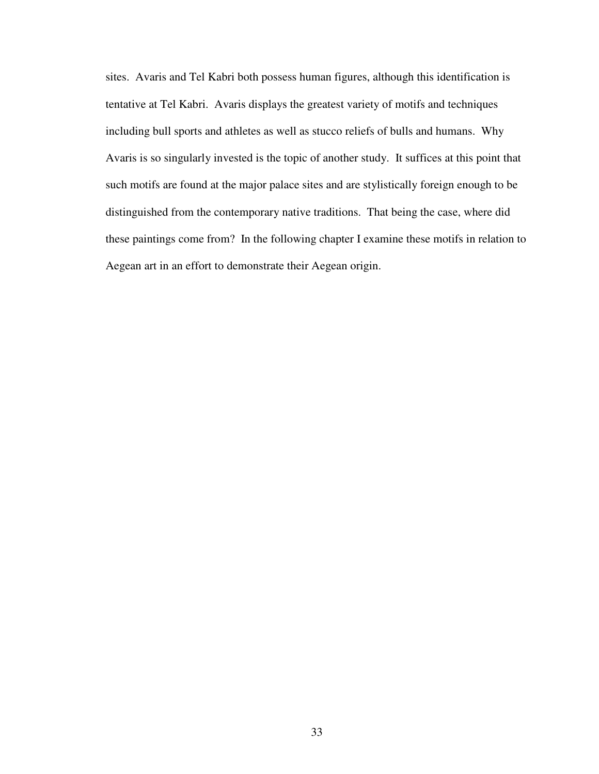sites. Avaris and Tel Kabri both possess human figures, although this identification is tentative at Tel Kabri. Avaris displays the greatest variety of motifs and techniques including bull sports and athletes as well as stucco reliefs of bulls and humans. Why Avaris is so singularly invested is the topic of another study. It suffices at this point that such motifs are found at the major palace sites and are stylistically foreign enough to be distinguished from the contemporary native traditions. That being the case, where did these paintings come from? In the following chapter I examine these motifs in relation to Aegean art in an effort to demonstrate their Aegean origin.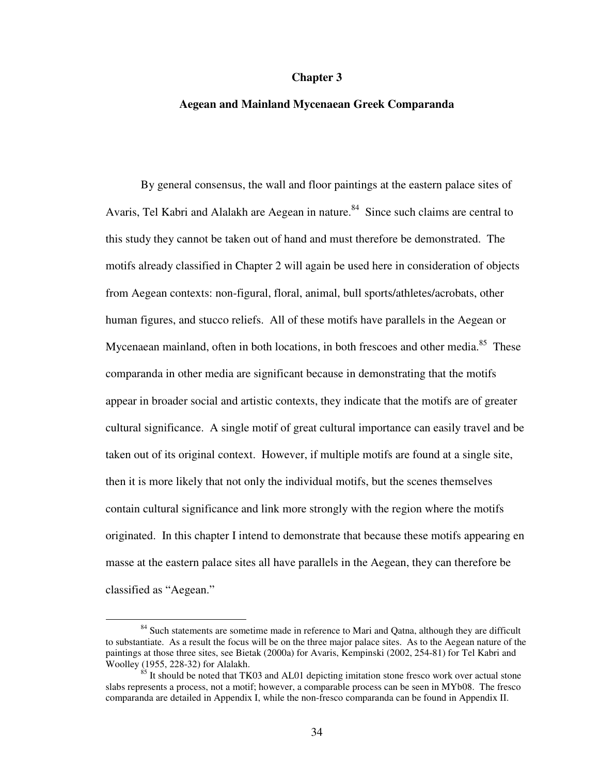#### **Chapter 3**

## **Aegean and Mainland Mycenaean Greek Comparanda**

 By general consensus, the wall and floor paintings at the eastern palace sites of Avaris, Tel Kabri and Alalakh are Aegean in nature.<sup>84</sup> Since such claims are central to this study they cannot be taken out of hand and must therefore be demonstrated. The motifs already classified in Chapter 2 will again be used here in consideration of objects from Aegean contexts: non-figural, floral, animal, bull sports/athletes/acrobats, other human figures, and stucco reliefs. All of these motifs have parallels in the Aegean or Mycenaean mainland, often in both locations, in both frescoes and other media.<sup>85</sup> These comparanda in other media are significant because in demonstrating that the motifs appear in broader social and artistic contexts, they indicate that the motifs are of greater cultural significance. A single motif of great cultural importance can easily travel and be taken out of its original context. However, if multiple motifs are found at a single site, then it is more likely that not only the individual motifs, but the scenes themselves contain cultural significance and link more strongly with the region where the motifs originated. In this chapter I intend to demonstrate that because these motifs appearing en masse at the eastern palace sites all have parallels in the Aegean, they can therefore be classified as "Aegean."

1

<sup>&</sup>lt;sup>84</sup> Such statements are sometime made in reference to Mari and Qatna, although they are difficult to substantiate. As a result the focus will be on the three major palace sites. As to the Aegean nature of the paintings at those three sites, see Bietak (2000a) for Avaris, Kempinski (2002, 254-81) for Tel Kabri and Woolley (1955, 228-32) for Alalakh.

 $85$  It should be noted that TK03 and AL01 depicting imitation stone fresco work over actual stone slabs represents a process, not a motif; however, a comparable process can be seen in MYb08. The fresco comparanda are detailed in Appendix I, while the non-fresco comparanda can be found in Appendix II.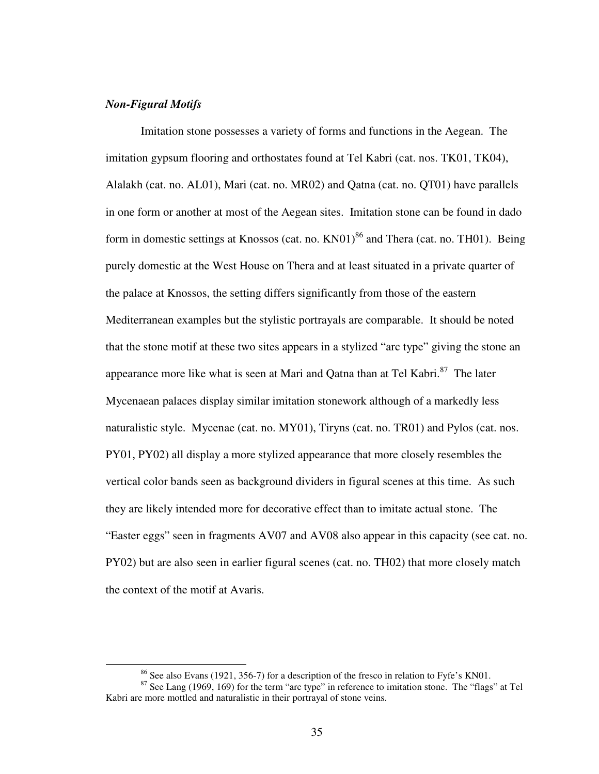# *Non-Figural Motifs*

1

 Imitation stone possesses a variety of forms and functions in the Aegean. The imitation gypsum flooring and orthostates found at Tel Kabri (cat. nos. TK01, TK04), Alalakh (cat. no. AL01), Mari (cat. no. MR02) and Qatna (cat. no. QT01) have parallels in one form or another at most of the Aegean sites. Imitation stone can be found in dado form in domestic settings at Knossos (cat. no.  $KN01$ )<sup>86</sup> and Thera (cat. no. TH01). Being purely domestic at the West House on Thera and at least situated in a private quarter of the palace at Knossos, the setting differs significantly from those of the eastern Mediterranean examples but the stylistic portrayals are comparable. It should be noted that the stone motif at these two sites appears in a stylized "arc type" giving the stone an appearance more like what is seen at Mari and Qatna than at Tel Kabri.<sup>87</sup> The later Mycenaean palaces display similar imitation stonework although of a markedly less naturalistic style. Mycenae (cat. no. MY01), Tiryns (cat. no. TR01) and Pylos (cat. nos. PY01, PY02) all display a more stylized appearance that more closely resembles the vertical color bands seen as background dividers in figural scenes at this time. As such they are likely intended more for decorative effect than to imitate actual stone. The "Easter eggs" seen in fragments AV07 and AV08 also appear in this capacity (see cat. no. PY02) but are also seen in earlier figural scenes (cat. no. TH02) that more closely match the context of the motif at Avaris.

<sup>86</sup> See also Evans (1921, 356-7) for a description of the fresco in relation to Fyfe's KN01.

<sup>&</sup>lt;sup>87</sup> See Lang (1969, 169) for the term "arc type" in reference to imitation stone. The "flags" at Tel Kabri are more mottled and naturalistic in their portrayal of stone veins.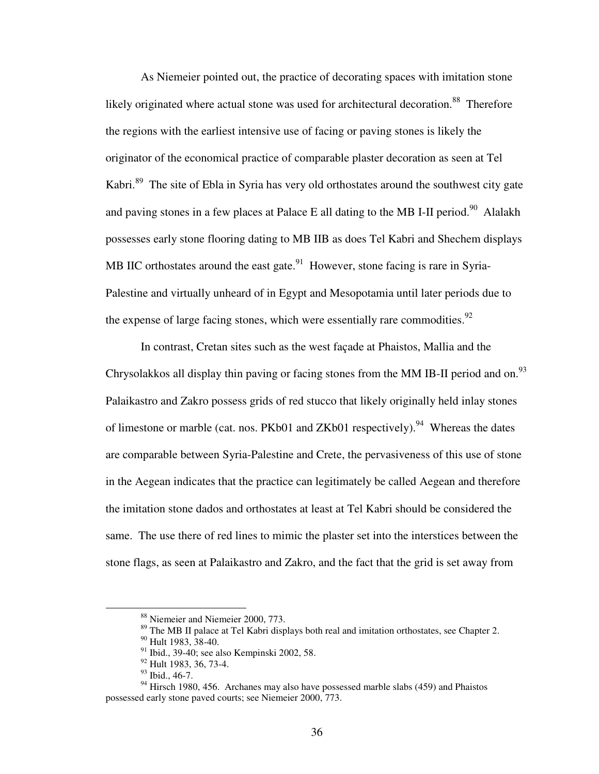As Niemeier pointed out, the practice of decorating spaces with imitation stone likely originated where actual stone was used for architectural decoration.<sup>88</sup> Therefore the regions with the earliest intensive use of facing or paving stones is likely the originator of the economical practice of comparable plaster decoration as seen at Tel Kabri.<sup>89</sup> The site of Ebla in Syria has very old orthostates around the southwest city gate and paving stones in a few places at Palace E all dating to the MB I-II period.<sup>90</sup> Alalakh possesses early stone flooring dating to MB IIB as does Tel Kabri and Shechem displays MB IIC orthostates around the east gate.<sup>91</sup> However, stone facing is rare in Syria-Palestine and virtually unheard of in Egypt and Mesopotamia until later periods due to the expense of large facing stones, which were essentially rare commodities.<sup>92</sup>

In contrast, Cretan sites such as the west façade at Phaistos, Mallia and the Chrysolakkos all display thin paving or facing stones from the MM IB-II period and on.<sup>93</sup> Palaikastro and Zakro possess grids of red stucco that likely originally held inlay stones of limestone or marble (cat. nos. PKb01 and ZKb01 respectively).<sup>94</sup> Whereas the dates are comparable between Syria-Palestine and Crete, the pervasiveness of this use of stone in the Aegean indicates that the practice can legitimately be called Aegean and therefore the imitation stone dados and orthostates at least at Tel Kabri should be considered the same. The use there of red lines to mimic the plaster set into the interstices between the stone flags, as seen at Palaikastro and Zakro, and the fact that the grid is set away from

<sup>88</sup> Niemeier and Niemeier 2000, 773.

<sup>&</sup>lt;sup>89</sup> The MB II palace at Tel Kabri displays both real and imitation orthostates, see Chapter 2.

<sup>&</sup>lt;sup>90</sup> Hult 1983, 38-40.

<sup>&</sup>lt;sup>91</sup> Ibid., 39-40; see also Kempinski 2002, 58.

<sup>&</sup>lt;sup>92</sup> Hult 1983, 36, 73-4.

<sup>93</sup> Ibid., 46-7.

 $94$  Hirsch 1980, 456. Archanes may also have possessed marble slabs (459) and Phaistos possessed early stone paved courts; see Niemeier 2000, 773.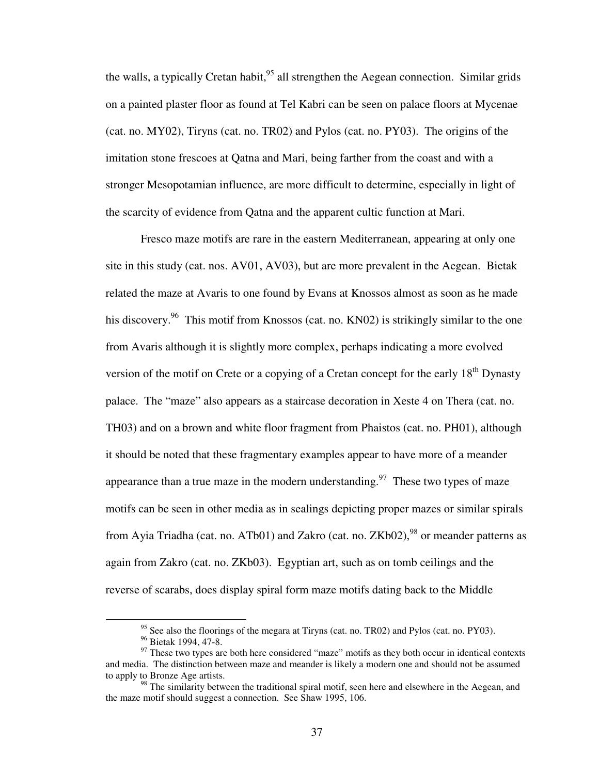the walls, a typically Cretan habit,  $95$  all strengthen the Aegean connection. Similar grids on a painted plaster floor as found at Tel Kabri can be seen on palace floors at Mycenae (cat. no. MY02), Tiryns (cat. no. TR02) and Pylos (cat. no. PY03). The origins of the imitation stone frescoes at Qatna and Mari, being farther from the coast and with a stronger Mesopotamian influence, are more difficult to determine, especially in light of the scarcity of evidence from Qatna and the apparent cultic function at Mari.

 Fresco maze motifs are rare in the eastern Mediterranean, appearing at only one site in this study (cat. nos. AV01, AV03), but are more prevalent in the Aegean. Bietak related the maze at Avaris to one found by Evans at Knossos almost as soon as he made his discovery.<sup>96</sup> This motif from Knossos (cat. no. KN02) is strikingly similar to the one from Avaris although it is slightly more complex, perhaps indicating a more evolved version of the motif on Crete or a copying of a Cretan concept for the early  $18<sup>th</sup>$  Dynasty palace. The "maze" also appears as a staircase decoration in Xeste 4 on Thera (cat. no. TH03) and on a brown and white floor fragment from Phaistos (cat. no. PH01), although it should be noted that these fragmentary examples appear to have more of a meander appearance than a true maze in the modern understanding.<sup>97</sup> These two types of maze motifs can be seen in other media as in sealings depicting proper mazes or similar spirals from Ayia Triadha (cat. no. ATb01) and Zakro (cat. no.  $ZKb02$ ), <sup>98</sup> or meander patterns as again from Zakro (cat. no. ZKb03). Egyptian art, such as on tomb ceilings and the reverse of scarabs, does display spiral form maze motifs dating back to the Middle

<sup>&</sup>lt;sup>95</sup> See also the floorings of the megara at Tiryns (cat. no. TR02) and Pylos (cat. no. PY03).

<sup>&</sup>lt;sup>96</sup> Bietak 1994, 47-8.

 $97$  These two types are both here considered "maze" motifs as they both occur in identical contexts and media. The distinction between maze and meander is likely a modern one and should not be assumed to apply to Bronze Age artists.

 $98$  The similarity between the traditional spiral motif, seen here and elsewhere in the Aegean, and the maze motif should suggest a connection. See Shaw 1995, 106.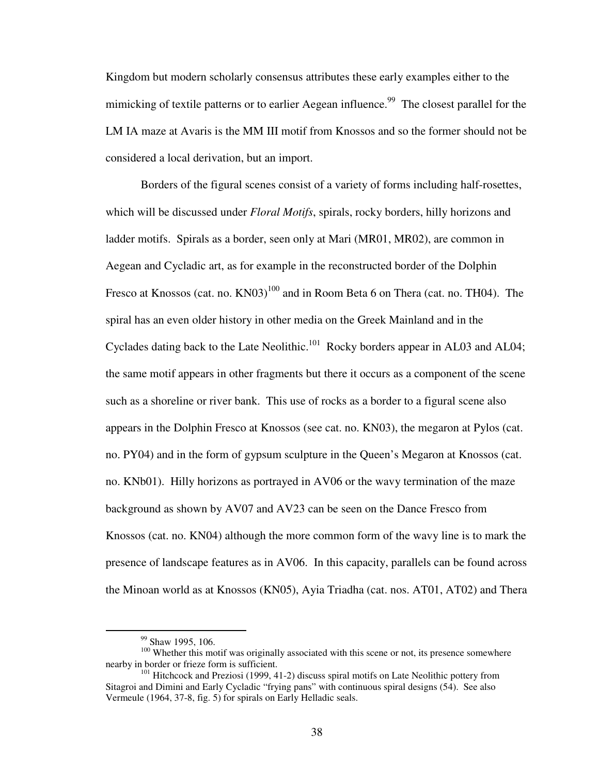Kingdom but modern scholarly consensus attributes these early examples either to the mimicking of textile patterns or to earlier Aegean influence.<sup>99</sup> The closest parallel for the LM IA maze at Avaris is the MM III motif from Knossos and so the former should not be considered a local derivation, but an import.

 Borders of the figural scenes consist of a variety of forms including half-rosettes, which will be discussed under *Floral Motifs*, spirals, rocky borders, hilly horizons and ladder motifs. Spirals as a border, seen only at Mari (MR01, MR02), are common in Aegean and Cycladic art, as for example in the reconstructed border of the Dolphin Fresco at Knossos (cat. no.  $KN03$ )<sup>100</sup> and in Room Beta 6 on Thera (cat. no. TH04). The spiral has an even older history in other media on the Greek Mainland and in the Cyclades dating back to the Late Neolithic.<sup>101</sup> Rocky borders appear in AL03 and AL04; the same motif appears in other fragments but there it occurs as a component of the scene such as a shoreline or river bank. This use of rocks as a border to a figural scene also appears in the Dolphin Fresco at Knossos (see cat. no. KN03), the megaron at Pylos (cat. no. PY04) and in the form of gypsum sculpture in the Queen's Megaron at Knossos (cat. no. KNb01). Hilly horizons as portrayed in AV06 or the wavy termination of the maze background as shown by AV07 and AV23 can be seen on the Dance Fresco from Knossos (cat. no. KN04) although the more common form of the wavy line is to mark the presence of landscape features as in AV06. In this capacity, parallels can be found across the Minoan world as at Knossos (KN05), Ayia Triadha (cat. nos. AT01, AT02) and Thera

<sup>&</sup>lt;sup>99</sup> Shaw 1995, 106.

<sup>&</sup>lt;sup>100</sup> Whether this motif was originally associated with this scene or not, its presence somewhere nearby in border or frieze form is sufficient.

<sup>&</sup>lt;sup>101</sup> Hitchcock and Preziosi (1999, 41-2) discuss spiral motifs on Late Neolithic pottery from Sitagroi and Dimini and Early Cycladic "frying pans" with continuous spiral designs (54). See also Vermeule (1964, 37-8, fig. 5) for spirals on Early Helladic seals.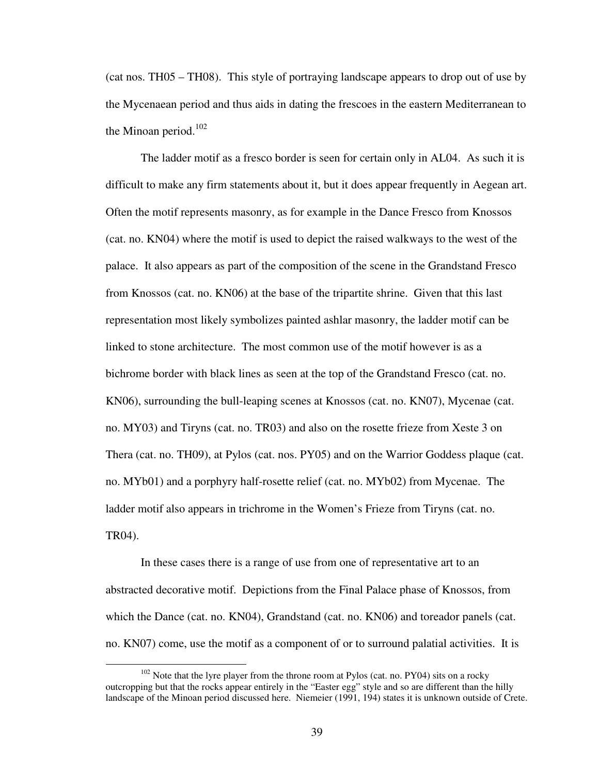(cat nos. TH05 – TH08). This style of portraying landscape appears to drop out of use by the Mycenaean period and thus aids in dating the frescoes in the eastern Mediterranean to the Minoan period. $102$ 

 The ladder motif as a fresco border is seen for certain only in AL04. As such it is difficult to make any firm statements about it, but it does appear frequently in Aegean art. Often the motif represents masonry, as for example in the Dance Fresco from Knossos (cat. no. KN04) where the motif is used to depict the raised walkways to the west of the palace. It also appears as part of the composition of the scene in the Grandstand Fresco from Knossos (cat. no. KN06) at the base of the tripartite shrine. Given that this last representation most likely symbolizes painted ashlar masonry, the ladder motif can be linked to stone architecture. The most common use of the motif however is as a bichrome border with black lines as seen at the top of the Grandstand Fresco (cat. no. KN06), surrounding the bull-leaping scenes at Knossos (cat. no. KN07), Mycenae (cat. no. MY03) and Tiryns (cat. no. TR03) and also on the rosette frieze from Xeste 3 on Thera (cat. no. TH09), at Pylos (cat. nos. PY05) and on the Warrior Goddess plaque (cat. no. MYb01) and a porphyry half-rosette relief (cat. no. MYb02) from Mycenae. The ladder motif also appears in trichrome in the Women's Frieze from Tiryns (cat. no. TR04).

 In these cases there is a range of use from one of representative art to an abstracted decorative motif. Depictions from the Final Palace phase of Knossos, from which the Dance (cat. no. KN04), Grandstand (cat. no. KN06) and toreador panels (cat. no. KN07) come, use the motif as a component of or to surround palatial activities. It is

 $102$  Note that the lyre player from the throne room at Pylos (cat. no. PY04) sits on a rocky outcropping but that the rocks appear entirely in the "Easter egg" style and so are different than the hilly landscape of the Minoan period discussed here. Niemeier (1991, 194) states it is unknown outside of Crete.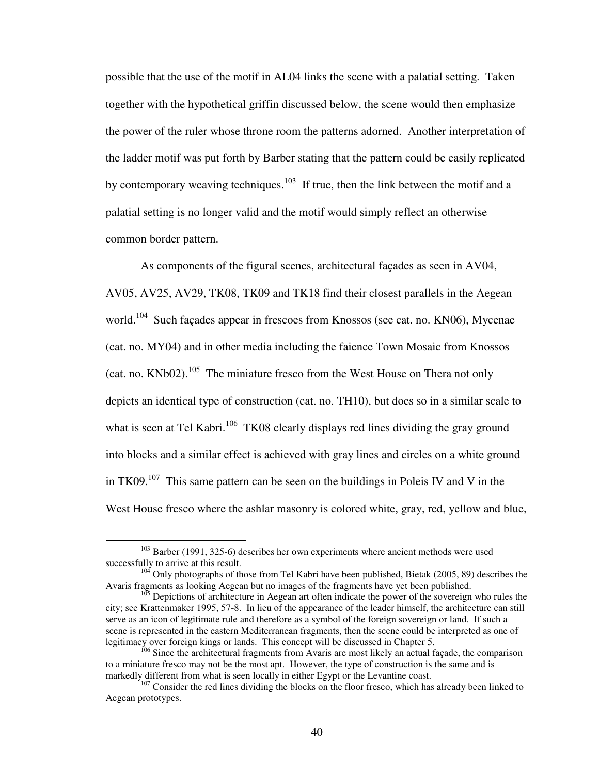possible that the use of the motif in AL04 links the scene with a palatial setting. Taken together with the hypothetical griffin discussed below, the scene would then emphasize the power of the ruler whose throne room the patterns adorned. Another interpretation of the ladder motif was put forth by Barber stating that the pattern could be easily replicated by contemporary weaving techniques.<sup>103</sup> If true, then the link between the motif and a palatial setting is no longer valid and the motif would simply reflect an otherwise common border pattern.

 As components of the figural scenes, architectural façades as seen in AV04, AV05, AV25, AV29, TK08, TK09 and TK18 find their closest parallels in the Aegean world.<sup>104</sup> Such façades appear in frescoes from Knossos (see cat. no. KN06), Mycenae (cat. no. MY04) and in other media including the faience Town Mosaic from Knossos (cat. no.  $KNb02$ ).<sup>105</sup> The miniature fresco from the West House on Thera not only depicts an identical type of construction (cat. no. TH10), but does so in a similar scale to what is seen at Tel Kabri.<sup>106</sup> TK08 clearly displays red lines dividing the gray ground into blocks and a similar effect is achieved with gray lines and circles on a white ground in TK09.<sup>107</sup> This same pattern can be seen on the buildings in Poleis IV and V in the West House fresco where the ashlar masonry is colored white, gray, red, yellow and blue,

 $103$  Barber (1991, 325-6) describes her own experiments where ancient methods were used successfully to arrive at this result.

<sup>&</sup>lt;sup>104</sup> Only photographs of those from Tel Kabri have been published, Bietak (2005, 89) describes the Avaris fragments as looking Aegean but no images of the fragments have yet been published.

<sup>&</sup>lt;sup>105</sup> Depictions of architecture in Aegean art often indicate the power of the sovereign who rules the city; see Krattenmaker 1995, 57-8. In lieu of the appearance of the leader himself, the architecture can still serve as an icon of legitimate rule and therefore as a symbol of the foreign sovereign or land. If such a scene is represented in the eastern Mediterranean fragments, then the scene could be interpreted as one of legitimacy over foreign kings or lands. This concept will be discussed in Chapter 5.

<sup>&</sup>lt;sup>106</sup> Since the architectural fragments from Avaris are most likely an actual façade, the comparison to a miniature fresco may not be the most apt. However, the type of construction is the same and is markedly different from what is seen locally in either Egypt or the Levantine coast.

<sup>&</sup>lt;sup>107</sup> Consider the red lines dividing the blocks on the floor fresco, which has already been linked to Aegean prototypes.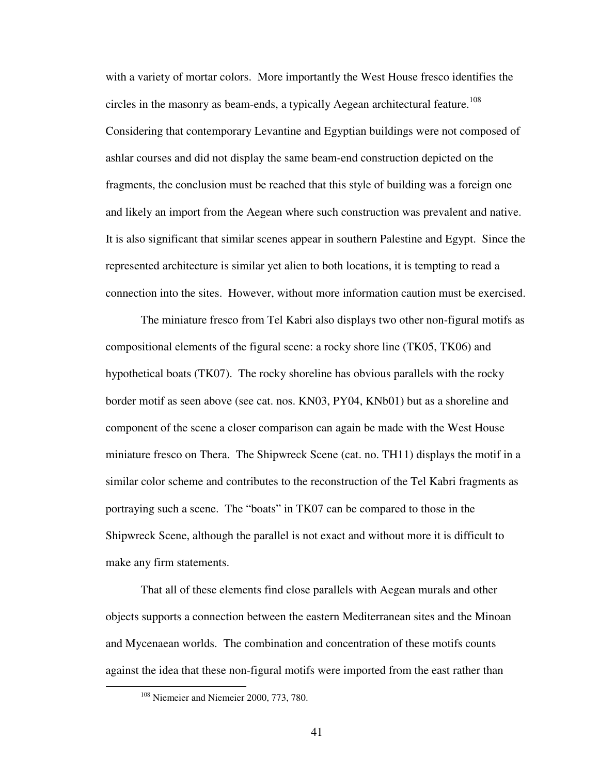with a variety of mortar colors. More importantly the West House fresco identifies the circles in the masonry as beam-ends, a typically Aegean architectural feature.<sup>108</sup> Considering that contemporary Levantine and Egyptian buildings were not composed of ashlar courses and did not display the same beam-end construction depicted on the fragments, the conclusion must be reached that this style of building was a foreign one and likely an import from the Aegean where such construction was prevalent and native. It is also significant that similar scenes appear in southern Palestine and Egypt. Since the represented architecture is similar yet alien to both locations, it is tempting to read a connection into the sites. However, without more information caution must be exercised.

 The miniature fresco from Tel Kabri also displays two other non-figural motifs as compositional elements of the figural scene: a rocky shore line (TK05, TK06) and hypothetical boats (TK07). The rocky shoreline has obvious parallels with the rocky border motif as seen above (see cat. nos. KN03, PY04, KNb01) but as a shoreline and component of the scene a closer comparison can again be made with the West House miniature fresco on Thera. The Shipwreck Scene (cat. no. TH11) displays the motif in a similar color scheme and contributes to the reconstruction of the Tel Kabri fragments as portraying such a scene. The "boats" in TK07 can be compared to those in the Shipwreck Scene, although the parallel is not exact and without more it is difficult to make any firm statements.

 That all of these elements find close parallels with Aegean murals and other objects supports a connection between the eastern Mediterranean sites and the Minoan and Mycenaean worlds. The combination and concentration of these motifs counts against the idea that these non-figural motifs were imported from the east rather than

<sup>&</sup>lt;sup>108</sup> Niemeier and Niemeier 2000, 773, 780.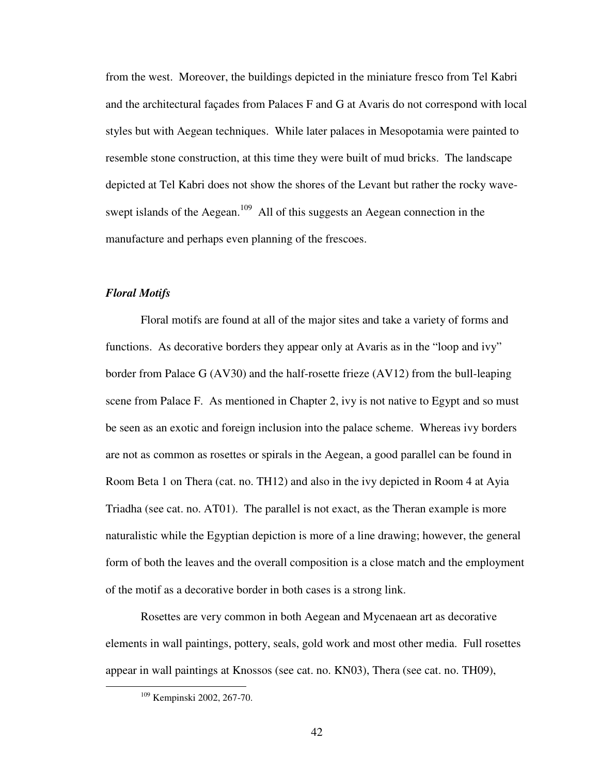from the west. Moreover, the buildings depicted in the miniature fresco from Tel Kabri and the architectural façades from Palaces F and G at Avaris do not correspond with local styles but with Aegean techniques. While later palaces in Mesopotamia were painted to resemble stone construction, at this time they were built of mud bricks. The landscape depicted at Tel Kabri does not show the shores of the Levant but rather the rocky waveswept islands of the Aegean.<sup>109</sup> All of this suggests an Aegean connection in the manufacture and perhaps even planning of the frescoes.

## *Floral Motifs*

 Floral motifs are found at all of the major sites and take a variety of forms and functions. As decorative borders they appear only at Avaris as in the "loop and ivy" border from Palace G (AV30) and the half-rosette frieze (AV12) from the bull-leaping scene from Palace F. As mentioned in Chapter 2, ivy is not native to Egypt and so must be seen as an exotic and foreign inclusion into the palace scheme. Whereas ivy borders are not as common as rosettes or spirals in the Aegean, a good parallel can be found in Room Beta 1 on Thera (cat. no. TH12) and also in the ivy depicted in Room 4 at Ayia Triadha (see cat. no. AT01). The parallel is not exact, as the Theran example is more naturalistic while the Egyptian depiction is more of a line drawing; however, the general form of both the leaves and the overall composition is a close match and the employment of the motif as a decorative border in both cases is a strong link.

 Rosettes are very common in both Aegean and Mycenaean art as decorative elements in wall paintings, pottery, seals, gold work and most other media. Full rosettes appear in wall paintings at Knossos (see cat. no. KN03), Thera (see cat. no. TH09),

<sup>109</sup> Kempinski 2002, 267-70.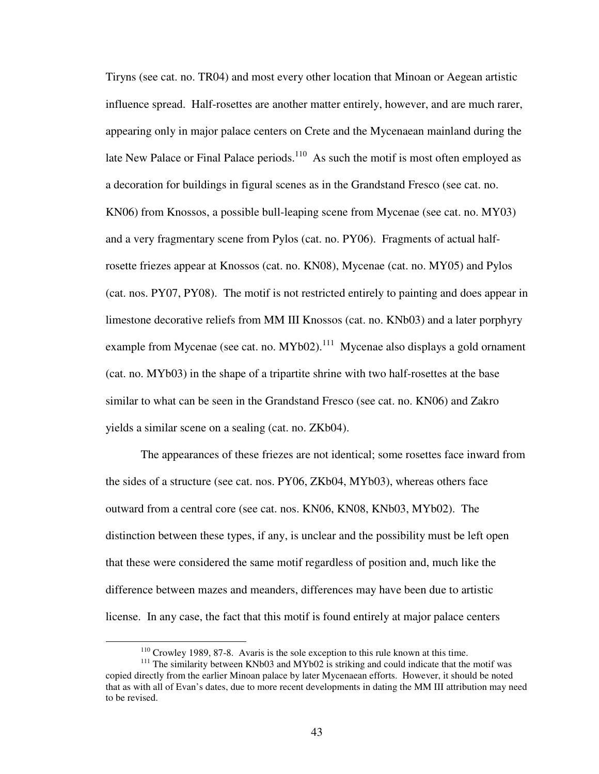Tiryns (see cat. no. TR04) and most every other location that Minoan or Aegean artistic influence spread. Half-rosettes are another matter entirely, however, and are much rarer, appearing only in major palace centers on Crete and the Mycenaean mainland during the late New Palace or Final Palace periods. $110$  As such the motif is most often employed as a decoration for buildings in figural scenes as in the Grandstand Fresco (see cat. no. KN06) from Knossos, a possible bull-leaping scene from Mycenae (see cat. no. MY03) and a very fragmentary scene from Pylos (cat. no. PY06). Fragments of actual halfrosette friezes appear at Knossos (cat. no. KN08), Mycenae (cat. no. MY05) and Pylos (cat. nos. PY07, PY08). The motif is not restricted entirely to painting and does appear in limestone decorative reliefs from MM III Knossos (cat. no. KNb03) and a later porphyry example from Mycenae (see cat. no.  $MYb02$ ).<sup>111</sup> Mycenae also displays a gold ornament (cat. no. MYb03) in the shape of a tripartite shrine with two half-rosettes at the base similar to what can be seen in the Grandstand Fresco (see cat. no. KN06) and Zakro yields a similar scene on a sealing (cat. no. ZKb04).

 The appearances of these friezes are not identical; some rosettes face inward from the sides of a structure (see cat. nos. PY06, ZKb04, MYb03), whereas others face outward from a central core (see cat. nos. KN06, KN08, KNb03, MYb02). The distinction between these types, if any, is unclear and the possibility must be left open that these were considered the same motif regardless of position and, much like the difference between mazes and meanders, differences may have been due to artistic license. In any case, the fact that this motif is found entirely at major palace centers

<sup>110</sup> Crowley 1989, 87-8. Avaris is the sole exception to this rule known at this time.

<sup>&</sup>lt;sup>111</sup> The similarity between KNb03 and MYb02 is striking and could indicate that the motif was copied directly from the earlier Minoan palace by later Mycenaean efforts. However, it should be noted that as with all of Evan's dates, due to more recent developments in dating the MM III attribution may need to be revised.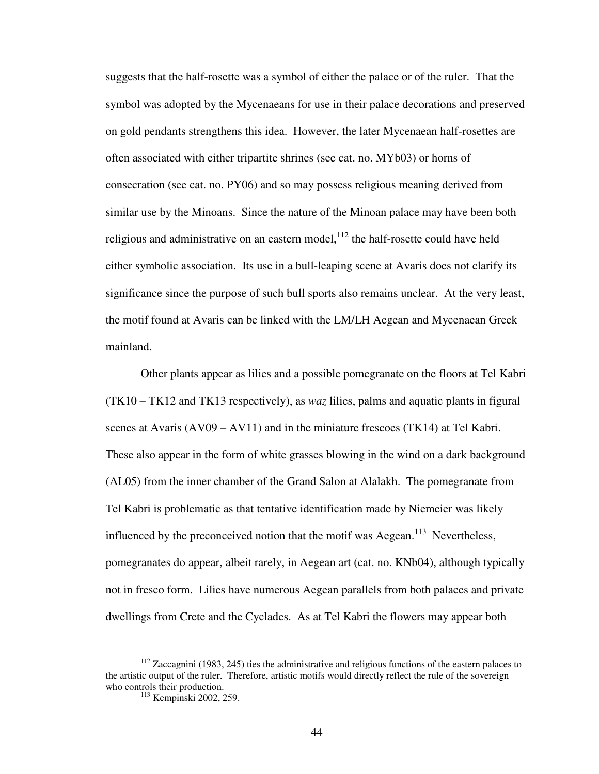suggests that the half-rosette was a symbol of either the palace or of the ruler. That the symbol was adopted by the Mycenaeans for use in their palace decorations and preserved on gold pendants strengthens this idea. However, the later Mycenaean half-rosettes are often associated with either tripartite shrines (see cat. no. MYb03) or horns of consecration (see cat. no. PY06) and so may possess religious meaning derived from similar use by the Minoans. Since the nature of the Minoan palace may have been both religious and administrative on an eastern model,  $^{112}$  the half-rosette could have held either symbolic association. Its use in a bull-leaping scene at Avaris does not clarify its significance since the purpose of such bull sports also remains unclear. At the very least, the motif found at Avaris can be linked with the LM/LH Aegean and Mycenaean Greek mainland.

 Other plants appear as lilies and a possible pomegranate on the floors at Tel Kabri (TK10 – TK12 and TK13 respectively), as *waz* lilies, palms and aquatic plants in figural scenes at Avaris  $(AV09 - AV11)$  and in the miniature frescoes  $(TK14)$  at Tel Kabri. These also appear in the form of white grasses blowing in the wind on a dark background (AL05) from the inner chamber of the Grand Salon at Alalakh. The pomegranate from Tel Kabri is problematic as that tentative identification made by Niemeier was likely influenced by the preconceived notion that the motif was Aegean.<sup>113</sup> Nevertheless, pomegranates do appear, albeit rarely, in Aegean art (cat. no. KNb04), although typically not in fresco form. Lilies have numerous Aegean parallels from both palaces and private dwellings from Crete and the Cyclades. As at Tel Kabri the flowers may appear both

 $112$  Zaccagnini (1983, 245) ties the administrative and religious functions of the eastern palaces to the artistic output of the ruler. Therefore, artistic motifs would directly reflect the rule of the sovereign who controls their production.

<sup>113</sup> Kempinski 2002, 259.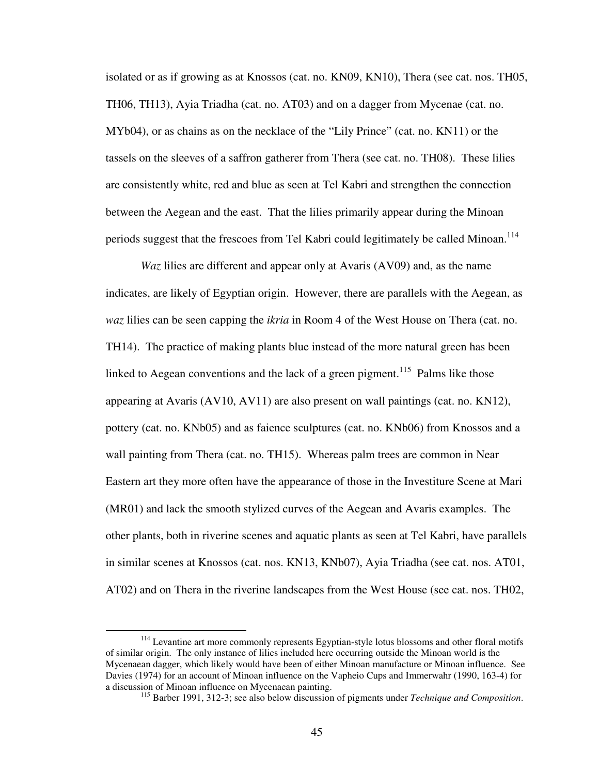isolated or as if growing as at Knossos (cat. no. KN09, KN10), Thera (see cat. nos. TH05, TH06, TH13), Ayia Triadha (cat. no. AT03) and on a dagger from Mycenae (cat. no. MYb04), or as chains as on the necklace of the "Lily Prince" (cat. no. KN11) or the tassels on the sleeves of a saffron gatherer from Thera (see cat. no. TH08). These lilies are consistently white, red and blue as seen at Tel Kabri and strengthen the connection between the Aegean and the east. That the lilies primarily appear during the Minoan periods suggest that the frescoes from Tel Kabri could legitimately be called Minoan.<sup>114</sup>

*Waz* lilies are different and appear only at Avaris (AV09) and, as the name indicates, are likely of Egyptian origin. However, there are parallels with the Aegean, as *waz* lilies can be seen capping the *ikria* in Room 4 of the West House on Thera (cat. no. TH14). The practice of making plants blue instead of the more natural green has been linked to Aegean conventions and the lack of a green pigment.<sup>115</sup> Palms like those appearing at Avaris (AV10, AV11) are also present on wall paintings (cat. no. KN12), pottery (cat. no. KNb05) and as faience sculptures (cat. no. KNb06) from Knossos and a wall painting from Thera (cat. no. TH15). Whereas palm trees are common in Near Eastern art they more often have the appearance of those in the Investiture Scene at Mari (MR01) and lack the smooth stylized curves of the Aegean and Avaris examples. The other plants, both in riverine scenes and aquatic plants as seen at Tel Kabri, have parallels in similar scenes at Knossos (cat. nos. KN13, KNb07), Ayia Triadha (see cat. nos. AT01, AT02) and on Thera in the riverine landscapes from the West House (see cat. nos. TH02,

<u>.</u>

<sup>&</sup>lt;sup>114</sup> Levantine art more commonly represents Egyptian-style lotus blossoms and other floral motifs of similar origin. The only instance of lilies included here occurring outside the Minoan world is the Mycenaean dagger, which likely would have been of either Minoan manufacture or Minoan influence. See Davies (1974) for an account of Minoan influence on the Vapheio Cups and Immerwahr (1990, 163-4) for a discussion of Minoan influence on Mycenaean painting.

<sup>115</sup> Barber 1991, 312-3; see also below discussion of pigments under *Technique and Composition*.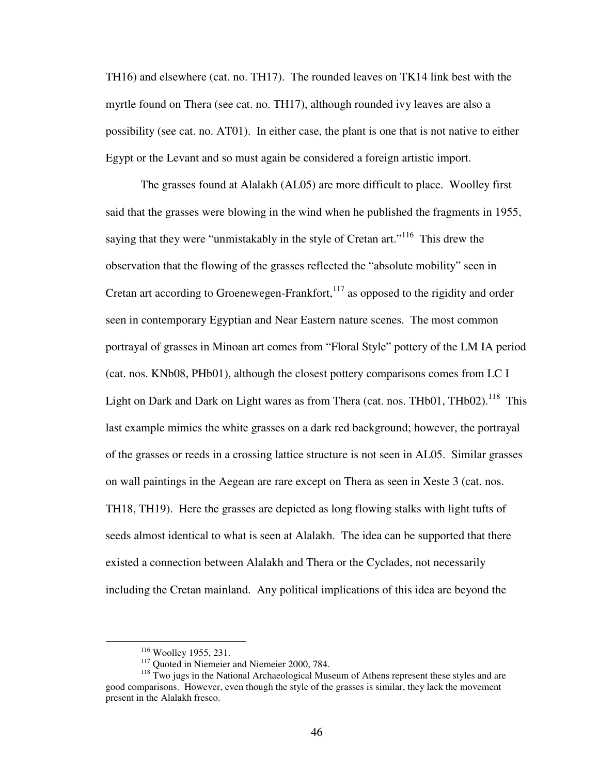TH16) and elsewhere (cat. no. TH17). The rounded leaves on TK14 link best with the myrtle found on Thera (see cat. no. TH17), although rounded ivy leaves are also a possibility (see cat. no. AT01). In either case, the plant is one that is not native to either Egypt or the Levant and so must again be considered a foreign artistic import.

 The grasses found at Alalakh (AL05) are more difficult to place. Woolley first said that the grasses were blowing in the wind when he published the fragments in 1955, saying that they were "unmistakably in the style of Cretan art."<sup>116</sup> This drew the observation that the flowing of the grasses reflected the "absolute mobility" seen in Cretan art according to Groenewegen-Frankfort,  $117$  as opposed to the rigidity and order seen in contemporary Egyptian and Near Eastern nature scenes. The most common portrayal of grasses in Minoan art comes from "Floral Style" pottery of the LM IA period (cat. nos. KNb08, PHb01), although the closest pottery comparisons comes from LC I Light on Dark and Dark on Light wares as from Thera (cat. nos. THb01, THb02).<sup>118</sup> This last example mimics the white grasses on a dark red background; however, the portrayal of the grasses or reeds in a crossing lattice structure is not seen in AL05. Similar grasses on wall paintings in the Aegean are rare except on Thera as seen in Xeste 3 (cat. nos. TH18, TH19). Here the grasses are depicted as long flowing stalks with light tufts of seeds almost identical to what is seen at Alalakh. The idea can be supported that there existed a connection between Alalakh and Thera or the Cyclades, not necessarily including the Cretan mainland. Any political implications of this idea are beyond the

1

<sup>116</sup> Woolley 1955, 231.

<sup>&</sup>lt;sup>117</sup> Quoted in Niemeier and Niemeier 2000, 784.

<sup>&</sup>lt;sup>118</sup> Two jugs in the National Archaeological Museum of Athens represent these styles and are good comparisons. However, even though the style of the grasses is similar, they lack the movement present in the Alalakh fresco.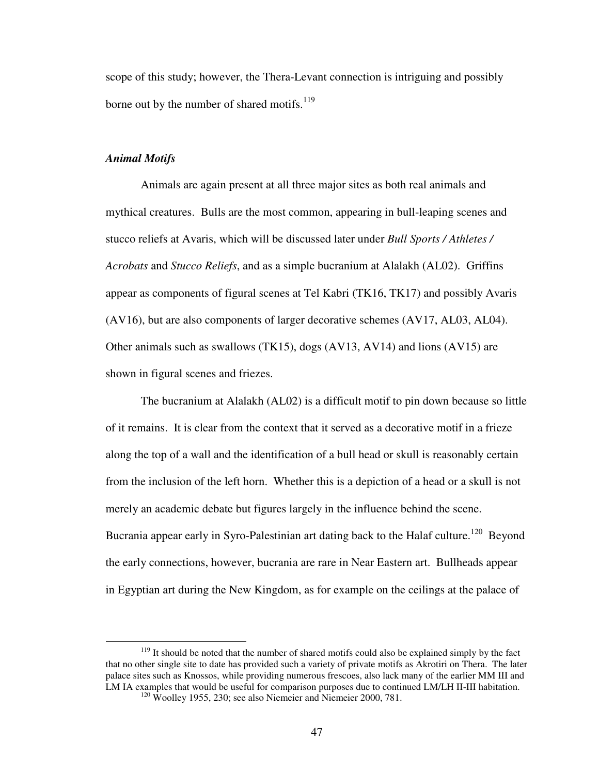scope of this study; however, the Thera-Levant connection is intriguing and possibly borne out by the number of shared motifs. $119$ 

## *Animal Motifs*

1

 Animals are again present at all three major sites as both real animals and mythical creatures. Bulls are the most common, appearing in bull-leaping scenes and stucco reliefs at Avaris, which will be discussed later under *Bull Sports / Athletes / Acrobats* and *Stucco Reliefs*, and as a simple bucranium at Alalakh (AL02). Griffins appear as components of figural scenes at Tel Kabri (TK16, TK17) and possibly Avaris (AV16), but are also components of larger decorative schemes (AV17, AL03, AL04). Other animals such as swallows (TK15), dogs (AV13, AV14) and lions (AV15) are shown in figural scenes and friezes.

 The bucranium at Alalakh (AL02) is a difficult motif to pin down because so little of it remains. It is clear from the context that it served as a decorative motif in a frieze along the top of a wall and the identification of a bull head or skull is reasonably certain from the inclusion of the left horn. Whether this is a depiction of a head or a skull is not merely an academic debate but figures largely in the influence behind the scene. Bucrania appear early in Syro-Palestinian art dating back to the Halaf culture.<sup>120</sup> Beyond the early connections, however, bucrania are rare in Near Eastern art. Bullheads appear in Egyptian art during the New Kingdom, as for example on the ceilings at the palace of

<sup>&</sup>lt;sup>119</sup> It should be noted that the number of shared motifs could also be explained simply by the fact that no other single site to date has provided such a variety of private motifs as Akrotiri on Thera. The later palace sites such as Knossos, while providing numerous frescoes, also lack many of the earlier MM III and LM IA examples that would be useful for comparison purposes due to continued LM/LH II-III habitation.

 $120$  Woolley 1955, 230; see also Niemeier and Niemeier 2000, 781.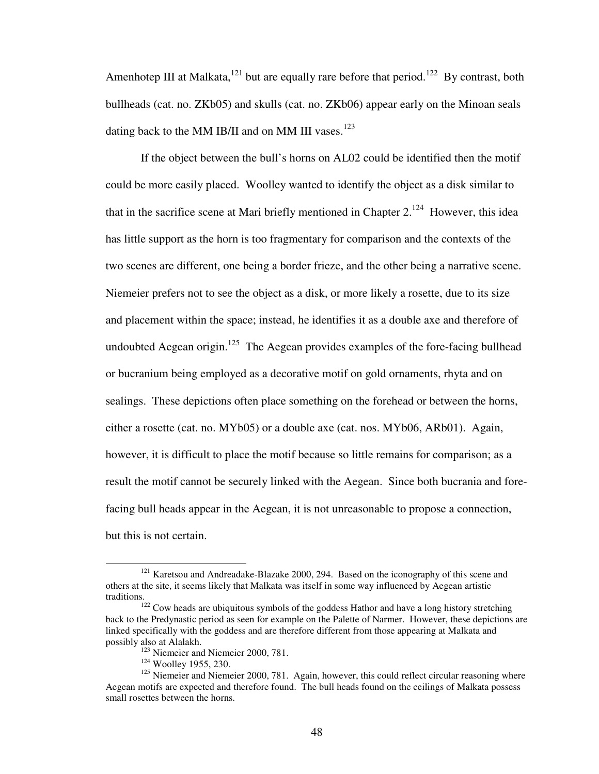Amenhotep III at Malkata,<sup>121</sup> but are equally rare before that period.<sup>122</sup> By contrast, both bullheads (cat. no. ZKb05) and skulls (cat. no. ZKb06) appear early on the Minoan seals dating back to the MM IB/II and on MM III vases. $123$ 

If the object between the bull's horns on AL02 could be identified then the motif could be more easily placed. Woolley wanted to identify the object as a disk similar to that in the sacrifice scene at Mari briefly mentioned in Chapter  $2^{124}$  However, this idea has little support as the horn is too fragmentary for comparison and the contexts of the two scenes are different, one being a border frieze, and the other being a narrative scene. Niemeier prefers not to see the object as a disk, or more likely a rosette, due to its size and placement within the space; instead, he identifies it as a double axe and therefore of undoubted Aegean origin.<sup>125</sup> The Aegean provides examples of the fore-facing bullhead or bucranium being employed as a decorative motif on gold ornaments, rhyta and on sealings. These depictions often place something on the forehead or between the horns, either a rosette (cat. no. MYb05) or a double axe (cat. nos. MYb06, ARb01). Again, however, it is difficult to place the motif because so little remains for comparison; as a result the motif cannot be securely linked with the Aegean. Since both bucrania and forefacing bull heads appear in the Aegean, it is not unreasonable to propose a connection, but this is not certain.

<sup>&</sup>lt;sup>121</sup> Karetsou and Andreadake-Blazake 2000, 294. Based on the iconography of this scene and others at the site, it seems likely that Malkata was itself in some way influenced by Aegean artistic traditions.

 $122$  Cow heads are ubiquitous symbols of the goddess Hathor and have a long history stretching back to the Predynastic period as seen for example on the Palette of Narmer. However, these depictions are linked specifically with the goddess and are therefore different from those appearing at Malkata and possibly also at Alalakh.

<sup>&</sup>lt;sup>123</sup> Niemeier and Niemeier 2000, 781.

<sup>&</sup>lt;sup>124</sup> Woolley 1955, 230.

<sup>&</sup>lt;sup>125</sup> Niemeier and Niemeier 2000, 781. Again, however, this could reflect circular reasoning where Aegean motifs are expected and therefore found. The bull heads found on the ceilings of Malkata possess small rosettes between the horns.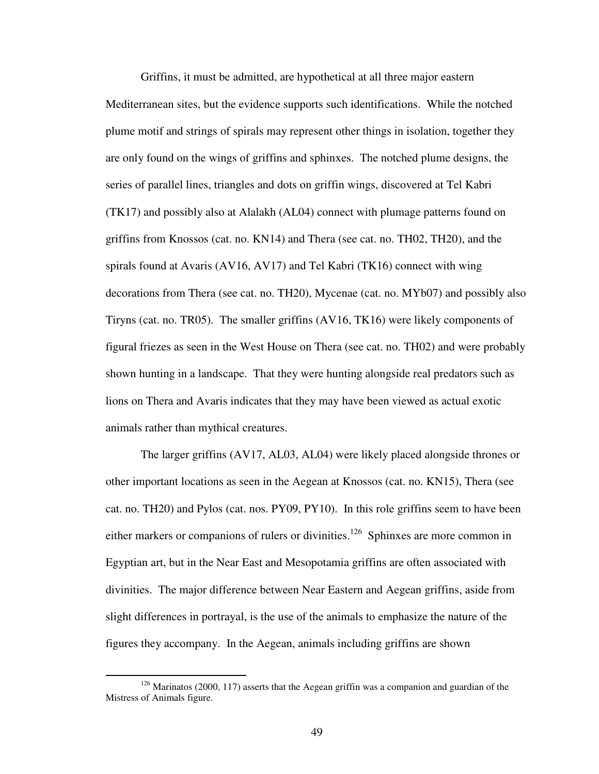Griffins, it must be admitted, are hypothetical at all three major eastern Mediterranean sites, but the evidence supports such identifications. While the notched plume motif and strings of spirals may represent other things in isolation, together they are only found on the wings of griffins and sphinxes. The notched plume designs, the series of parallel lines, triangles and dots on griffin wings, discovered at Tel Kabri (TK17) and possibly also at Alalakh (AL04) connect with plumage patterns found on griffins from Knossos (cat. no. KN14) and Thera (see cat. no. TH02, TH20), and the spirals found at Avaris (AV16, AV17) and Tel Kabri (TK16) connect with wing decorations from Thera (see cat. no. TH20), Mycenae (cat. no. MYb07) and possibly also Tiryns (cat. no. TR05). The smaller griffins (AV16, TK16) were likely components of figural friezes as seen in the West House on Thera (see cat. no. TH02) and were probably shown hunting in a landscape. That they were hunting alongside real predators such as lions on Thera and Avaris indicates that they may have been viewed as actual exotic animals rather than mythical creatures.

The larger griffins (AV17, AL03, AL04) were likely placed alongside thrones or other important locations as seen in the Aegean at Knossos (cat. no. KN15), Thera (see cat. no. TH20) and Pylos (cat. nos. PY09, PY10). In this role griffins seem to have been either markers or companions of rulers or divinities.<sup>126</sup> Sphinxes are more common in Egyptian art, but in the Near East and Mesopotamia griffins are often associated with divinities. The major difference between Near Eastern and Aegean griffins, aside from slight differences in portrayal, is the use of the animals to emphasize the nature of the figures they accompany. In the Aegean, animals including griffins are shown

1

 $126$  Marinatos (2000, 117) asserts that the Aegean griffin was a companion and guardian of the Mistress of Animals figure.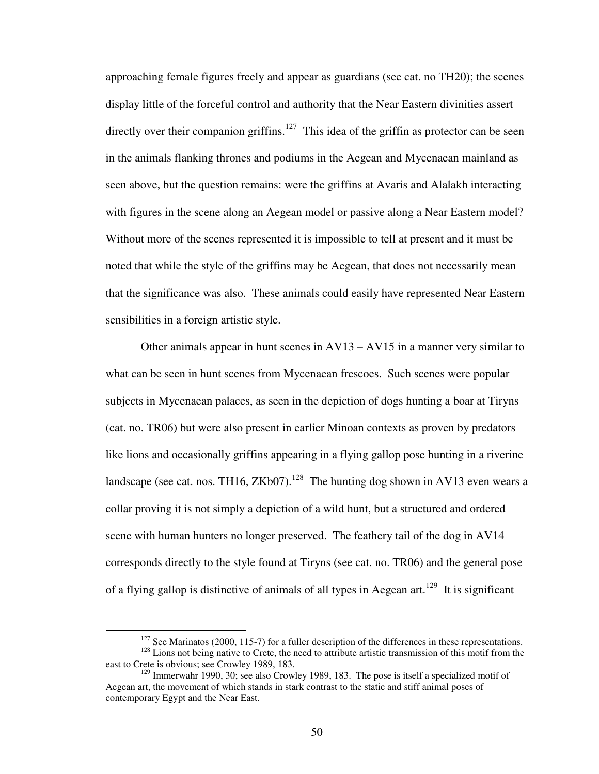approaching female figures freely and appear as guardians (see cat. no TH20); the scenes display little of the forceful control and authority that the Near Eastern divinities assert directly over their companion griffins.<sup>127</sup> This idea of the griffin as protector can be seen in the animals flanking thrones and podiums in the Aegean and Mycenaean mainland as seen above, but the question remains: were the griffins at Avaris and Alalakh interacting with figures in the scene along an Aegean model or passive along a Near Eastern model? Without more of the scenes represented it is impossible to tell at present and it must be noted that while the style of the griffins may be Aegean, that does not necessarily mean that the significance was also. These animals could easily have represented Near Eastern sensibilities in a foreign artistic style.

Other animals appear in hunt scenes in  $AV13 - AV15$  in a manner very similar to what can be seen in hunt scenes from Mycenaean frescoes. Such scenes were popular subjects in Mycenaean palaces, as seen in the depiction of dogs hunting a boar at Tiryns (cat. no. TR06) but were also present in earlier Minoan contexts as proven by predators like lions and occasionally griffins appearing in a flying gallop pose hunting in a riverine landscape (see cat. nos. TH16, ZKb07).<sup>128</sup> The hunting dog shown in AV13 even wears a collar proving it is not simply a depiction of a wild hunt, but a structured and ordered scene with human hunters no longer preserved. The feathery tail of the dog in AV14 corresponds directly to the style found at Tiryns (see cat. no. TR06) and the general pose of a flying gallop is distinctive of animals of all types in Aegean art.<sup>129</sup> It is significant

 $127$  See Marinatos (2000, 115-7) for a fuller description of the differences in these representations. <sup>128</sup> Lions not being native to Crete, the need to attribute artistic transmission of this motif from the east to Crete is obvious; see Crowley 1989, 183.

 $129$  Immerwahr 1990, 30; see also Crowley 1989, 183. The pose is itself a specialized motif of Aegean art, the movement of which stands in stark contrast to the static and stiff animal poses of contemporary Egypt and the Near East.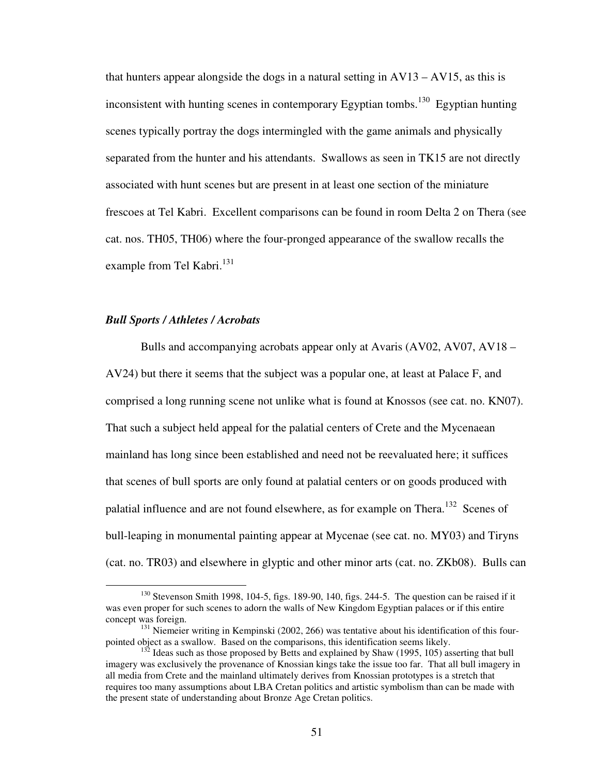that hunters appear alongside the dogs in a natural setting in  $AV13 - AV15$ , as this is inconsistent with hunting scenes in contemporary Egyptian tombs.<sup>130</sup> Egyptian hunting scenes typically portray the dogs intermingled with the game animals and physically separated from the hunter and his attendants. Swallows as seen in TK15 are not directly associated with hunt scenes but are present in at least one section of the miniature frescoes at Tel Kabri. Excellent comparisons can be found in room Delta 2 on Thera (see cat. nos. TH05, TH06) where the four-pronged appearance of the swallow recalls the example from Tel Kabri. $^{131}$ 

## *Bull Sports / Athletes / Acrobats*

1

 Bulls and accompanying acrobats appear only at Avaris (AV02, AV07, AV18 – AV24) but there it seems that the subject was a popular one, at least at Palace F, and comprised a long running scene not unlike what is found at Knossos (see cat. no. KN07). That such a subject held appeal for the palatial centers of Crete and the Mycenaean mainland has long since been established and need not be reevaluated here; it suffices that scenes of bull sports are only found at palatial centers or on goods produced with palatial influence and are not found elsewhere, as for example on Thera.<sup>132</sup> Scenes of bull-leaping in monumental painting appear at Mycenae (see cat. no. MY03) and Tiryns (cat. no. TR03) and elsewhere in glyptic and other minor arts (cat. no. ZKb08). Bulls can

 $130$  Stevenson Smith 1998, 104-5, figs. 189-90, 140, figs. 244-5. The question can be raised if it was even proper for such scenes to adorn the walls of New Kingdom Egyptian palaces or if this entire concept was foreign.

<sup>&</sup>lt;sup>131</sup> Niemeier writing in Kempinski (2002, 266) was tentative about his identification of this fourpointed object as a swallow. Based on the comparisons, this identification seems likely.

 $132$  Ideas such as those proposed by Betts and explained by Shaw (1995, 105) asserting that bull imagery was exclusively the provenance of Knossian kings take the issue too far. That all bull imagery in all media from Crete and the mainland ultimately derives from Knossian prototypes is a stretch that requires too many assumptions about LBA Cretan politics and artistic symbolism than can be made with the present state of understanding about Bronze Age Cretan politics.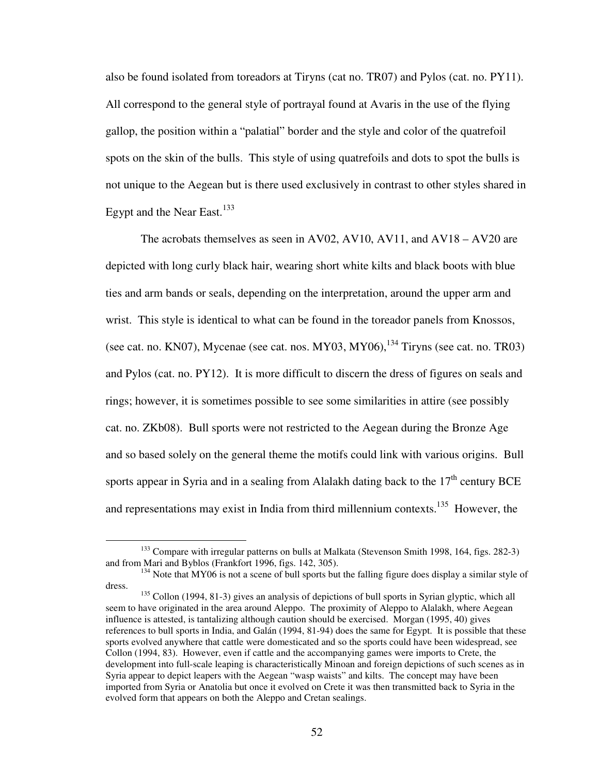also be found isolated from toreadors at Tiryns (cat no. TR07) and Pylos (cat. no. PY11). All correspond to the general style of portrayal found at Avaris in the use of the flying gallop, the position within a "palatial" border and the style and color of the quatrefoil spots on the skin of the bulls. This style of using quatrefoils and dots to spot the bulls is not unique to the Aegean but is there used exclusively in contrast to other styles shared in Egypt and the Near East.<sup>133</sup>

 The acrobats themselves as seen in AV02, AV10, AV11, and AV18 – AV20 are depicted with long curly black hair, wearing short white kilts and black boots with blue ties and arm bands or seals, depending on the interpretation, around the upper arm and wrist. This style is identical to what can be found in the toreador panels from Knossos, (see cat. no. KN07), Mycenae (see cat. nos. MY03, MY06),  $^{134}$  Tiryns (see cat. no. TR03) and Pylos (cat. no. PY12). It is more difficult to discern the dress of figures on seals and rings; however, it is sometimes possible to see some similarities in attire (see possibly cat. no. ZKb08). Bull sports were not restricted to the Aegean during the Bronze Age and so based solely on the general theme the motifs could link with various origins. Bull sports appear in Syria and in a sealing from Alalakh dating back to the  $17<sup>th</sup>$  century BCE and representations may exist in India from third millennium contexts.<sup>135</sup> However, the

1

<sup>&</sup>lt;sup>133</sup> Compare with irregular patterns on bulls at Malkata (Stevenson Smith 1998, 164, figs. 282-3) and from Mari and Byblos (Frankfort 1996, figs. 142, 305).

<sup>&</sup>lt;sup>134</sup> Note that MY06 is not a scene of bull sports but the falling figure does display a similar style of dress.

<sup>&</sup>lt;sup>135</sup> Collon (1994, 81-3) gives an analysis of depictions of bull sports in Syrian glyptic, which all seem to have originated in the area around Aleppo. The proximity of Aleppo to Alalakh, where Aegean influence is attested, is tantalizing although caution should be exercised. Morgan (1995, 40) gives references to bull sports in India, and Galán (1994, 81-94) does the same for Egypt. It is possible that these sports evolved anywhere that cattle were domesticated and so the sports could have been widespread, see Collon (1994, 83). However, even if cattle and the accompanying games were imports to Crete, the development into full-scale leaping is characteristically Minoan and foreign depictions of such scenes as in Syria appear to depict leapers with the Aegean "wasp waists" and kilts. The concept may have been imported from Syria or Anatolia but once it evolved on Crete it was then transmitted back to Syria in the evolved form that appears on both the Aleppo and Cretan sealings.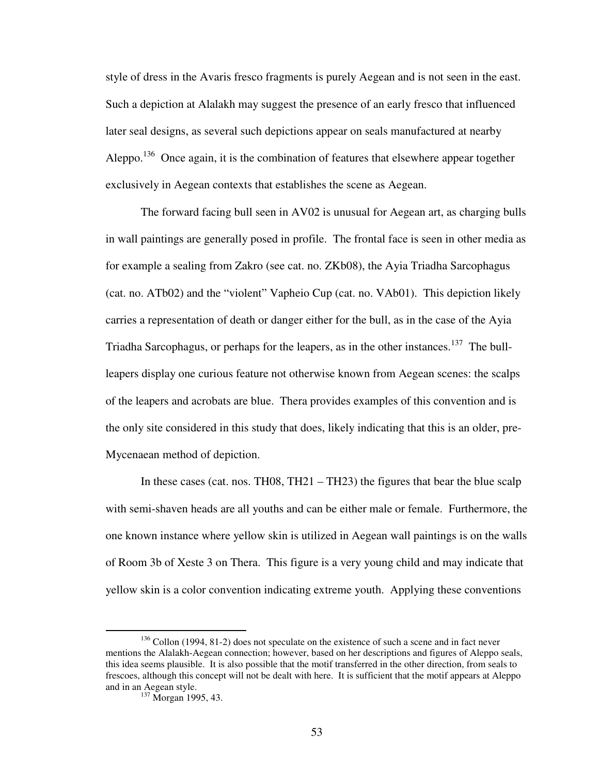style of dress in the Avaris fresco fragments is purely Aegean and is not seen in the east. Such a depiction at Alalakh may suggest the presence of an early fresco that influenced later seal designs, as several such depictions appear on seals manufactured at nearby Aleppo.<sup>136</sup> Once again, it is the combination of features that elsewhere appear together exclusively in Aegean contexts that establishes the scene as Aegean.

 The forward facing bull seen in AV02 is unusual for Aegean art, as charging bulls in wall paintings are generally posed in profile. The frontal face is seen in other media as for example a sealing from Zakro (see cat. no. ZKb08), the Ayia Triadha Sarcophagus (cat. no. ATb02) and the "violent" Vapheio Cup (cat. no. VAb01). This depiction likely carries a representation of death or danger either for the bull, as in the case of the Ayia Triadha Sarcophagus, or perhaps for the leapers, as in the other instances.<sup>137</sup> The bullleapers display one curious feature not otherwise known from Aegean scenes: the scalps of the leapers and acrobats are blue. Thera provides examples of this convention and is the only site considered in this study that does, likely indicating that this is an older, pre-Mycenaean method of depiction.

In these cases (cat. nos. TH08, TH21 – TH23) the figures that bear the blue scalp with semi-shaven heads are all youths and can be either male or female. Furthermore, the one known instance where yellow skin is utilized in Aegean wall paintings is on the walls of Room 3b of Xeste 3 on Thera. This figure is a very young child and may indicate that yellow skin is a color convention indicating extreme youth. Applying these conventions

 $136$  Collon (1994, 81-2) does not speculate on the existence of such a scene and in fact never mentions the Alalakh-Aegean connection; however, based on her descriptions and figures of Aleppo seals, this idea seems plausible. It is also possible that the motif transferred in the other direction, from seals to frescoes, although this concept will not be dealt with here. It is sufficient that the motif appears at Aleppo and in an Aegean style.

<sup>&</sup>lt;sup>137</sup> Morgan 1995, 43.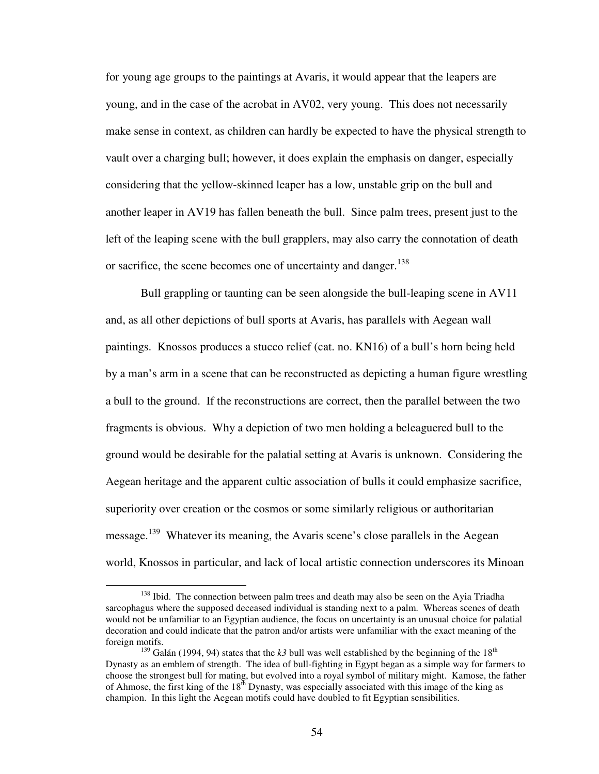for young age groups to the paintings at Avaris, it would appear that the leapers are young, and in the case of the acrobat in AV02, very young. This does not necessarily make sense in context, as children can hardly be expected to have the physical strength to vault over a charging bull; however, it does explain the emphasis on danger, especially considering that the yellow-skinned leaper has a low, unstable grip on the bull and another leaper in AV19 has fallen beneath the bull. Since palm trees, present just to the left of the leaping scene with the bull grapplers, may also carry the connotation of death or sacrifice, the scene becomes one of uncertainty and danger.<sup>138</sup>

Bull grappling or taunting can be seen alongside the bull-leaping scene in AV11 and, as all other depictions of bull sports at Avaris, has parallels with Aegean wall paintings. Knossos produces a stucco relief (cat. no. KN16) of a bull's horn being held by a man's arm in a scene that can be reconstructed as depicting a human figure wrestling a bull to the ground. If the reconstructions are correct, then the parallel between the two fragments is obvious. Why a depiction of two men holding a beleaguered bull to the ground would be desirable for the palatial setting at Avaris is unknown. Considering the Aegean heritage and the apparent cultic association of bulls it could emphasize sacrifice, superiority over creation or the cosmos or some similarly religious or authoritarian message.<sup>139</sup> Whatever its meaning, the Avaris scene's close parallels in the Aegean world, Knossos in particular, and lack of local artistic connection underscores its Minoan

<sup>&</sup>lt;sup>138</sup> Ibid. The connection between palm trees and death may also be seen on the Ayia Triadha sarcophagus where the supposed deceased individual is standing next to a palm. Whereas scenes of death would not be unfamiliar to an Egyptian audience, the focus on uncertainty is an unusual choice for palatial decoration and could indicate that the patron and/or artists were unfamiliar with the exact meaning of the foreign motifs.

<sup>&</sup>lt;sup>139</sup> Galán (1994, 94) states that the  $k3$  bull was well established by the beginning of the 18<sup>th</sup> Dynasty as an emblem of strength. The idea of bull-fighting in Egypt began as a simple way for farmers to choose the strongest bull for mating, but evolved into a royal symbol of military might. Kamose, the father of Ahmose, the first king of the 18<sup>th</sup> Dynasty, was especially associated with this image of the king as champion. In this light the Aegean motifs could have doubled to fit Egyptian sensibilities.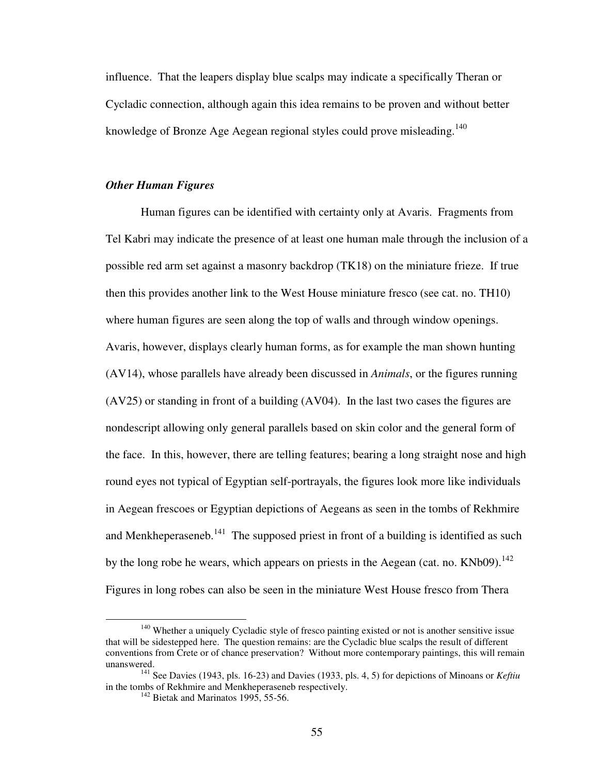influence. That the leapers display blue scalps may indicate a specifically Theran or Cycladic connection, although again this idea remains to be proven and without better knowledge of Bronze Age Aegean regional styles could prove misleading.<sup>140</sup>

## *Other Human Figures*

 Human figures can be identified with certainty only at Avaris. Fragments from Tel Kabri may indicate the presence of at least one human male through the inclusion of a possible red arm set against a masonry backdrop (TK18) on the miniature frieze. If true then this provides another link to the West House miniature fresco (see cat. no. TH10) where human figures are seen along the top of walls and through window openings. Avaris, however, displays clearly human forms, as for example the man shown hunting (AV14), whose parallels have already been discussed in *Animals*, or the figures running (AV25) or standing in front of a building (AV04). In the last two cases the figures are nondescript allowing only general parallels based on skin color and the general form of the face. In this, however, there are telling features; bearing a long straight nose and high round eyes not typical of Egyptian self-portrayals, the figures look more like individuals in Aegean frescoes or Egyptian depictions of Aegeans as seen in the tombs of Rekhmire and Menkheperaseneb.<sup>141</sup> The supposed priest in front of a building is identified as such by the long robe he wears, which appears on priests in the Aegean (cat. no.  $KNb09$ ).<sup>142</sup> Figures in long robes can also be seen in the miniature West House fresco from Thera

<sup>&</sup>lt;sup>140</sup> Whether a uniquely Cycladic style of fresco painting existed or not is another sensitive issue that will be sidestepped here. The question remains: are the Cycladic blue scalps the result of different conventions from Crete or of chance preservation? Without more contemporary paintings, this will remain unanswered.

<sup>141</sup> See Davies (1943, pls. 16-23) and Davies (1933, pls. 4, 5) for depictions of Minoans or *Keftiu* in the tombs of Rekhmire and Menkheperaseneb respectively.

 $142$  Bietak and Marinatos 1995, 55-56.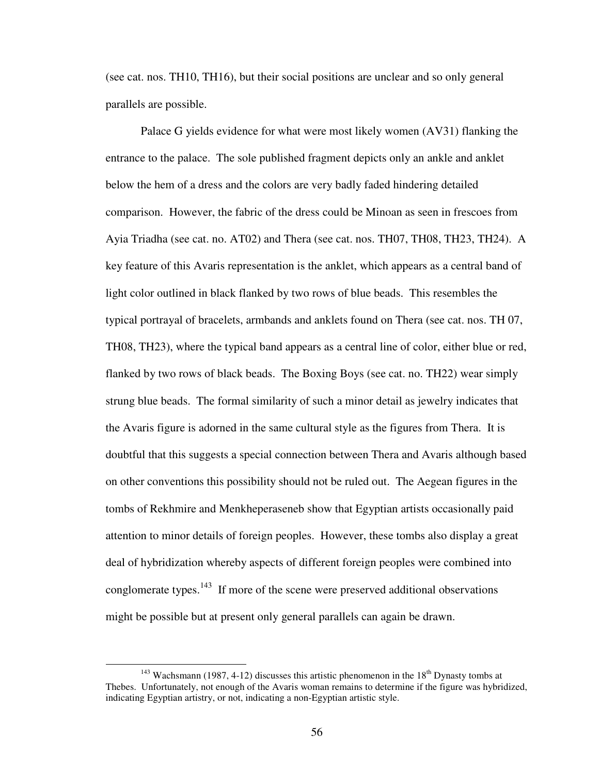(see cat. nos. TH10, TH16), but their social positions are unclear and so only general parallels are possible.

 Palace G yields evidence for what were most likely women (AV31) flanking the entrance to the palace. The sole published fragment depicts only an ankle and anklet below the hem of a dress and the colors are very badly faded hindering detailed comparison. However, the fabric of the dress could be Minoan as seen in frescoes from Ayia Triadha (see cat. no. AT02) and Thera (see cat. nos. TH07, TH08, TH23, TH24). A key feature of this Avaris representation is the anklet, which appears as a central band of light color outlined in black flanked by two rows of blue beads. This resembles the typical portrayal of bracelets, armbands and anklets found on Thera (see cat. nos. TH 07, TH08, TH23), where the typical band appears as a central line of color, either blue or red, flanked by two rows of black beads. The Boxing Boys (see cat. no. TH22) wear simply strung blue beads. The formal similarity of such a minor detail as jewelry indicates that the Avaris figure is adorned in the same cultural style as the figures from Thera. It is doubtful that this suggests a special connection between Thera and Avaris although based on other conventions this possibility should not be ruled out. The Aegean figures in the tombs of Rekhmire and Menkheperaseneb show that Egyptian artists occasionally paid attention to minor details of foreign peoples. However, these tombs also display a great deal of hybridization whereby aspects of different foreign peoples were combined into conglomerate types. $143$  If more of the scene were preserved additional observations might be possible but at present only general parallels can again be drawn.

1

<sup>&</sup>lt;sup>143</sup> Wachsmann (1987, 4-12) discusses this artistic phenomenon in the  $18<sup>th</sup>$  Dynasty tombs at Thebes. Unfortunately, not enough of the Avaris woman remains to determine if the figure was hybridized, indicating Egyptian artistry, or not, indicating a non-Egyptian artistic style.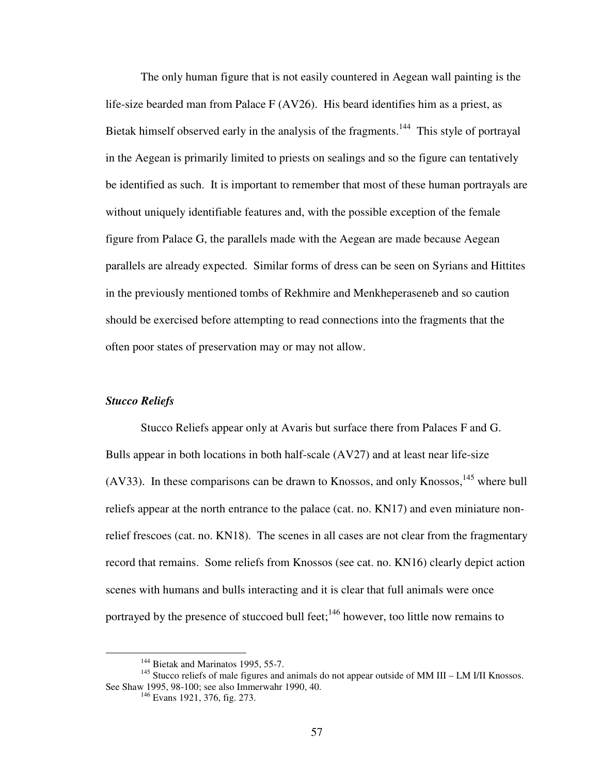The only human figure that is not easily countered in Aegean wall painting is the life-size bearded man from Palace F (AV26). His beard identifies him as a priest, as Bietak himself observed early in the analysis of the fragments.<sup>144</sup> This style of portrayal in the Aegean is primarily limited to priests on sealings and so the figure can tentatively be identified as such. It is important to remember that most of these human portrayals are without uniquely identifiable features and, with the possible exception of the female figure from Palace G, the parallels made with the Aegean are made because Aegean parallels are already expected. Similar forms of dress can be seen on Syrians and Hittites in the previously mentioned tombs of Rekhmire and Menkheperaseneb and so caution should be exercised before attempting to read connections into the fragments that the often poor states of preservation may or may not allow.

# *Stucco Reliefs*

1

 Stucco Reliefs appear only at Avaris but surface there from Palaces F and G. Bulls appear in both locations in both half-scale (AV27) and at least near life-size (AV33). In these comparisons can be drawn to Knossos, and only Knossos,  $145$  where bull reliefs appear at the north entrance to the palace (cat. no. KN17) and even miniature nonrelief frescoes (cat. no. KN18). The scenes in all cases are not clear from the fragmentary record that remains. Some reliefs from Knossos (see cat. no. KN16) clearly depict action scenes with humans and bulls interacting and it is clear that full animals were once portrayed by the presence of stuccoed bull feet;<sup>146</sup> however, too little now remains to

<sup>&</sup>lt;sup>144</sup> Bietak and Marinatos 1995, 55-7.

 $145$  Stucco reliefs of male figures and animals do not appear outside of MM III – LM I/II Knossos. See Shaw 1995, 98-100; see also Immerwahr 1990, 40.

<sup>146</sup> Evans 1921, 376, fig. 273.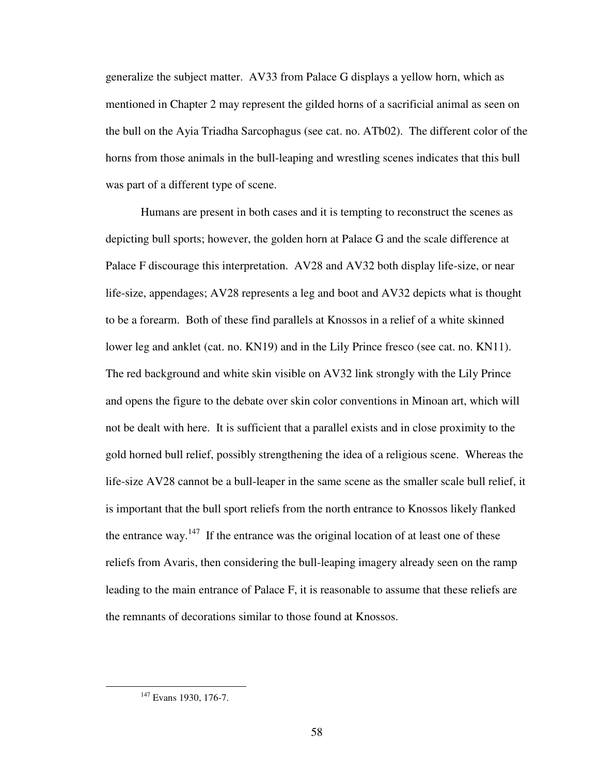generalize the subject matter. AV33 from Palace G displays a yellow horn, which as mentioned in Chapter 2 may represent the gilded horns of a sacrificial animal as seen on the bull on the Ayia Triadha Sarcophagus (see cat. no. ATb02). The different color of the horns from those animals in the bull-leaping and wrestling scenes indicates that this bull was part of a different type of scene.

 Humans are present in both cases and it is tempting to reconstruct the scenes as depicting bull sports; however, the golden horn at Palace G and the scale difference at Palace F discourage this interpretation. AV28 and AV32 both display life-size, or near life-size, appendages; AV28 represents a leg and boot and AV32 depicts what is thought to be a forearm. Both of these find parallels at Knossos in a relief of a white skinned lower leg and anklet (cat. no. KN19) and in the Lily Prince fresco (see cat. no. KN11). The red background and white skin visible on AV32 link strongly with the Lily Prince and opens the figure to the debate over skin color conventions in Minoan art, which will not be dealt with here. It is sufficient that a parallel exists and in close proximity to the gold horned bull relief, possibly strengthening the idea of a religious scene. Whereas the life-size AV28 cannot be a bull-leaper in the same scene as the smaller scale bull relief, it is important that the bull sport reliefs from the north entrance to Knossos likely flanked the entrance way.<sup>147</sup> If the entrance was the original location of at least one of these reliefs from Avaris, then considering the bull-leaping imagery already seen on the ramp leading to the main entrance of Palace F, it is reasonable to assume that these reliefs are the remnants of decorations similar to those found at Knossos.

<sup>&</sup>lt;sup>147</sup> Evans 1930, 176-7.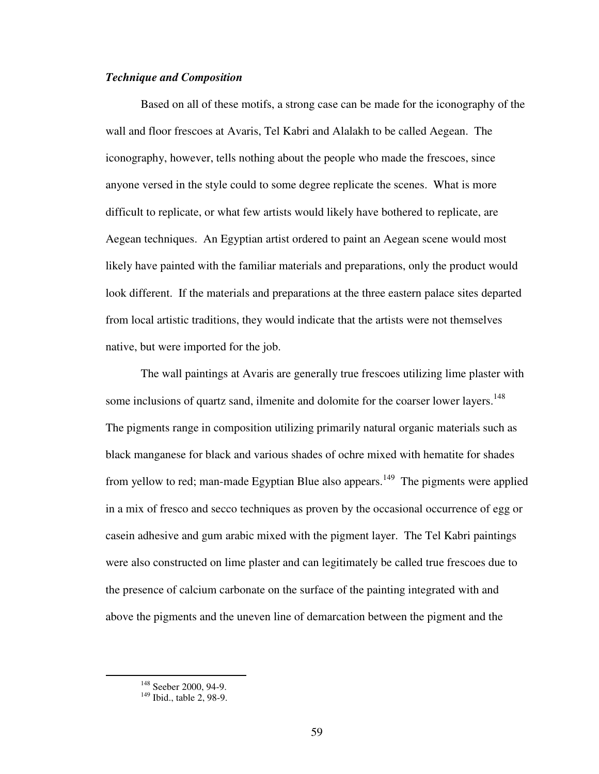## *Technique and Composition*

 Based on all of these motifs, a strong case can be made for the iconography of the wall and floor frescoes at Avaris, Tel Kabri and Alalakh to be called Aegean. The iconography, however, tells nothing about the people who made the frescoes, since anyone versed in the style could to some degree replicate the scenes. What is more difficult to replicate, or what few artists would likely have bothered to replicate, are Aegean techniques. An Egyptian artist ordered to paint an Aegean scene would most likely have painted with the familiar materials and preparations, only the product would look different. If the materials and preparations at the three eastern palace sites departed from local artistic traditions, they would indicate that the artists were not themselves native, but were imported for the job.

The wall paintings at Avaris are generally true frescoes utilizing lime plaster with some inclusions of quartz sand, ilmenite and dolomite for the coarser lower layers.<sup>148</sup> The pigments range in composition utilizing primarily natural organic materials such as black manganese for black and various shades of ochre mixed with hematite for shades from yellow to red; man-made Egyptian Blue also appears.<sup>149</sup> The pigments were applied in a mix of fresco and secco techniques as proven by the occasional occurrence of egg or casein adhesive and gum arabic mixed with the pigment layer. The Tel Kabri paintings were also constructed on lime plaster and can legitimately be called true frescoes due to the presence of calcium carbonate on the surface of the painting integrated with and above the pigments and the uneven line of demarcation between the pigment and the

<sup>&</sup>lt;sup>148</sup> Seeber 2000, 94-9.

<sup>&</sup>lt;sup>149</sup> Ibid., table 2, 98-9.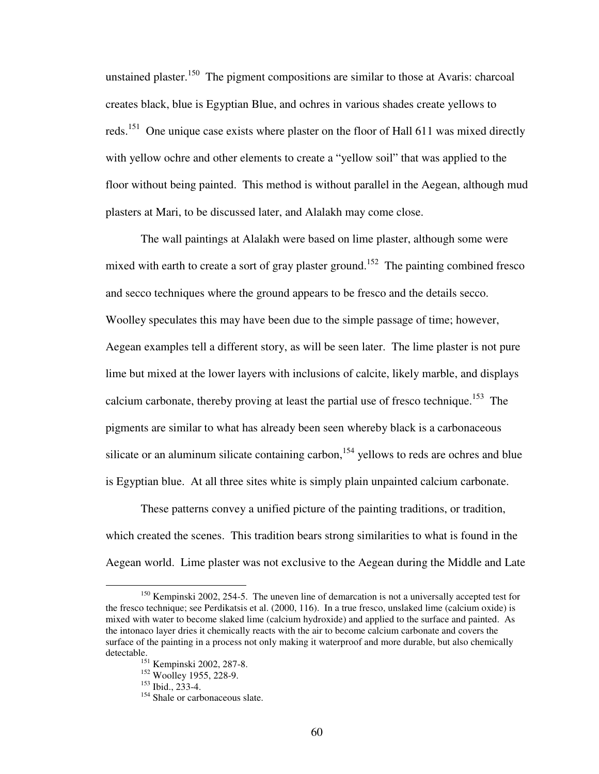unstained plaster.<sup>150</sup> The pigment compositions are similar to those at Avaris: charcoal creates black, blue is Egyptian Blue, and ochres in various shades create yellows to reds.<sup>151</sup> One unique case exists where plaster on the floor of Hall 611 was mixed directly with yellow ochre and other elements to create a "yellow soil" that was applied to the floor without being painted. This method is without parallel in the Aegean, although mud plasters at Mari, to be discussed later, and Alalakh may come close.

The wall paintings at Alalakh were based on lime plaster, although some were mixed with earth to create a sort of gray plaster ground.<sup>152</sup> The painting combined fresco and secco techniques where the ground appears to be fresco and the details secco. Woolley speculates this may have been due to the simple passage of time; however, Aegean examples tell a different story, as will be seen later. The lime plaster is not pure lime but mixed at the lower layers with inclusions of calcite, likely marble, and displays calcium carbonate, thereby proving at least the partial use of fresco technique.<sup>153</sup> The pigments are similar to what has already been seen whereby black is a carbonaceous silicate or an aluminum silicate containing carbon,<sup>154</sup> yellows to reds are ochres and blue is Egyptian blue. At all three sites white is simply plain unpainted calcium carbonate.

These patterns convey a unified picture of the painting traditions, or tradition, which created the scenes. This tradition bears strong similarities to what is found in the Aegean world. Lime plaster was not exclusive to the Aegean during the Middle and Late

1

<sup>&</sup>lt;sup>150</sup> Kempinski 2002, 254-5. The uneven line of demarcation is not a universally accepted test for the fresco technique; see Perdikatsis et al. (2000, 116). In a true fresco, unslaked lime (calcium oxide) is mixed with water to become slaked lime (calcium hydroxide) and applied to the surface and painted. As the intonaco layer dries it chemically reacts with the air to become calcium carbonate and covers the surface of the painting in a process not only making it waterproof and more durable, but also chemically detectable.

<sup>151</sup> Kempinski 2002, 287-8.

<sup>&</sup>lt;sup>152</sup> Woolley 1955, 228-9.

<sup>153</sup> Ibid., 233-4.

<sup>&</sup>lt;sup>154</sup> Shale or carbonaceous slate.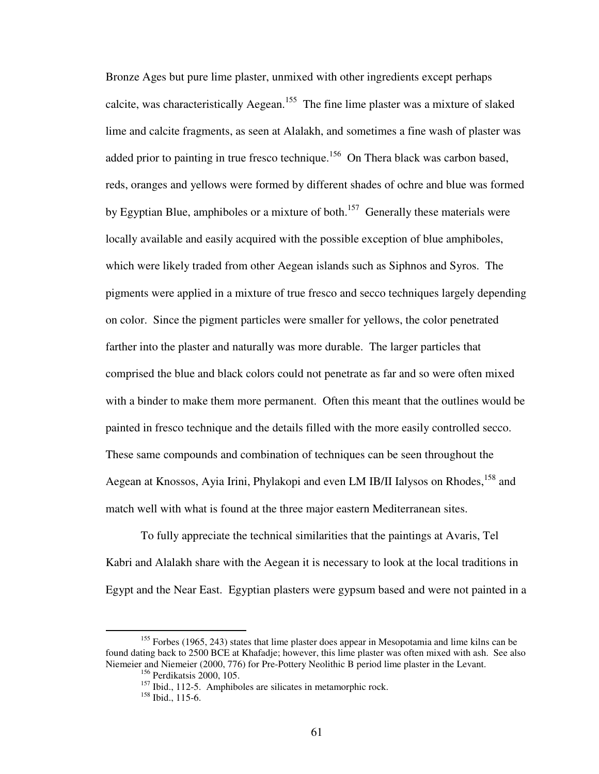Bronze Ages but pure lime plaster, unmixed with other ingredients except perhaps calcite, was characteristically Aegean.<sup>155</sup> The fine lime plaster was a mixture of slaked lime and calcite fragments, as seen at Alalakh, and sometimes a fine wash of plaster was added prior to painting in true fresco technique.<sup>156</sup> On Thera black was carbon based, reds, oranges and yellows were formed by different shades of ochre and blue was formed by Egyptian Blue, amphiboles or a mixture of both.<sup>157</sup> Generally these materials were locally available and easily acquired with the possible exception of blue amphiboles, which were likely traded from other Aegean islands such as Siphnos and Syros. The pigments were applied in a mixture of true fresco and secco techniques largely depending on color. Since the pigment particles were smaller for yellows, the color penetrated farther into the plaster and naturally was more durable. The larger particles that comprised the blue and black colors could not penetrate as far and so were often mixed with a binder to make them more permanent. Often this meant that the outlines would be painted in fresco technique and the details filled with the more easily controlled secco. These same compounds and combination of techniques can be seen throughout the Aegean at Knossos, Ayia Irini, Phylakopi and even LM IB/II Ialysos on Rhodes, <sup>158</sup> and match well with what is found at the three major eastern Mediterranean sites.

To fully appreciate the technical similarities that the paintings at Avaris, Tel Kabri and Alalakh share with the Aegean it is necessary to look at the local traditions in Egypt and the Near East. Egyptian plasters were gypsum based and were not painted in a

 $155$  Forbes (1965, 243) states that lime plaster does appear in Mesopotamia and lime kilns can be found dating back to 2500 BCE at Khafadje; however, this lime plaster was often mixed with ash. See also Niemeier and Niemeier (2000, 776) for Pre-Pottery Neolithic B period lime plaster in the Levant.

<sup>156</sup> Perdikatsis 2000, 105.

<sup>&</sup>lt;sup>157</sup> Ibid., 112-5. Amphiboles are silicates in metamorphic rock.

 $158$  Ibid., 115-6.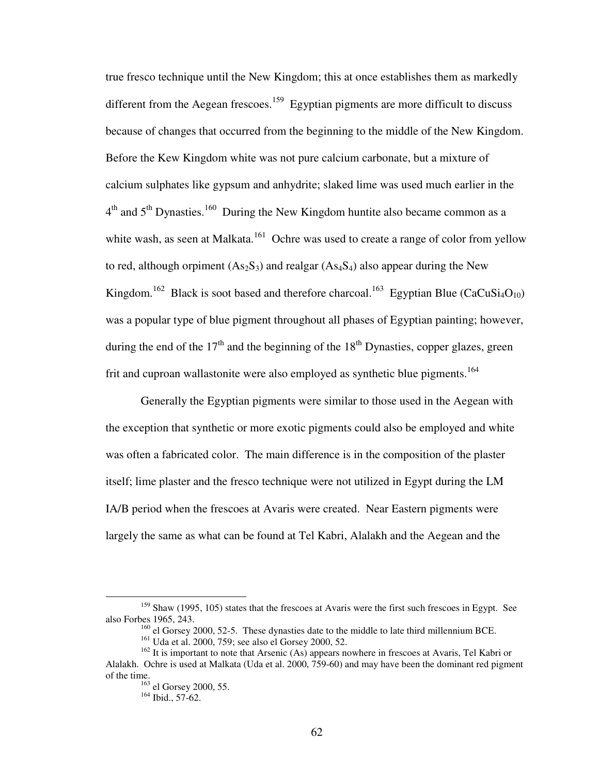true fresco technique until the New Kingdom; this at once establishes them as markedly different from the Aegean frescoes.<sup>159</sup> Egyptian pigments are more difficult to discuss because of changes that occurred from the beginning to the middle of the New Kingdom. Before the Kew Kingdom white was not pure calcium carbonate, but a mixture of calcium sulphates like gypsum and anhydrite; slaked lime was used much earlier in the  $4<sup>th</sup>$  and  $5<sup>th</sup>$  Dynasties.<sup>160</sup> During the New Kingdom huntite also became common as a white wash, as seen at Malkata.<sup>161</sup> Ochre was used to create a range of color from yellow to red, although orpiment  $(As_2S_3)$  and realgar  $(As_4S_4)$  also appear during the New Kingdom.<sup>162</sup> Black is soot based and therefore charcoal.<sup>163</sup> Egyptian Blue (CaCuSi<sub>4</sub>O<sub>10</sub>) was a popular type of blue pigment throughout all phases of Egyptian painting; however, during the end of the  $17<sup>th</sup>$  and the beginning of the  $18<sup>th</sup>$  Dynasties, copper glazes, green frit and cuproan wallastonite were also employed as synthetic blue pigments.<sup>164</sup>

Generally the Egyptian pigments were similar to those used in the Aegean with the exception that synthetic or more exotic pigments could also be employed and white was often a fabricated color. The main difference is in the composition of the plaster itself; lime plaster and the fresco technique were not utilized in Egypt during the LM IA/B period when the frescoes at Avaris were created. Near Eastern pigments were largely the same as what can be found at Tel Kabri, Alalakh and the Aegean and the

<sup>&</sup>lt;sup>159</sup> Shaw (1995, 105) states that the frescoes at Avaris were the first such frescoes in Egypt. See also Forbes 1965, 243.

<sup>&</sup>lt;sup>160</sup> el Gorsey 2000, 52-5. These dynasties date to the middle to late third millennium BCE.

<sup>161</sup> Uda et al. 2000, 759; see also el Gorsey 2000, 52.

<sup>&</sup>lt;sup>162</sup> It is important to note that Arsenic (As) appears nowhere in frescoes at Avaris, Tel Kabri or Alalakh. Ochre is used at Malkata (Uda et al. 2000, 759-60) and may have been the dominant red pigment of the time.

<sup>&</sup>lt;sup>163</sup> el Gorsey 2000, 55.

<sup>164</sup> Ibid., 57-62.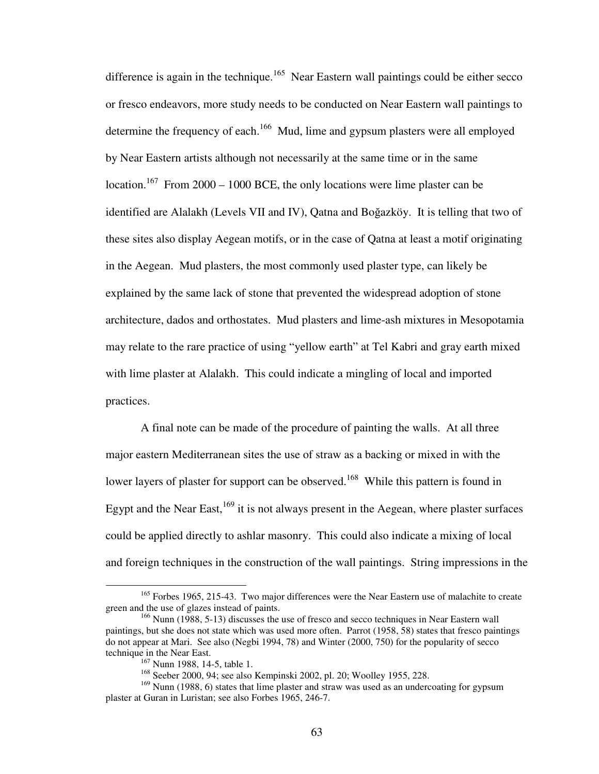difference is again in the technique.<sup>165</sup> Near Eastern wall paintings could be either secco or fresco endeavors, more study needs to be conducted on Near Eastern wall paintings to determine the frequency of each.<sup>166</sup> Mud, lime and gypsum plasters were all employed by Near Eastern artists although not necessarily at the same time or in the same location.<sup>167</sup> From 2000 – 1000 BCE, the only locations were lime plaster can be identified are Alalakh (Levels VII and IV), Qatna and Boğazköy. It is telling that two of these sites also display Aegean motifs, or in the case of Qatna at least a motif originating in the Aegean. Mud plasters, the most commonly used plaster type, can likely be explained by the same lack of stone that prevented the widespread adoption of stone architecture, dados and orthostates. Mud plasters and lime-ash mixtures in Mesopotamia may relate to the rare practice of using "yellow earth" at Tel Kabri and gray earth mixed with lime plaster at Alalakh. This could indicate a mingling of local and imported practices.

A final note can be made of the procedure of painting the walls. At all three major eastern Mediterranean sites the use of straw as a backing or mixed in with the lower layers of plaster for support can be observed.<sup>168</sup> While this pattern is found in Egypt and the Near East,  $^{169}$  it is not always present in the Aegean, where plaster surfaces could be applied directly to ashlar masonry. This could also indicate a mixing of local and foreign techniques in the construction of the wall paintings. String impressions in the

<sup>&</sup>lt;sup>165</sup> Forbes 1965, 215-43. Two major differences were the Near Eastern use of malachite to create green and the use of glazes instead of paints.

<sup>&</sup>lt;sup>166</sup> Nunn (1988, 5-13) discusses the use of fresco and secco techniques in Near Eastern wall paintings, but she does not state which was used more often. Parrot (1958, 58) states that fresco paintings do not appear at Mari. See also (Negbi 1994, 78) and Winter (2000, 750) for the popularity of secco technique in the Near East.

<sup>&</sup>lt;sup>167</sup> Nunn 1988, 14-5, table 1.

<sup>168</sup> Seeber 2000, 94; see also Kempinski 2002, pl. 20; Woolley 1955, 228.

<sup>&</sup>lt;sup>169</sup> Nunn (1988, 6) states that lime plaster and straw was used as an undercoating for gypsum plaster at Guran in Luristan; see also Forbes 1965, 246-7.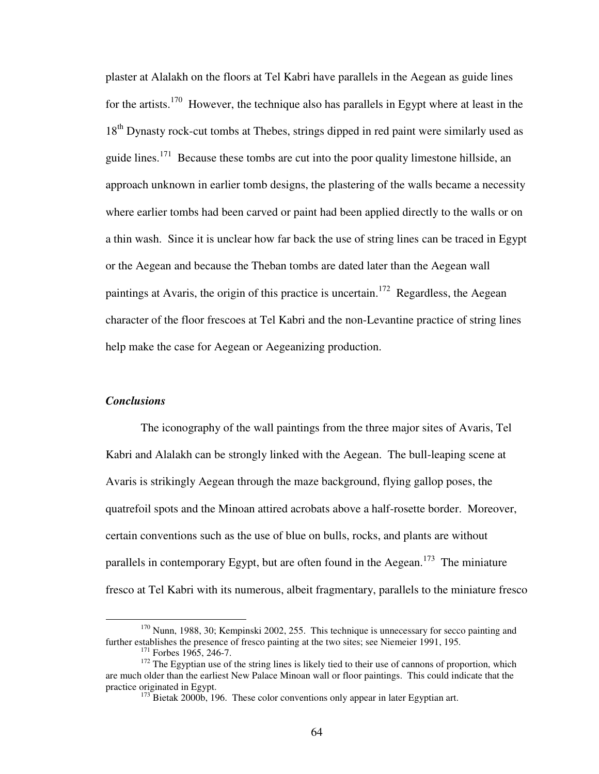plaster at Alalakh on the floors at Tel Kabri have parallels in the Aegean as guide lines for the artists.<sup>170</sup> However, the technique also has parallels in Egypt where at least in the 18<sup>th</sup> Dynasty rock-cut tombs at Thebes, strings dipped in red paint were similarly used as guide lines.<sup>171</sup> Because these tombs are cut into the poor quality limestone hillside, an approach unknown in earlier tomb designs, the plastering of the walls became a necessity where earlier tombs had been carved or paint had been applied directly to the walls or on a thin wash. Since it is unclear how far back the use of string lines can be traced in Egypt or the Aegean and because the Theban tombs are dated later than the Aegean wall paintings at Avaris, the origin of this practice is uncertain.<sup>172</sup> Regardless, the Aegean character of the floor frescoes at Tel Kabri and the non-Levantine practice of string lines help make the case for Aegean or Aegeanizing production.

# *Conclusions*

1

 The iconography of the wall paintings from the three major sites of Avaris, Tel Kabri and Alalakh can be strongly linked with the Aegean. The bull-leaping scene at Avaris is strikingly Aegean through the maze background, flying gallop poses, the quatrefoil spots and the Minoan attired acrobats above a half-rosette border. Moreover, certain conventions such as the use of blue on bulls, rocks, and plants are without parallels in contemporary Egypt, but are often found in the Aegean.<sup>173</sup> The miniature fresco at Tel Kabri with its numerous, albeit fragmentary, parallels to the miniature fresco

<sup>&</sup>lt;sup>170</sup> Nunn, 1988, 30; Kempinski 2002, 255. This technique is unnecessary for secco painting and further establishes the presence of fresco painting at the two sites; see Niemeier 1991, 195.  $171$  Forbes 1965, 246-7.

 $172$  The Egyptian use of the string lines is likely tied to their use of cannons of proportion, which are much older than the earliest New Palace Minoan wall or floor paintings. This could indicate that the practice originated in Egypt.

 $173$  Bietak 2000b, 196. These color conventions only appear in later Egyptian art.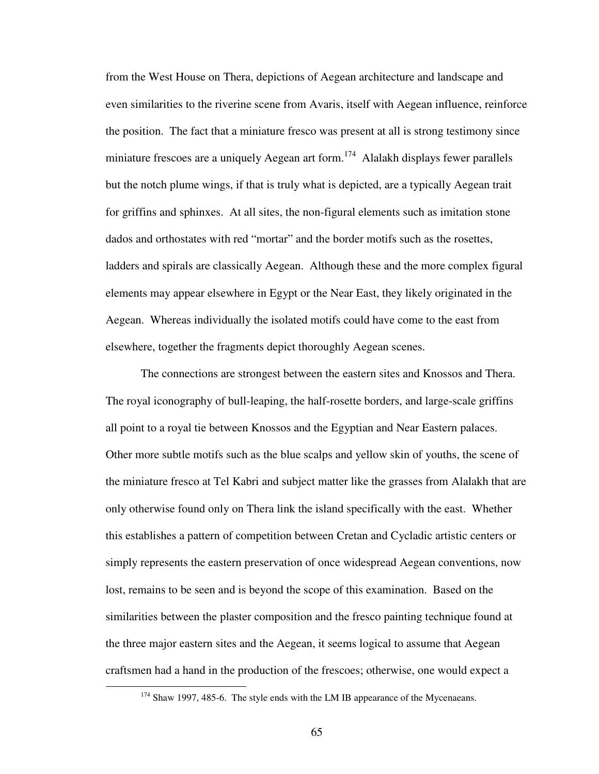from the West House on Thera, depictions of Aegean architecture and landscape and even similarities to the riverine scene from Avaris, itself with Aegean influence, reinforce the position. The fact that a miniature fresco was present at all is strong testimony since miniature frescoes are a uniquely Aegean art form.<sup>174</sup> Alalakh displays fewer parallels but the notch plume wings, if that is truly what is depicted, are a typically Aegean trait for griffins and sphinxes. At all sites, the non-figural elements such as imitation stone dados and orthostates with red "mortar" and the border motifs such as the rosettes, ladders and spirals are classically Aegean. Although these and the more complex figural elements may appear elsewhere in Egypt or the Near East, they likely originated in the Aegean. Whereas individually the isolated motifs could have come to the east from elsewhere, together the fragments depict thoroughly Aegean scenes.

The connections are strongest between the eastern sites and Knossos and Thera. The royal iconography of bull-leaping, the half-rosette borders, and large-scale griffins all point to a royal tie between Knossos and the Egyptian and Near Eastern palaces. Other more subtle motifs such as the blue scalps and yellow skin of youths, the scene of the miniature fresco at Tel Kabri and subject matter like the grasses from Alalakh that are only otherwise found only on Thera link the island specifically with the east. Whether this establishes a pattern of competition between Cretan and Cycladic artistic centers or simply represents the eastern preservation of once widespread Aegean conventions, now lost, remains to be seen and is beyond the scope of this examination. Based on the similarities between the plaster composition and the fresco painting technique found at the three major eastern sites and the Aegean, it seems logical to assume that Aegean craftsmen had a hand in the production of the frescoes; otherwise, one would expect a

<sup>&</sup>lt;sup>174</sup> Shaw 1997, 485-6. The style ends with the LM IB appearance of the Mycenaeans.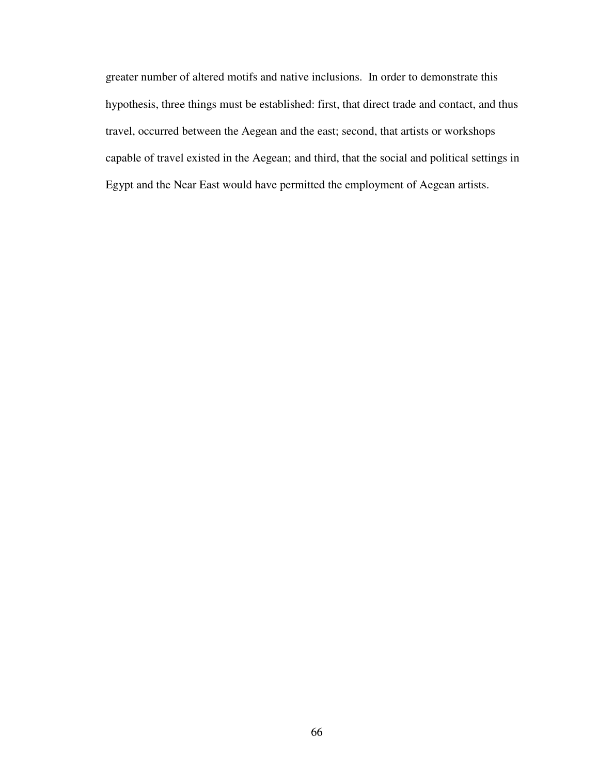greater number of altered motifs and native inclusions. In order to demonstrate this hypothesis, three things must be established: first, that direct trade and contact, and thus travel, occurred between the Aegean and the east; second, that artists or workshops capable of travel existed in the Aegean; and third, that the social and political settings in Egypt and the Near East would have permitted the employment of Aegean artists.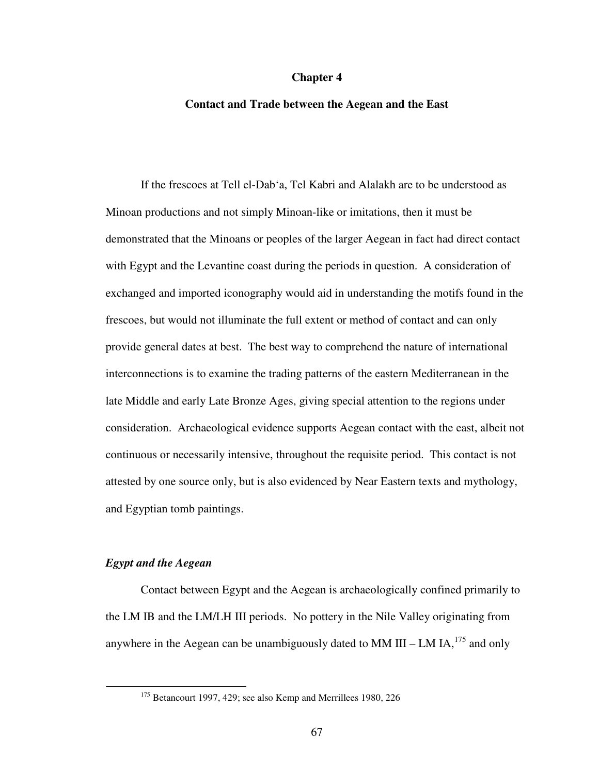### **Chapter 4**

### **Contact and Trade between the Aegean and the East**

 If the frescoes at Tell el-Dab'a, Tel Kabri and Alalakh are to be understood as Minoan productions and not simply Minoan-like or imitations, then it must be demonstrated that the Minoans or peoples of the larger Aegean in fact had direct contact with Egypt and the Levantine coast during the periods in question. A consideration of exchanged and imported iconography would aid in understanding the motifs found in the frescoes, but would not illuminate the full extent or method of contact and can only provide general dates at best. The best way to comprehend the nature of international interconnections is to examine the trading patterns of the eastern Mediterranean in the late Middle and early Late Bronze Ages, giving special attention to the regions under consideration. Archaeological evidence supports Aegean contact with the east, albeit not continuous or necessarily intensive, throughout the requisite period. This contact is not attested by one source only, but is also evidenced by Near Eastern texts and mythology, and Egyptian tomb paintings.

# *Egypt and the Aegean*

1

 Contact between Egypt and the Aegean is archaeologically confined primarily to the LM IB and the LM/LH III periods. No pottery in the Nile Valley originating from anywhere in the Aegean can be unambiguously dated to MM III – LM IA,<sup>175</sup> and only

<sup>&</sup>lt;sup>175</sup> Betancourt 1997, 429; see also Kemp and Merrillees 1980, 226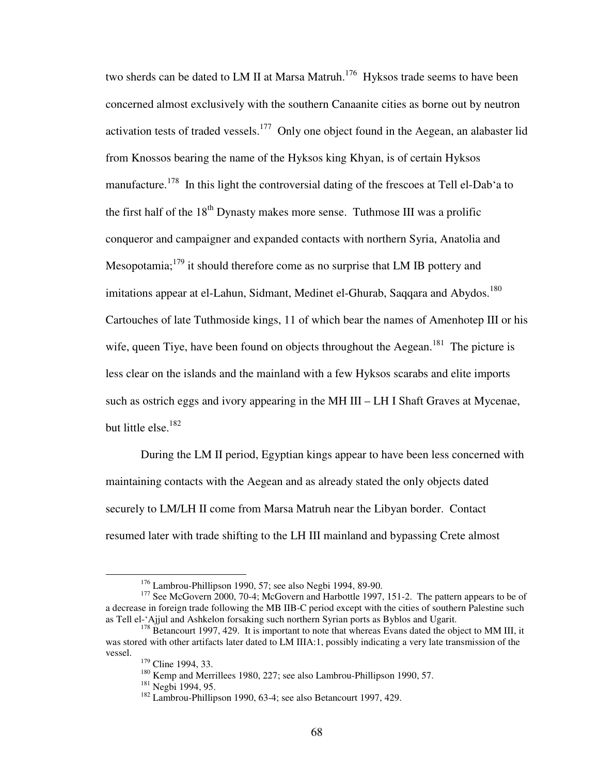two sherds can be dated to LM II at Marsa Matruh.<sup>176</sup> Hyksos trade seems to have been concerned almost exclusively with the southern Canaanite cities as borne out by neutron activation tests of traded vessels.<sup>177</sup> Only one object found in the Aegean, an alabaster lid from Knossos bearing the name of the Hyksos king Khyan, is of certain Hyksos manufacture.<sup>178</sup> In this light the controversial dating of the frescoes at Tell el-Dab'a to the first half of the  $18<sup>th</sup>$  Dynasty makes more sense. Tuthmose III was a prolific conqueror and campaigner and expanded contacts with northern Syria, Anatolia and Mesopotamia;  $1^{79}$  it should therefore come as no surprise that LM IB pottery and imitations appear at el-Lahun, Sidmant, Medinet el-Ghurab, Saqqara and Abydos.<sup>180</sup> Cartouches of late Tuthmoside kings, 11 of which bear the names of Amenhotep III or his wife, queen Tiye, have been found on objects throughout the Aegean.<sup>181</sup> The picture is less clear on the islands and the mainland with a few Hyksos scarabs and elite imports such as ostrich eggs and ivory appearing in the MH III – LH I Shaft Graves at Mycenae, but little else.<sup>182</sup>

 During the LM II period, Egyptian kings appear to have been less concerned with maintaining contacts with the Aegean and as already stated the only objects dated securely to LM/LH II come from Marsa Matruh near the Libyan border. Contact resumed later with trade shifting to the LH III mainland and bypassing Crete almost

<sup>176</sup> Lambrou-Phillipson 1990, 57; see also Negbi 1994, 89-90.

<sup>&</sup>lt;sup>177</sup> See McGovern 2000, 70-4; McGovern and Harbottle 1997, 151-2. The pattern appears to be of a decrease in foreign trade following the MB IIB-C period except with the cities of southern Palestine such as Tell el-'Ajjul and Ashkelon forsaking such northern Syrian ports as Byblos and Ugarit.

<sup>&</sup>lt;sup>178</sup> Betancourt 1997, 429. It is important to note that whereas Evans dated the object to MM III, it was stored with other artifacts later dated to LM IIIA:1, possibly indicating a very late transmission of the vessel.

<sup>&</sup>lt;sup>179</sup> Cline 1994, 33.

<sup>&</sup>lt;sup>180</sup> Kemp and Merrillees 1980, 227; see also Lambrou-Phillipson 1990, 57.

<sup>&</sup>lt;sup>181</sup> Negbi 1994, 95.

<sup>&</sup>lt;sup>182</sup> Lambrou-Phillipson 1990, 63-4; see also Betancourt 1997, 429.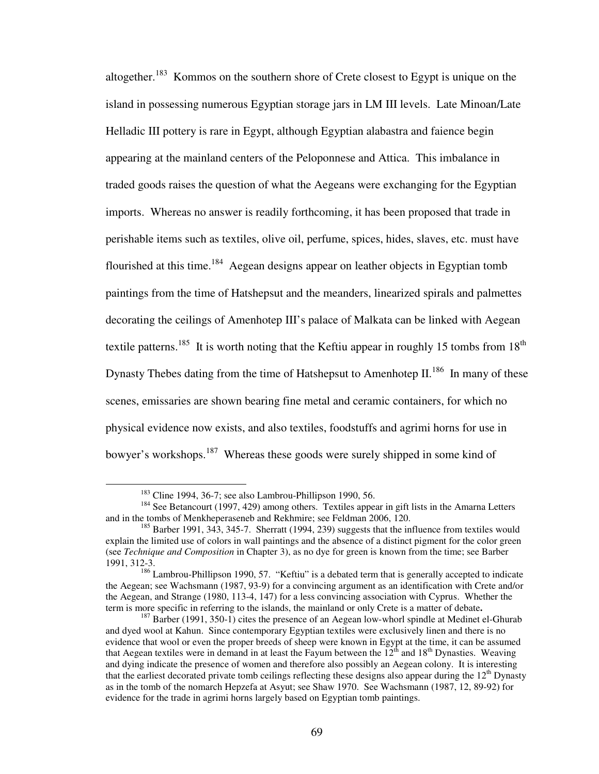altogether.<sup>183</sup> Kommos on the southern shore of Crete closest to Egypt is unique on the island in possessing numerous Egyptian storage jars in LM III levels. Late Minoan/Late Helladic III pottery is rare in Egypt, although Egyptian alabastra and faience begin appearing at the mainland centers of the Peloponnese and Attica. This imbalance in traded goods raises the question of what the Aegeans were exchanging for the Egyptian imports. Whereas no answer is readily forthcoming, it has been proposed that trade in perishable items such as textiles, olive oil, perfume, spices, hides, slaves, etc. must have flourished at this time.<sup>184</sup> Aegean designs appear on leather objects in Egyptian tomb paintings from the time of Hatshepsut and the meanders, linearized spirals and palmettes decorating the ceilings of Amenhotep III's palace of Malkata can be linked with Aegean textile patterns.<sup>185</sup> It is worth noting that the Keftiu appear in roughly 15 tombs from  $18<sup>th</sup>$ Dynasty Thebes dating from the time of Hatshepsut to Amenhotep II.<sup>186</sup> In many of these scenes, emissaries are shown bearing fine metal and ceramic containers, for which no physical evidence now exists, and also textiles, foodstuffs and agrimi horns for use in bowyer's workshops.<sup>187</sup> Whereas these goods were surely shipped in some kind of

 $183$  Cline 1994, 36-7; see also Lambrou-Phillipson 1990, 56.

<sup>&</sup>lt;sup>184</sup> See Betancourt (1997, 429) among others. Textiles appear in gift lists in the Amarna Letters and in the tombs of Menkheperaseneb and Rekhmire; see Feldman 2006, 120.

<sup>&</sup>lt;sup>185</sup> Barber 1991, 343, 345-7. Sherratt (1994, 239) suggests that the influence from textiles would explain the limited use of colors in wall paintings and the absence of a distinct pigment for the color green (see *Technique and Composition* in Chapter 3), as no dye for green is known from the time; see Barber 1991, 312-3.

<sup>&</sup>lt;sup>186</sup> Lambrou-Phillipson 1990, 57. "Keftiu" is a debated term that is generally accepted to indicate the Aegean; see Wachsmann (1987, 93-9) for a convincing argument as an identification with Crete and/or the Aegean, and Strange (1980, 113-4, 147) for a less convincing association with Cyprus. Whether the term is more specific in referring to the islands, the mainland or only Crete is a matter of debate**.**

 $187$  Barber (1991, 350-1) cites the presence of an Aegean low-whorl spindle at Medinet el-Ghurab and dyed wool at Kahun. Since contemporary Egyptian textiles were exclusively linen and there is no evidence that wool or even the proper breeds of sheep were known in Egypt at the time, it can be assumed that Aegean textiles were in demand in at least the Fayum between the  $12<sup>th</sup>$  and  $18<sup>th</sup>$  Dynasties. Weaving and dying indicate the presence of women and therefore also possibly an Aegean colony. It is interesting that the earliest decorated private tomb ceilings reflecting these designs also appear during the  $12<sup>th</sup>$  Dynasty as in the tomb of the nomarch Hepzefa at Asyut; see Shaw 1970. See Wachsmann (1987, 12, 89-92) for evidence for the trade in agrimi horns largely based on Egyptian tomb paintings.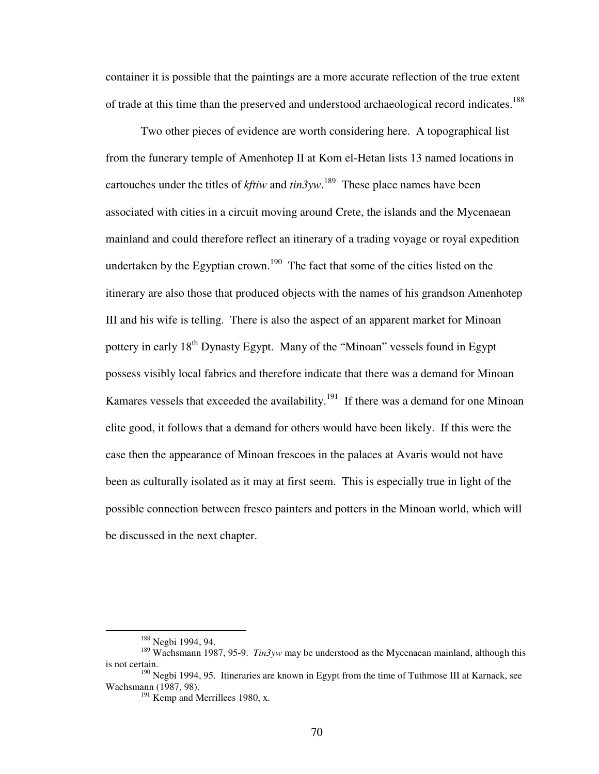container it is possible that the paintings are a more accurate reflection of the true extent of trade at this time than the preserved and understood archaeological record indicates.<sup>188</sup>

 Two other pieces of evidence are worth considering here. A topographical list from the funerary temple of Amenhotep II at Kom el-Hetan lists 13 named locations in cartouches under the titles of *kftiw* and  $\frac{tin3yw}$ .<sup>189</sup> These place names have been associated with cities in a circuit moving around Crete, the islands and the Mycenaean mainland and could therefore reflect an itinerary of a trading voyage or royal expedition undertaken by the Egyptian crown.<sup>190</sup> The fact that some of the cities listed on the itinerary are also those that produced objects with the names of his grandson Amenhotep III and his wife is telling. There is also the aspect of an apparent market for Minoan pottery in early 18<sup>th</sup> Dynasty Egypt. Many of the "Minoan" vessels found in Egypt possess visibly local fabrics and therefore indicate that there was a demand for Minoan Kamares vessels that exceeded the availability.<sup>191</sup> If there was a demand for one Minoan elite good, it follows that a demand for others would have been likely. If this were the case then the appearance of Minoan frescoes in the palaces at Avaris would not have been as culturally isolated as it may at first seem. This is especially true in light of the possible connection between fresco painters and potters in the Minoan world, which will be discussed in the next chapter.

<sup>&</sup>lt;sup>188</sup> Negbi 1994, 94.

<sup>189</sup> Wachsmann 1987, 95-9. *Tin3yw* may be understood as the Mycenaean mainland, although this is not certain.

 $190$  Negbi 1994, 95. Itineraries are known in Egypt from the time of Tuthmose III at Karnack, see Wachsmann (1987, 98).

 $191$  Kemp and Merrillees 1980, x.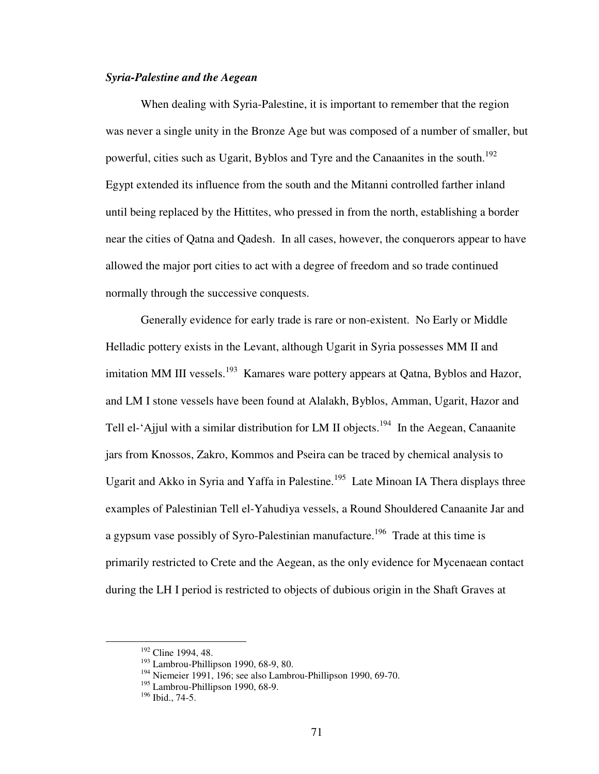# *Syria-Palestine and the Aegean*

 When dealing with Syria-Palestine, it is important to remember that the region was never a single unity in the Bronze Age but was composed of a number of smaller, but powerful, cities such as Ugarit, Byblos and Tyre and the Canaanites in the south.<sup>192</sup> Egypt extended its influence from the south and the Mitanni controlled farther inland until being replaced by the Hittites, who pressed in from the north, establishing a border near the cities of Qatna and Qadesh. In all cases, however, the conquerors appear to have allowed the major port cities to act with a degree of freedom and so trade continued normally through the successive conquests.

 Generally evidence for early trade is rare or non-existent. No Early or Middle Helladic pottery exists in the Levant, although Ugarit in Syria possesses MM II and imitation MM III vessels.<sup>193</sup> Kamares ware pottery appears at Qatna, Byblos and Hazor, and LM I stone vessels have been found at Alalakh, Byblos, Amman, Ugarit, Hazor and Tell el-'Ajjul with a similar distribution for LM II objects.<sup>194</sup> In the Aegean, Canaanite jars from Knossos, Zakro, Kommos and Pseira can be traced by chemical analysis to Ugarit and Akko in Syria and Yaffa in Palestine.<sup>195</sup> Late Minoan IA Thera displays three examples of Palestinian Tell el-Yahudiya vessels, a Round Shouldered Canaanite Jar and a gypsum vase possibly of Syro-Palestinian manufacture.<sup>196</sup> Trade at this time is primarily restricted to Crete and the Aegean, as the only evidence for Mycenaean contact during the LH I period is restricted to objects of dubious origin in the Shaft Graves at

<sup>&</sup>lt;sup>192</sup> Cline 1994, 48.

<sup>&</sup>lt;sup>193</sup> Lambrou-Phillipson 1990, 68-9, 80.

<sup>&</sup>lt;sup>194</sup> Niemeier 1991, 196; see also Lambrou-Phillipson 1990, 69-70.

<sup>&</sup>lt;sup>195</sup> Lambrou-Phillipson 1990, 68-9.

<sup>196</sup> Ibid., 74-5.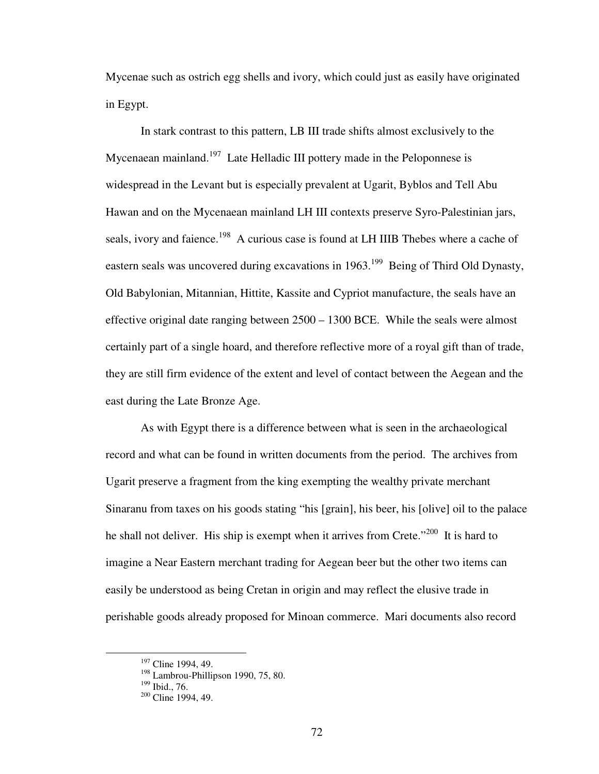Mycenae such as ostrich egg shells and ivory, which could just as easily have originated in Egypt.

 In stark contrast to this pattern, LB III trade shifts almost exclusively to the Mycenaean mainland.<sup>197</sup> Late Helladic III pottery made in the Peloponnese is widespread in the Levant but is especially prevalent at Ugarit, Byblos and Tell Abu Hawan and on the Mycenaean mainland LH III contexts preserve Syro-Palestinian jars, seals, ivory and faience.<sup>198</sup> A curious case is found at LH IIIB Thebes where a cache of eastern seals was uncovered during excavations in  $1963$ <sup>199</sup> Being of Third Old Dynasty, Old Babylonian, Mitannian, Hittite, Kassite and Cypriot manufacture, the seals have an effective original date ranging between 2500 – 1300 BCE. While the seals were almost certainly part of a single hoard, and therefore reflective more of a royal gift than of trade, they are still firm evidence of the extent and level of contact between the Aegean and the east during the Late Bronze Age.

As with Egypt there is a difference between what is seen in the archaeological record and what can be found in written documents from the period. The archives from Ugarit preserve a fragment from the king exempting the wealthy private merchant Sinaranu from taxes on his goods stating "his [grain], his beer, his [olive] oil to the palace he shall not deliver. His ship is exempt when it arrives from Crete."<sup>200</sup> It is hard to imagine a Near Eastern merchant trading for Aegean beer but the other two items can easily be understood as being Cretan in origin and may reflect the elusive trade in perishable goods already proposed for Minoan commerce. Mari documents also record

<sup>&</sup>lt;sup>197</sup> Cline 1994, 49.

<sup>&</sup>lt;sup>198</sup> Lambrou-Phillipson 1990, 75, 80.

<sup>&</sup>lt;sup>199</sup> Ibid., 76.

 $200$  Cline 1994, 49.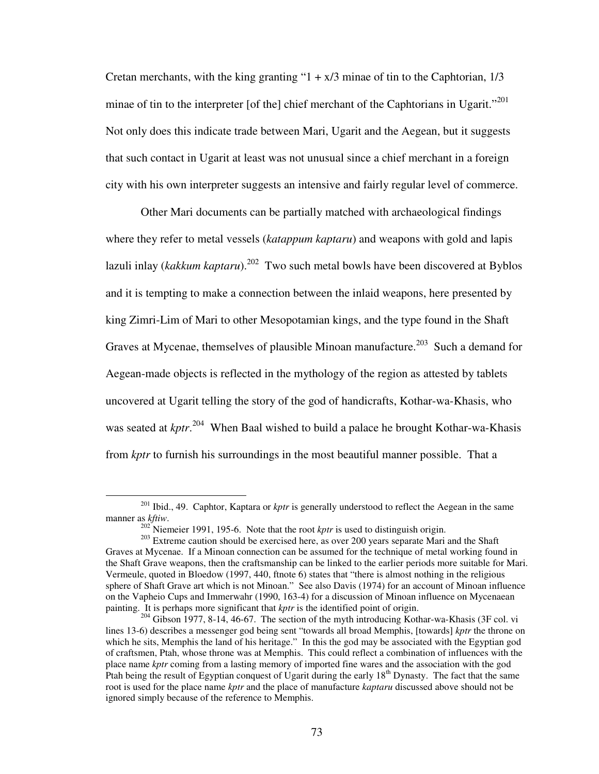Cretan merchants, with the king granting " $1 + x/3$  minae of tin to the Caphtorian,  $1/3$ minae of tin to the interpreter [of the] chief merchant of the Caphtorians in Ugarit."<sup>201</sup> Not only does this indicate trade between Mari, Ugarit and the Aegean, but it suggests that such contact in Ugarit at least was not unusual since a chief merchant in a foreign city with his own interpreter suggests an intensive and fairly regular level of commerce.

Other Mari documents can be partially matched with archaeological findings where they refer to metal vessels (*katappum kaptaru*) and weapons with gold and lapis lazuli inlay (*kakkum kaptaru*).<sup>202</sup> Two such metal bowls have been discovered at Byblos and it is tempting to make a connection between the inlaid weapons, here presented by king Zimri-Lim of Mari to other Mesopotamian kings, and the type found in the Shaft Graves at Mycenae, themselves of plausible Minoan manufacture.<sup>203</sup> Such a demand for Aegean-made objects is reflected in the mythology of the region as attested by tablets uncovered at Ugarit telling the story of the god of handicrafts, Kothar-wa-Khasis, who was seated at *kptr*. <sup>204</sup> When Baal wished to build a palace he brought Kothar-wa-Khasis from *kptr* to furnish his surroundings in the most beautiful manner possible. That a

<sup>&</sup>lt;sup>201</sup> Ibid., 49. Caphtor, Kaptara or *kptr* is generally understood to reflect the Aegean in the same manner as *kftiw*.

 $202^{\circ}$  Niemeier 1991, 195-6. Note that the root *kptr* is used to distinguish origin.

<sup>&</sup>lt;sup>203</sup> Extreme caution should be exercised here, as over 200 years separate Mari and the Shaft Graves at Mycenae. If a Minoan connection can be assumed for the technique of metal working found in the Shaft Grave weapons, then the craftsmanship can be linked to the earlier periods more suitable for Mari. Vermeule, quoted in Bloedow (1997, 440, ftnote 6) states that "there is almost nothing in the religious sphere of Shaft Grave art which is not Minoan." See also Davis (1974) for an account of Minoan influence on the Vapheio Cups and Immerwahr (1990, 163-4) for a discussion of Minoan influence on Mycenaean painting. It is perhaps more significant that *kptr* is the identified point of origin.

 $204$  Gibson 1977, 8-14, 46-67. The section of the myth introducing Kothar-wa-Khasis (3F col. vi lines 13-6) describes a messenger god being sent "towards all broad Memphis, [towards] *kptr* the throne on which he sits, Memphis the land of his heritage." In this the god may be associated with the Egyptian god of craftsmen, Ptah, whose throne was at Memphis. This could reflect a combination of influences with the place name *kptr* coming from a lasting memory of imported fine wares and the association with the god Ptah being the result of Egyptian conquest of Ugarit during the early  $18<sup>th</sup>$  Dynasty. The fact that the same root is used for the place name *kptr* and the place of manufacture *kaptaru* discussed above should not be ignored simply because of the reference to Memphis.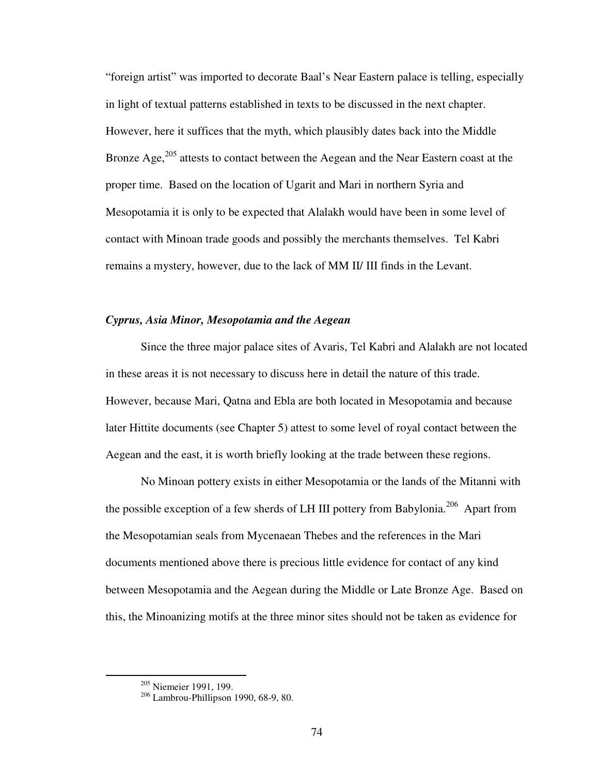"foreign artist" was imported to decorate Baal's Near Eastern palace is telling, especially in light of textual patterns established in texts to be discussed in the next chapter. However, here it suffices that the myth, which plausibly dates back into the Middle Bronze Age, $^{205}$  attests to contact between the Aegean and the Near Eastern coast at the proper time. Based on the location of Ugarit and Mari in northern Syria and Mesopotamia it is only to be expected that Alalakh would have been in some level of contact with Minoan trade goods and possibly the merchants themselves. Tel Kabri remains a mystery, however, due to the lack of MM II/ III finds in the Levant.

# *Cyprus, Asia Minor, Mesopotamia and the Aegean*

 Since the three major palace sites of Avaris, Tel Kabri and Alalakh are not located in these areas it is not necessary to discuss here in detail the nature of this trade. However, because Mari, Qatna and Ebla are both located in Mesopotamia and because later Hittite documents (see Chapter 5) attest to some level of royal contact between the Aegean and the east, it is worth briefly looking at the trade between these regions.

 No Minoan pottery exists in either Mesopotamia or the lands of the Mitanni with the possible exception of a few sherds of LH III pottery from Babylonia.<sup>206</sup> Apart from the Mesopotamian seals from Mycenaean Thebes and the references in the Mari documents mentioned above there is precious little evidence for contact of any kind between Mesopotamia and the Aegean during the Middle or Late Bronze Age. Based on this, the Minoanizing motifs at the three minor sites should not be taken as evidence for

<sup>205</sup> Niemeier 1991, 199.

<sup>206</sup> Lambrou-Phillipson 1990, 68-9, 80.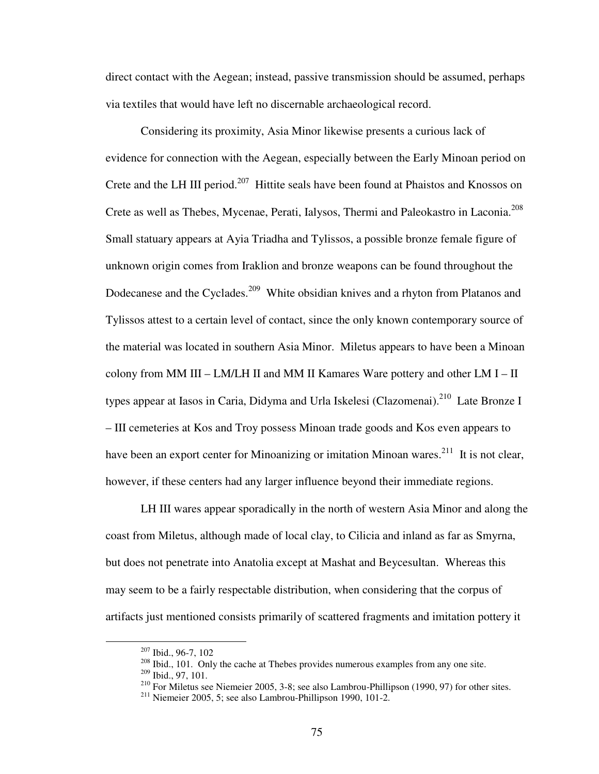direct contact with the Aegean; instead, passive transmission should be assumed, perhaps via textiles that would have left no discernable archaeological record.

Considering its proximity, Asia Minor likewise presents a curious lack of evidence for connection with the Aegean, especially between the Early Minoan period on Crete and the LH III period.<sup>207</sup> Hittite seals have been found at Phaistos and Knossos on Crete as well as Thebes, Mycenae, Perati, Ialysos, Thermi and Paleokastro in Laconia.<sup>208</sup> Small statuary appears at Ayia Triadha and Tylissos, a possible bronze female figure of unknown origin comes from Iraklion and bronze weapons can be found throughout the Dodecanese and the Cyclades.<sup>209</sup> White obsidian knives and a rhyton from Platanos and Tylissos attest to a certain level of contact, since the only known contemporary source of the material was located in southern Asia Minor. Miletus appears to have been a Minoan colony from MM III –  $LM/LH$  II and MM II Kamares Ware pottery and other  $LM I - II$ types appear at Iasos in Caria, Didyma and Urla Iskelesi (Clazomenai).<sup>210</sup> Late Bronze I – III cemeteries at Kos and Troy possess Minoan trade goods and Kos even appears to have been an export center for Minoanizing or imitation Minoan wares.<sup>211</sup> It is not clear, however, if these centers had any larger influence beyond their immediate regions.

LH III wares appear sporadically in the north of western Asia Minor and along the coast from Miletus, although made of local clay, to Cilicia and inland as far as Smyrna, but does not penetrate into Anatolia except at Mashat and Beycesultan. Whereas this may seem to be a fairly respectable distribution, when considering that the corpus of artifacts just mentioned consists primarily of scattered fragments and imitation pottery it

<sup>207</sup> Ibid., 96-7, 102

<sup>&</sup>lt;sup>208</sup> Ibid., 101. Only the cache at Thebes provides numerous examples from any one site.

 $209$  Ibid., 97, 101.

<sup>210</sup> For Miletus see Niemeier 2005, 3-8; see also Lambrou-Phillipson (1990, 97) for other sites.

<sup>211</sup> Niemeier 2005, 5; see also Lambrou-Phillipson 1990, 101-2.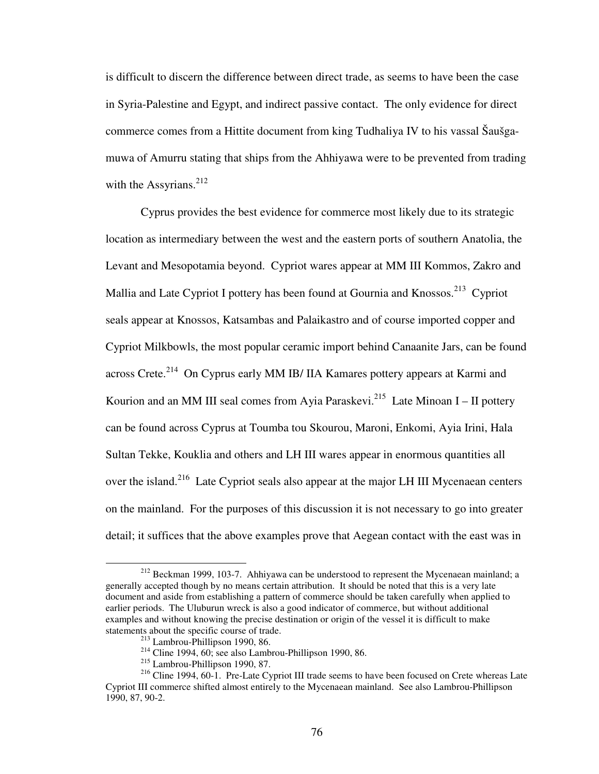is difficult to discern the difference between direct trade, as seems to have been the case in Syria-Palestine and Egypt, and indirect passive contact. The only evidence for direct commerce comes from a Hittite document from king Tudhaliya IV to his vassal Šaušgamuwa of Amurru stating that ships from the Ahhiyawa were to be prevented from trading with the Assyrians. $^{212}$ 

Cyprus provides the best evidence for commerce most likely due to its strategic location as intermediary between the west and the eastern ports of southern Anatolia, the Levant and Mesopotamia beyond. Cypriot wares appear at MM III Kommos, Zakro and Mallia and Late Cypriot I pottery has been found at Gournia and Knossos.<sup>213</sup> Cypriot seals appear at Knossos, Katsambas and Palaikastro and of course imported copper and Cypriot Milkbowls, the most popular ceramic import behind Canaanite Jars, can be found across Crete.<sup>214</sup> On Cyprus early MM IB/ IIA Kamares pottery appears at Karmi and Kourion and an MM III seal comes from Ayia Paraskevi.<sup>215</sup> Late Minoan I – II pottery can be found across Cyprus at Toumba tou Skourou, Maroni, Enkomi, Ayia Irini, Hala Sultan Tekke, Kouklia and others and LH III wares appear in enormous quantities all over the island.<sup>216</sup> Late Cypriot seals also appear at the major LH III Mycenaean centers on the mainland. For the purposes of this discussion it is not necessary to go into greater detail; it suffices that the above examples prove that Aegean contact with the east was in

<sup>&</sup>lt;sup>212</sup> Beckman 1999, 103-7. Ahhiyawa can be understood to represent the Mycenaean mainland; a generally accepted though by no means certain attribution. It should be noted that this is a very late document and aside from establishing a pattern of commerce should be taken carefully when applied to earlier periods. The Uluburun wreck is also a good indicator of commerce, but without additional examples and without knowing the precise destination or origin of the vessel it is difficult to make statements about the specific course of trade.

<sup>213</sup> Lambrou-Phillipson 1990, 86.

<sup>&</sup>lt;sup>214</sup> Cline 1994, 60; see also Lambrou-Phillipson 1990, 86.

<sup>215</sup> Lambrou-Phillipson 1990, 87.

<sup>&</sup>lt;sup>216</sup> Cline 1994, 60-1. Pre-Late Cypriot III trade seems to have been focused on Crete whereas Late Cypriot III commerce shifted almost entirely to the Mycenaean mainland. See also Lambrou-Phillipson 1990, 87, 90-2.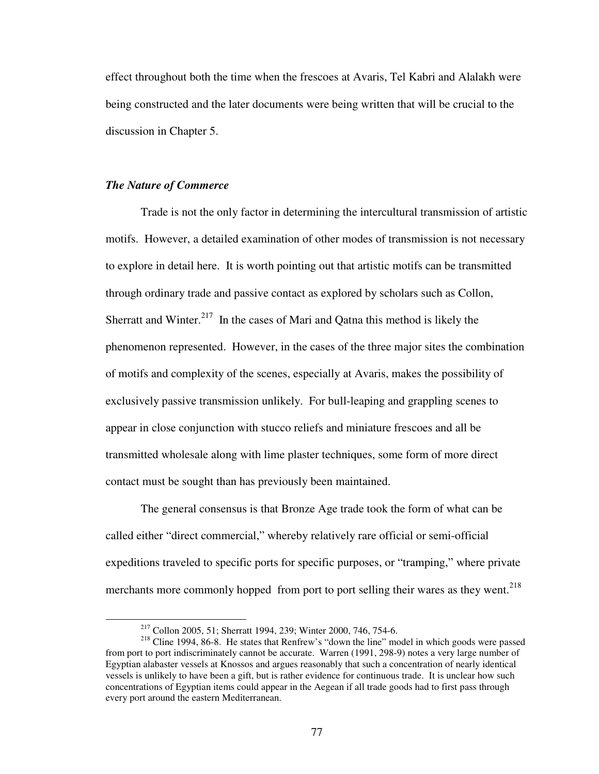effect throughout both the time when the frescoes at Avaris, Tel Kabri and Alalakh were being constructed and the later documents were being written that will be crucial to the discussion in Chapter 5.

#### *The Nature of Commerce*

1

 Trade is not the only factor in determining the intercultural transmission of artistic motifs. However, a detailed examination of other modes of transmission is not necessary to explore in detail here. It is worth pointing out that artistic motifs can be transmitted through ordinary trade and passive contact as explored by scholars such as Collon, Sherratt and Winter.<sup>217</sup> In the cases of Mari and Oatna this method is likely the phenomenon represented. However, in the cases of the three major sites the combination of motifs and complexity of the scenes, especially at Avaris, makes the possibility of exclusively passive transmission unlikely. For bull-leaping and grappling scenes to appear in close conjunction with stucco reliefs and miniature frescoes and all be transmitted wholesale along with lime plaster techniques, some form of more direct contact must be sought than has previously been maintained.

 The general consensus is that Bronze Age trade took the form of what can be called either "direct commercial," whereby relatively rare official or semi-official expeditions traveled to specific ports for specific purposes, or "tramping," where private merchants more commonly hopped from port to port selling their wares as they went.<sup>218</sup>

<sup>217</sup> Collon 2005, 51; Sherratt 1994, 239; Winter 2000, 746, 754-6.

<sup>&</sup>lt;sup>218</sup> Cline 1994, 86-8. He states that Renfrew's "down the line" model in which goods were passed from port to port indiscriminately cannot be accurate. Warren (1991, 298-9) notes a very large number of Egyptian alabaster vessels at Knossos and argues reasonably that such a concentration of nearly identical vessels is unlikely to have been a gift, but is rather evidence for continuous trade. It is unclear how such concentrations of Egyptian items could appear in the Aegean if all trade goods had to first pass through every port around the eastern Mediterranean.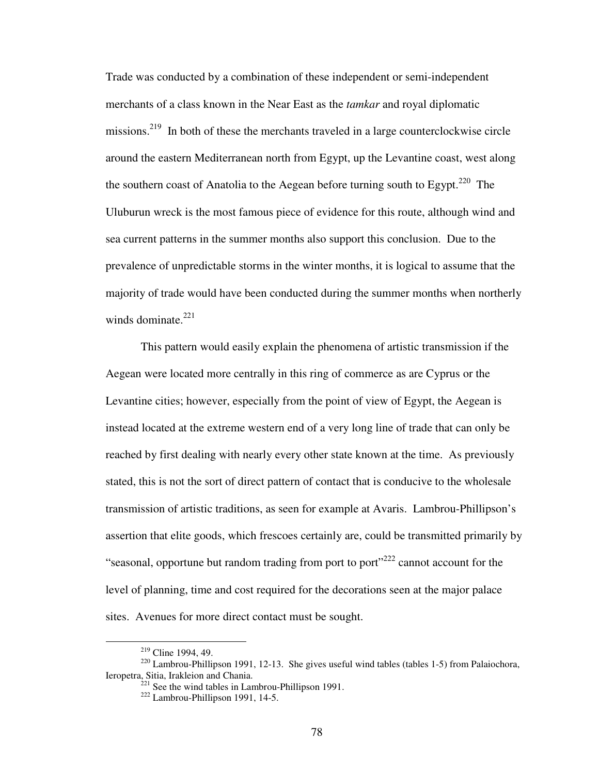Trade was conducted by a combination of these independent or semi-independent merchants of a class known in the Near East as the *tamkar* and royal diplomatic missions.<sup>219</sup> In both of these the merchants traveled in a large counterclockwise circle around the eastern Mediterranean north from Egypt, up the Levantine coast, west along the southern coast of Anatolia to the Aegean before turning south to Egypt.<sup>220</sup> The Uluburun wreck is the most famous piece of evidence for this route, although wind and sea current patterns in the summer months also support this conclusion. Due to the prevalence of unpredictable storms in the winter months, it is logical to assume that the majority of trade would have been conducted during the summer months when northerly winds dominate.<sup>221</sup>

 This pattern would easily explain the phenomena of artistic transmission if the Aegean were located more centrally in this ring of commerce as are Cyprus or the Levantine cities; however, especially from the point of view of Egypt, the Aegean is instead located at the extreme western end of a very long line of trade that can only be reached by first dealing with nearly every other state known at the time. As previously stated, this is not the sort of direct pattern of contact that is conducive to the wholesale transmission of artistic traditions, as seen for example at Avaris. Lambrou-Phillipson's assertion that elite goods, which frescoes certainly are, could be transmitted primarily by "seasonal, opportune but random trading from port to port $^{222}$  cannot account for the level of planning, time and cost required for the decorations seen at the major palace sites. Avenues for more direct contact must be sought.

<sup>&</sup>lt;sup>219</sup> Cline 1994, 49.

 $220$  Lambrou-Phillipson 1991, 12-13. She gives useful wind tables (tables 1-5) from Palaiochora, Ieropetra, Sitia, Irakleion and Chania.

 $221$  See the wind tables in Lambrou-Phillipson 1991.

<sup>222</sup> Lambrou-Phillipson 1991, 14-5.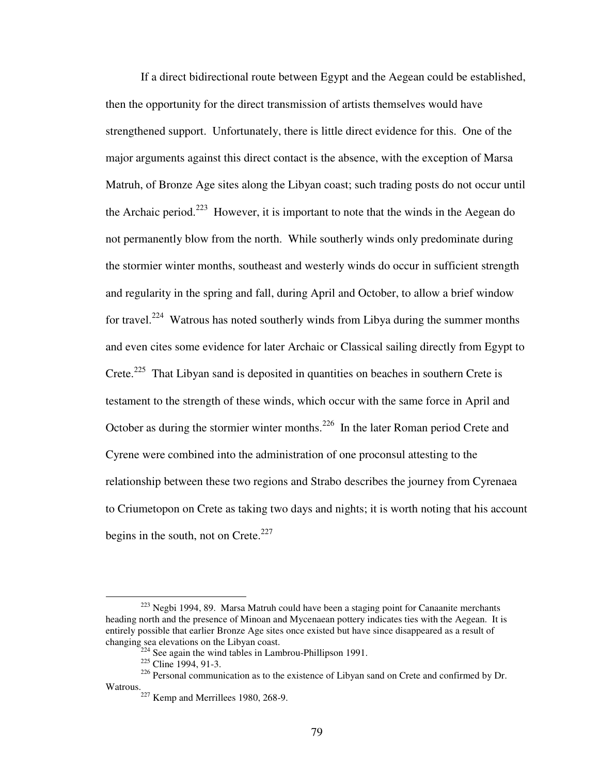If a direct bidirectional route between Egypt and the Aegean could be established, then the opportunity for the direct transmission of artists themselves would have strengthened support. Unfortunately, there is little direct evidence for this. One of the major arguments against this direct contact is the absence, with the exception of Marsa Matruh, of Bronze Age sites along the Libyan coast; such trading posts do not occur until the Archaic period.<sup>223</sup> However, it is important to note that the winds in the Aegean do not permanently blow from the north. While southerly winds only predominate during the stormier winter months, southeast and westerly winds do occur in sufficient strength and regularity in the spring and fall, during April and October, to allow a brief window for travel.<sup>224</sup> Watrous has noted southerly winds from Libya during the summer months and even cites some evidence for later Archaic or Classical sailing directly from Egypt to Crete.<sup>225</sup> That Libyan sand is deposited in quantities on beaches in southern Crete is testament to the strength of these winds, which occur with the same force in April and October as during the stormier winter months.<sup>226</sup> In the later Roman period Crete and Cyrene were combined into the administration of one proconsul attesting to the relationship between these two regions and Strabo describes the journey from Cyrenaea to Criumetopon on Crete as taking two days and nights; it is worth noting that his account begins in the south, not on Crete. $227$ 

 $223$  Negbi 1994, 89. Marsa Matruh could have been a staging point for Canaanite merchants heading north and the presence of Minoan and Mycenaean pottery indicates ties with the Aegean. It is entirely possible that earlier Bronze Age sites once existed but have since disappeared as a result of changing sea elevations on the Libyan coast.

 $24$  See again the wind tables in Lambrou-Phillipson 1991.

<sup>&</sup>lt;sup>225</sup> Cline 1994, 91-3.

<sup>&</sup>lt;sup>226</sup> Personal communication as to the existence of Libyan sand on Crete and confirmed by Dr. Watrous.

 $227$  Kemp and Merrillees 1980, 268-9.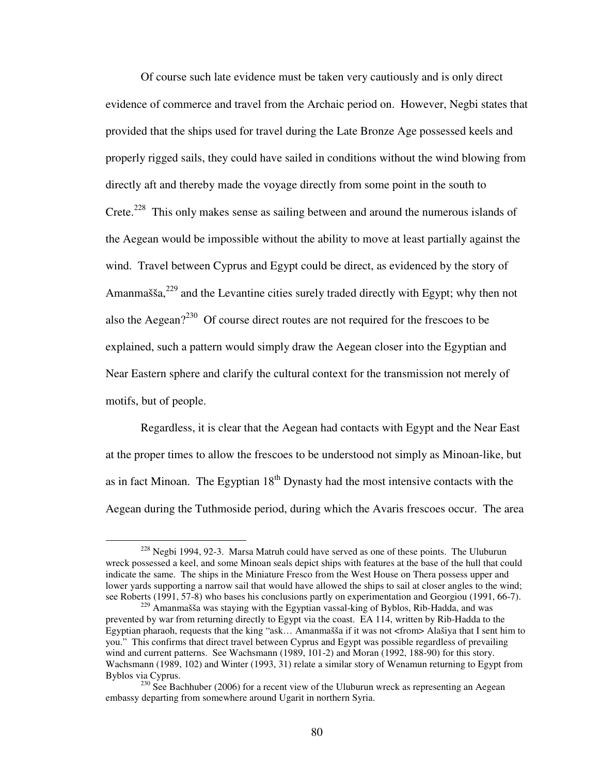Of course such late evidence must be taken very cautiously and is only direct evidence of commerce and travel from the Archaic period on. However, Negbi states that provided that the ships used for travel during the Late Bronze Age possessed keels and properly rigged sails, they could have sailed in conditions without the wind blowing from directly aft and thereby made the voyage directly from some point in the south to Crete.<sup>228</sup> This only makes sense as sailing between and around the numerous islands of the Aegean would be impossible without the ability to move at least partially against the wind. Travel between Cyprus and Egypt could be direct, as evidenced by the story of Amanmašša,  $^{229}$  and the Levantine cities surely traded directly with Egypt; why then not also the Aegean?<sup>230</sup> Of course direct routes are not required for the frescoes to be explained, such a pattern would simply draw the Aegean closer into the Egyptian and Near Eastern sphere and clarify the cultural context for the transmission not merely of motifs, but of people.

Regardless, it is clear that the Aegean had contacts with Egypt and the Near East at the proper times to allow the frescoes to be understood not simply as Minoan-like, but as in fact Minoan. The Egyptian  $18<sup>th</sup>$  Dynasty had the most intensive contacts with the Aegean during the Tuthmoside period, during which the Avaris frescoes occur. The area

 $228$  Negbi 1994, 92-3. Marsa Matruh could have served as one of these points. The Uluburun wreck possessed a keel, and some Minoan seals depict ships with features at the base of the hull that could indicate the same. The ships in the Miniature Fresco from the West House on Thera possess upper and lower yards supporting a narrow sail that would have allowed the ships to sail at closer angles to the wind; see Roberts (1991, 57-8) who bases his conclusions partly on experimentation and Georgiou (1991, 66-7).

 $229$  Amanmašša was staying with the Egyptian vassal-king of Byblos, Rib-Hadda, and was prevented by war from returning directly to Egypt via the coast. EA 114, written by Rib-Hadda to the Egyptian pharaoh, requests that the king "ask… Amanmašša if it was not <from> Alašiya that I sent him to you." This confirms that direct travel between Cyprus and Egypt was possible regardless of prevailing wind and current patterns. See Wachsmann (1989, 101-2) and Moran (1992, 188-90) for this story. Wachsmann (1989, 102) and Winter (1993, 31) relate a similar story of Wenamun returning to Egypt from Byblos via Cyprus.

<sup>&</sup>lt;sup>230</sup> See Bachhuber (2006) for a recent view of the Uluburun wreck as representing an Aegean embassy departing from somewhere around Ugarit in northern Syria.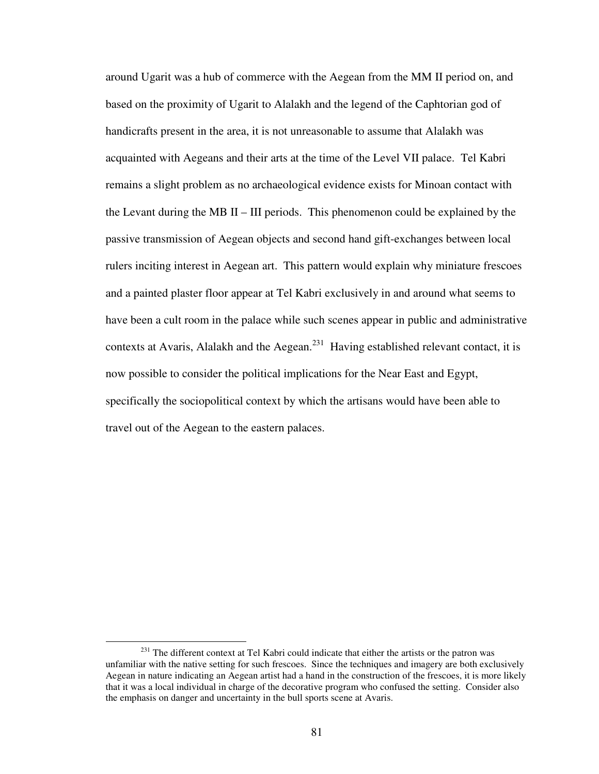around Ugarit was a hub of commerce with the Aegean from the MM II period on, and based on the proximity of Ugarit to Alalakh and the legend of the Caphtorian god of handicrafts present in the area, it is not unreasonable to assume that Alalakh was acquainted with Aegeans and their arts at the time of the Level VII palace. Tel Kabri remains a slight problem as no archaeological evidence exists for Minoan contact with the Levant during the MB II – III periods. This phenomenon could be explained by the passive transmission of Aegean objects and second hand gift-exchanges between local rulers inciting interest in Aegean art. This pattern would explain why miniature frescoes and a painted plaster floor appear at Tel Kabri exclusively in and around what seems to have been a cult room in the palace while such scenes appear in public and administrative contexts at Avaris, Alalakh and the Aegean.<sup>231</sup> Having established relevant contact, it is now possible to consider the political implications for the Near East and Egypt, specifically the sociopolitical context by which the artisans would have been able to travel out of the Aegean to the eastern palaces.

<sup>&</sup>lt;sup>231</sup> The different context at Tel Kabri could indicate that either the artists or the patron was unfamiliar with the native setting for such frescoes. Since the techniques and imagery are both exclusively Aegean in nature indicating an Aegean artist had a hand in the construction of the frescoes, it is more likely that it was a local individual in charge of the decorative program who confused the setting. Consider also the emphasis on danger and uncertainty in the bull sports scene at Avaris.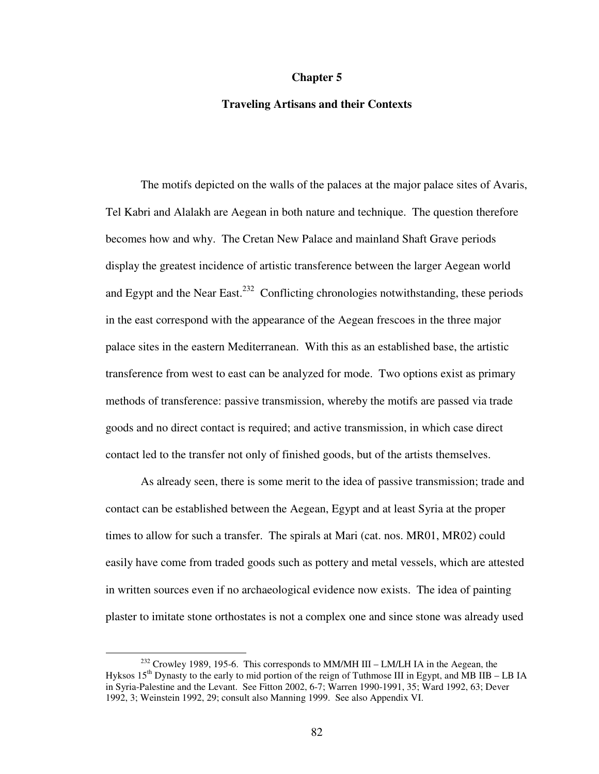#### **Chapter 5**

### **Traveling Artisans and their Contexts**

 The motifs depicted on the walls of the palaces at the major palace sites of Avaris, Tel Kabri and Alalakh are Aegean in both nature and technique. The question therefore becomes how and why. The Cretan New Palace and mainland Shaft Grave periods display the greatest incidence of artistic transference between the larger Aegean world and Egypt and the Near East.<sup>232</sup> Conflicting chronologies notwithstanding, these periods in the east correspond with the appearance of the Aegean frescoes in the three major palace sites in the eastern Mediterranean. With this as an established base, the artistic transference from west to east can be analyzed for mode. Two options exist as primary methods of transference: passive transmission, whereby the motifs are passed via trade goods and no direct contact is required; and active transmission, in which case direct contact led to the transfer not only of finished goods, but of the artists themselves.

As already seen, there is some merit to the idea of passive transmission; trade and contact can be established between the Aegean, Egypt and at least Syria at the proper times to allow for such a transfer. The spirals at Mari (cat. nos. MR01, MR02) could easily have come from traded goods such as pottery and metal vessels, which are attested in written sources even if no archaeological evidence now exists. The idea of painting plaster to imitate stone orthostates is not a complex one and since stone was already used

 $232$  Crowley 1989, 195-6. This corresponds to MM/MH III – LM/LH IA in the Aegean, the Hyksos 15th Dynasty to the early to mid portion of the reign of Tuthmose III in Egypt, and MB IIB – LB IA in Syria-Palestine and the Levant. See Fitton 2002, 6-7; Warren 1990-1991, 35; Ward 1992, 63; Dever 1992, 3; Weinstein 1992, 29; consult also Manning 1999. See also Appendix VI.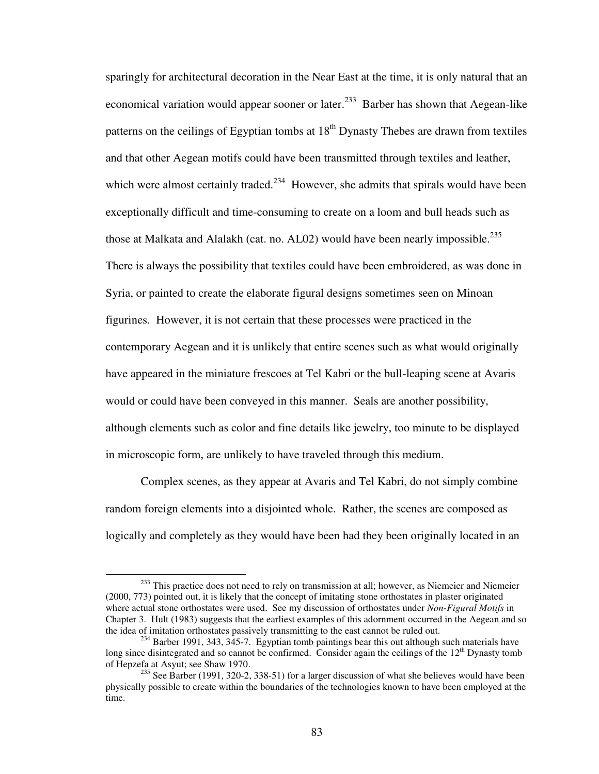sparingly for architectural decoration in the Near East at the time, it is only natural that an economical variation would appear sooner or later.<sup>233</sup> Barber has shown that Aegean-like patterns on the ceilings of Egyptian tombs at  $18<sup>th</sup>$  Dynasty Thebes are drawn from textiles and that other Aegean motifs could have been transmitted through textiles and leather, which were almost certainly traded.<sup>234</sup> However, she admits that spirals would have been exceptionally difficult and time-consuming to create on a loom and bull heads such as those at Malkata and Alalakh (cat. no. AL02) would have been nearly impossible.<sup>235</sup> There is always the possibility that textiles could have been embroidered, as was done in Syria, or painted to create the elaborate figural designs sometimes seen on Minoan figurines. However, it is not certain that these processes were practiced in the contemporary Aegean and it is unlikely that entire scenes such as what would originally have appeared in the miniature frescoes at Tel Kabri or the bull-leaping scene at Avaris would or could have been conveyed in this manner. Seals are another possibility, although elements such as color and fine details like jewelry, too minute to be displayed in microscopic form, are unlikely to have traveled through this medium.

Complex scenes, as they appear at Avaris and Tel Kabri, do not simply combine random foreign elements into a disjointed whole. Rather, the scenes are composed as logically and completely as they would have been had they been originally located in an

<sup>&</sup>lt;sup>233</sup> This practice does not need to rely on transmission at all; however, as Niemeier and Niemeier (2000, 773) pointed out, it is likely that the concept of imitating stone orthostates in plaster originated where actual stone orthostates were used. See my discussion of orthostates under *Non-Figural Motifs* in Chapter 3. Hult (1983) suggests that the earliest examples of this adornment occurred in the Aegean and so the idea of imitation orthostates passively transmitting to the east cannot be ruled out.

 $234$  Barber 1991, 343, 345-7. Egyptian tomb paintings bear this out although such materials have long since disintegrated and so cannot be confirmed. Consider again the ceilings of the  $12<sup>th</sup>$  Dynasty tomb of Hepzefa at Asyut; see Shaw 1970.

 $235$  See Barber (1991, 320-2, 338-51) for a larger discussion of what she believes would have been physically possible to create within the boundaries of the technologies known to have been employed at the time.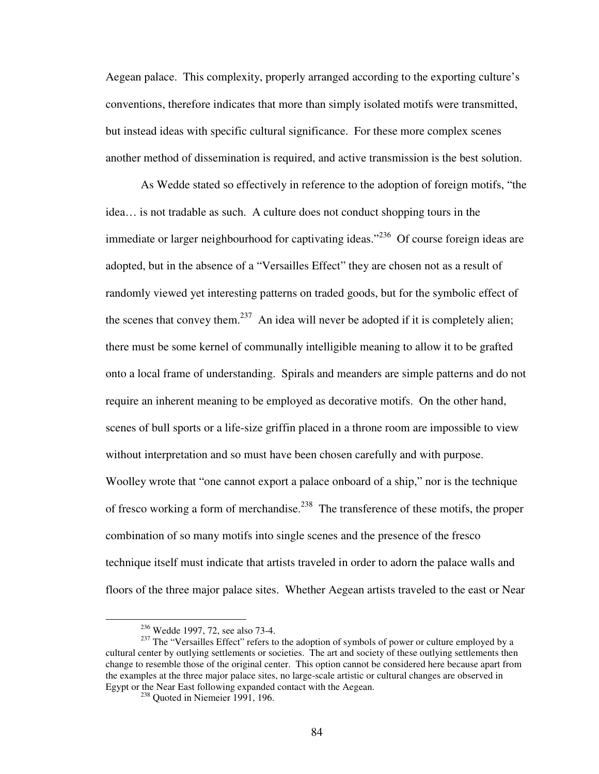Aegean palace. This complexity, properly arranged according to the exporting culture's conventions, therefore indicates that more than simply isolated motifs were transmitted, but instead ideas with specific cultural significance. For these more complex scenes another method of dissemination is required, and active transmission is the best solution.

As Wedde stated so effectively in reference to the adoption of foreign motifs, "the idea… is not tradable as such. A culture does not conduct shopping tours in the immediate or larger neighbourhood for captivating ideas."<sup>236</sup> Of course foreign ideas are adopted, but in the absence of a "Versailles Effect" they are chosen not as a result of randomly viewed yet interesting patterns on traded goods, but for the symbolic effect of the scenes that convey them.<sup>237</sup> An idea will never be adopted if it is completely alien; there must be some kernel of communally intelligible meaning to allow it to be grafted onto a local frame of understanding. Spirals and meanders are simple patterns and do not require an inherent meaning to be employed as decorative motifs. On the other hand, scenes of bull sports or a life-size griffin placed in a throne room are impossible to view without interpretation and so must have been chosen carefully and with purpose. Woolley wrote that "one cannot export a palace onboard of a ship," nor is the technique of fresco working a form of merchandise.<sup>238</sup> The transference of these motifs, the proper combination of so many motifs into single scenes and the presence of the fresco technique itself must indicate that artists traveled in order to adorn the palace walls and floors of the three major palace sites. Whether Aegean artists traveled to the east or Near

<sup>236</sup> Wedde 1997, 72, see also 73-4.

<sup>&</sup>lt;sup>237</sup> The "Versailles Effect" refers to the adoption of symbols of power or culture employed by a cultural center by outlying settlements or societies. The art and society of these outlying settlements then change to resemble those of the original center. This option cannot be considered here because apart from the examples at the three major palace sites, no large-scale artistic or cultural changes are observed in Egypt or the Near East following expanded contact with the Aegean.

<sup>&</sup>lt;sup>238</sup> Quoted in Niemeier 1991, 196.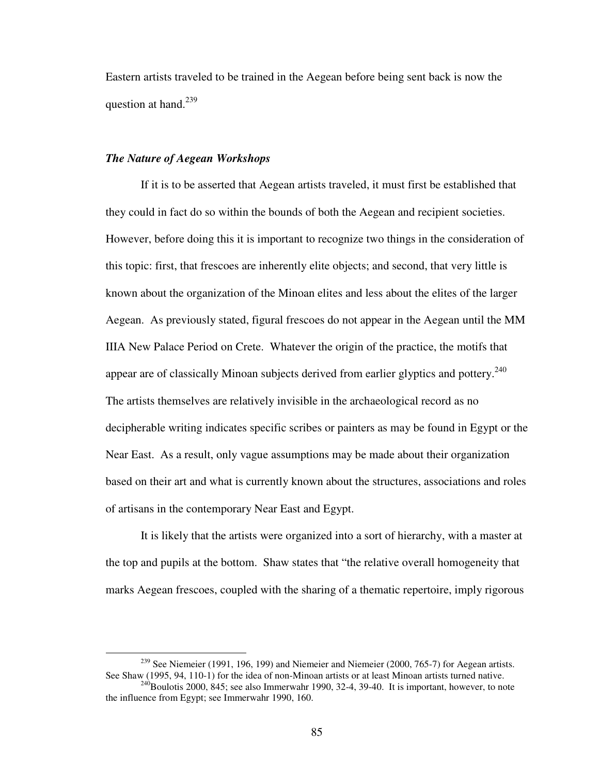Eastern artists traveled to be trained in the Aegean before being sent back is now the question at hand.<sup>239</sup>

### *The Nature of Aegean Workshops*

1

 If it is to be asserted that Aegean artists traveled, it must first be established that they could in fact do so within the bounds of both the Aegean and recipient societies. However, before doing this it is important to recognize two things in the consideration of this topic: first, that frescoes are inherently elite objects; and second, that very little is known about the organization of the Minoan elites and less about the elites of the larger Aegean. As previously stated, figural frescoes do not appear in the Aegean until the MM IIIA New Palace Period on Crete. Whatever the origin of the practice, the motifs that appear are of classically Minoan subjects derived from earlier glyptics and pottery.<sup>240</sup> The artists themselves are relatively invisible in the archaeological record as no decipherable writing indicates specific scribes or painters as may be found in Egypt or the Near East. As a result, only vague assumptions may be made about their organization based on their art and what is currently known about the structures, associations and roles of artisans in the contemporary Near East and Egypt.

 It is likely that the artists were organized into a sort of hierarchy, with a master at the top and pupils at the bottom. Shaw states that "the relative overall homogeneity that marks Aegean frescoes, coupled with the sharing of a thematic repertoire, imply rigorous

 $239$  See Niemeier (1991, 196, 199) and Niemeier and Niemeier (2000, 765-7) for Aegean artists. See Shaw (1995, 94, 110-1) for the idea of non-Minoan artists or at least Minoan artists turned native.

 $^{240}$ Boulotis 2000, 845; see also Immerwahr 1990, 32-4, 39-40. It is important, however, to note the influence from Egypt; see Immerwahr 1990, 160.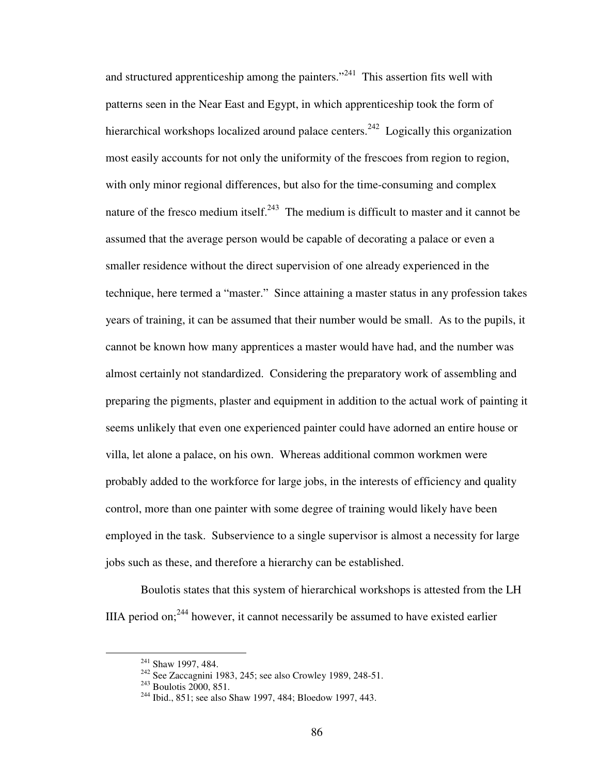and structured apprenticeship among the painters."<sup>241</sup> This assertion fits well with patterns seen in the Near East and Egypt, in which apprenticeship took the form of hierarchical workshops localized around palace centers.<sup>242</sup> Logically this organization most easily accounts for not only the uniformity of the frescoes from region to region, with only minor regional differences, but also for the time-consuming and complex nature of the fresco medium itself.<sup>243</sup> The medium is difficult to master and it cannot be assumed that the average person would be capable of decorating a palace or even a smaller residence without the direct supervision of one already experienced in the technique, here termed a "master." Since attaining a master status in any profession takes years of training, it can be assumed that their number would be small. As to the pupils, it cannot be known how many apprentices a master would have had, and the number was almost certainly not standardized. Considering the preparatory work of assembling and preparing the pigments, plaster and equipment in addition to the actual work of painting it seems unlikely that even one experienced painter could have adorned an entire house or villa, let alone a palace, on his own. Whereas additional common workmen were probably added to the workforce for large jobs, in the interests of efficiency and quality control, more than one painter with some degree of training would likely have been employed in the task. Subservience to a single supervisor is almost a necessity for large jobs such as these, and therefore a hierarchy can be established.

 Boulotis states that this system of hierarchical workshops is attested from the LH IIIA period on;  $244$  however, it cannot necessarily be assumed to have existed earlier

<sup>&</sup>lt;sup>241</sup> Shaw 1997, 484.

 $242$  See Zaccagnini 1983, 245; see also Crowley 1989, 248-51.

 $2^{43}$  Boulotis 2000, 851.

<sup>&</sup>lt;sup>244</sup> Ibid., 851; see also Shaw 1997, 484; Bloedow 1997, 443.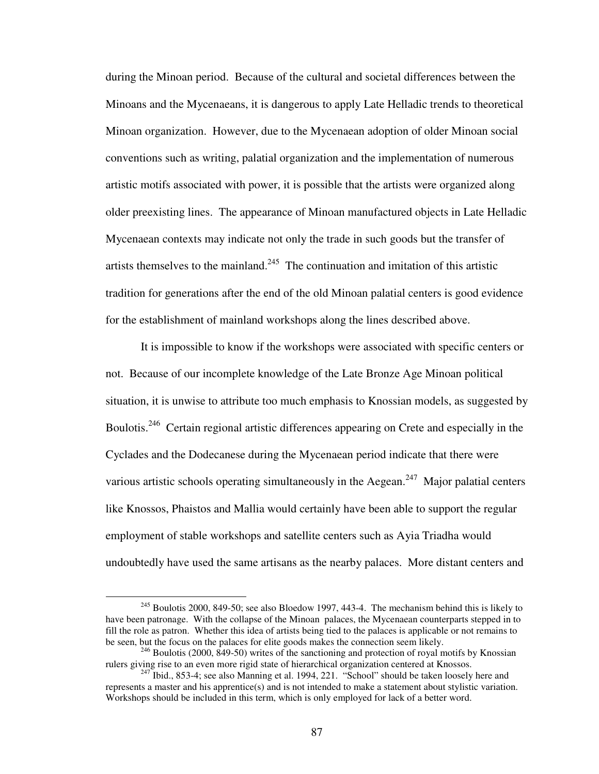during the Minoan period. Because of the cultural and societal differences between the Minoans and the Mycenaeans, it is dangerous to apply Late Helladic trends to theoretical Minoan organization. However, due to the Mycenaean adoption of older Minoan social conventions such as writing, palatial organization and the implementation of numerous artistic motifs associated with power, it is possible that the artists were organized along older preexisting lines. The appearance of Minoan manufactured objects in Late Helladic Mycenaean contexts may indicate not only the trade in such goods but the transfer of artists themselves to the mainland.<sup>245</sup> The continuation and imitation of this artistic tradition for generations after the end of the old Minoan palatial centers is good evidence for the establishment of mainland workshops along the lines described above.

 It is impossible to know if the workshops were associated with specific centers or not. Because of our incomplete knowledge of the Late Bronze Age Minoan political situation, it is unwise to attribute too much emphasis to Knossian models, as suggested by Boulotis.<sup>246</sup> Certain regional artistic differences appearing on Crete and especially in the Cyclades and the Dodecanese during the Mycenaean period indicate that there were various artistic schools operating simultaneously in the Aegean.<sup>247</sup> Major palatial centers like Knossos, Phaistos and Mallia would certainly have been able to support the regular employment of stable workshops and satellite centers such as Ayia Triadha would undoubtedly have used the same artisans as the nearby palaces. More distant centers and

 $245$  Boulotis 2000, 849-50; see also Bloedow 1997, 443-4. The mechanism behind this is likely to have been patronage. With the collapse of the Minoan palaces, the Mycenaean counterparts stepped in to fill the role as patron. Whether this idea of artists being tied to the palaces is applicable or not remains to be seen, but the focus on the palaces for elite goods makes the connection seem likely.

 $246$  Boulotis (2000, 849-50) writes of the sanctioning and protection of royal motifs by Knossian rulers giving rise to an even more rigid state of hierarchical organization centered at Knossos.

 $247$  Ibid., 853-4; see also Manning et al. 1994, 221. "School" should be taken loosely here and represents a master and his apprentice(s) and is not intended to make a statement about stylistic variation. Workshops should be included in this term, which is only employed for lack of a better word.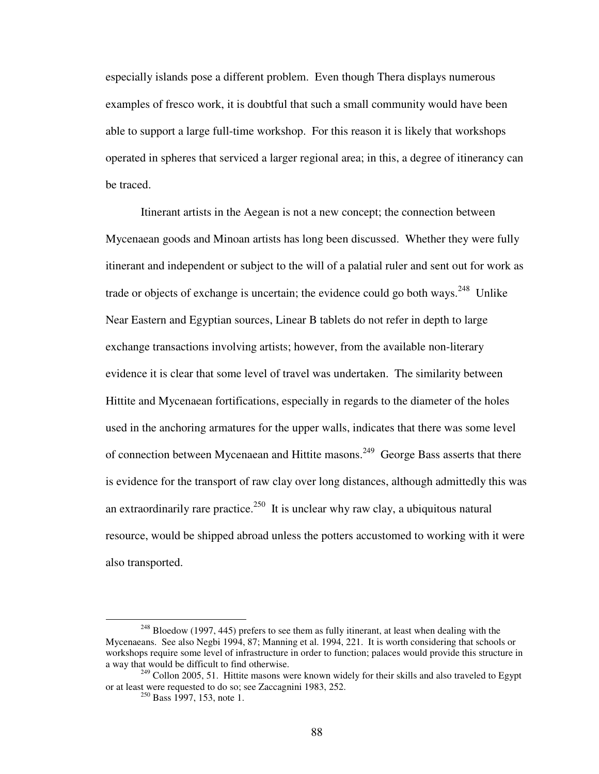especially islands pose a different problem. Even though Thera displays numerous examples of fresco work, it is doubtful that such a small community would have been able to support a large full-time workshop. For this reason it is likely that workshops operated in spheres that serviced a larger regional area; in this, a degree of itinerancy can be traced.

 Itinerant artists in the Aegean is not a new concept; the connection between Mycenaean goods and Minoan artists has long been discussed. Whether they were fully itinerant and independent or subject to the will of a palatial ruler and sent out for work as trade or objects of exchange is uncertain; the evidence could go both ways.<sup>248</sup> Unlike Near Eastern and Egyptian sources, Linear B tablets do not refer in depth to large exchange transactions involving artists; however, from the available non-literary evidence it is clear that some level of travel was undertaken. The similarity between Hittite and Mycenaean fortifications, especially in regards to the diameter of the holes used in the anchoring armatures for the upper walls, indicates that there was some level of connection between Mycenaean and Hittite masons.<sup>249</sup> George Bass asserts that there is evidence for the transport of raw clay over long distances, although admittedly this was an extraordinarily rare practice.<sup>250</sup> It is unclear why raw clay, a ubiquitous natural resource, would be shipped abroad unless the potters accustomed to working with it were also transported.

 $248$  Bloedow (1997, 445) prefers to see them as fully itinerant, at least when dealing with the Mycenaeans. See also Negbi 1994, 87; Manning et al. 1994, 221. It is worth considering that schools or workshops require some level of infrastructure in order to function; palaces would provide this structure in a way that would be difficult to find otherwise.

 $249$  Collon 2005, 51. Hittite masons were known widely for their skills and also traveled to Egypt or at least were requested to do so; see Zaccagnini 1983, 252.

<sup>&</sup>lt;sup>250</sup> Bass 1997, 153, note 1.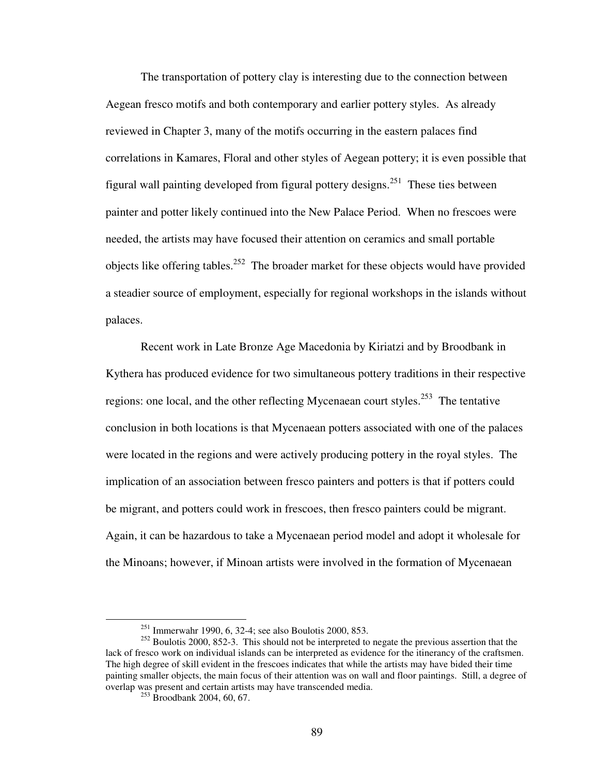The transportation of pottery clay is interesting due to the connection between Aegean fresco motifs and both contemporary and earlier pottery styles. As already reviewed in Chapter 3, many of the motifs occurring in the eastern palaces find correlations in Kamares, Floral and other styles of Aegean pottery; it is even possible that figural wall painting developed from figural pottery designs.<sup>251</sup> These ties between painter and potter likely continued into the New Palace Period. When no frescoes were needed, the artists may have focused their attention on ceramics and small portable objects like offering tables.<sup>252</sup> The broader market for these objects would have provided a steadier source of employment, especially for regional workshops in the islands without palaces.

Recent work in Late Bronze Age Macedonia by Kiriatzi and by Broodbank in Kythera has produced evidence for two simultaneous pottery traditions in their respective regions: one local, and the other reflecting Mycenaean court styles.<sup>253</sup> The tentative conclusion in both locations is that Mycenaean potters associated with one of the palaces were located in the regions and were actively producing pottery in the royal styles. The implication of an association between fresco painters and potters is that if potters could be migrant, and potters could work in frescoes, then fresco painters could be migrant. Again, it can be hazardous to take a Mycenaean period model and adopt it wholesale for the Minoans; however, if Minoan artists were involved in the formation of Mycenaean

<sup>251</sup> Immerwahr 1990, 6, 32-4; see also Boulotis 2000, 853.

<sup>&</sup>lt;sup>252</sup> Boulotis 2000, 852-3. This should not be interpreted to negate the previous assertion that the lack of fresco work on individual islands can be interpreted as evidence for the itinerancy of the craftsmen. The high degree of skill evident in the frescoes indicates that while the artists may have bided their time painting smaller objects, the main focus of their attention was on wall and floor paintings. Still, a degree of overlap was present and certain artists may have transcended media.

 $253$  Broodbank 2004, 60, 67.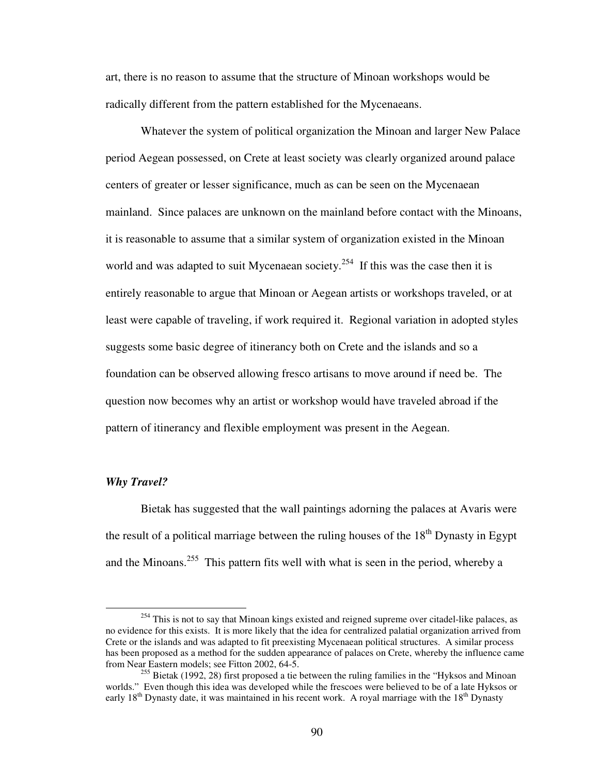art, there is no reason to assume that the structure of Minoan workshops would be radically different from the pattern established for the Mycenaeans.

 Whatever the system of political organization the Minoan and larger New Palace period Aegean possessed, on Crete at least society was clearly organized around palace centers of greater or lesser significance, much as can be seen on the Mycenaean mainland. Since palaces are unknown on the mainland before contact with the Minoans, it is reasonable to assume that a similar system of organization existed in the Minoan world and was adapted to suit Mycenaean society.<sup>254</sup> If this was the case then it is entirely reasonable to argue that Minoan or Aegean artists or workshops traveled, or at least were capable of traveling, if work required it. Regional variation in adopted styles suggests some basic degree of itinerancy both on Crete and the islands and so a foundation can be observed allowing fresco artisans to move around if need be. The question now becomes why an artist or workshop would have traveled abroad if the pattern of itinerancy and flexible employment was present in the Aegean.

#### *Why Travel?*

 $\overline{a}$ 

 Bietak has suggested that the wall paintings adorning the palaces at Avaris were the result of a political marriage between the ruling houses of the  $18<sup>th</sup>$  Dynasty in Egypt and the Minoans.<sup>255</sup> This pattern fits well with what is seen in the period, whereby a

<sup>&</sup>lt;sup>254</sup> This is not to say that Minoan kings existed and reigned supreme over citadel-like palaces, as no evidence for this exists. It is more likely that the idea for centralized palatial organization arrived from Crete or the islands and was adapted to fit preexisting Mycenaean political structures. A similar process has been proposed as a method for the sudden appearance of palaces on Crete, whereby the influence came from Near Eastern models; see Fitton 2002, 64-5.

 $255$  Bietak (1992, 28) first proposed a tie between the ruling families in the "Hyksos and Minoan" worlds." Even though this idea was developed while the frescoes were believed to be of a late Hyksos or early  $18<sup>th</sup>$  Dynasty date, it was maintained in his recent work. A royal marriage with the  $18<sup>th</sup>$  Dynasty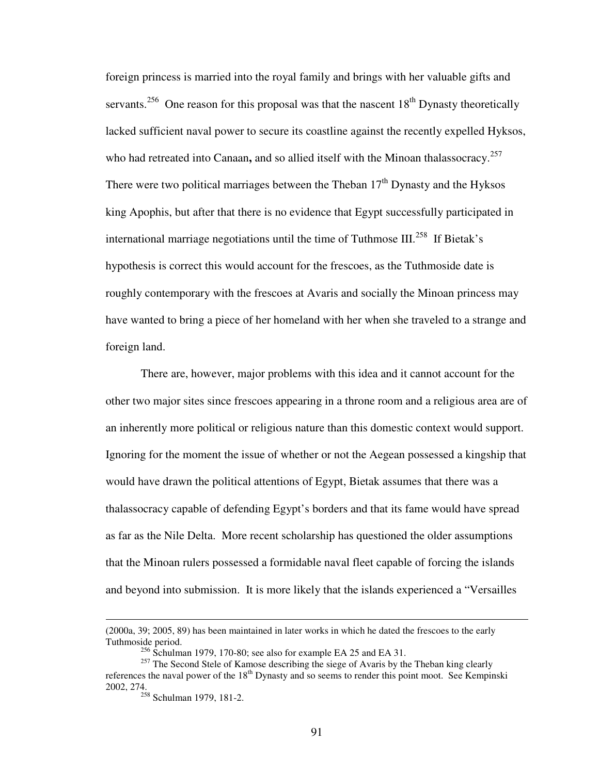foreign princess is married into the royal family and brings with her valuable gifts and servants.<sup>256</sup> One reason for this proposal was that the nascent  $18<sup>th</sup>$  Dynasty theoretically lacked sufficient naval power to secure its coastline against the recently expelled Hyksos, who had retreated into Canaan, and so allied itself with the Minoan thalassocracy.<sup>257</sup> There were two political marriages between the Theban  $17<sup>th</sup>$  Dynasty and the Hyksos king Apophis, but after that there is no evidence that Egypt successfully participated in international marriage negotiations until the time of Tuthmose III.<sup>258</sup> If Bietak's hypothesis is correct this would account for the frescoes, as the Tuthmoside date is roughly contemporary with the frescoes at Avaris and socially the Minoan princess may have wanted to bring a piece of her homeland with her when she traveled to a strange and foreign land.

There are, however, major problems with this idea and it cannot account for the other two major sites since frescoes appearing in a throne room and a religious area are of an inherently more political or religious nature than this domestic context would support. Ignoring for the moment the issue of whether or not the Aegean possessed a kingship that would have drawn the political attentions of Egypt, Bietak assumes that there was a thalassocracy capable of defending Egypt's borders and that its fame would have spread as far as the Nile Delta. More recent scholarship has questioned the older assumptions that the Minoan rulers possessed a formidable naval fleet capable of forcing the islands and beyond into submission. It is more likely that the islands experienced a "Versailles

<sup>(2000</sup>a, 39; 2005, 89) has been maintained in later works in which he dated the frescoes to the early Tuthmoside period.

 $^{256}$  Schulman 1979, 170-80; see also for example EA 25 and EA 31.

<sup>&</sup>lt;sup>257</sup> The Second Stele of Kamose describing the siege of Avaris by the Theban king clearly references the naval power of the 18<sup>th</sup> Dynasty and so seems to render this point moot. See Kempinski 2002, 274.

 $258$  Schulman 1979, 181-2.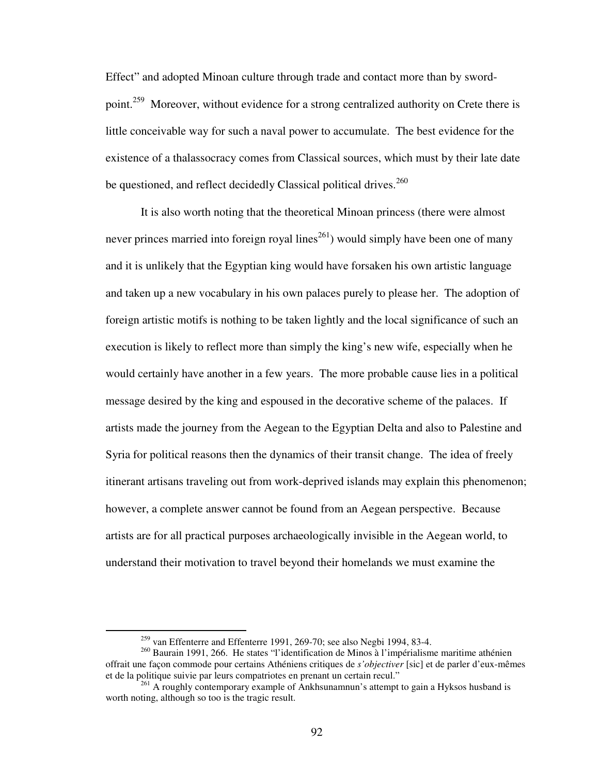Effect" and adopted Minoan culture through trade and contact more than by swordpoint.<sup>259</sup> Moreover, without evidence for a strong centralized authority on Crete there is little conceivable way for such a naval power to accumulate. The best evidence for the existence of a thalassocracy comes from Classical sources, which must by their late date be questioned, and reflect decidedly Classical political drives.<sup>260</sup>

It is also worth noting that the theoretical Minoan princess (there were almost never princes married into foreign royal lines<sup>261</sup>) would simply have been one of many and it is unlikely that the Egyptian king would have forsaken his own artistic language and taken up a new vocabulary in his own palaces purely to please her. The adoption of foreign artistic motifs is nothing to be taken lightly and the local significance of such an execution is likely to reflect more than simply the king's new wife, especially when he would certainly have another in a few years. The more probable cause lies in a political message desired by the king and espoused in the decorative scheme of the palaces. If artists made the journey from the Aegean to the Egyptian Delta and also to Palestine and Syria for political reasons then the dynamics of their transit change. The idea of freely itinerant artisans traveling out from work-deprived islands may explain this phenomenon; however, a complete answer cannot be found from an Aegean perspective. Because artists are for all practical purposes archaeologically invisible in the Aegean world, to understand their motivation to travel beyond their homelands we must examine the

 $259$  van Effenterre and Effenterre 1991, 269-70; see also Negbi 1994, 83-4.

<sup>260</sup> Baurain 1991, 266. He states "l'identification de Minos à l'impérialisme maritime athénien offrait une façon commode pour certains Athéniens critiques de *s'objectiver* [sic] et de parler d'eux-mêmes et de la politique suivie par leurs compatriotes en prenant un certain recul."

<sup>&</sup>lt;sup>261</sup> A roughly contemporary example of Ankhsunamnun's attempt to gain a Hyksos husband is worth noting, although so too is the tragic result.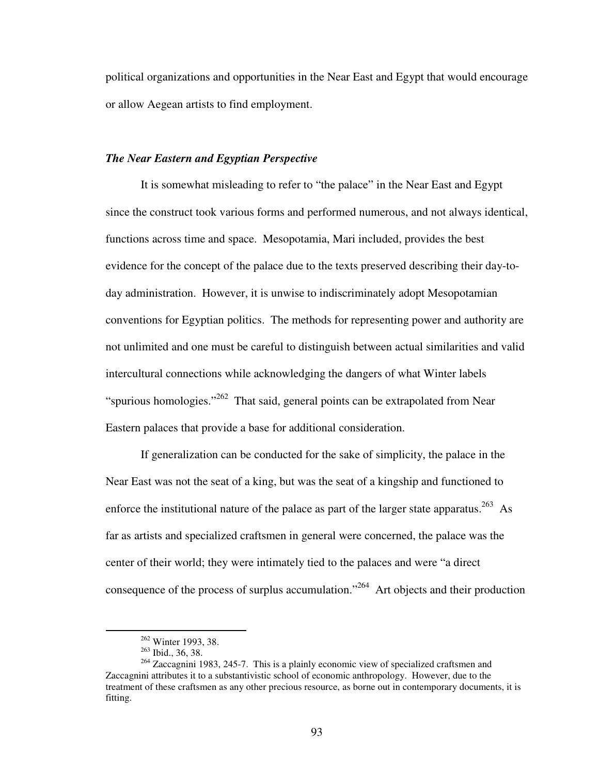political organizations and opportunities in the Near East and Egypt that would encourage or allow Aegean artists to find employment.

# *The Near Eastern and Egyptian Perspective*

It is somewhat misleading to refer to "the palace" in the Near East and Egypt since the construct took various forms and performed numerous, and not always identical, functions across time and space. Mesopotamia, Mari included, provides the best evidence for the concept of the palace due to the texts preserved describing their day-today administration. However, it is unwise to indiscriminately adopt Mesopotamian conventions for Egyptian politics. The methods for representing power and authority are not unlimited and one must be careful to distinguish between actual similarities and valid intercultural connections while acknowledging the dangers of what Winter labels "spurious homologies."<sup>262</sup> That said, general points can be extrapolated from Near Eastern palaces that provide a base for additional consideration.

If generalization can be conducted for the sake of simplicity, the palace in the Near East was not the seat of a king, but was the seat of a kingship and functioned to enforce the institutional nature of the palace as part of the larger state apparatus.<sup>263</sup> As far as artists and specialized craftsmen in general were concerned, the palace was the center of their world; they were intimately tied to the palaces and were "a direct consequence of the process of surplus accumulation."<sup>264</sup> Art objects and their production

<u>.</u>

<sup>262</sup> Winter 1993, 38.

<sup>263</sup> Ibid., 36, 38.

 $264$  Zaccagnini 1983, 245-7. This is a plainly economic view of specialized craftsmen and Zaccagnini attributes it to a substantivistic school of economic anthropology. However, due to the treatment of these craftsmen as any other precious resource, as borne out in contemporary documents, it is fitting.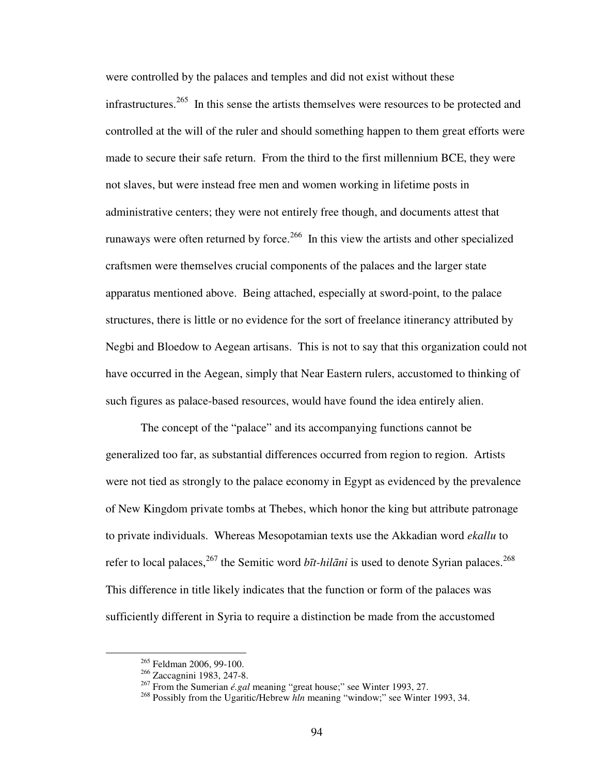were controlled by the palaces and temples and did not exist without these infrastructures.<sup>265</sup> In this sense the artists themselves were resources to be protected and controlled at the will of the ruler and should something happen to them great efforts were made to secure their safe return. From the third to the first millennium BCE, they were not slaves, but were instead free men and women working in lifetime posts in administrative centers; they were not entirely free though, and documents attest that runaways were often returned by force.<sup>266</sup> In this view the artists and other specialized craftsmen were themselves crucial components of the palaces and the larger state apparatus mentioned above. Being attached, especially at sword-point, to the palace structures, there is little or no evidence for the sort of freelance itinerancy attributed by Negbi and Bloedow to Aegean artisans. This is not to say that this organization could not have occurred in the Aegean, simply that Near Eastern rulers, accustomed to thinking of such figures as palace-based resources, would have found the idea entirely alien.

The concept of the "palace" and its accompanying functions cannot be generalized too far, as substantial differences occurred from region to region. Artists were not tied as strongly to the palace economy in Egypt as evidenced by the prevalence of New Kingdom private tombs at Thebes, which honor the king but attribute patronage to private individuals. Whereas Mesopotamian texts use the Akkadian word *ekallu* to refer to local palaces,<sup>267</sup> the Semitic word *bīt-hilāni* is used to denote Syrian palaces.<sup>268</sup> This difference in title likely indicates that the function or form of the palaces was sufficiently different in Syria to require a distinction be made from the accustomed

<sup>&</sup>lt;sup>265</sup> Feldman 2006, 99-100.

<sup>&</sup>lt;sup>266</sup> Zaccagnini 1983, 247-8.

<sup>267</sup> From the Sumerian *é.gal* meaning "great house;" see Winter 1993, 27.

<sup>&</sup>lt;sup>268</sup> Possibly from the Ugaritic/Hebrew *hln* meaning "window;" see Winter 1993, 34.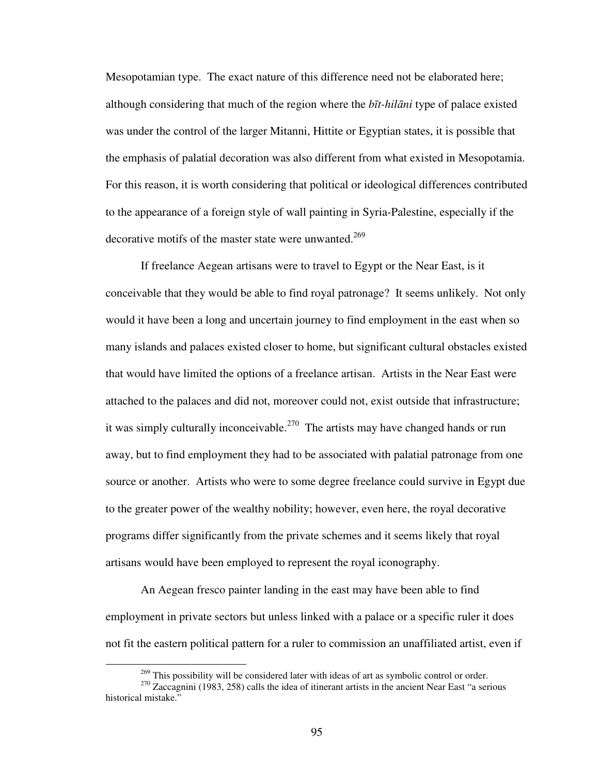Mesopotamian type. The exact nature of this difference need not be elaborated here; although considering that much of the region where the *b*ī*t-hil*ā*ni* type of palace existed was under the control of the larger Mitanni, Hittite or Egyptian states, it is possible that the emphasis of palatial decoration was also different from what existed in Mesopotamia. For this reason, it is worth considering that political or ideological differences contributed to the appearance of a foreign style of wall painting in Syria-Palestine, especially if the decorative motifs of the master state were unwanted.<sup>269</sup>

If freelance Aegean artisans were to travel to Egypt or the Near East, is it conceivable that they would be able to find royal patronage? It seems unlikely. Not only would it have been a long and uncertain journey to find employment in the east when so many islands and palaces existed closer to home, but significant cultural obstacles existed that would have limited the options of a freelance artisan. Artists in the Near East were attached to the palaces and did not, moreover could not, exist outside that infrastructure; it was simply culturally inconceivable.<sup>270</sup> The artists may have changed hands or run away, but to find employment they had to be associated with palatial patronage from one source or another. Artists who were to some degree freelance could survive in Egypt due to the greater power of the wealthy nobility; however, even here, the royal decorative programs differ significantly from the private schemes and it seems likely that royal artisans would have been employed to represent the royal iconography.

An Aegean fresco painter landing in the east may have been able to find employment in private sectors but unless linked with a palace or a specific ruler it does not fit the eastern political pattern for a ruler to commission an unaffiliated artist, even if

 $269$  This possibility will be considered later with ideas of art as symbolic control or order.

<sup>&</sup>lt;sup>270</sup> Zaccagnini (1983, 258) calls the idea of itinerant artists in the ancient Near East "a serious historical mistake."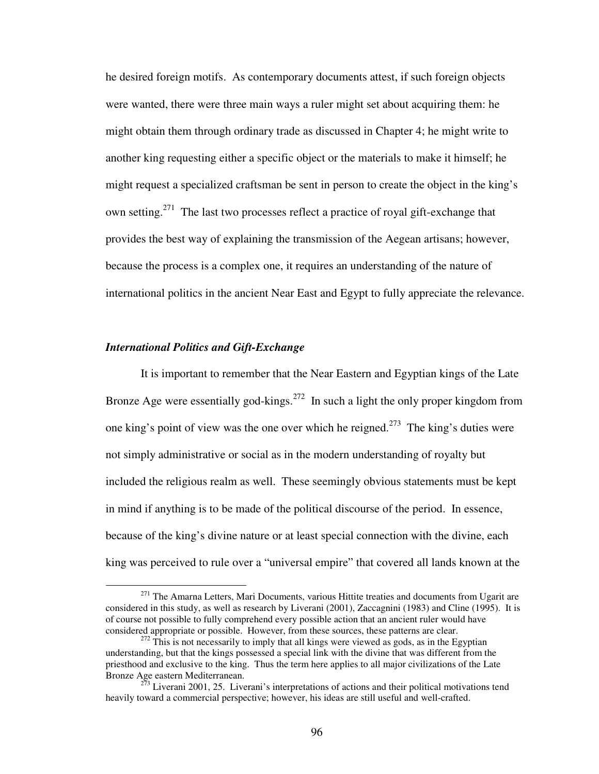he desired foreign motifs. As contemporary documents attest, if such foreign objects were wanted, there were three main ways a ruler might set about acquiring them: he might obtain them through ordinary trade as discussed in Chapter 4; he might write to another king requesting either a specific object or the materials to make it himself; he might request a specialized craftsman be sent in person to create the object in the king's own setting.<sup>271</sup> The last two processes reflect a practice of royal gift-exchange that provides the best way of explaining the transmission of the Aegean artisans; however, because the process is a complex one, it requires an understanding of the nature of international politics in the ancient Near East and Egypt to fully appreciate the relevance.

# *International Politics and Gift-Exchange*

1

It is important to remember that the Near Eastern and Egyptian kings of the Late Bronze Age were essentially god-kings.<sup>272</sup> In such a light the only proper kingdom from one king's point of view was the one over which he reigned.<sup>273</sup> The king's duties were not simply administrative or social as in the modern understanding of royalty but included the religious realm as well. These seemingly obvious statements must be kept in mind if anything is to be made of the political discourse of the period. In essence, because of the king's divine nature or at least special connection with the divine, each king was perceived to rule over a "universal empire" that covered all lands known at the

<sup>&</sup>lt;sup>271</sup> The Amarna Letters, Mari Documents, various Hittite treaties and documents from Ugarit are considered in this study, as well as research by Liverani (2001), Zaccagnini (1983) and Cline (1995). It is of course not possible to fully comprehend every possible action that an ancient ruler would have considered appropriate or possible. However, from these sources, these patterns are clear.

 $272$  This is not necessarily to imply that all kings were viewed as gods, as in the Egyptian understanding, but that the kings possessed a special link with the divine that was different from the priesthood and exclusive to the king. Thus the term here applies to all major civilizations of the Late Bronze Age eastern Mediterranean.

 $2^{73}$  Liverani 2001, 25. Liverani's interpretations of actions and their political motivations tend heavily toward a commercial perspective; however, his ideas are still useful and well-crafted.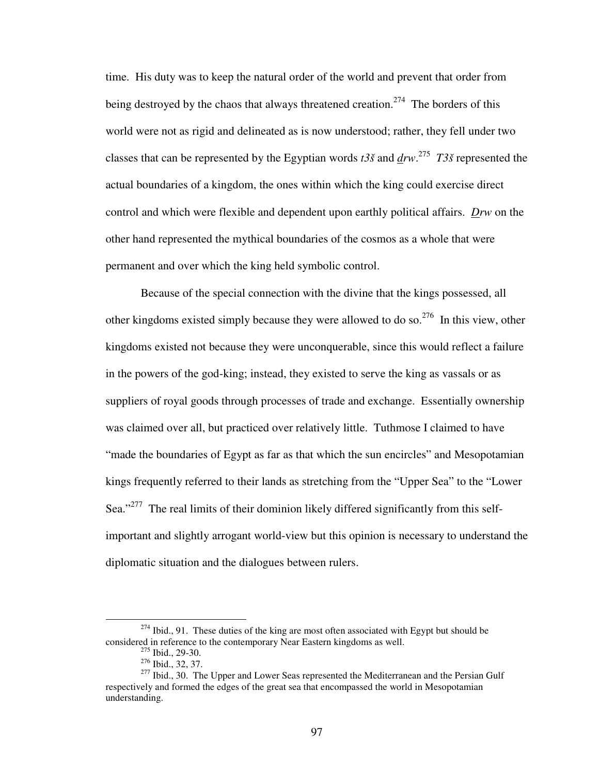time. His duty was to keep the natural order of the world and prevent that order from being destroyed by the chaos that always threatened creation.<sup>274</sup> The borders of this world were not as rigid and delineated as is now understood; rather, they fell under two classes that can be represented by the Egyptian words  $t3\tilde{s}$  and  $\frac{d\tilde{r}w}{dr}$   $T3\tilde{s}$  represented the actual boundaries of a kingdom, the ones within which the king could exercise direct control and which were flexible and dependent upon earthly political affairs. *Drw* on the other hand represented the mythical boundaries of the cosmos as a whole that were permanent and over which the king held symbolic control.

 Because of the special connection with the divine that the kings possessed, all other kingdoms existed simply because they were allowed to do so.<sup>276</sup> In this view, other kingdoms existed not because they were unconquerable, since this would reflect a failure in the powers of the god-king; instead, they existed to serve the king as vassals or as suppliers of royal goods through processes of trade and exchange. Essentially ownership was claimed over all, but practiced over relatively little. Tuthmose I claimed to have "made the boundaries of Egypt as far as that which the sun encircles" and Mesopotamian kings frequently referred to their lands as stretching from the "Upper Sea" to the "Lower Sea."<sup>277</sup> The real limits of their dominion likely differed significantly from this selfimportant and slightly arrogant world-view but this opinion is necessary to understand the diplomatic situation and the dialogues between rulers.

<sup>&</sup>lt;sup>274</sup> Ibid., 91. These duties of the king are most often associated with Egypt but should be considered in reference to the contemporary Near Eastern kingdoms as well.  $^{275}$  Ibid., 29-30.

<sup>276</sup> Ibid., 32, 37.

<sup>&</sup>lt;sup>277</sup> Ibid., 30. The Upper and Lower Seas represented the Mediterranean and the Persian Gulf respectively and formed the edges of the great sea that encompassed the world in Mesopotamian understanding.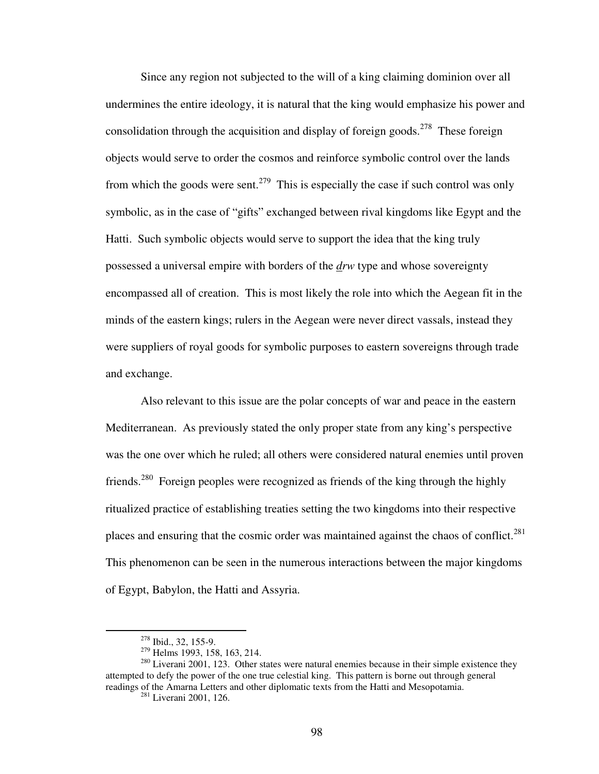Since any region not subjected to the will of a king claiming dominion over all undermines the entire ideology, it is natural that the king would emphasize his power and consolidation through the acquisition and display of foreign goods.<sup>278</sup> These foreign objects would serve to order the cosmos and reinforce symbolic control over the lands from which the goods were sent.<sup>279</sup> This is especially the case if such control was only symbolic, as in the case of "gifts" exchanged between rival kingdoms like Egypt and the Hatti. Such symbolic objects would serve to support the idea that the king truly possessed a universal empire with borders of the *drw* type and whose sovereignty encompassed all of creation. This is most likely the role into which the Aegean fit in the minds of the eastern kings; rulers in the Aegean were never direct vassals, instead they were suppliers of royal goods for symbolic purposes to eastern sovereigns through trade and exchange.

 Also relevant to this issue are the polar concepts of war and peace in the eastern Mediterranean. As previously stated the only proper state from any king's perspective was the one over which he ruled; all others were considered natural enemies until proven friends.<sup>280</sup> Foreign peoples were recognized as friends of the king through the highly ritualized practice of establishing treaties setting the two kingdoms into their respective places and ensuring that the cosmic order was maintained against the chaos of conflict.<sup>281</sup> This phenomenon can be seen in the numerous interactions between the major kingdoms of Egypt, Babylon, the Hatti and Assyria.

<u>.</u>

<sup>278</sup> Ibid., 32, 155-9.

<sup>279</sup> Helms 1993, 158, 163, 214.

 $280$  Liverani 2001, 123. Other states were natural enemies because in their simple existence they attempted to defy the power of the one true celestial king. This pattern is borne out through general readings of the Amarna Letters and other diplomatic texts from the Hatti and Mesopotamia.

<sup>281</sup> Liverani 2001, 126.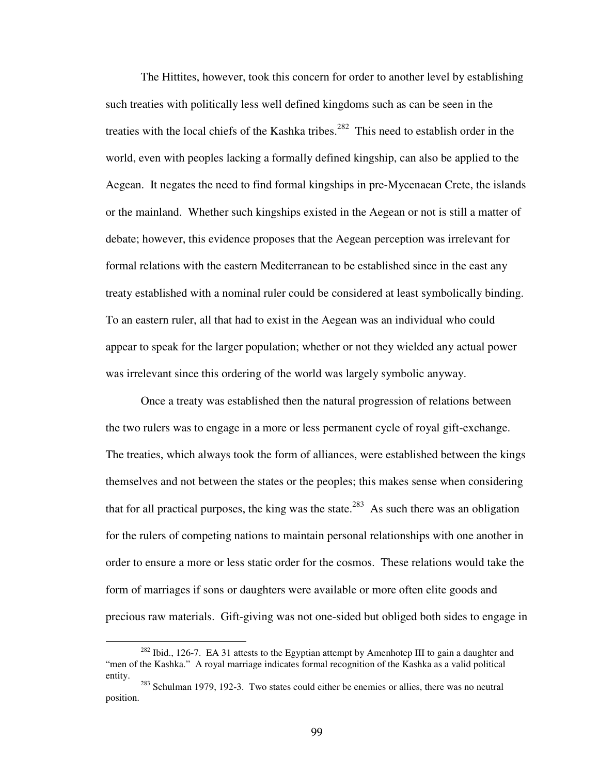The Hittites, however, took this concern for order to another level by establishing such treaties with politically less well defined kingdoms such as can be seen in the treaties with the local chiefs of the Kashka tribes.<sup>282</sup> This need to establish order in the world, even with peoples lacking a formally defined kingship, can also be applied to the Aegean. It negates the need to find formal kingships in pre-Mycenaean Crete, the islands or the mainland. Whether such kingships existed in the Aegean or not is still a matter of debate; however, this evidence proposes that the Aegean perception was irrelevant for formal relations with the eastern Mediterranean to be established since in the east any treaty established with a nominal ruler could be considered at least symbolically binding. To an eastern ruler, all that had to exist in the Aegean was an individual who could appear to speak for the larger population; whether or not they wielded any actual power was irrelevant since this ordering of the world was largely symbolic anyway.

 Once a treaty was established then the natural progression of relations between the two rulers was to engage in a more or less permanent cycle of royal gift-exchange. The treaties, which always took the form of alliances, were established between the kings themselves and not between the states or the peoples; this makes sense when considering that for all practical purposes, the king was the state.<sup>283</sup> As such there was an obligation for the rulers of competing nations to maintain personal relationships with one another in order to ensure a more or less static order for the cosmos. These relations would take the form of marriages if sons or daughters were available or more often elite goods and precious raw materials. Gift-giving was not one-sided but obliged both sides to engage in

 $282$  Ibid., 126-7. EA 31 attests to the Egyptian attempt by Amenhotep III to gain a daughter and "men of the Kashka." A royal marriage indicates formal recognition of the Kashka as a valid political entity.

<sup>283</sup> Schulman 1979, 192-3. Two states could either be enemies or allies, there was no neutral position.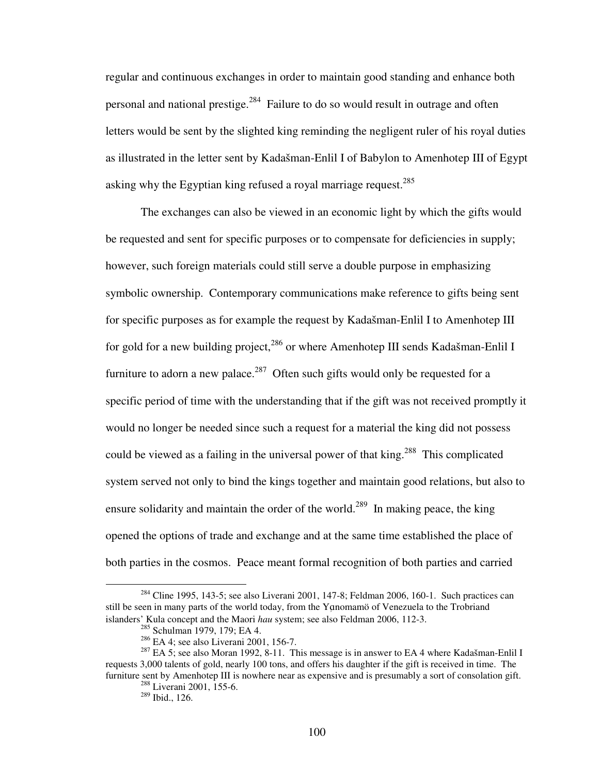regular and continuous exchanges in order to maintain good standing and enhance both personal and national prestige.<sup>284</sup> Failure to do so would result in outrage and often letters would be sent by the slighted king reminding the negligent ruler of his royal duties as illustrated in the letter sent by Kadašman-Enlil I of Babylon to Amenhotep III of Egypt asking why the Egyptian king refused a royal marriage request.<sup>285</sup>

 The exchanges can also be viewed in an economic light by which the gifts would be requested and sent for specific purposes or to compensate for deficiencies in supply; however, such foreign materials could still serve a double purpose in emphasizing symbolic ownership. Contemporary communications make reference to gifts being sent for specific purposes as for example the request by Kadašman-Enlil I to Amenhotep III for gold for a new building project,<sup>286</sup> or where Amenhotep III sends Kadašman-Enlil I furniture to adorn a new palace.<sup>287</sup> Often such gifts would only be requested for a specific period of time with the understanding that if the gift was not received promptly it would no longer be needed since such a request for a material the king did not possess could be viewed as a failing in the universal power of that king.<sup>288</sup> This complicated system served not only to bind the kings together and maintain good relations, but also to ensure solidarity and maintain the order of the world.<sup>289</sup> In making peace, the king opened the options of trade and exchange and at the same time established the place of both parties in the cosmos. Peace meant formal recognition of both parties and carried

<sup>&</sup>lt;sup>284</sup> Cline 1995, 143-5; see also Liverani 2001, 147-8; Feldman 2006, 160-1. Such practices can still be seen in many parts of the world today, from the Yanomamö of Venezuela to the Trobriand islanders' Kula concept and the Maori *hau* system; see also Feldman 2006, 112-3.

<sup>&</sup>lt;sup>285</sup> Schulman 1979, 179; EA 4.

<sup>286</sup> EA 4; see also Liverani 2001, 156-7.

<sup>&</sup>lt;sup>287</sup> EA 5; see also Moran 1992, 8-11. This message is in answer to EA 4 where Kadašman-Enlil I requests 3,000 talents of gold, nearly 100 tons, and offers his daughter if the gift is received in time. The furniture sent by Amenhotep III is nowhere near as expensive and is presumably a sort of consolation gift.

<sup>288</sup> Liverani 2001, 155-6.

<sup>289</sup> Ibid., 126.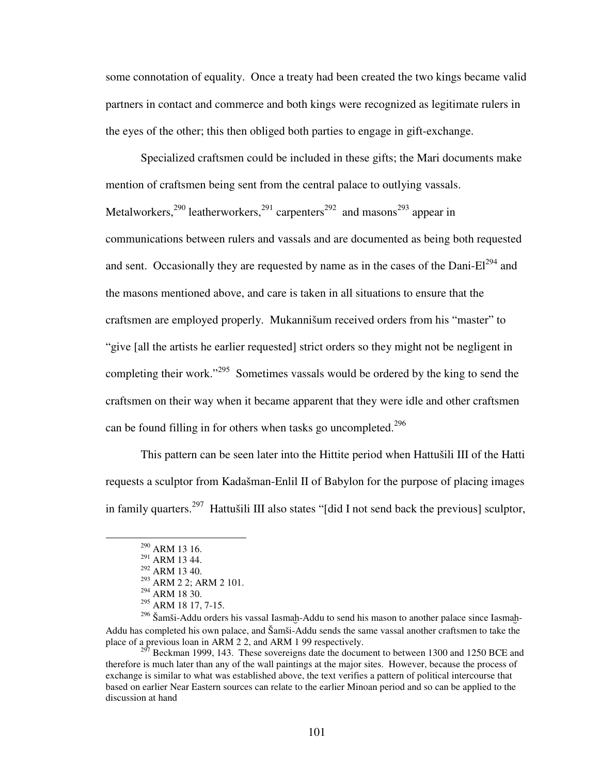some connotation of equality. Once a treaty had been created the two kings became valid partners in contact and commerce and both kings were recognized as legitimate rulers in the eyes of the other; this then obliged both parties to engage in gift-exchange.

Specialized craftsmen could be included in these gifts; the Mari documents make mention of craftsmen being sent from the central palace to outlying vassals. Metalworkers,  $290$  leatherworkers,  $291$  carpenters  $292$  and masons  $293$  appear in communications between rulers and vassals and are documented as being both requested and sent. Occasionally they are requested by name as in the cases of the Dani- $El^{294}$  and the masons mentioned above, and care is taken in all situations to ensure that the craftsmen are employed properly. Mukannišum received orders from his "master" to "give [all the artists he earlier requested] strict orders so they might not be negligent in completing their work."<sup>295</sup> Sometimes vassals would be ordered by the king to send the craftsmen on their way when it became apparent that they were idle and other craftsmen can be found filling in for others when tasks go uncompleted.<sup>296</sup>

This pattern can be seen later into the Hittite period when Hattušili III of the Hatti requests a sculptor from Kadašman-Enlil II of Babylon for the purpose of placing images in family quarters.<sup>297</sup> Hattušili III also states "[did I not send back the previous] sculptor,

<u>.</u>

<sup>290</sup> ARM 13 16.

<sup>291</sup> ARM 13 44.

 $^{292}$  ARM 13 40.

<sup>293</sup> ARM 2 2; ARM 2 101.

 $294$  ARM 18 30.

 $295$  ARM 18 17, 7-15.

 $296$  Šamši-Addu orders his vassal Iasmah-Addu to send his mason to another palace since Iasmah-Addu has completed his own palace, and Šamši-Addu sends the same vassal another craftsmen to take the place of a previous loan in ARM 2 2, and ARM 1 99 respectively.

<sup>&</sup>lt;sup>297</sup> Beckman 1999, 143. These sovereigns date the document to between 1300 and 1250 BCE and therefore is much later than any of the wall paintings at the major sites. However, because the process of exchange is similar to what was established above, the text verifies a pattern of political intercourse that based on earlier Near Eastern sources can relate to the earlier Minoan period and so can be applied to the discussion at hand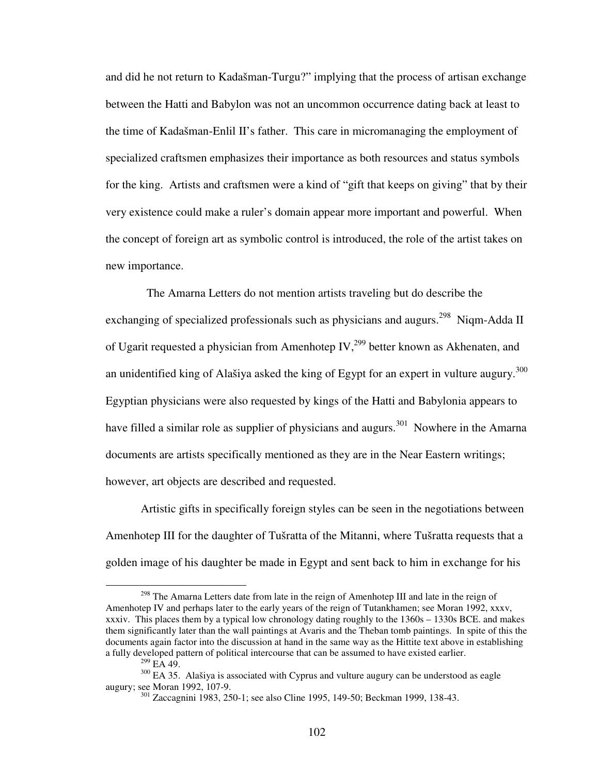and did he not return to Kadašman-Turgu?" implying that the process of artisan exchange between the Hatti and Babylon was not an uncommon occurrence dating back at least to the time of Kadašman-Enlil II's father.This care in micromanaging the employment of specialized craftsmen emphasizes their importance as both resources and status symbols for the king. Artists and craftsmen were a kind of "gift that keeps on giving" that by their very existence could make a ruler's domain appear more important and powerful. When the concept of foreign art as symbolic control is introduced, the role of the artist takes on new importance.

 The Amarna Letters do not mention artists traveling but do describe the exchanging of specialized professionals such as physicians and augurs.<sup>298</sup> Niqm-Adda II of Ugarit requested a physician from Amenhotep IV,<sup>299</sup> better known as Akhenaten, and an unidentified king of Alašiya asked the king of Egypt for an expert in vulture augury.<sup>300</sup> Egyptian physicians were also requested by kings of the Hatti and Babylonia appears to have filled a similar role as supplier of physicians and augurs.<sup>301</sup> Nowhere in the Amarna documents are artists specifically mentioned as they are in the Near Eastern writings; however, art objects are described and requested.

Artistic gifts in specifically foreign styles can be seen in the negotiations between Amenhotep III for the daughter of Tušratta of the Mitanni, where Tušratta requests that a golden image of his daughter be made in Egypt and sent back to him in exchange for his

<sup>&</sup>lt;sup>298</sup> The Amarna Letters date from late in the reign of Amenhotep III and late in the reign of Amenhotep IV and perhaps later to the early years of the reign of Tutankhamen; see Moran 1992, xxxv, xxxiv. This places them by a typical low chronology dating roughly to the 1360s – 1330s BCE. and makes them significantly later than the wall paintings at Avaris and the Theban tomb paintings. In spite of this the documents again factor into the discussion at hand in the same way as the Hittite text above in establishing a fully developed pattern of political intercourse that can be assumed to have existed earlier.

 $^{299}$  EA 49.

<sup>&</sup>lt;sup>300</sup> EA 35. Alašiya is associated with Cyprus and vulture augury can be understood as eagle augury; see Moran 1992, 107-9.

<sup>301</sup> Zaccagnini 1983, 250-1; see also Cline 1995, 149-50; Beckman 1999, 138-43.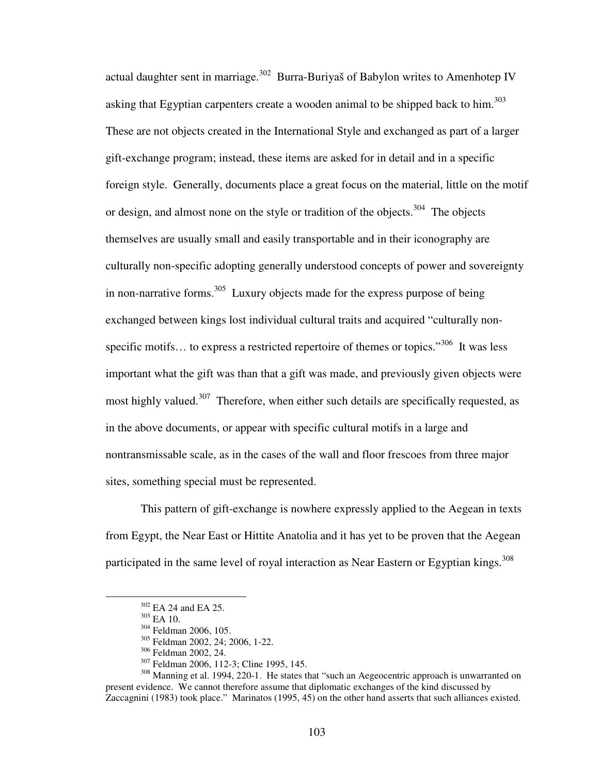actual daughter sent in marriage.<sup>302</sup> Burra-Buriyaš of Babylon writes to Amenhotep IV asking that Egyptian carpenters create a wooden animal to be shipped back to him.<sup>303</sup> These are not objects created in the International Style and exchanged as part of a larger gift-exchange program; instead, these items are asked for in detail and in a specific foreign style. Generally, documents place a great focus on the material, little on the motif or design, and almost none on the style or tradition of the objects.<sup>304</sup> The objects themselves are usually small and easily transportable and in their iconography are culturally non-specific adopting generally understood concepts of power and sovereignty in non-narrative forms.<sup>305</sup> Luxury objects made for the express purpose of being exchanged between kings lost individual cultural traits and acquired "culturally nonspecific motifs... to express a restricted repertoire of themes or topics."<sup>306</sup> It was less important what the gift was than that a gift was made, and previously given objects were most highly valued.<sup>307</sup> Therefore, when either such details are specifically requested, as in the above documents, or appear with specific cultural motifs in a large and nontransmissable scale, as in the cases of the wall and floor frescoes from three major sites, something special must be represented.

This pattern of gift-exchange is nowhere expressly applied to the Aegean in texts from Egypt, the Near East or Hittite Anatolia and it has yet to be proven that the Aegean participated in the same level of royal interaction as Near Eastern or Egyptian kings.<sup>308</sup>

<sup>302</sup> EA 24 and EA 25.

 $303$  EA 10.

<sup>304</sup> Feldman 2006, 105.

<sup>305</sup> Feldman 2002, 24; 2006, 1-22.

<sup>306</sup> Feldman 2002, 24.

<sup>&</sup>lt;sup>307</sup> Feldman 2006, 112-3; Cline 1995, 145.

<sup>&</sup>lt;sup>308</sup> Manning et al. 1994, 220-1. He states that "such an Aegeocentric approach is unwarranted on present evidence. We cannot therefore assume that diplomatic exchanges of the kind discussed by Zaccagnini (1983) took place." Marinatos (1995, 45) on the other hand asserts that such alliances existed.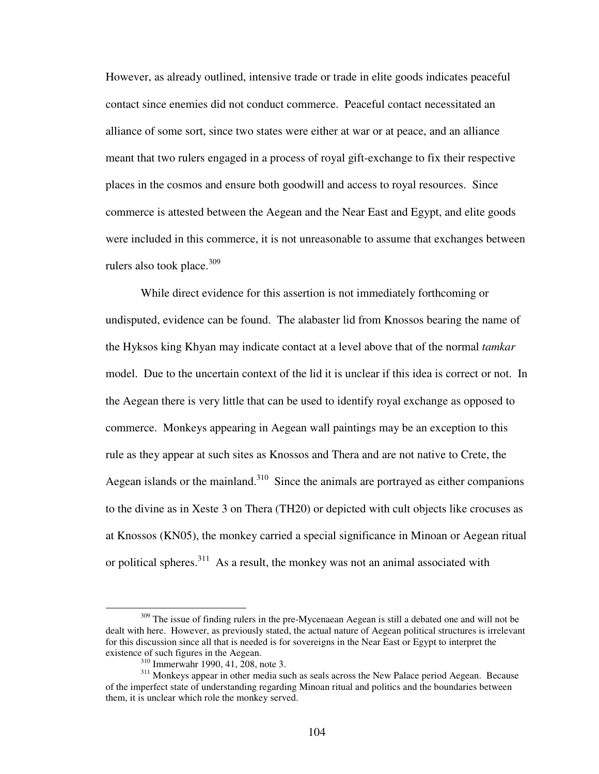However, as already outlined, intensive trade or trade in elite goods indicates peaceful contact since enemies did not conduct commerce. Peaceful contact necessitated an alliance of some sort, since two states were either at war or at peace, and an alliance meant that two rulers engaged in a process of royal gift-exchange to fix their respective places in the cosmos and ensure both goodwill and access to royal resources. Since commerce is attested between the Aegean and the Near East and Egypt, and elite goods were included in this commerce, it is not unreasonable to assume that exchanges between rulers also took place. $309$ 

While direct evidence for this assertion is not immediately forthcoming or undisputed, evidence can be found. The alabaster lid from Knossos bearing the name of the Hyksos king Khyan may indicate contact at a level above that of the normal *tamkar* model. Due to the uncertain context of the lid it is unclear if this idea is correct or not. In the Aegean there is very little that can be used to identify royal exchange as opposed to commerce. Monkeys appearing in Aegean wall paintings may be an exception to this rule as they appear at such sites as Knossos and Thera and are not native to Crete, the Aegean islands or the mainland.<sup>310</sup> Since the animals are portrayed as either companions to the divine as in Xeste 3 on Thera (TH20) or depicted with cult objects like crocuses as at Knossos (KN05), the monkey carried a special significance in Minoan or Aegean ritual or political spheres. $311$  As a result, the monkey was not an animal associated with

<sup>&</sup>lt;sup>309</sup> The issue of finding rulers in the pre-Mycenaean Aegean is still a debated one and will not be dealt with here. However, as previously stated, the actual nature of Aegean political structures is irrelevant for this discussion since all that is needed is for sovereigns in the Near East or Egypt to interpret the existence of such figures in the Aegean.

<sup>310</sup> Immerwahr 1990, 41, 208, note 3.

<sup>&</sup>lt;sup>311</sup> Monkeys appear in other media such as seals across the New Palace period Aegean. Because of the imperfect state of understanding regarding Minoan ritual and politics and the boundaries between them, it is unclear which role the monkey served.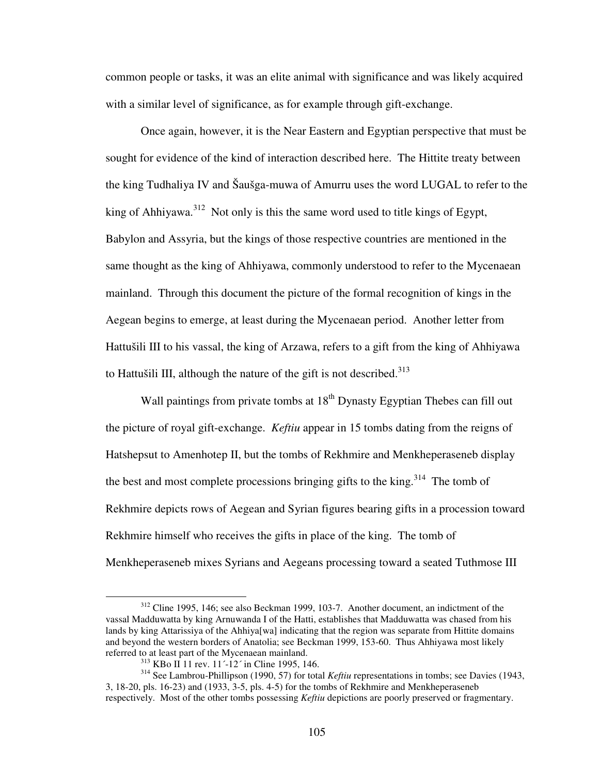common people or tasks, it was an elite animal with significance and was likely acquired with a similar level of significance, as for example through gift-exchange.

Once again, however, it is the Near Eastern and Egyptian perspective that must be sought for evidence of the kind of interaction described here. The Hittite treaty between the king Tudhaliya IV and Šaušga-muwa of Amurru uses the word LUGAL to refer to the king of Ahhiyawa.<sup>312</sup> Not only is this the same word used to title kings of Egypt, Babylon and Assyria, but the kings of those respective countries are mentioned in the same thought as the king of Ahhiyawa, commonly understood to refer to the Mycenaean mainland. Through this document the picture of the formal recognition of kings in the Aegean begins to emerge, at least during the Mycenaean period. Another letter from Hattušili III to his vassal, the king of Arzawa, refers to a gift from the king of Ahhiyawa to Hattušili III, although the nature of the gift is not described.<sup>313</sup>

Wall paintings from private tombs at  $18^{th}$  Dynasty Egyptian Thebes can fill out the picture of royal gift-exchange. *Keftiu* appear in 15 tombs dating from the reigns of Hatshepsut to Amenhotep II, but the tombs of Rekhmire and Menkheperaseneb display the best and most complete processions bringing gifts to the king.<sup>314</sup> The tomb of Rekhmire depicts rows of Aegean and Syrian figures bearing gifts in a procession toward Rekhmire himself who receives the gifts in place of the king. The tomb of Menkheperaseneb mixes Syrians and Aegeans processing toward a seated Tuthmose III

<sup>312</sup> Cline 1995, 146; see also Beckman 1999, 103-7. Another document, an indictment of the vassal Madduwatta by king Arnuwanda I of the Hatti, establishes that Madduwatta was chased from his lands by king Attarissiya of the Ahhiya[wa] indicating that the region was separate from Hittite domains and beyond the western borders of Anatolia; see Beckman 1999, 153-60. Thus Ahhiyawa most likely referred to at least part of the Mycenaean mainland.

<sup>313</sup> KBo II 11 rev. 11´-12´ in Cline 1995, 146.

<sup>&</sup>lt;sup>314</sup> See Lambrou-Phillipson (1990, 57) for total *Keftiu* representations in tombs; see Davies (1943, 3, 18-20, pls. 16-23) and (1933, 3-5, pls. 4-5) for the tombs of Rekhmire and Menkheperaseneb respectively. Most of the other tombs possessing *Keftiu* depictions are poorly preserved or fragmentary.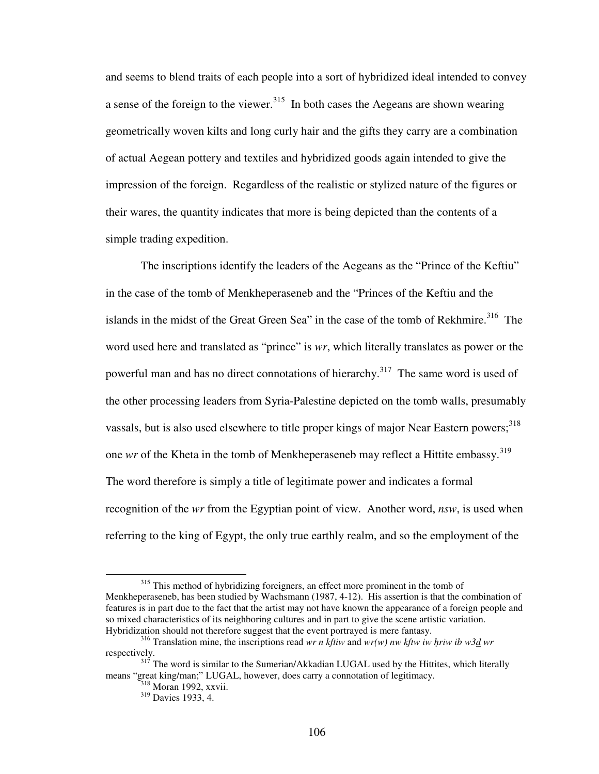and seems to blend traits of each people into a sort of hybridized ideal intended to convey a sense of the foreign to the viewer.<sup>315</sup> In both cases the Aegeans are shown wearing geometrically woven kilts and long curly hair and the gifts they carry are a combination of actual Aegean pottery and textiles and hybridized goods again intended to give the impression of the foreign. Regardless of the realistic or stylized nature of the figures or their wares, the quantity indicates that more is being depicted than the contents of a simple trading expedition.

The inscriptions identify the leaders of the Aegeans as the "Prince of the Keftiu" in the case of the tomb of Menkheperaseneb and the "Princes of the Keftiu and the islands in the midst of the Great Green Sea" in the case of the tomb of Rekhmire.<sup>316</sup> The word used here and translated as "prince" is *wr*, which literally translates as power or the powerful man and has no direct connotations of hierarchy.<sup>317</sup> The same word is used of the other processing leaders from Syria-Palestine depicted on the tomb walls, presumably vassals, but is also used elsewhere to title proper kings of major Near Eastern powers;<sup>318</sup> one *wr* of the Kheta in the tomb of Menkheperaseneb may reflect a Hittite embassy.<sup>319</sup> The word therefore is simply a title of legitimate power and indicates a formal recognition of the *wr* from the Egyptian point of view. Another word, *nsw*, is used when referring to the king of Egypt, the only true earthly realm, and so the employment of the

<sup>&</sup>lt;sup>315</sup> This method of hybridizing foreigners, an effect more prominent in the tomb of Menkheperaseneb, has been studied by Wachsmann (1987, 4-12). His assertion is that the combination of features is in part due to the fact that the artist may not have known the appearance of a foreign people and so mixed characteristics of its neighboring cultures and in part to give the scene artistic variation. Hybridization should not therefore suggest that the event portrayed is mere fantasy.

<sup>316</sup> Translation mine, the inscriptions read *wr n kftiw* and *wr(w) nw kftw iw hriw ib w3d wr* respectively.

<sup>&</sup>lt;sup>317</sup> The word is similar to the Sumerian/Akkadian LUGAL used by the Hittites, which literally means "great king/man;" LUGAL, however, does carry a connotation of legitimacy.

<sup>&</sup>lt;sup>318</sup> Moran 1992, xxvii.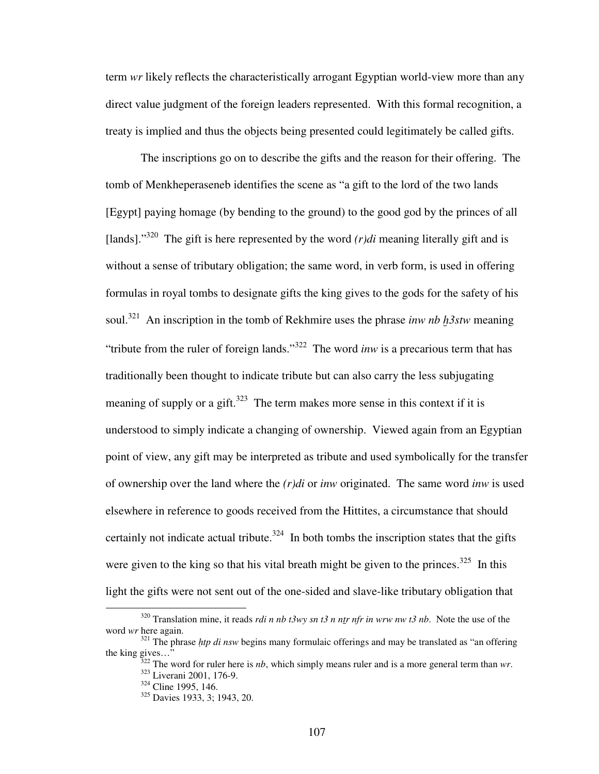term *wr* likely reflects the characteristically arrogant Egyptian world-view more than any direct value judgment of the foreign leaders represented. With this formal recognition, a treaty is implied and thus the objects being presented could legitimately be called gifts.

The inscriptions go on to describe the gifts and the reason for their offering. The tomb of Menkheperaseneb identifies the scene as "a gift to the lord of the two lands [Egypt] paying homage (by bending to the ground) to the good god by the princes of all [lands]."<sup>320</sup> The gift is here represented by the word  $(r)di$  meaning literally gift and is without a sense of tributary obligation; the same word, in verb form, is used in offering formulas in royal tombs to designate gifts the king gives to the gods for the safety of his soul.<sup>321</sup> An inscription in the tomb of Rekhmire uses the phrase *inw nb h<sup>3</sup>stw* meaning "tribute from the ruler of foreign lands."<sup>322</sup> The word *inw* is a precarious term that has traditionally been thought to indicate tribute but can also carry the less subjugating meaning of supply or a gift.<sup>323</sup> The term makes more sense in this context if it is understood to simply indicate a changing of ownership. Viewed again from an Egyptian point of view, any gift may be interpreted as tribute and used symbolically for the transfer of ownership over the land where the *(r)di* or *inw* originated. The same word *inw* is used elsewhere in reference to goods received from the Hittites, a circumstance that should certainly not indicate actual tribute.<sup>324</sup> In both tombs the inscription states that the gifts were given to the king so that his vital breath might be given to the princes. $325$  In this light the gifts were not sent out of the one-sided and slave-like tributary obligation that

<sup>320</sup> Translation mine, it reads *rdi n nb t3wy sn t3 n ntr nfr in wrw nw t3 nb*. Note the use of the word *wr* here again.

<sup>&</sup>lt;sup>321</sup> The phrase *htp di nsw* begins many formulaic offerings and may be translated as "an offering" the king gives…"

 $322$  The word for ruler here is *nb*, which simply means ruler and is a more general term than *wr*. <sup>323</sup> Liverani 2001, 176-9.

 $324$  Cline 1995, 146.

<sup>325</sup> Davies 1933, 3; 1943, 20.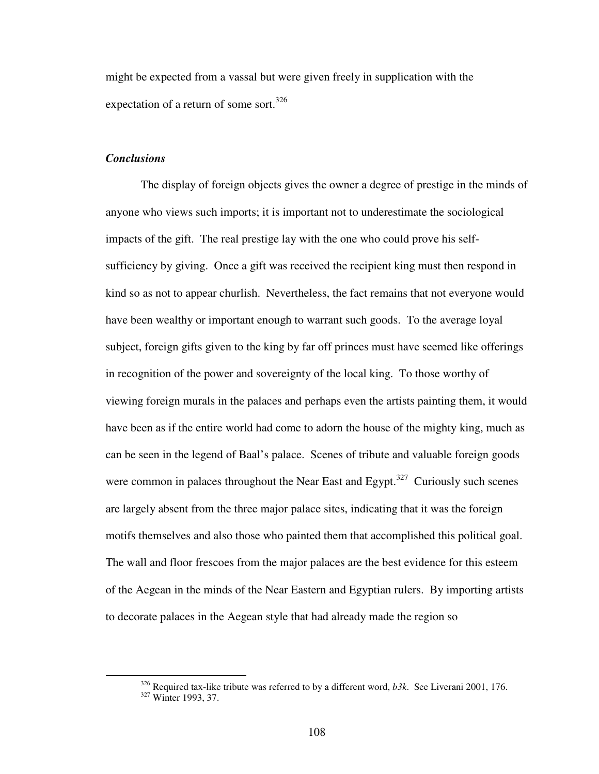might be expected from a vassal but were given freely in supplication with the expectation of a return of some sort.<sup>326</sup>

## *Conclusions*

 $\overline{a}$ 

The display of foreign objects gives the owner a degree of prestige in the minds of anyone who views such imports; it is important not to underestimate the sociological impacts of the gift. The real prestige lay with the one who could prove his selfsufficiency by giving. Once a gift was received the recipient king must then respond in kind so as not to appear churlish. Nevertheless, the fact remains that not everyone would have been wealthy or important enough to warrant such goods. To the average loyal subject, foreign gifts given to the king by far off princes must have seemed like offerings in recognition of the power and sovereignty of the local king. To those worthy of viewing foreign murals in the palaces and perhaps even the artists painting them, it would have been as if the entire world had come to adorn the house of the mighty king, much as can be seen in the legend of Baal's palace. Scenes of tribute and valuable foreign goods were common in palaces throughout the Near East and Egypt.<sup>327</sup> Curiously such scenes are largely absent from the three major palace sites, indicating that it was the foreign motifs themselves and also those who painted them that accomplished this political goal. The wall and floor frescoes from the major palaces are the best evidence for this esteem of the Aegean in the minds of the Near Eastern and Egyptian rulers. By importing artists to decorate palaces in the Aegean style that had already made the region so

<sup>326</sup> Required tax-like tribute was referred to by a different word, *b3k*. See Liverani 2001, 176. <sup>327</sup> Winter 1993, 37.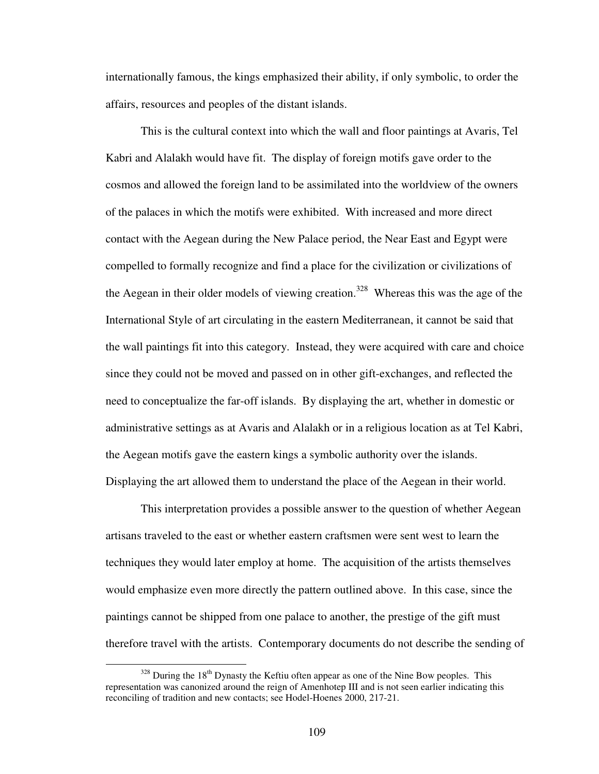internationally famous, the kings emphasized their ability, if only symbolic, to order the affairs, resources and peoples of the distant islands.

This is the cultural context into which the wall and floor paintings at Avaris, Tel Kabri and Alalakh would have fit. The display of foreign motifs gave order to the cosmos and allowed the foreign land to be assimilated into the worldview of the owners of the palaces in which the motifs were exhibited. With increased and more direct contact with the Aegean during the New Palace period, the Near East and Egypt were compelled to formally recognize and find a place for the civilization or civilizations of the Aegean in their older models of viewing creation.<sup>328</sup> Whereas this was the age of the International Style of art circulating in the eastern Mediterranean, it cannot be said that the wall paintings fit into this category. Instead, they were acquired with care and choice since they could not be moved and passed on in other gift-exchanges, and reflected the need to conceptualize the far-off islands. By displaying the art, whether in domestic or administrative settings as at Avaris and Alalakh or in a religious location as at Tel Kabri, the Aegean motifs gave the eastern kings a symbolic authority over the islands. Displaying the art allowed them to understand the place of the Aegean in their world.

This interpretation provides a possible answer to the question of whether Aegean artisans traveled to the east or whether eastern craftsmen were sent west to learn the techniques they would later employ at home. The acquisition of the artists themselves would emphasize even more directly the pattern outlined above. In this case, since the paintings cannot be shipped from one palace to another, the prestige of the gift must therefore travel with the artists. Contemporary documents do not describe the sending of

 $328$  During the 18<sup>th</sup> Dynasty the Keftiu often appear as one of the Nine Bow peoples. This representation was canonized around the reign of Amenhotep III and is not seen earlier indicating this reconciling of tradition and new contacts; see Hodel-Hoenes 2000, 217-21.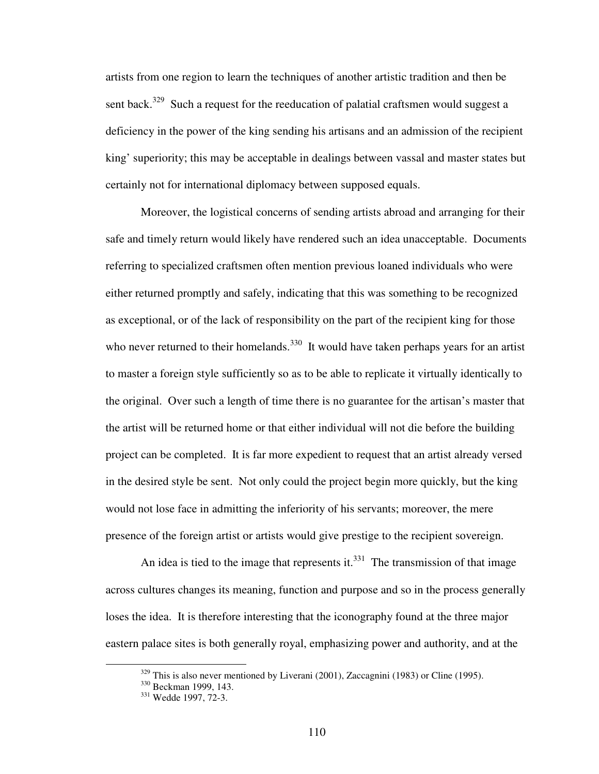artists from one region to learn the techniques of another artistic tradition and then be sent back.<sup>329</sup> Such a request for the reeducation of palatial craftsmen would suggest a deficiency in the power of the king sending his artisans and an admission of the recipient king' superiority; this may be acceptable in dealings between vassal and master states but certainly not for international diplomacy between supposed equals.

Moreover, the logistical concerns of sending artists abroad and arranging for their safe and timely return would likely have rendered such an idea unacceptable. Documents referring to specialized craftsmen often mention previous loaned individuals who were either returned promptly and safely, indicating that this was something to be recognized as exceptional, or of the lack of responsibility on the part of the recipient king for those who never returned to their homelands.<sup>330</sup> It would have taken perhaps years for an artist to master a foreign style sufficiently so as to be able to replicate it virtually identically to the original. Over such a length of time there is no guarantee for the artisan's master that the artist will be returned home or that either individual will not die before the building project can be completed. It is far more expedient to request that an artist already versed in the desired style be sent. Not only could the project begin more quickly, but the king would not lose face in admitting the inferiority of his servants; moreover, the mere presence of the foreign artist or artists would give prestige to the recipient sovereign.

An idea is tied to the image that represents it.<sup>331</sup> The transmission of that image across cultures changes its meaning, function and purpose and so in the process generally loses the idea. It is therefore interesting that the iconography found at the three major eastern palace sites is both generally royal, emphasizing power and authority, and at the

 $329$  This is also never mentioned by Liverani (2001), Zaccagnini (1983) or Cline (1995).

<sup>&</sup>lt;sup>330</sup> Beckman 1999, 143.

<sup>&</sup>lt;sup>331</sup> Wedde 1997, 72-3.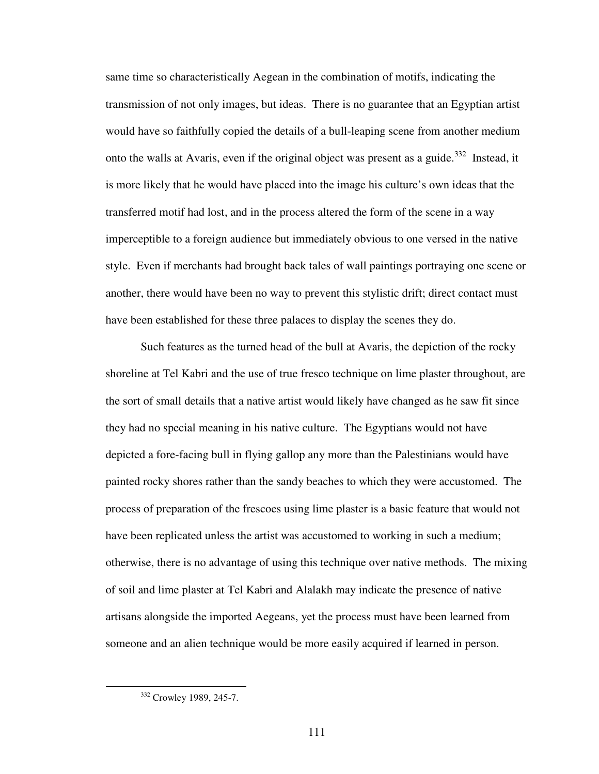same time so characteristically Aegean in the combination of motifs, indicating the transmission of not only images, but ideas. There is no guarantee that an Egyptian artist would have so faithfully copied the details of a bull-leaping scene from another medium onto the walls at Avaris, even if the original object was present as a guide.<sup>332</sup> Instead, it is more likely that he would have placed into the image his culture's own ideas that the transferred motif had lost, and in the process altered the form of the scene in a way imperceptible to a foreign audience but immediately obvious to one versed in the native style. Even if merchants had brought back tales of wall paintings portraying one scene or another, there would have been no way to prevent this stylistic drift; direct contact must have been established for these three palaces to display the scenes they do.

Such features as the turned head of the bull at Avaris, the depiction of the rocky shoreline at Tel Kabri and the use of true fresco technique on lime plaster throughout, are the sort of small details that a native artist would likely have changed as he saw fit since they had no special meaning in his native culture. The Egyptians would not have depicted a fore-facing bull in flying gallop any more than the Palestinians would have painted rocky shores rather than the sandy beaches to which they were accustomed. The process of preparation of the frescoes using lime plaster is a basic feature that would not have been replicated unless the artist was accustomed to working in such a medium; otherwise, there is no advantage of using this technique over native methods. The mixing of soil and lime plaster at Tel Kabri and Alalakh may indicate the presence of native artisans alongside the imported Aegeans, yet the process must have been learned from someone and an alien technique would be more easily acquired if learned in person.

<sup>&</sup>lt;sup>332</sup> Crowley 1989, 245-7.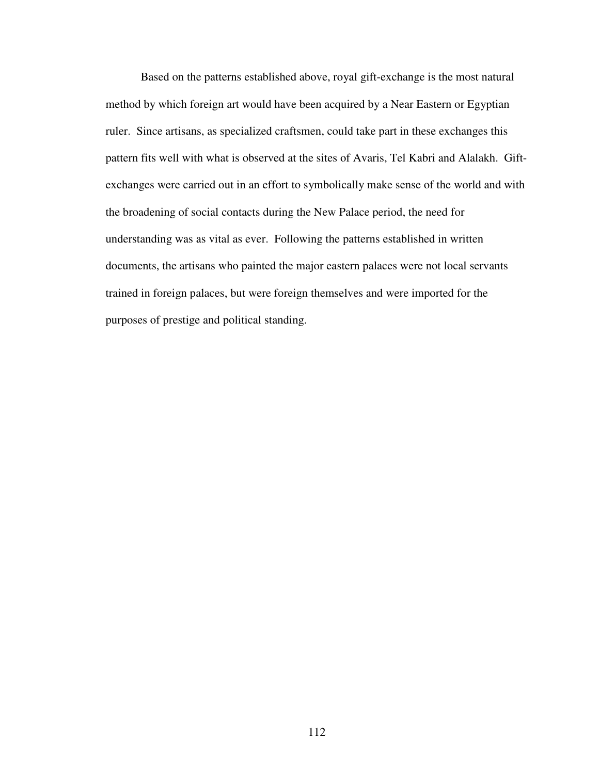Based on the patterns established above, royal gift-exchange is the most natural method by which foreign art would have been acquired by a Near Eastern or Egyptian ruler. Since artisans, as specialized craftsmen, could take part in these exchanges this pattern fits well with what is observed at the sites of Avaris, Tel Kabri and Alalakh. Giftexchanges were carried out in an effort to symbolically make sense of the world and with the broadening of social contacts during the New Palace period, the need for understanding was as vital as ever. Following the patterns established in written documents, the artisans who painted the major eastern palaces were not local servants trained in foreign palaces, but were foreign themselves and were imported for the purposes of prestige and political standing.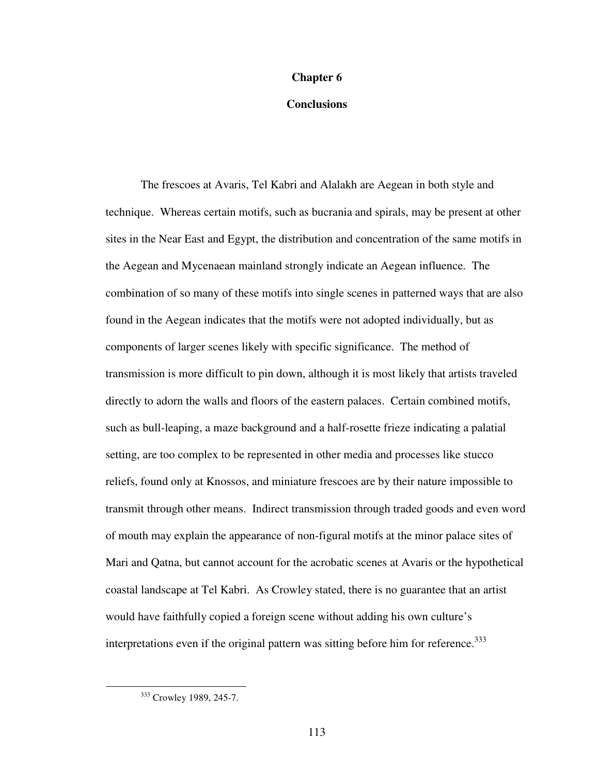#### **Chapter 6**

## **Conclusions**

 The frescoes at Avaris, Tel Kabri and Alalakh are Aegean in both style and technique. Whereas certain motifs, such as bucrania and spirals, may be present at other sites in the Near East and Egypt, the distribution and concentration of the same motifs in the Aegean and Mycenaean mainland strongly indicate an Aegean influence. The combination of so many of these motifs into single scenes in patterned ways that are also found in the Aegean indicates that the motifs were not adopted individually, but as components of larger scenes likely with specific significance. The method of transmission is more difficult to pin down, although it is most likely that artists traveled directly to adorn the walls and floors of the eastern palaces. Certain combined motifs, such as bull-leaping, a maze background and a half-rosette frieze indicating a palatial setting, are too complex to be represented in other media and processes like stucco reliefs, found only at Knossos, and miniature frescoes are by their nature impossible to transmit through other means. Indirect transmission through traded goods and even word of mouth may explain the appearance of non-figural motifs at the minor palace sites of Mari and Qatna, but cannot account for the acrobatic scenes at Avaris or the hypothetical coastal landscape at Tel Kabri. As Crowley stated, there is no guarantee that an artist would have faithfully copied a foreign scene without adding his own culture's interpretations even if the original pattern was sitting before him for reference. 333

<sup>&</sup>lt;sup>333</sup> Crowley 1989, 245-7.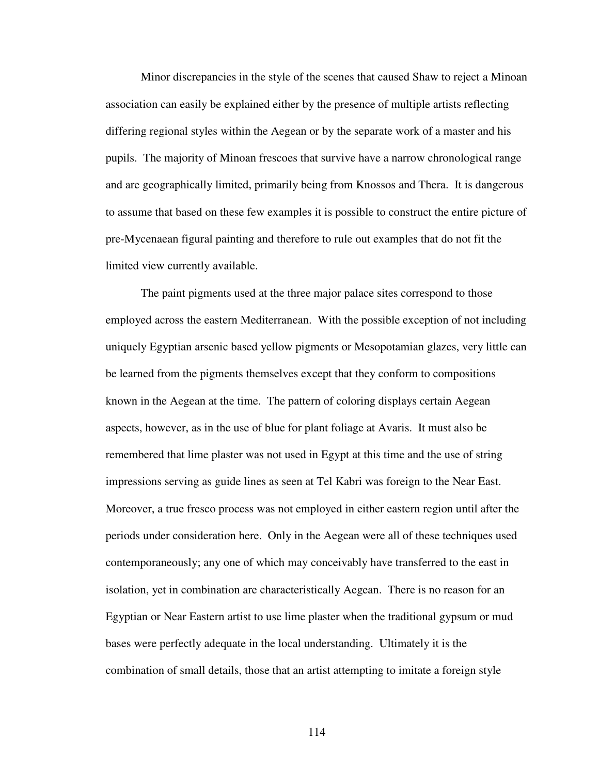Minor discrepancies in the style of the scenes that caused Shaw to reject a Minoan association can easily be explained either by the presence of multiple artists reflecting differing regional styles within the Aegean or by the separate work of a master and his pupils. The majority of Minoan frescoes that survive have a narrow chronological range and are geographically limited, primarily being from Knossos and Thera. It is dangerous to assume that based on these few examples it is possible to construct the entire picture of pre-Mycenaean figural painting and therefore to rule out examples that do not fit the limited view currently available.

The paint pigments used at the three major palace sites correspond to those employed across the eastern Mediterranean. With the possible exception of not including uniquely Egyptian arsenic based yellow pigments or Mesopotamian glazes, very little can be learned from the pigments themselves except that they conform to compositions known in the Aegean at the time. The pattern of coloring displays certain Aegean aspects, however, as in the use of blue for plant foliage at Avaris. It must also be remembered that lime plaster was not used in Egypt at this time and the use of string impressions serving as guide lines as seen at Tel Kabri was foreign to the Near East. Moreover, a true fresco process was not employed in either eastern region until after the periods under consideration here. Only in the Aegean were all of these techniques used contemporaneously; any one of which may conceivably have transferred to the east in isolation, yet in combination are characteristically Aegean. There is no reason for an Egyptian or Near Eastern artist to use lime plaster when the traditional gypsum or mud bases were perfectly adequate in the local understanding. Ultimately it is the combination of small details, those that an artist attempting to imitate a foreign style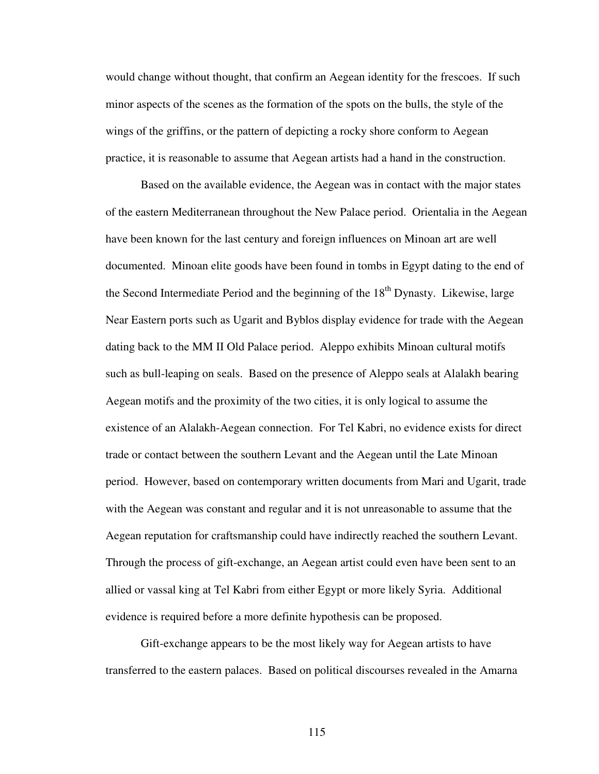would change without thought, that confirm an Aegean identity for the frescoes. If such minor aspects of the scenes as the formation of the spots on the bulls, the style of the wings of the griffins, or the pattern of depicting a rocky shore conform to Aegean practice, it is reasonable to assume that Aegean artists had a hand in the construction.

Based on the available evidence, the Aegean was in contact with the major states of the eastern Mediterranean throughout the New Palace period. Orientalia in the Aegean have been known for the last century and foreign influences on Minoan art are well documented. Minoan elite goods have been found in tombs in Egypt dating to the end of the Second Intermediate Period and the beginning of the  $18<sup>th</sup>$  Dynasty. Likewise, large Near Eastern ports such as Ugarit and Byblos display evidence for trade with the Aegean dating back to the MM II Old Palace period. Aleppo exhibits Minoan cultural motifs such as bull-leaping on seals. Based on the presence of Aleppo seals at Alalakh bearing Aegean motifs and the proximity of the two cities, it is only logical to assume the existence of an Alalakh-Aegean connection. For Tel Kabri, no evidence exists for direct trade or contact between the southern Levant and the Aegean until the Late Minoan period. However, based on contemporary written documents from Mari and Ugarit, trade with the Aegean was constant and regular and it is not unreasonable to assume that the Aegean reputation for craftsmanship could have indirectly reached the southern Levant. Through the process of gift-exchange, an Aegean artist could even have been sent to an allied or vassal king at Tel Kabri from either Egypt or more likely Syria. Additional evidence is required before a more definite hypothesis can be proposed.

Gift-exchange appears to be the most likely way for Aegean artists to have transferred to the eastern palaces. Based on political discourses revealed in the Amarna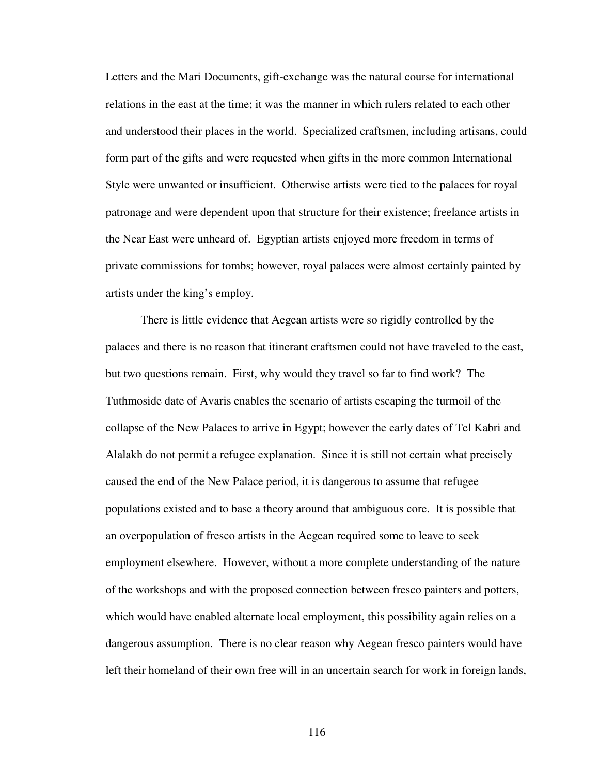Letters and the Mari Documents, gift-exchange was the natural course for international relations in the east at the time; it was the manner in which rulers related to each other and understood their places in the world. Specialized craftsmen, including artisans, could form part of the gifts and were requested when gifts in the more common International Style were unwanted or insufficient. Otherwise artists were tied to the palaces for royal patronage and were dependent upon that structure for their existence; freelance artists in the Near East were unheard of. Egyptian artists enjoyed more freedom in terms of private commissions for tombs; however, royal palaces were almost certainly painted by artists under the king's employ.

There is little evidence that Aegean artists were so rigidly controlled by the palaces and there is no reason that itinerant craftsmen could not have traveled to the east, but two questions remain. First, why would they travel so far to find work? The Tuthmoside date of Avaris enables the scenario of artists escaping the turmoil of the collapse of the New Palaces to arrive in Egypt; however the early dates of Tel Kabri and Alalakh do not permit a refugee explanation. Since it is still not certain what precisely caused the end of the New Palace period, it is dangerous to assume that refugee populations existed and to base a theory around that ambiguous core. It is possible that an overpopulation of fresco artists in the Aegean required some to leave to seek employment elsewhere. However, without a more complete understanding of the nature of the workshops and with the proposed connection between fresco painters and potters, which would have enabled alternate local employment, this possibility again relies on a dangerous assumption. There is no clear reason why Aegean fresco painters would have left their homeland of their own free will in an uncertain search for work in foreign lands,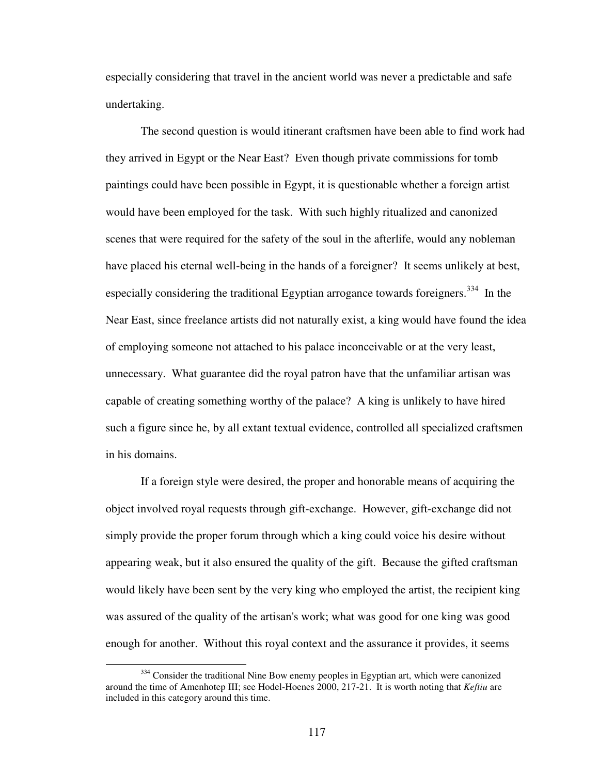especially considering that travel in the ancient world was never a predictable and safe undertaking.

The second question is would itinerant craftsmen have been able to find work had they arrived in Egypt or the Near East? Even though private commissions for tomb paintings could have been possible in Egypt, it is questionable whether a foreign artist would have been employed for the task. With such highly ritualized and canonized scenes that were required for the safety of the soul in the afterlife, would any nobleman have placed his eternal well-being in the hands of a foreigner? It seems unlikely at best, especially considering the traditional Egyptian arrogance towards foreigners.<sup>334</sup> In the Near East, since freelance artists did not naturally exist, a king would have found the idea of employing someone not attached to his palace inconceivable or at the very least, unnecessary. What guarantee did the royal patron have that the unfamiliar artisan was capable of creating something worthy of the palace? A king is unlikely to have hired such a figure since he, by all extant textual evidence, controlled all specialized craftsmen in his domains.

If a foreign style were desired, the proper and honorable means of acquiring the object involved royal requests through gift-exchange. However, gift-exchange did not simply provide the proper forum through which a king could voice his desire without appearing weak, but it also ensured the quality of the gift. Because the gifted craftsman would likely have been sent by the very king who employed the artist, the recipient king was assured of the quality of the artisan's work; what was good for one king was good enough for another. Without this royal context and the assurance it provides, it seems

 $334$  Consider the traditional Nine Bow enemy peoples in Egyptian art, which were canonized around the time of Amenhotep III; see Hodel-Hoenes 2000, 217-21. It is worth noting that *Keftiu* are included in this category around this time.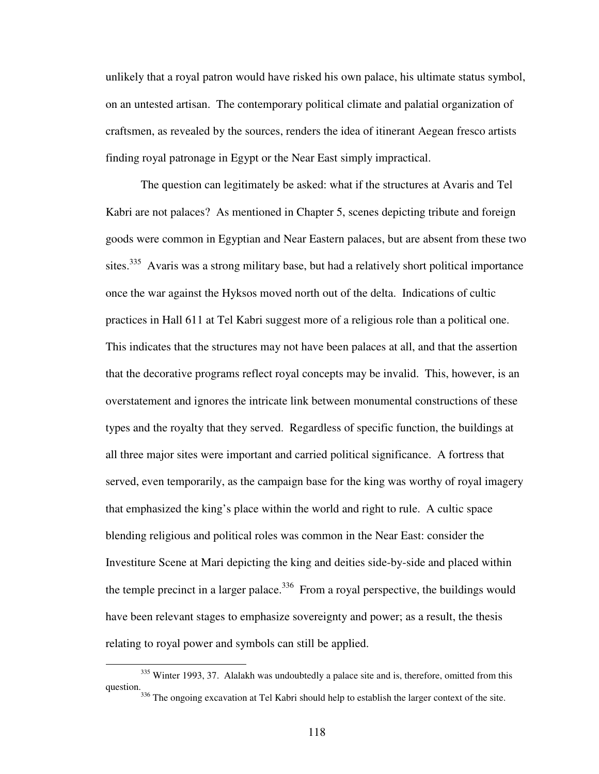unlikely that a royal patron would have risked his own palace, his ultimate status symbol, on an untested artisan. The contemporary political climate and palatial organization of craftsmen, as revealed by the sources, renders the idea of itinerant Aegean fresco artists finding royal patronage in Egypt or the Near East simply impractical.

The question can legitimately be asked: what if the structures at Avaris and Tel Kabri are not palaces? As mentioned in Chapter 5, scenes depicting tribute and foreign goods were common in Egyptian and Near Eastern palaces, but are absent from these two sites.<sup>335</sup> Avaris was a strong military base, but had a relatively short political importance once the war against the Hyksos moved north out of the delta. Indications of cultic practices in Hall 611 at Tel Kabri suggest more of a religious role than a political one. This indicates that the structures may not have been palaces at all, and that the assertion that the decorative programs reflect royal concepts may be invalid. This, however, is an overstatement and ignores the intricate link between monumental constructions of these types and the royalty that they served. Regardless of specific function, the buildings at all three major sites were important and carried political significance. A fortress that served, even temporarily, as the campaign base for the king was worthy of royal imagery that emphasized the king's place within the world and right to rule. A cultic space blending religious and political roles was common in the Near East: consider the Investiture Scene at Mari depicting the king and deities side-by-side and placed within the temple precinct in a larger palace.<sup>336</sup> From a royal perspective, the buildings would have been relevant stages to emphasize sovereignty and power; as a result, the thesis relating to royal power and symbols can still be applied.

 $335$  Winter 1993, 37. Alalakh was undoubtedly a palace site and is, therefore, omitted from this question.

<sup>&</sup>lt;sup>336</sup> The ongoing excavation at Tel Kabri should help to establish the larger context of the site.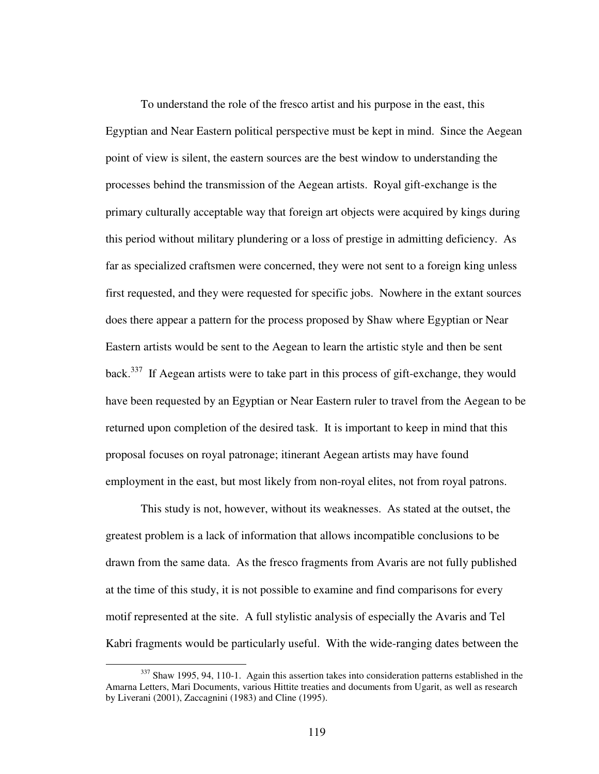To understand the role of the fresco artist and his purpose in the east, this Egyptian and Near Eastern political perspective must be kept in mind. Since the Aegean point of view is silent, the eastern sources are the best window to understanding the processes behind the transmission of the Aegean artists. Royal gift-exchange is the primary culturally acceptable way that foreign art objects were acquired by kings during this period without military plundering or a loss of prestige in admitting deficiency. As far as specialized craftsmen were concerned, they were not sent to a foreign king unless first requested, and they were requested for specific jobs. Nowhere in the extant sources does there appear a pattern for the process proposed by Shaw where Egyptian or Near Eastern artists would be sent to the Aegean to learn the artistic style and then be sent back.<sup>337</sup> If Aegean artists were to take part in this process of gift-exchange, they would have been requested by an Egyptian or Near Eastern ruler to travel from the Aegean to be returned upon completion of the desired task. It is important to keep in mind that this proposal focuses on royal patronage; itinerant Aegean artists may have found employment in the east, but most likely from non-royal elites, not from royal patrons.

This study is not, however, without its weaknesses. As stated at the outset, the greatest problem is a lack of information that allows incompatible conclusions to be drawn from the same data. As the fresco fragments from Avaris are not fully published at the time of this study, it is not possible to examine and find comparisons for every motif represented at the site. A full stylistic analysis of especially the Avaris and Tel Kabri fragments would be particularly useful. With the wide-ranging dates between the

<sup>&</sup>lt;sup>337</sup> Shaw 1995, 94, 110-1. Again this assertion takes into consideration patterns established in the Amarna Letters, Mari Documents, various Hittite treaties and documents from Ugarit, as well as research by Liverani (2001), Zaccagnini (1983) and Cline (1995).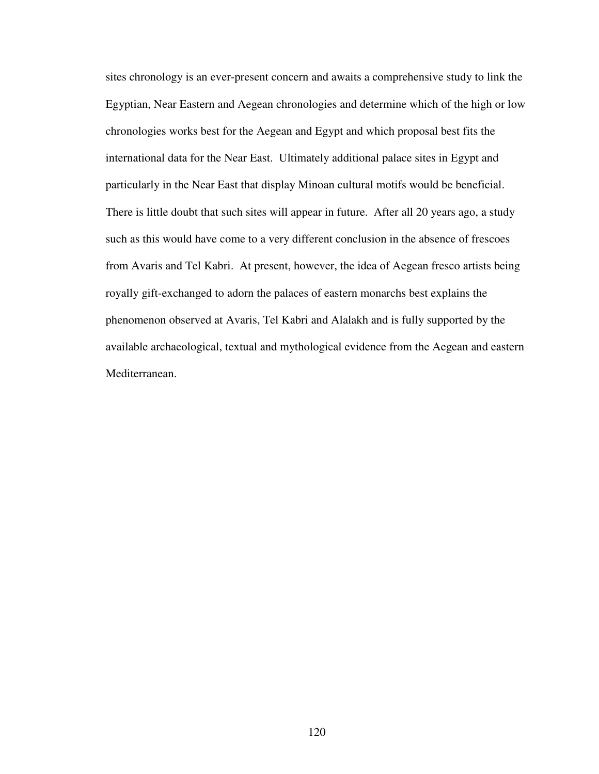sites chronology is an ever-present concern and awaits a comprehensive study to link the Egyptian, Near Eastern and Aegean chronologies and determine which of the high or low chronologies works best for the Aegean and Egypt and which proposal best fits the international data for the Near East. Ultimately additional palace sites in Egypt and particularly in the Near East that display Minoan cultural motifs would be beneficial. There is little doubt that such sites will appear in future. After all 20 years ago, a study such as this would have come to a very different conclusion in the absence of frescoes from Avaris and Tel Kabri. At present, however, the idea of Aegean fresco artists being royally gift-exchanged to adorn the palaces of eastern monarchs best explains the phenomenon observed at Avaris, Tel Kabri and Alalakh and is fully supported by the available archaeological, textual and mythological evidence from the Aegean and eastern Mediterranean.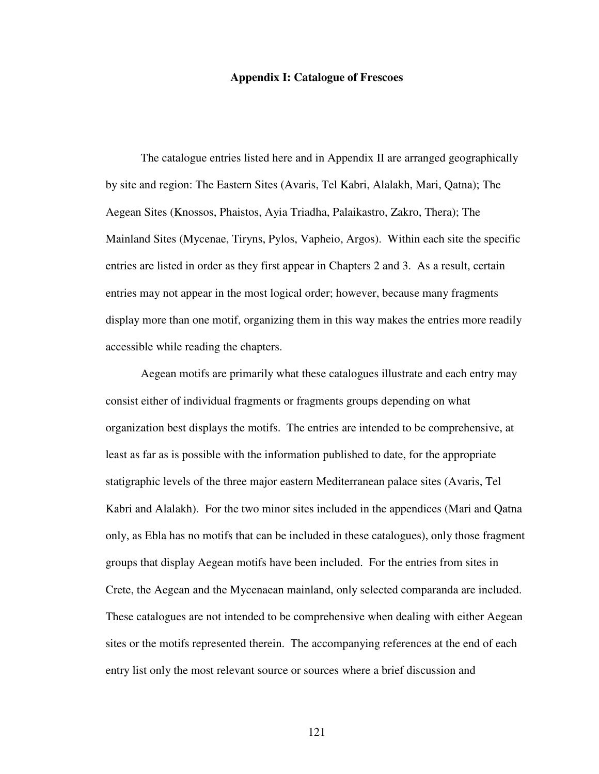### **Appendix I: Catalogue of Frescoes**

 The catalogue entries listed here and in Appendix II are arranged geographically by site and region: The Eastern Sites (Avaris, Tel Kabri, Alalakh, Mari, Qatna); The Aegean Sites (Knossos, Phaistos, Ayia Triadha, Palaikastro, Zakro, Thera); The Mainland Sites (Mycenae, Tiryns, Pylos, Vapheio, Argos). Within each site the specific entries are listed in order as they first appear in Chapters 2 and 3. As a result, certain entries may not appear in the most logical order; however, because many fragments display more than one motif, organizing them in this way makes the entries more readily accessible while reading the chapters.

Aegean motifs are primarily what these catalogues illustrate and each entry may consist either of individual fragments or fragments groups depending on what organization best displays the motifs. The entries are intended to be comprehensive, at least as far as is possible with the information published to date, for the appropriate statigraphic levels of the three major eastern Mediterranean palace sites (Avaris, Tel Kabri and Alalakh). For the two minor sites included in the appendices (Mari and Qatna only, as Ebla has no motifs that can be included in these catalogues), only those fragment groups that display Aegean motifs have been included. For the entries from sites in Crete, the Aegean and the Mycenaean mainland, only selected comparanda are included. These catalogues are not intended to be comprehensive when dealing with either Aegean sites or the motifs represented therein. The accompanying references at the end of each entry list only the most relevant source or sources where a brief discussion and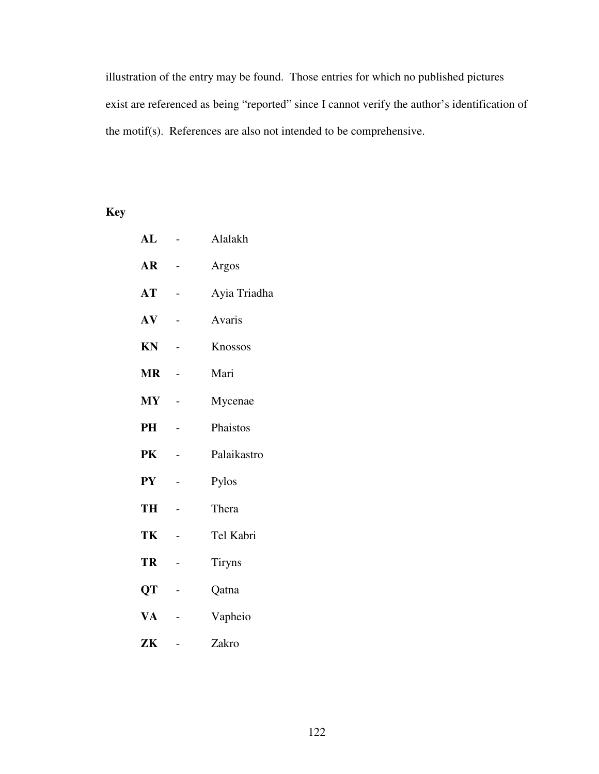illustration of the entry may be found. Those entries for which no published pictures exist are referenced as being "reported" since I cannot verify the author's identification of the motif(s). References are also not intended to be comprehensive.

# **Key**

| ${\bf AL}$             |   | Alalakh       |
|------------------------|---|---------------|
| AR                     |   | Argos         |
| AT                     |   | Ayia Triadha  |
| AV                     |   | Avaris        |
| KN                     |   | Knossos       |
| <b>MR</b>              |   | Mari          |
| $\mathbf{M}\mathbf{Y}$ |   | Mycenae       |
| PH                     |   | Phaistos      |
| PK                     |   | Palaikastro   |
| ${\bf P}{\bf Y}$       |   | Pylos         |
| TH                     |   | Thera         |
| TK                     |   | Tel Kabri     |
| TR                     |   | <b>Tiryns</b> |
| QT                     |   | Qatna         |
| VA                     |   | Vapheio       |
| ZK                     | - | Zakro         |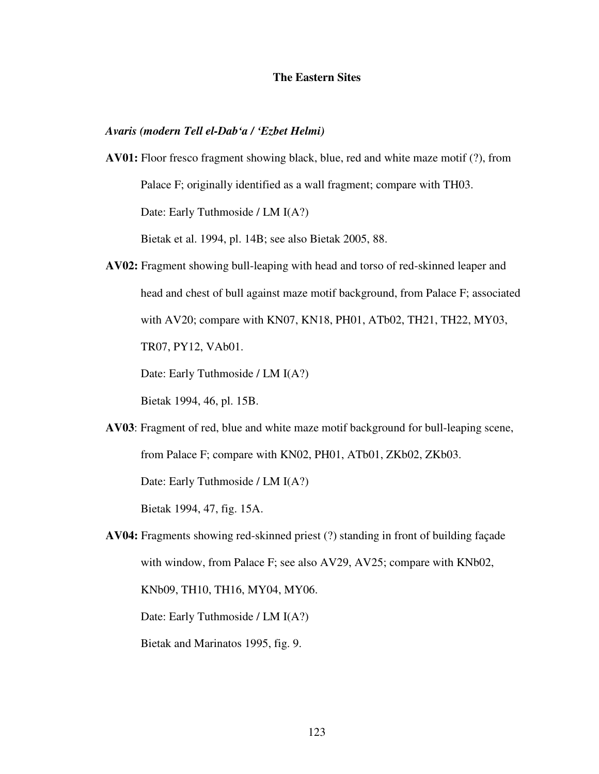### **The Eastern Sites**

### *Avaris (modern Tell el-Dab'a / 'Ezbet Helmi)*

- **AV01:** Floor fresco fragment showing black, blue, red and white maze motif (?), from Palace F; originally identified as a wall fragment; compare with TH03. Date: Early Tuthmoside / LM I(A?) Bietak et al. 1994, pl. 14B; see also Bietak 2005, 88.
- **AV02:** Fragment showing bull-leaping with head and torso of red-skinned leaper and head and chest of bull against maze motif background, from Palace F; associated with AV20; compare with KN07, KN18, PH01, ATb02, TH21, TH22, MY03, TR07, PY12, VAb01.

Date: Early Tuthmoside / LM I(A?)

Bietak 1994, 46, pl. 15B.

**AV03**: Fragment of red, blue and white maze motif background for bull-leaping scene, from Palace F; compare with KN02, PH01, ATb01, ZKb02, ZKb03.

Date: Early Tuthmoside / LM I(A?)

Bietak 1994, 47, fig. 15A.

**AV04:** Fragments showing red-skinned priest (?) standing in front of building façade with window, from Palace F; see also AV29, AV25; compare with KNb02, KNb09, TH10, TH16, MY04, MY06.

Date: Early Tuthmoside / LM I(A?)

Bietak and Marinatos 1995, fig. 9.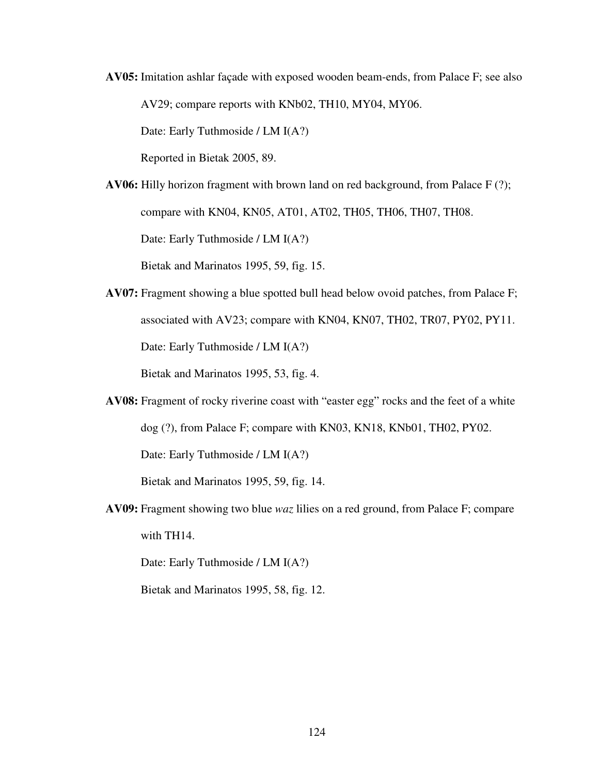**AV05:** Imitation ashlar façade with exposed wooden beam-ends, from Palace F; see also AV29; compare reports with KNb02, TH10, MY04, MY06.

Date: Early Tuthmoside / LM I(A?)

Reported in Bietak 2005, 89.

**AV06:** Hilly horizon fragment with brown land on red background, from Palace F (?); compare with KN04, KN05, AT01, AT02, TH05, TH06, TH07, TH08. Date: Early Tuthmoside / LM I(A?)

Bietak and Marinatos 1995, 59, fig. 15.

**AV07:** Fragment showing a blue spotted bull head below ovoid patches, from Palace F; associated with AV23; compare with KN04, KN07, TH02, TR07, PY02, PY11. Date: Early Tuthmoside / LM I(A?)

Bietak and Marinatos 1995, 53, fig. 4.

**AV08:** Fragment of rocky riverine coast with "easter egg" rocks and the feet of a white dog (?), from Palace F; compare with KN03, KN18, KNb01, TH02, PY02.

Date: Early Tuthmoside / LM I(A?)

Bietak and Marinatos 1995, 59, fig. 14.

**AV09:** Fragment showing two blue *waz* lilies on a red ground, from Palace F; compare with TH14.

Date: Early Tuthmoside / LM I(A?)

Bietak and Marinatos 1995, 58, fig. 12.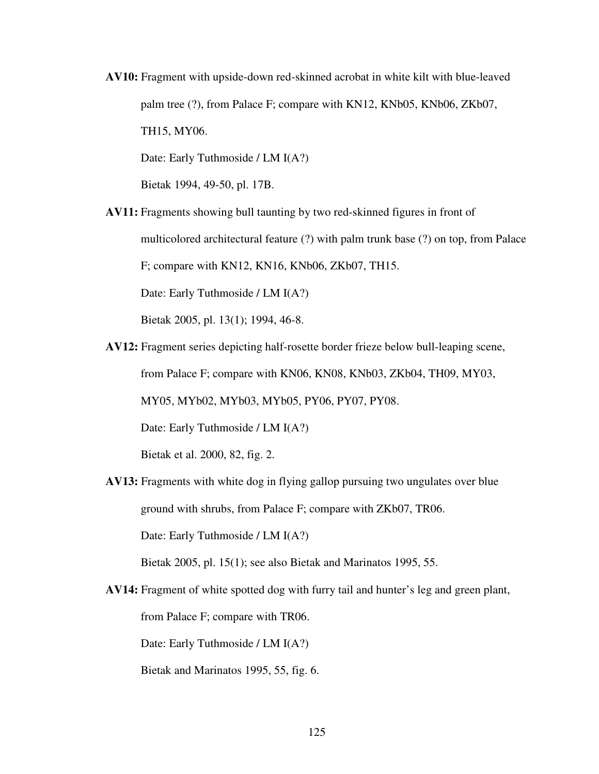**AV10:** Fragment with upside-down red-skinned acrobat in white kilt with blue-leaved palm tree (?), from Palace F; compare with KN12, KNb05, KNb06, ZKb07, TH15, MY06.

Date: Early Tuthmoside / LM I(A?)

Bietak 1994, 49-50, pl. 17B.

**AV11:** Fragments showing bull taunting by two red-skinned figures in front of

multicolored architectural feature (?) with palm trunk base (?) on top, from Palace

F; compare with KN12, KN16, KNb06, ZKb07, TH15.

Date: Early Tuthmoside / LM I(A?)

Bietak 2005, pl. 13(1); 1994, 46-8.

**AV12:** Fragment series depicting half-rosette border frieze below bull-leaping scene,

from Palace F; compare with KN06, KN08, KNb03, ZKb04, TH09, MY03,

MY05, MYb02, MYb03, MYb05, PY06, PY07, PY08.

Date: Early Tuthmoside / LM I(A?)

Bietak et al. 2000, 82, fig. 2.

**AV13:** Fragments with white dog in flying gallop pursuing two ungulates over blue ground with shrubs, from Palace F; compare with ZKb07, TR06.

Date: Early Tuthmoside / LM I(A?)

Bietak 2005, pl. 15(1); see also Bietak and Marinatos 1995, 55.

**AV14:** Fragment of white spotted dog with furry tail and hunter's leg and green plant,

from Palace F; compare with TR06.

Date: Early Tuthmoside / LM I(A?)

Bietak and Marinatos 1995, 55, fig. 6.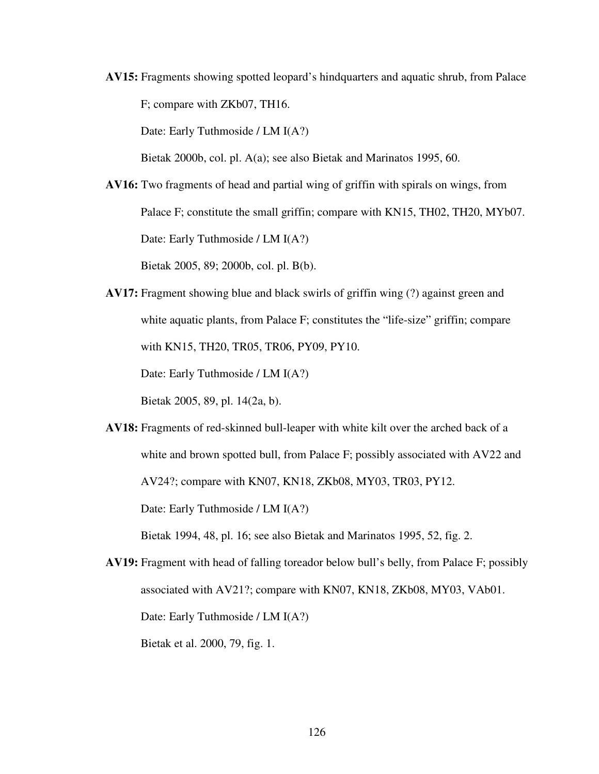**AV15:** Fragments showing spotted leopard's hindquarters and aquatic shrub, from Palace F; compare with ZKb07, TH16.

Date: Early Tuthmoside / LM I(A?)

Bietak 2000b, col. pl. A(a); see also Bietak and Marinatos 1995, 60.

**AV16:** Two fragments of head and partial wing of griffin with spirals on wings, from Palace F; constitute the small griffin; compare with KN15, TH02, TH20, MYb07. Date: Early Tuthmoside / LM I(A?)

Bietak 2005, 89; 2000b, col. pl. B(b).

**AV17:** Fragment showing blue and black swirls of griffin wing (?) against green and white aquatic plants, from Palace F; constitutes the "life-size" griffin; compare with KN15, TH20, TR05, TR06, PY09, PY10.

Date: Early Tuthmoside / LM I(A?)

Bietak 2005, 89, pl. 14(2a, b).

**AV18:** Fragments of red-skinned bull-leaper with white kilt over the arched back of a white and brown spotted bull, from Palace F; possibly associated with AV22 and AV24?; compare with KN07, KN18, ZKb08, MY03, TR03, PY12.

Date: Early Tuthmoside / LM I(A?)

Bietak 1994, 48, pl. 16; see also Bietak and Marinatos 1995, 52, fig. 2.

**AV19:** Fragment with head of falling toreador below bull's belly, from Palace F; possibly associated with AV21?; compare with KN07, KN18, ZKb08, MY03, VAb01. Date: Early Tuthmoside / LM I(A?)

Bietak et al. 2000, 79, fig. 1.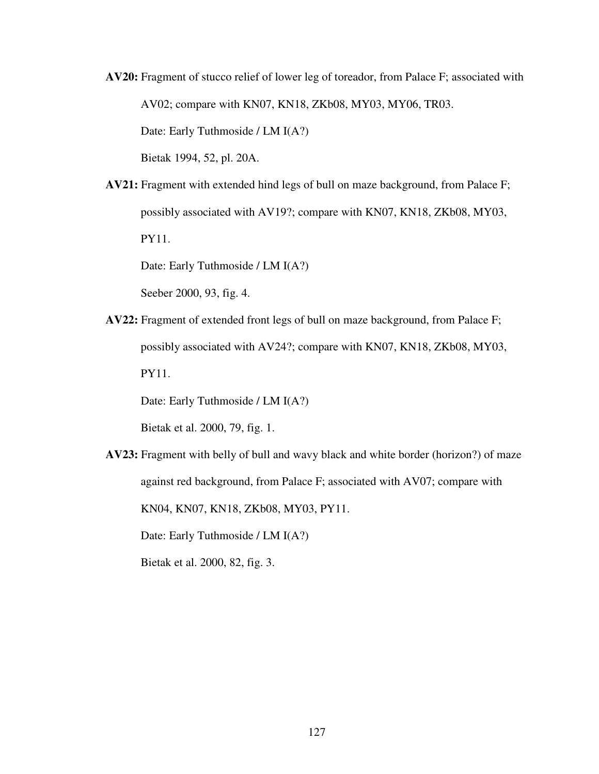**AV20:** Fragment of stucco relief of lower leg of toreador, from Palace F; associated with AV02; compare with KN07, KN18, ZKb08, MY03, MY06, TR03. Date: Early Tuthmoside / LM I(A?)

Bietak 1994, 52, pl. 20A.

**AV21:** Fragment with extended hind legs of bull on maze background, from Palace F; possibly associated with AV19?; compare with KN07, KN18, ZKb08, MY03, PY11.

Date: Early Tuthmoside / LM I(A?)

Seeber 2000, 93, fig. 4.

**AV22:** Fragment of extended front legs of bull on maze background, from Palace F; possibly associated with AV24?; compare with KN07, KN18, ZKb08, MY03, PY11.

Date: Early Tuthmoside / LM I(A?)

Bietak et al. 2000, 79, fig. 1.

**AV23:** Fragment with belly of bull and wavy black and white border (horizon?) of maze against red background, from Palace F; associated with AV07; compare with

KN04, KN07, KN18, ZKb08, MY03, PY11.

Date: Early Tuthmoside / LM I(A?)

Bietak et al. 2000, 82, fig. 3.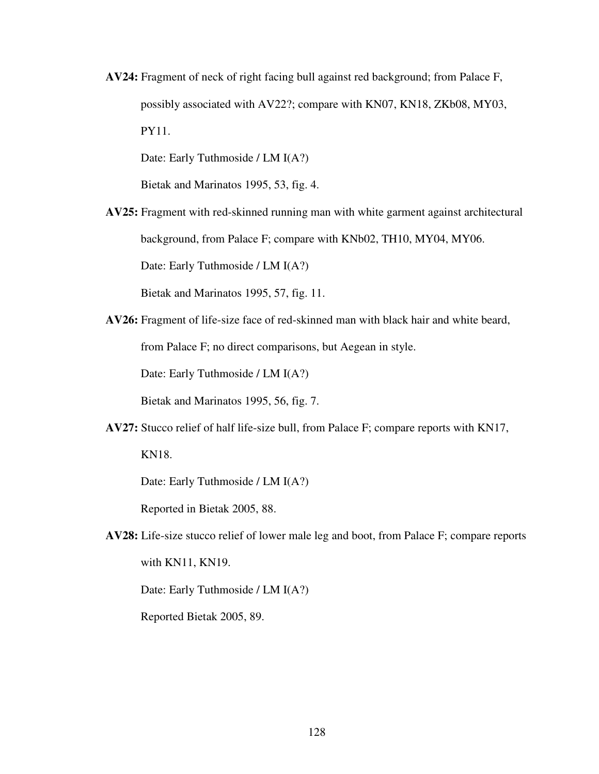**AV24:** Fragment of neck of right facing bull against red background; from Palace F, possibly associated with AV22?; compare with KN07, KN18, ZKb08, MY03, PY11.

Date: Early Tuthmoside / LM I(A?)

Bietak and Marinatos 1995, 53, fig. 4.

**AV25:** Fragment with red-skinned running man with white garment against architectural background, from Palace F; compare with KNb02, TH10, MY04, MY06.

Date: Early Tuthmoside / LM I(A?)

Bietak and Marinatos 1995, 57, fig. 11.

**AV26:** Fragment of life-size face of red-skinned man with black hair and white beard, from Palace F; no direct comparisons, but Aegean in style.

Date: Early Tuthmoside / LM I(A?)

Bietak and Marinatos 1995, 56, fig. 7.

**AV27:** Stucco relief of half life-size bull, from Palace F; compare reports with KN17,

KN18.

Date: Early Tuthmoside / LM I(A?)

Reported in Bietak 2005, 88.

**AV28:** Life-size stucco relief of lower male leg and boot, from Palace F; compare reports with KN11, KN19.

Date: Early Tuthmoside / LM I(A?)

Reported Bietak 2005, 89.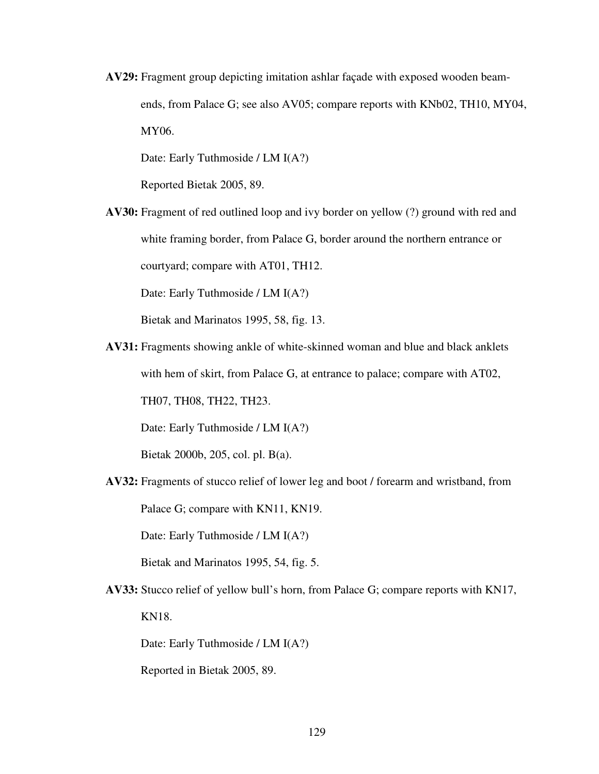**AV29:** Fragment group depicting imitation ashlar façade with exposed wooden beamends, from Palace G; see also AV05; compare reports with KNb02, TH10, MY04, MY06.

Date: Early Tuthmoside / LM I(A?)

Reported Bietak 2005, 89.

**AV30:** Fragment of red outlined loop and ivy border on yellow (?) ground with red and white framing border, from Palace G, border around the northern entrance or courtyard; compare with AT01, TH12.

Date: Early Tuthmoside / LM I(A?)

Bietak and Marinatos 1995, 58, fig. 13.

**AV31:** Fragments showing ankle of white-skinned woman and blue and black anklets with hem of skirt, from Palace G, at entrance to palace; compare with AT02,

TH07, TH08, TH22, TH23.

Date: Early Tuthmoside / LM I(A?)

Bietak 2000b, 205, col. pl. B(a).

**AV32:** Fragments of stucco relief of lower leg and boot / forearm and wristband, from Palace G; compare with KN11, KN19.

Date: Early Tuthmoside / LM I(A?)

Bietak and Marinatos 1995, 54, fig. 5.

**AV33:** Stucco relief of yellow bull's horn, from Palace G; compare reports with KN17, KN18.

Date: Early Tuthmoside / LM I(A?)

Reported in Bietak 2005, 89.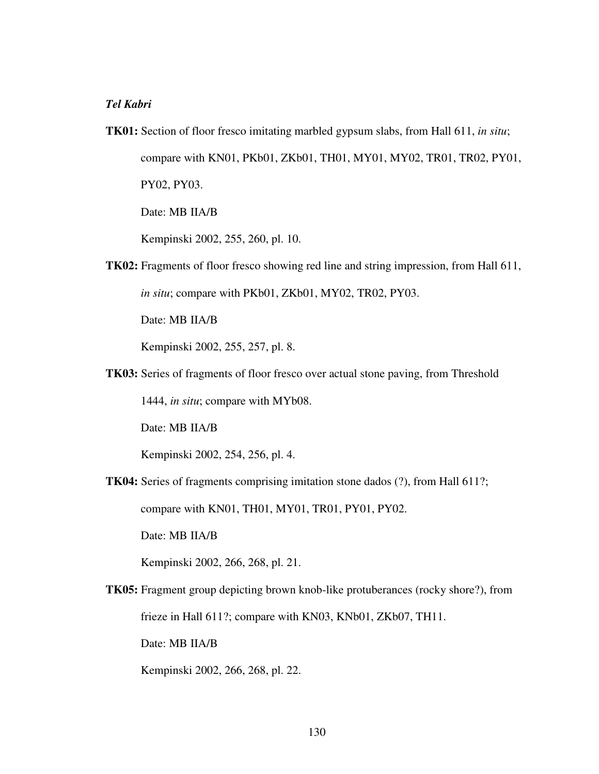## *Tel Kabri*

**TK01:** Section of floor fresco imitating marbled gypsum slabs, from Hall 611, *in situ*; compare with KN01, PKb01, ZKb01, TH01, MY01, MY02, TR01, TR02, PY01, PY02, PY03.

Date: MB IIA/B

Kempinski 2002, 255, 260, pl. 10.

**TK02:** Fragments of floor fresco showing red line and string impression, from Hall 611, *in situ*; compare with PKb01, ZKb01, MY02, TR02, PY03.

Date: MB IIA/B

Kempinski 2002, 255, 257, pl. 8.

**TK03:** Series of fragments of floor fresco over actual stone paving, from Threshold

1444, *in situ*; compare with MYb08.

Date: MB IIA/B

Kempinski 2002, 254, 256, pl. 4.

**TK04:** Series of fragments comprising imitation stone dados (?), from Hall 611?;

compare with KN01, TH01, MY01, TR01, PY01, PY02.

Date: MB IIA/B

Kempinski 2002, 266, 268, pl. 21.

**TK05:** Fragment group depicting brown knob-like protuberances (rocky shore?), from frieze in Hall 611?; compare with KN03, KNb01, ZKb07, TH11.

Date: MB IIA/B

Kempinski 2002, 266, 268, pl. 22.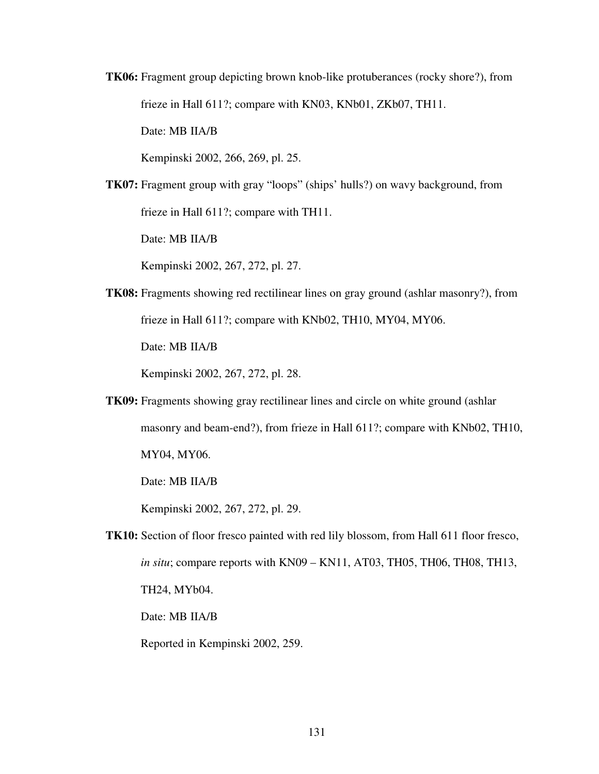**TK06:** Fragment group depicting brown knob-like protuberances (rocky shore?), from frieze in Hall 611?; compare with KN03, KNb01, ZKb07, TH11.

Date: MB IIA/B

Kempinski 2002, 266, 269, pl. 25.

**TK07:** Fragment group with gray "loops" (ships' hulls?) on wavy background, from frieze in Hall 611?; compare with TH11.

Date: MB IIA/B

Kempinski 2002, 267, 272, pl. 27.

**TK08:** Fragments showing red rectilinear lines on gray ground (ashlar masonry?), from frieze in Hall 611?; compare with KNb02, TH10, MY04, MY06.

Date: MB IIA/B

Kempinski 2002, 267, 272, pl. 28.

**TK09:** Fragments showing gray rectilinear lines and circle on white ground (ashlar masonry and beam-end?), from frieze in Hall 611?; compare with KNb02, TH10, MY04, MY06.

Date: MB IIA/B

Kempinski 2002, 267, 272, pl. 29.

**TK10:** Section of floor fresco painted with red lily blossom, from Hall 611 floor fresco, *in situ*; compare reports with KN09 – KN11, AT03, TH05, TH06, TH08, TH13, TH24, MYb04.

Date: MB IIA/B

Reported in Kempinski 2002, 259.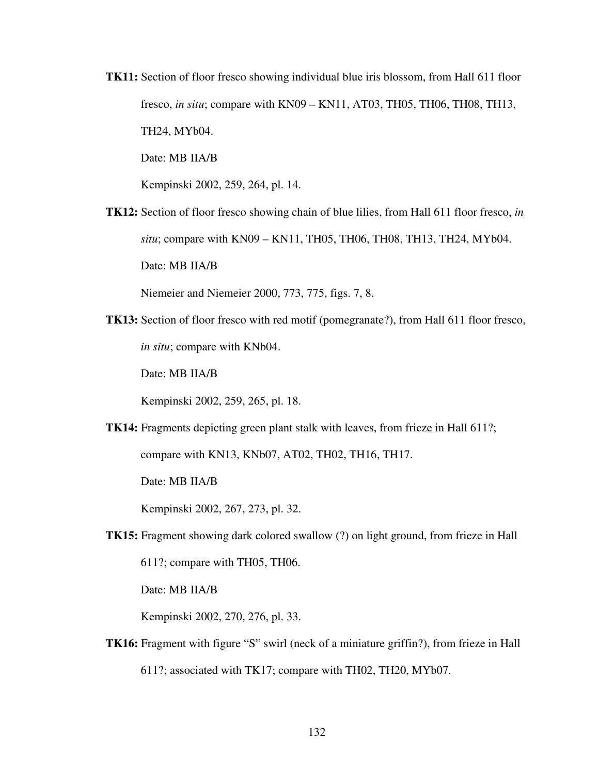**TK11:** Section of floor fresco showing individual blue iris blossom, from Hall 611 floor fresco, *in situ*; compare with KN09 – KN11, AT03, TH05, TH06, TH08, TH13, TH24, MYb04. Date: MB IIA/B

Kempinski 2002, 259, 264, pl. 14.

**TK12:** Section of floor fresco showing chain of blue lilies, from Hall 611 floor fresco, *in situ*; compare with KN09 – KN11, TH05, TH06, TH08, TH13, TH24, MYb04. Date: MB IIA/B

Niemeier and Niemeier 2000, 773, 775, figs. 7, 8.

**TK13:** Section of floor fresco with red motif (pomegranate?), from Hall 611 floor fresco, *in situ*; compare with KNb04.

Date: MB IIA/B

Kempinski 2002, 259, 265, pl. 18.

**TK14:** Fragments depicting green plant stalk with leaves, from frieze in Hall 611?;

compare with KN13, KNb07, AT02, TH02, TH16, TH17.

Date: MB IIA/B

Kempinski 2002, 267, 273, pl. 32.

**TK15:** Fragment showing dark colored swallow (?) on light ground, from frieze in Hall

611?; compare with TH05, TH06.

Date: MB IIA/B

Kempinski 2002, 270, 276, pl. 33.

**TK16:** Fragment with figure "S" swirl (neck of a miniature griffin?), from frieze in Hall 611?; associated with TK17; compare with TH02, TH20, MYb07.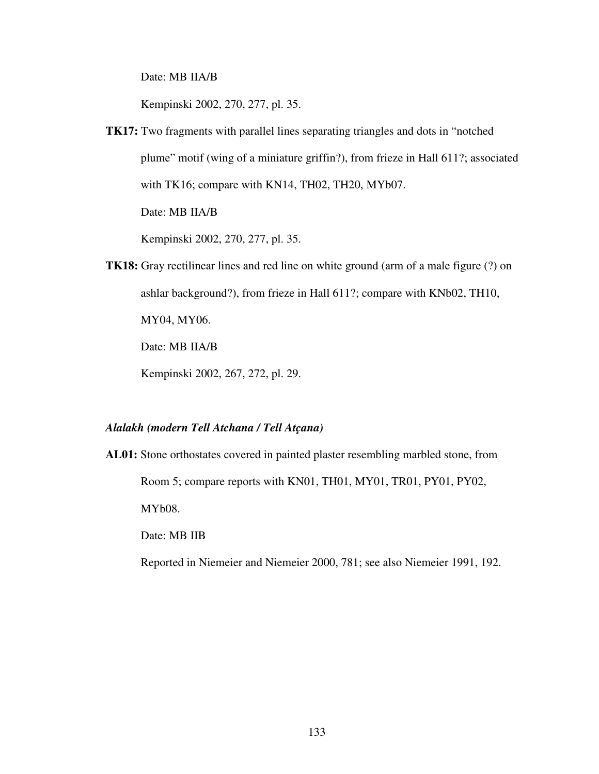Date: MB IIA/B

Kempinski 2002, 270, 277, pl. 35.

**TK17:** Two fragments with parallel lines separating triangles and dots in "notched plume" motif (wing of a miniature griffin?), from frieze in Hall 611?; associated with TK16; compare with KN14, TH02, TH20, MYb07.

Date: MB IIA/B

Kempinski 2002, 270, 277, pl. 35.

**TK18:** Gray rectilinear lines and red line on white ground (arm of a male figure (?) on ashlar background?), from frieze in Hall 611?; compare with KNb02, TH10,

MY04, MY06.

Date: MB IIA/B

Kempinski 2002, 267, 272, pl. 29.

### *Alalakh (modern Tell Atchana / Tell Atçana)*

**AL01:** Stone orthostates covered in painted plaster resembling marbled stone, from Room 5; compare reports with KN01, TH01, MY01, TR01, PY01, PY02, MYb08. Date: MB IIB

Reported in Niemeier and Niemeier 2000, 781; see also Niemeier 1991, 192.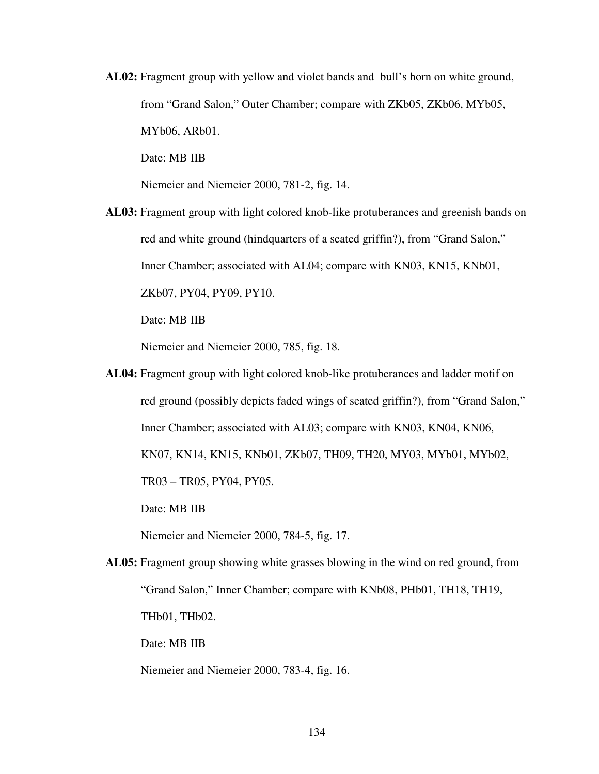**AL02:** Fragment group with yellow and violet bands and bull's horn on white ground, from "Grand Salon," Outer Chamber; compare with ZKb05, ZKb06, MYb05, MYb06, ARb01.

Date: MB IIB

Niemeier and Niemeier 2000, 781-2, fig. 14.

**AL03:** Fragment group with light colored knob-like protuberances and greenish bands on red and white ground (hindquarters of a seated griffin?), from "Grand Salon," Inner Chamber; associated with AL04; compare with KN03, KN15, KNb01, ZKb07, PY04, PY09, PY10.

Date: MB IIB

Niemeier and Niemeier 2000, 785, fig. 18.

**AL04:** Fragment group with light colored knob-like protuberances and ladder motif on red ground (possibly depicts faded wings of seated griffin?), from "Grand Salon," Inner Chamber; associated with AL03; compare with KN03, KN04, KN06, KN07, KN14, KN15, KNb01, ZKb07, TH09, TH20, MY03, MYb01, MYb02, TR03 – TR05, PY04, PY05. Date: MB IIB

Niemeier and Niemeier 2000, 784-5, fig. 17.

**AL05:** Fragment group showing white grasses blowing in the wind on red ground, from "Grand Salon," Inner Chamber; compare with KNb08, PHb01, TH18, TH19, THb01, THb02.

Date: MB IIB

Niemeier and Niemeier 2000, 783-4, fig. 16.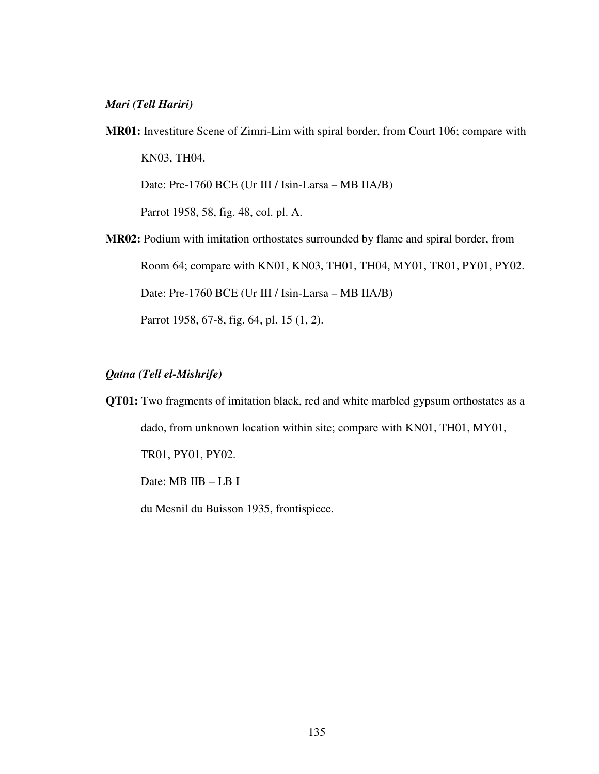## *Mari (Tell Hariri)*

- **MR01:** Investiture Scene of Zimri-Lim with spiral border, from Court 106; compare with KN03, TH04. Date: Pre-1760 BCE (Ur III / Isin-Larsa – MB IIA/B) Parrot 1958, 58, fig. 48, col. pl. A.
- **MR02:** Podium with imitation orthostates surrounded by flame and spiral border, from Room 64; compare with KN01, KN03, TH01, TH04, MY01, TR01, PY01, PY02. Date: Pre-1760 BCE (Ur III / Isin-Larsa – MB IIA/B) Parrot 1958, 67-8, fig. 64, pl. 15 (1, 2).

## *Qatna (Tell el-Mishrife)*

**QT01:** Two fragments of imitation black, red and white marbled gypsum orthostates as a dado, from unknown location within site; compare with KN01, TH01, MY01, TR01, PY01, PY02. Date: MB IIB – LB I du Mesnil du Buisson 1935, frontispiece.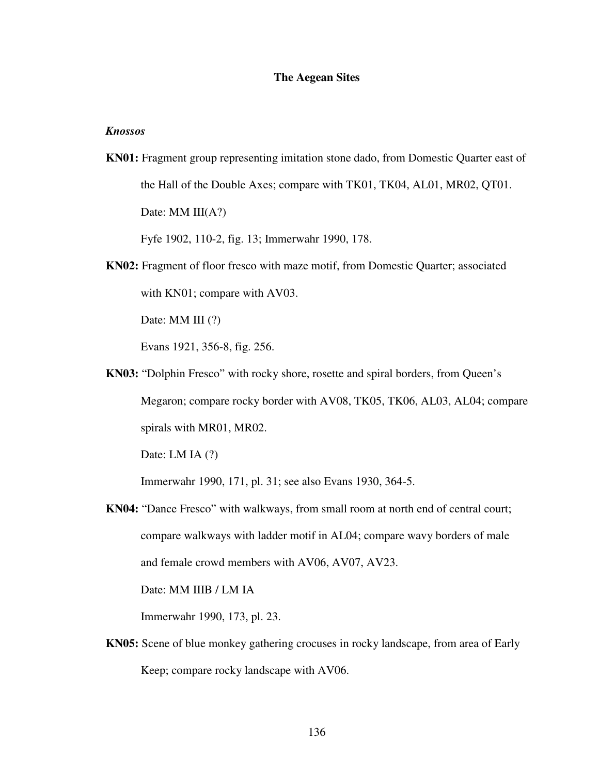## **The Aegean Sites**

## *Knossos*

**KN01:** Fragment group representing imitation stone dado, from Domestic Quarter east of the Hall of the Double Axes; compare with TK01, TK04, AL01, MR02, QT01. Date: MM III(A?)

Fyfe 1902, 110-2, fig. 13; Immerwahr 1990, 178.

**KN02:** Fragment of floor fresco with maze motif, from Domestic Quarter; associated with KN01; compare with AV03.

Date: MM III  $(?)$ 

Evans 1921, 356-8, fig. 256.

**KN03:** "Dolphin Fresco" with rocky shore, rosette and spiral borders, from Queen's Megaron; compare rocky border with AV08, TK05, TK06, AL03, AL04; compare spirals with MR01, MR02.

Date: LM IA  $(?)$ 

Immerwahr 1990, 171, pl. 31; see also Evans 1930, 364-5.

**KN04:** "Dance Fresco" with walkways, from small room at north end of central court; compare walkways with ladder motif in AL04; compare wavy borders of male and female crowd members with AV06, AV07, AV23.

Date: MM IIIB / LM IA

Immerwahr 1990, 173, pl. 23.

**KN05:** Scene of blue monkey gathering crocuses in rocky landscape, from area of Early Keep; compare rocky landscape with AV06.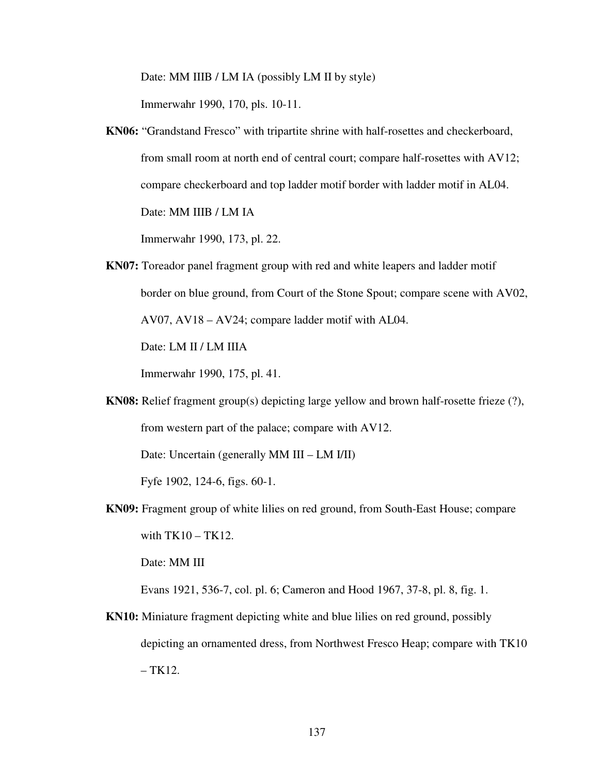Date: MM IIIB / LM IA (possibly LM II by style)

Immerwahr 1990, 170, pls. 10-11.

**KN06:** "Grandstand Fresco" with tripartite shrine with half-rosettes and checkerboard, from small room at north end of central court; compare half-rosettes with AV12; compare checkerboard and top ladder motif border with ladder motif in AL04. Date: MM IIIB / LM IA

Immerwahr 1990, 173, pl. 22.

**KN07:** Toreador panel fragment group with red and white leapers and ladder motif border on blue ground, from Court of the Stone Spout; compare scene with AV02, AV07, AV18 – AV24; compare ladder motif with AL04. Date: LM II / LM IIIA

Immerwahr 1990, 175, pl. 41.

**KN08:** Relief fragment group(s) depicting large yellow and brown half-rosette frieze (?), from western part of the palace; compare with AV12.

Date: Uncertain (generally MM III – LM I/II)

Fyfe 1902, 124-6, figs. 60-1.

**KN09:** Fragment group of white lilies on red ground, from South-East House; compare with  $TK10 - TK12$ .

Date: MM III

Evans 1921, 536-7, col. pl. 6; Cameron and Hood 1967, 37-8, pl. 8, fig. 1.

**KN10:** Miniature fragment depicting white and blue lilies on red ground, possibly depicting an ornamented dress, from Northwest Fresco Heap; compare with TK10  $-$  TK12.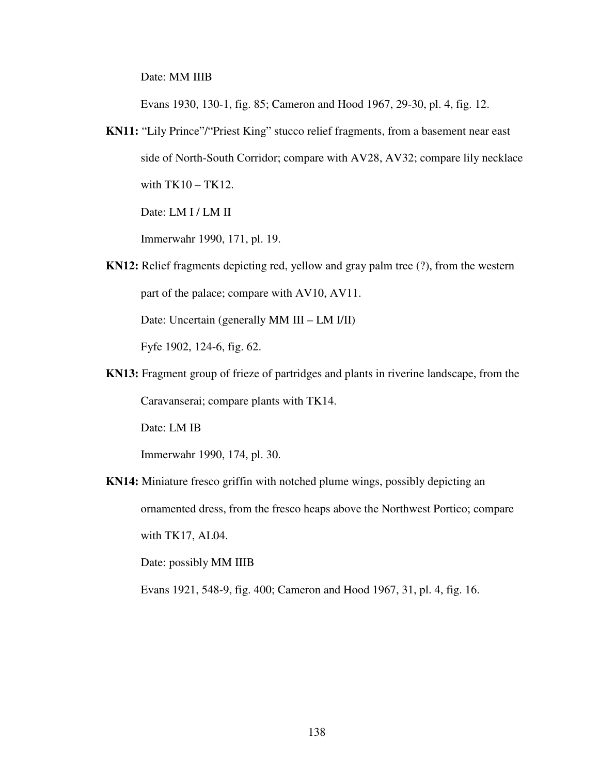Date: MM IIIB

Evans 1930, 130-1, fig. 85; Cameron and Hood 1967, 29-30, pl. 4, fig. 12.

**KN11:** "Lily Prince"/"Priest King" stucco relief fragments, from a basement near east side of North-South Corridor; compare with AV28, AV32; compare lily necklace with TK10 – TK12.

Date: LM I / LM II

Immerwahr 1990, 171, pl. 19.

**KN12:** Relief fragments depicting red, yellow and gray palm tree (?), from the western part of the palace; compare with AV10, AV11. Date: Uncertain (generally MM III – LM I/II)

Fyfe 1902, 124-6, fig. 62.

**KN13:** Fragment group of frieze of partridges and plants in riverine landscape, from the Caravanserai; compare plants with TK14.

Date: LM IB

Immerwahr 1990, 174, pl. 30.

**KN14:** Miniature fresco griffin with notched plume wings, possibly depicting an ornamented dress, from the fresco heaps above the Northwest Portico; compare with TK17, AL04.

Date: possibly MM IIIB

Evans 1921, 548-9, fig. 400; Cameron and Hood 1967, 31, pl. 4, fig. 16.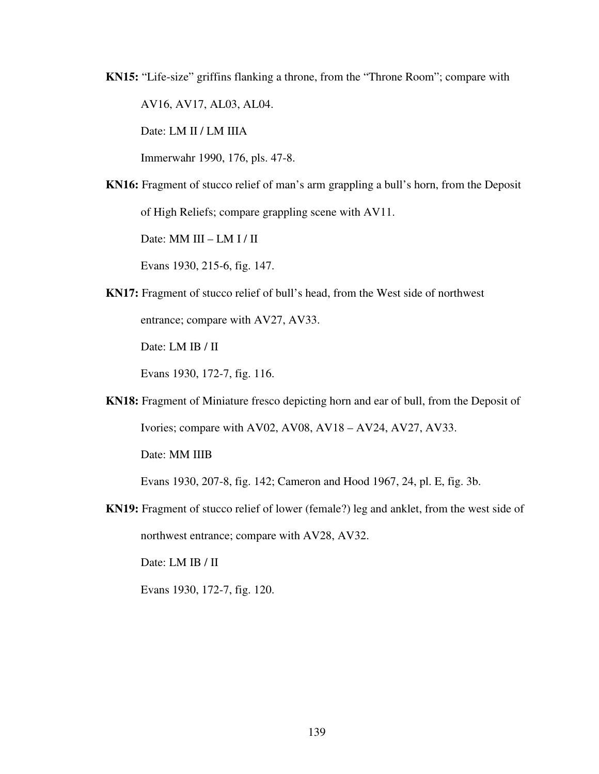**KN15:** "Life-size" griffins flanking a throne, from the "Throne Room"; compare with

AV16, AV17, AL03, AL04.

Date: LM II / LM IIIA

Immerwahr 1990, 176, pls. 47-8.

**KN16:** Fragment of stucco relief of man's arm grappling a bull's horn, from the Deposit of High Reliefs; compare grappling scene with AV11.

Date: MM III – LM I / II

Evans 1930, 215-6, fig. 147.

**KN17:** Fragment of stucco relief of bull's head, from the West side of northwest entrance; compare with AV27, AV33.

Date: LM IB / II

Evans 1930, 172-7, fig. 116.

**KN18:** Fragment of Miniature fresco depicting horn and ear of bull, from the Deposit of Ivories; compare with AV02, AV08, AV18 – AV24, AV27, AV33.

Date: MM IIIB

Evans 1930, 207-8, fig. 142; Cameron and Hood 1967, 24, pl. E, fig. 3b.

**KN19:** Fragment of stucco relief of lower (female?) leg and anklet, from the west side of northwest entrance; compare with AV28, AV32.

Date: LM IB / II

Evans 1930, 172-7, fig. 120.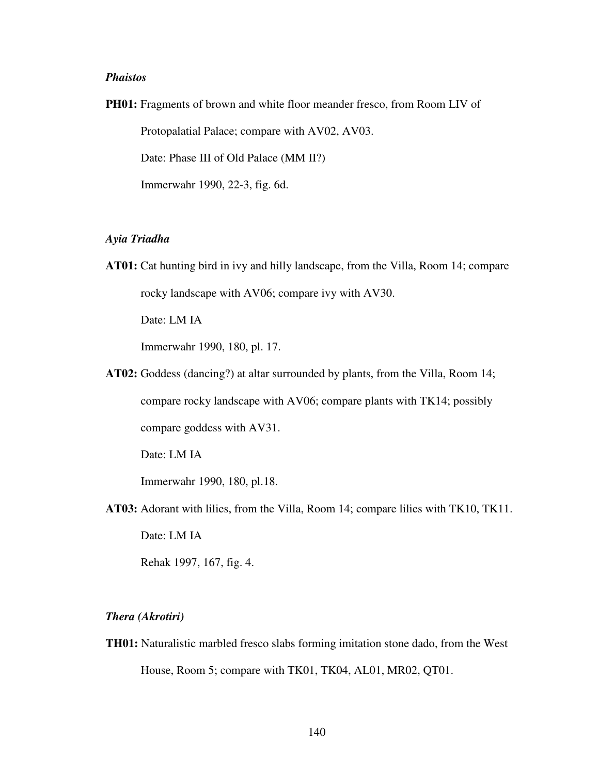## *Phaistos*

**PH01:** Fragments of brown and white floor meander fresco, from Room LIV of Protopalatial Palace; compare with AV02, AV03. Date: Phase III of Old Palace (MM II?) Immerwahr 1990, 22-3, fig. 6d.

## *Ayia Triadha*

- **AT01:** Cat hunting bird in ivy and hilly landscape, from the Villa, Room 14; compare rocky landscape with AV06; compare ivy with AV30. Date: LM IA Immerwahr 1990, 180, pl. 17.
- **AT02:** Goddess (dancing?) at altar surrounded by plants, from the Villa, Room 14; compare rocky landscape with AV06; compare plants with TK14; possibly compare goddess with AV31.

Date: LM IA

Immerwahr 1990, 180, pl.18.

**AT03:** Adorant with lilies, from the Villa, Room 14; compare lilies with TK10, TK11.

Date: LM IA

Rehak 1997, 167, fig. 4.

## *Thera (Akrotiri)*

**TH01:** Naturalistic marbled fresco slabs forming imitation stone dado, from the West House, Room 5; compare with TK01, TK04, AL01, MR02, QT01.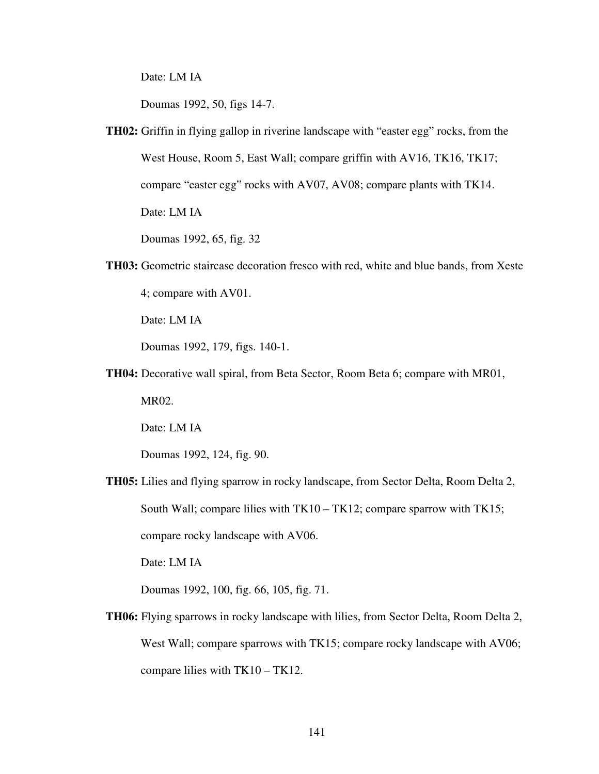Date: LM IA

Doumas 1992, 50, figs 14-7.

**TH02:** Griffin in flying gallop in riverine landscape with "easter egg" rocks, from the West House, Room 5, East Wall; compare griffin with AV16, TK16, TK17; compare "easter egg" rocks with AV07, AV08; compare plants with TK14. Date: LM IA

Doumas 1992, 65, fig. 32

**TH03:** Geometric staircase decoration fresco with red, white and blue bands, from Xeste 4; compare with AV01.

Date: LM IA

Doumas 1992, 179, figs. 140-1.

**TH04:** Decorative wall spiral, from Beta Sector, Room Beta 6; compare with MR01,

MR02.

Date: LM IA

Doumas 1992, 124, fig. 90.

**TH05:** Lilies and flying sparrow in rocky landscape, from Sector Delta, Room Delta 2, South Wall; compare lilies with TK10 – TK12; compare sparrow with TK15; compare rocky landscape with AV06.

Date: LM IA

Doumas 1992, 100, fig. 66, 105, fig. 71.

**TH06:** Flying sparrows in rocky landscape with lilies, from Sector Delta, Room Delta 2, West Wall; compare sparrows with TK15; compare rocky landscape with AV06; compare lilies with TK10 – TK12.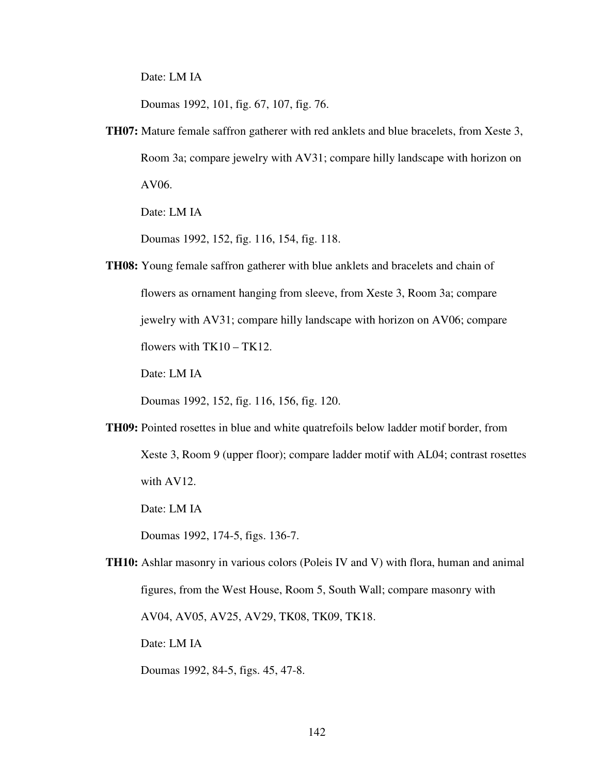Date: LM IA

Doumas 1992, 101, fig. 67, 107, fig. 76.

**TH07:** Mature female saffron gatherer with red anklets and blue bracelets, from Xeste 3, Room 3a; compare jewelry with AV31; compare hilly landscape with horizon on AV06.

Date: LM IA

Doumas 1992, 152, fig. 116, 154, fig. 118.

**TH08:** Young female saffron gatherer with blue anklets and bracelets and chain of flowers as ornament hanging from sleeve, from Xeste 3, Room 3a; compare jewelry with AV31; compare hilly landscape with horizon on AV06; compare flowers with  $TK10 - TK12$ .

Date: LM IA

Doumas 1992, 152, fig. 116, 156, fig. 120.

**TH09:** Pointed rosettes in blue and white quatrefoils below ladder motif border, from Xeste 3, Room 9 (upper floor); compare ladder motif with AL04; contrast rosettes with AV12.

Date: LM IA

Doumas 1992, 174-5, figs. 136-7.

**TH10:** Ashlar masonry in various colors (Poleis IV and V) with flora, human and animal figures, from the West House, Room 5, South Wall; compare masonry with AV04, AV05, AV25, AV29, TK08, TK09, TK18. Date: LM IA

Doumas 1992, 84-5, figs. 45, 47-8.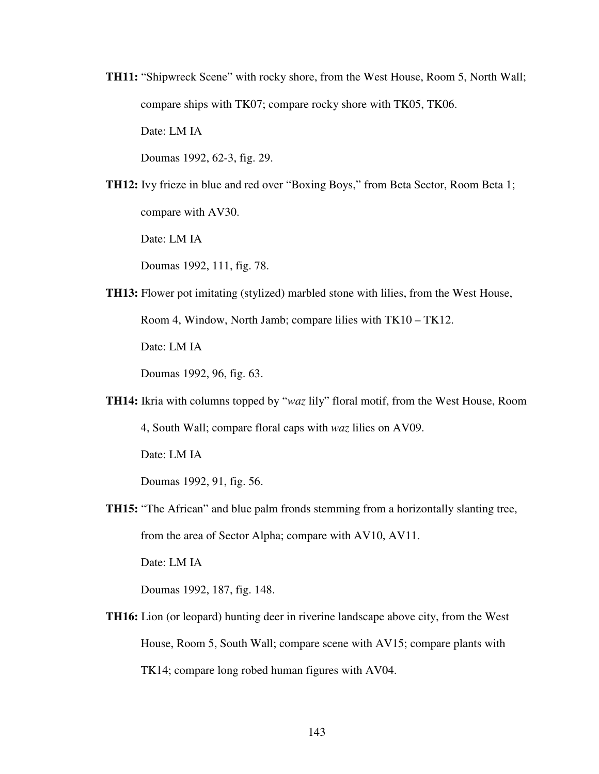**TH11:** "Shipwreck Scene" with rocky shore, from the West House, Room 5, North Wall; compare ships with TK07; compare rocky shore with TK05, TK06.

Date: LM IA

Doumas 1992, 62-3, fig. 29.

**TH12:** Ivy frieze in blue and red over "Boxing Boys," from Beta Sector, Room Beta 1; compare with AV30.

Date: LM IA

Doumas 1992, 111, fig. 78.

**TH13:** Flower pot imitating (stylized) marbled stone with lilies, from the West House, Room 4, Window, North Jamb; compare lilies with TK10 – TK12. Date: LM IA

Doumas 1992, 96, fig. 63.

**TH14:** Ikria with columns topped by "*waz* lily" floral motif, from the West House, Room 4, South Wall; compare floral caps with *waz* lilies on AV09. Date: LM IA

Doumas 1992, 91, fig. 56.

**TH15:** "The African" and blue palm fronds stemming from a horizontally slanting tree, from the area of Sector Alpha; compare with AV10, AV11.

Date: LM IA

Doumas 1992, 187, fig. 148.

**TH16:** Lion (or leopard) hunting deer in riverine landscape above city, from the West House, Room 5, South Wall; compare scene with AV15; compare plants with TK14; compare long robed human figures with AV04.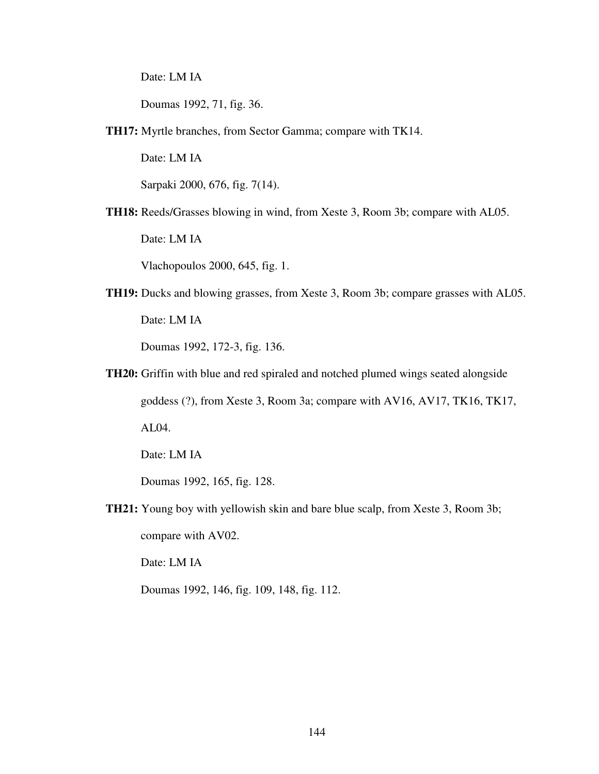Date: LM IA

Doumas 1992, 71, fig. 36.

**TH17:** Myrtle branches, from Sector Gamma; compare with TK14.

Date: LM IA

Sarpaki 2000, 676, fig. 7(14).

**TH18:** Reeds/Grasses blowing in wind, from Xeste 3, Room 3b; compare with AL05.

Date: LM IA

Vlachopoulos 2000, 645, fig. 1.

**TH19:** Ducks and blowing grasses, from Xeste 3, Room 3b; compare grasses with AL05. Date: LM IA

Doumas 1992, 172-3, fig. 136.

**TH20:** Griffin with blue and red spiraled and notched plumed wings seated alongside goddess (?), from Xeste 3, Room 3a; compare with AV16, AV17, TK16, TK17, AL04.

Date: LM IA

Doumas 1992, 165, fig. 128.

**TH21:** Young boy with yellowish skin and bare blue scalp, from Xeste 3, Room 3b;

compare with AV02.

Date: LM IA

Doumas 1992, 146, fig. 109, 148, fig. 112.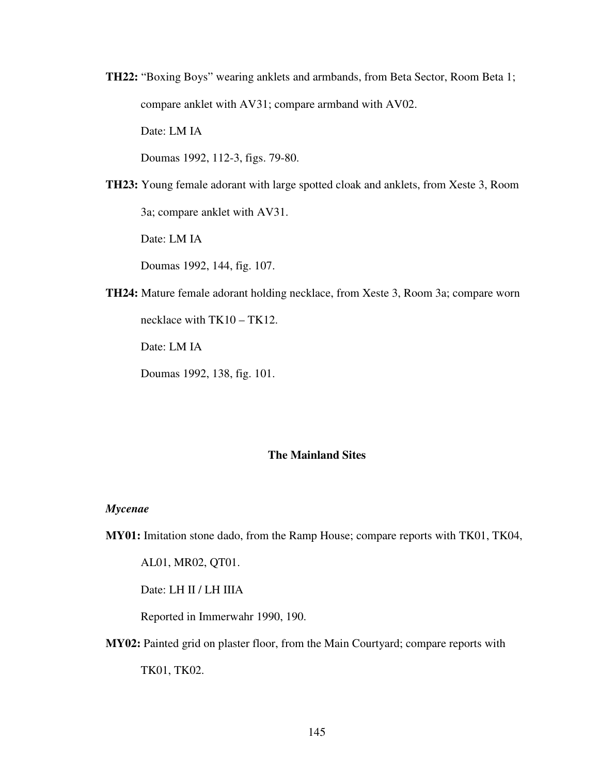**TH22:** "Boxing Boys" wearing anklets and armbands, from Beta Sector, Room Beta 1; compare anklet with AV31; compare armband with AV02.

Date: LM IA

Doumas 1992, 112-3, figs. 79-80.

**TH23:** Young female adorant with large spotted cloak and anklets, from Xeste 3, Room 3a; compare anklet with AV31.

Date: LM IA

Doumas 1992, 144, fig. 107.

**TH24:** Mature female adorant holding necklace, from Xeste 3, Room 3a; compare worn necklace with TK10 – TK12.

Date: LM IA

Doumas 1992, 138, fig. 101.

## **The Mainland Sites**

#### *Mycenae*

**MY01:** Imitation stone dado, from the Ramp House; compare reports with TK01, TK04,

AL01, MR02, QT01.

Date: LH II / LH IIIA

Reported in Immerwahr 1990, 190.

**MY02:** Painted grid on plaster floor, from the Main Courtyard; compare reports with

TK01, TK02.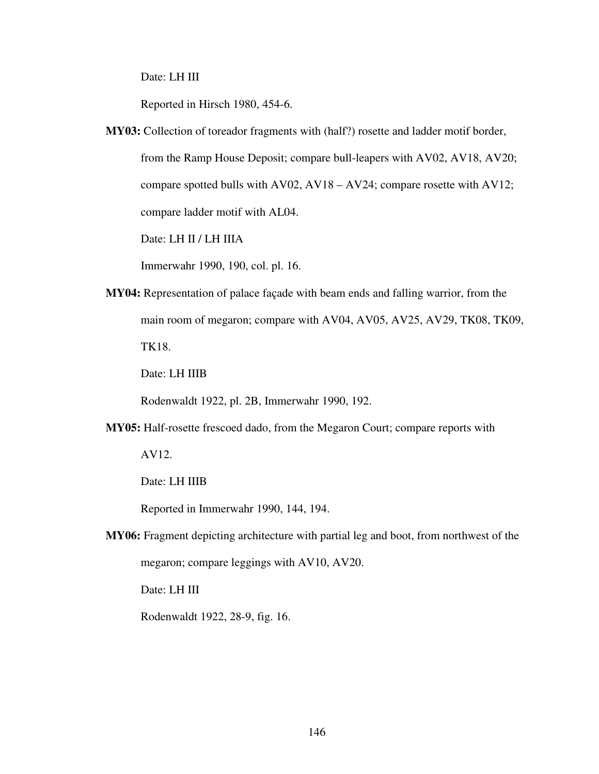Date: LH III

Reported in Hirsch 1980, 454-6.

**MY03:** Collection of toreador fragments with (half?) rosette and ladder motif border,

from the Ramp House Deposit; compare bull-leapers with AV02, AV18, AV20; compare spotted bulls with AV02, AV18 – AV24; compare rosette with AV12; compare ladder motif with AL04.

Date: LH II / LH IIIA

Immerwahr 1990, 190, col. pl. 16.

**MY04:** Representation of palace façade with beam ends and falling warrior, from the main room of megaron; compare with AV04, AV05, AV25, AV29, TK08, TK09, TK18.

Date: LH IIIB

Rodenwaldt 1922, pl. 2B, Immerwahr 1990, 192.

**MY05:** Half-rosette frescoed dado, from the Megaron Court; compare reports with

AV12.

Date: LH IIIB

Reported in Immerwahr 1990, 144, 194.

**MY06:** Fragment depicting architecture with partial leg and boot, from northwest of the megaron; compare leggings with AV10, AV20.

Date: LH III

Rodenwaldt 1922, 28-9, fig. 16.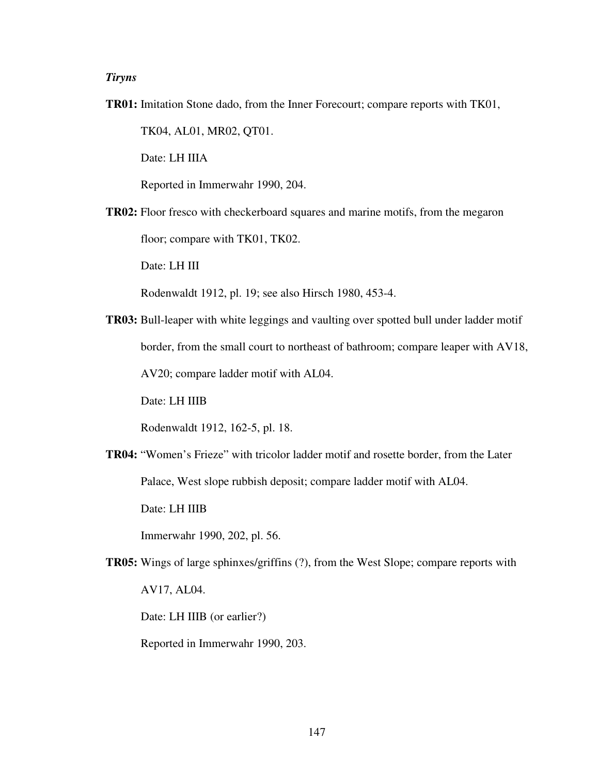## *Tiryns*

**TR01:** Imitation Stone dado, from the Inner Forecourt; compare reports with TK01,

TK04, AL01, MR02, QT01.

Date: LH IIIA

Reported in Immerwahr 1990, 204.

**TR02:** Floor fresco with checkerboard squares and marine motifs, from the megaron floor; compare with TK01, TK02.

Date: LH III

Rodenwaldt 1912, pl. 19; see also Hirsch 1980, 453-4.

**TR03:** Bull-leaper with white leggings and vaulting over spotted bull under ladder motif border, from the small court to northeast of bathroom; compare leaper with AV18, AV20; compare ladder motif with AL04.

Date: LH IIIB

Rodenwaldt 1912, 162-5, pl. 18.

**TR04:** "Women's Frieze" with tricolor ladder motif and rosette border, from the Later Palace, West slope rubbish deposit; compare ladder motif with AL04.

Date: LH IIIB

Immerwahr 1990, 202, pl. 56.

**TR05:** Wings of large sphinxes/griffins (?), from the West Slope; compare reports with AV17, AL04.

Date: LH IIIB (or earlier?)

Reported in Immerwahr 1990, 203.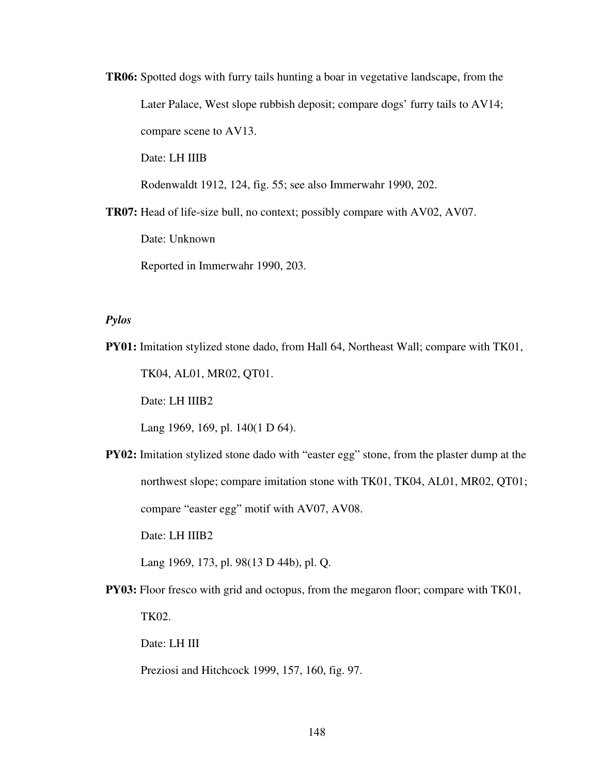**TR06:** Spotted dogs with furry tails hunting a boar in vegetative landscape, from the Later Palace, West slope rubbish deposit; compare dogs' furry tails to AV14; compare scene to AV13.

Date: LH IIIB

Rodenwaldt 1912, 124, fig. 55; see also Immerwahr 1990, 202.

**TR07:** Head of life-size bull, no context; possibly compare with AV02, AV07.

Date: Unknown

Reported in Immerwahr 1990, 203.

## *Pylos*

**PY01:** Imitation stylized stone dado, from Hall 64, Northeast Wall; compare with TK01,

TK04, AL01, MR02, QT01.

Date: LH IIIB2

Lang 1969, 169, pl. 140(1 D 64).

**PY02:** Imitation stylized stone dado with "easter egg" stone, from the plaster dump at the northwest slope; compare imitation stone with TK01, TK04, AL01, MR02, QT01; compare "easter egg" motif with AV07, AV08.

Date: LH IIIB2

Lang 1969, 173, pl. 98(13 D 44b), pl. Q.

**PY03:** Floor fresco with grid and octopus, from the megaron floor; compare with TK01, TK02.

Date: LH III

Preziosi and Hitchcock 1999, 157, 160, fig. 97.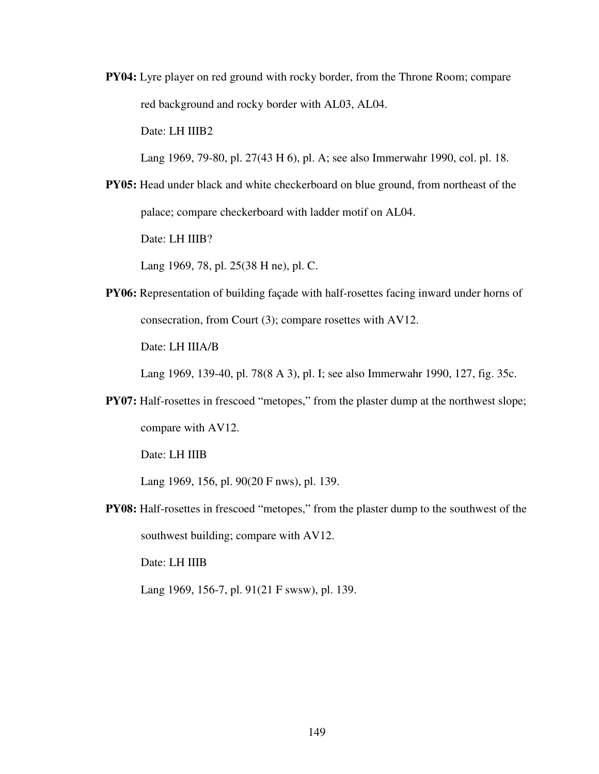**PY04:** Lyre player on red ground with rocky border, from the Throne Room; compare red background and rocky border with AL03, AL04.

Date: LH IIIB2

Lang 1969, 79-80, pl. 27(43 H 6), pl. A; see also Immerwahr 1990, col. pl. 18.

**PY05:** Head under black and white checkerboard on blue ground, from northeast of the palace; compare checkerboard with ladder motif on AL04.

Date: LH IIIB?

Lang 1969, 78, pl. 25(38 H ne), pl. C.

**PY06:** Representation of building façade with half-rosettes facing inward under horns of consecration, from Court (3); compare rosettes with AV12.

Date: LH IIIA/B

Lang 1969, 139-40, pl. 78(8 A 3), pl. I; see also Immerwahr 1990, 127, fig. 35c.

**PY07:** Half-rosettes in frescoed "metopes," from the plaster dump at the northwest slope; compare with AV12.

Date: LH IIIB

Lang 1969, 156, pl. 90(20 F nws), pl. 139.

**PY08:** Half-rosettes in frescoed "metopes," from the plaster dump to the southwest of the southwest building; compare with AV12.

Date: LH IIIB

Lang 1969, 156-7, pl. 91(21 F swsw), pl. 139.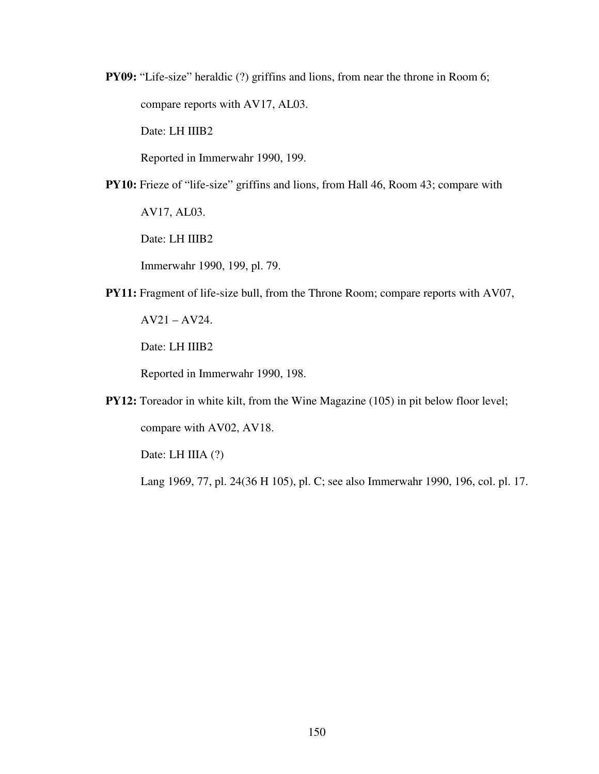**PY09:** "Life-size" heraldic (?) griffins and lions, from near the throne in Room 6; compare reports with AV17, AL03.

Date: LH IIIB2

Reported in Immerwahr 1990, 199.

**PY10:** Frieze of "life-size" griffins and lions, from Hall 46, Room 43; compare with

AV17, AL03.

Date: LH IIIB2

Immerwahr 1990, 199, pl. 79.

**PY11:** Fragment of life-size bull, from the Throne Room; compare reports with AV07,

AV21 – AV24.

Date: LH IIIB2

Reported in Immerwahr 1990, 198.

**PY12:** Toreador in white kilt, from the Wine Magazine (105) in pit below floor level; compare with AV02, AV18.

Date: LH IIIA (?)

Lang 1969, 77, pl. 24(36 H 105), pl. C; see also Immerwahr 1990, 196, col. pl. 17.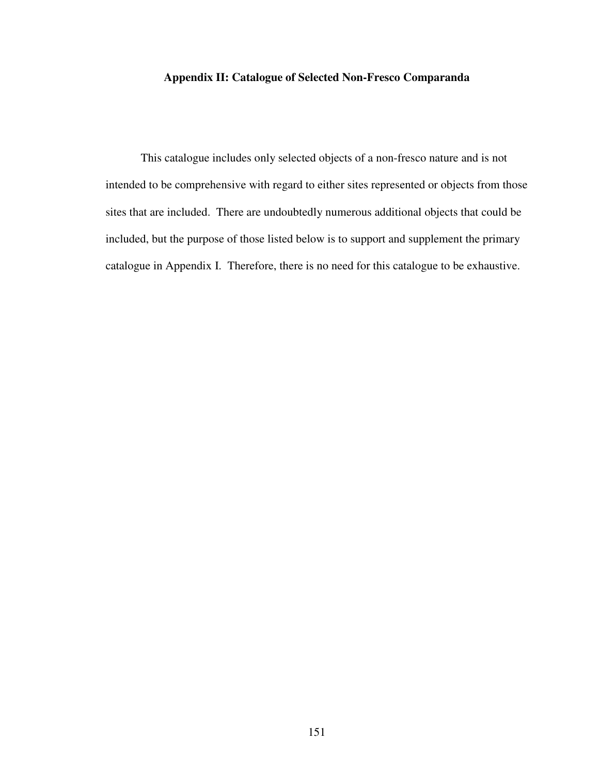## **Appendix II: Catalogue of Selected Non-Fresco Comparanda**

 This catalogue includes only selected objects of a non-fresco nature and is not intended to be comprehensive with regard to either sites represented or objects from those sites that are included. There are undoubtedly numerous additional objects that could be included, but the purpose of those listed below is to support and supplement the primary catalogue in Appendix I. Therefore, there is no need for this catalogue to be exhaustive.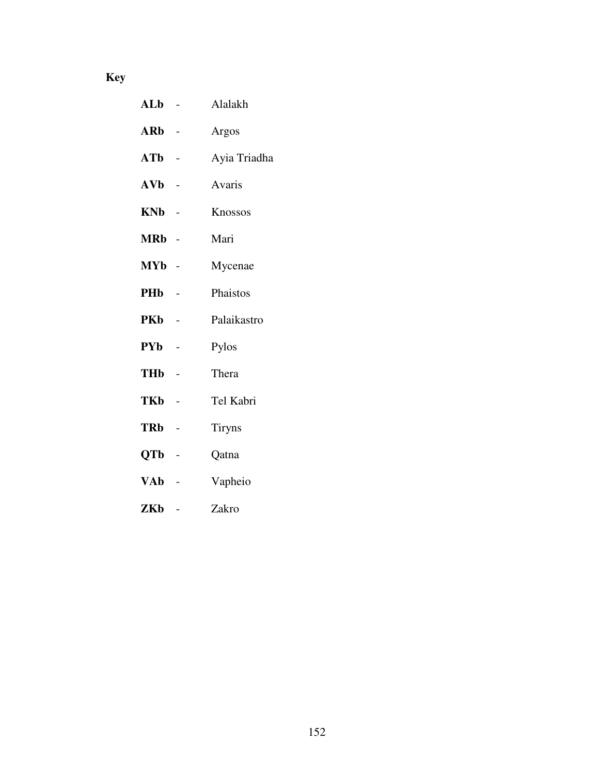# **Key**

| $ALb -$      |                | Alalakh      |
|--------------|----------------|--------------|
| ARb -        |                | Argos        |
| $ATb -$      |                | Ayia Triadha |
| $\bf{AVb}$ - |                | Avaris       |
| KNb -        |                | Knossos      |
| MRb -        |                | Mari         |
| MYb -        |                | Mycenae      |
| PHb          |                | Phaistos     |
| PKb          |                | Palaikastro  |
| PYb -        |                | Pylos        |
| THb          | $\overline{a}$ | Thera        |
|              |                |              |

- **TKb** Tel Kabri
- **TRb** Tiryns
- **QTb** Qatna
- **VAb** Vapheio
- **ZKb** Zakro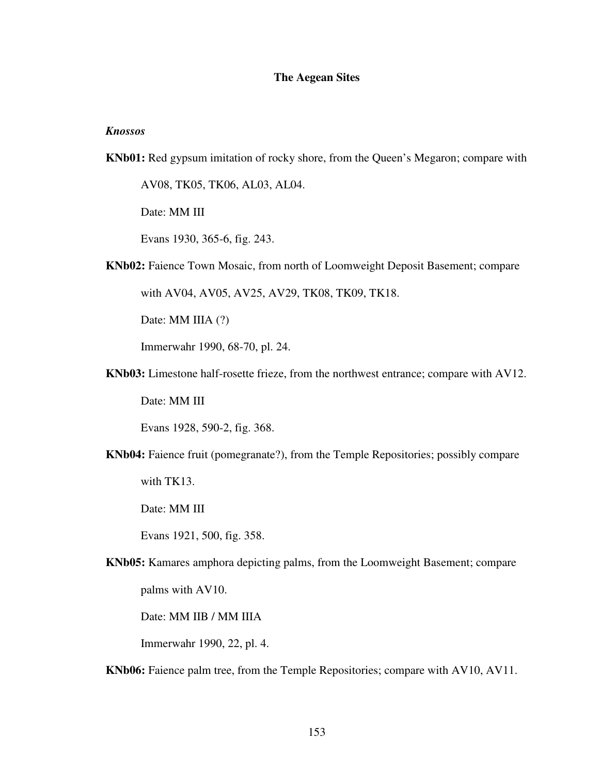## **The Aegean Sites**

## *Knossos*

**KNb01:** Red gypsum imitation of rocky shore, from the Queen's Megaron; compare with

AV08, TK05, TK06, AL03, AL04.

Date: MM III

Evans 1930, 365-6, fig. 243.

**KNb02:** Faience Town Mosaic, from north of Loomweight Deposit Basement; compare

with AV04, AV05, AV25, AV29, TK08, TK09, TK18.

Date: MM IIIA (?)

Immerwahr 1990, 68-70, pl. 24.

**KNb03:** Limestone half-rosette frieze, from the northwest entrance; compare with AV12.

Date: MM III

Evans 1928, 590-2, fig. 368.

**KNb04:** Faience fruit (pomegranate?), from the Temple Repositories; possibly compare with TK13.

Date: MM III

Evans 1921, 500, fig. 358.

**KNb05:** Kamares amphora depicting palms, from the Loomweight Basement; compare palms with AV10.

Date: MM IIB / MM IIIA

Immerwahr 1990, 22, pl. 4.

**KNb06:** Faience palm tree, from the Temple Repositories; compare with AV10, AV11.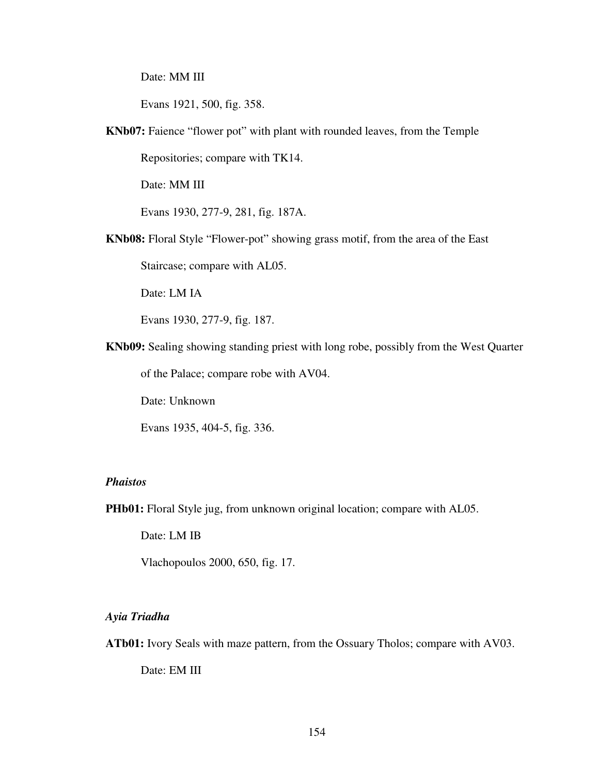Date: MM III

Evans 1921, 500, fig. 358.

**KNb07:** Faience "flower pot" with plant with rounded leaves, from the Temple

Repositories; compare with TK14.

Date: MM III

Evans 1930, 277-9, 281, fig. 187A.

**KNb08:** Floral Style "Flower-pot" showing grass motif, from the area of the East

Staircase; compare with AL05.

Date: LM IA

Evans 1930, 277-9, fig. 187.

**KNb09:** Sealing showing standing priest with long robe, possibly from the West Quarter

of the Palace; compare robe with AV04.

Date: Unknown

Evans 1935, 404-5, fig. 336.

## *Phaistos*

**PHb01:** Floral Style jug, from unknown original location; compare with AL05.

Date: LM IB

Vlachopoulos 2000, 650, fig. 17.

## *Ayia Triadha*

**ATb01:** Ivory Seals with maze pattern, from the Ossuary Tholos; compare with AV03.

Date: EM III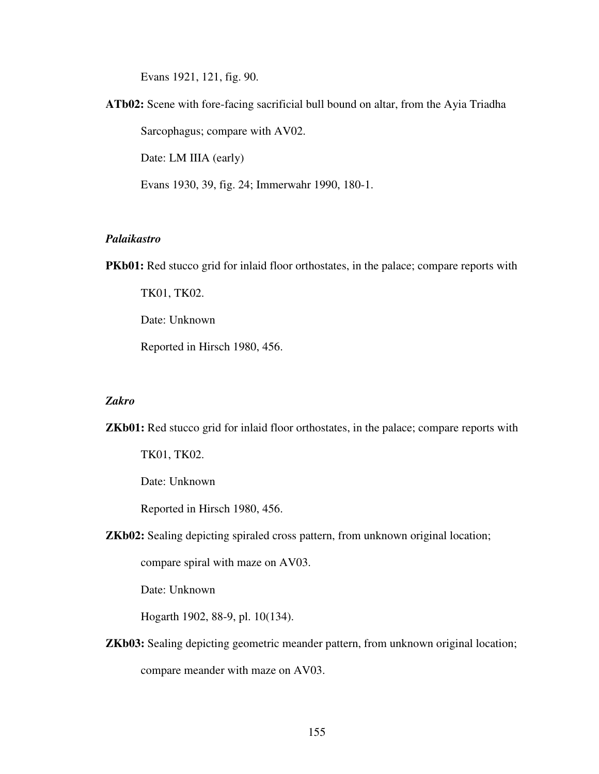Evans 1921, 121, fig. 90.

**ATb02:** Scene with fore-facing sacrificial bull bound on altar, from the Ayia Triadha Sarcophagus; compare with AV02. Date: LM IIIA (early)

Evans 1930, 39, fig. 24; Immerwahr 1990, 180-1.

## *Palaikastro*

**PKb01:** Red stucco grid for inlaid floor orthostates, in the palace; compare reports with

TK01, TK02.

Date: Unknown

Reported in Hirsch 1980, 456.

#### *Zakro*

**ZKb01:** Red stucco grid for inlaid floor orthostates, in the palace; compare reports with

TK01, TK02.

Date: Unknown

Reported in Hirsch 1980, 456.

**ZKb02:** Sealing depicting spiraled cross pattern, from unknown original location;

compare spiral with maze on AV03.

Date: Unknown

Hogarth 1902, 88-9, pl. 10(134).

**ZKb03:** Sealing depicting geometric meander pattern, from unknown original location; compare meander with maze on AV03.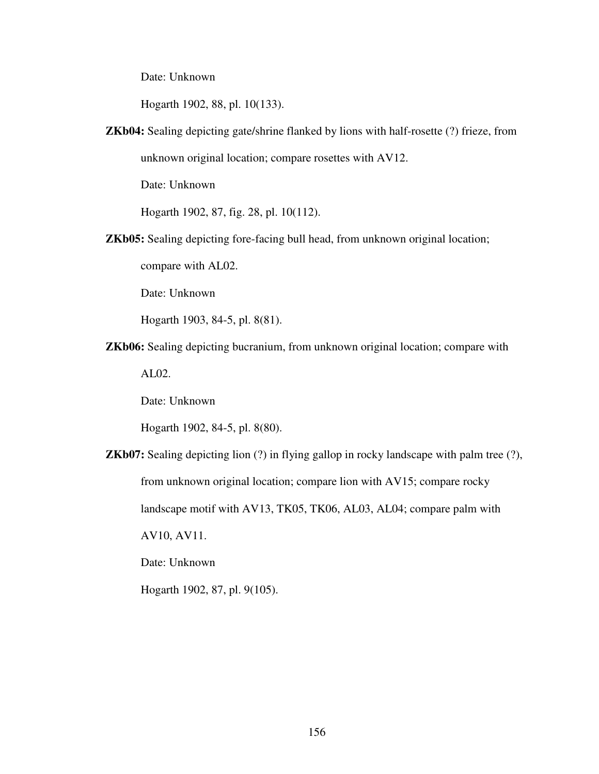Date: Unknown

Hogarth 1902, 88, pl. 10(133).

**ZKb04:** Sealing depicting gate/shrine flanked by lions with half-rosette (?) frieze, from

unknown original location; compare rosettes with AV12.

Date: Unknown

Hogarth 1902, 87, fig. 28, pl. 10(112).

**ZKb05:** Sealing depicting fore-facing bull head, from unknown original location;

compare with AL02.

Date: Unknown

Hogarth 1903, 84-5, pl. 8(81).

**ZKb06:** Sealing depicting bucranium, from unknown original location; compare with

AL02.

Date: Unknown

Hogarth 1902, 84-5, pl. 8(80).

**ZKb07:** Sealing depicting lion (?) in flying gallop in rocky landscape with palm tree (?), from unknown original location; compare lion with AV15; compare rocky landscape motif with AV13, TK05, TK06, AL03, AL04; compare palm with AV10, AV11.

Date: Unknown

Hogarth 1902, 87, pl. 9(105).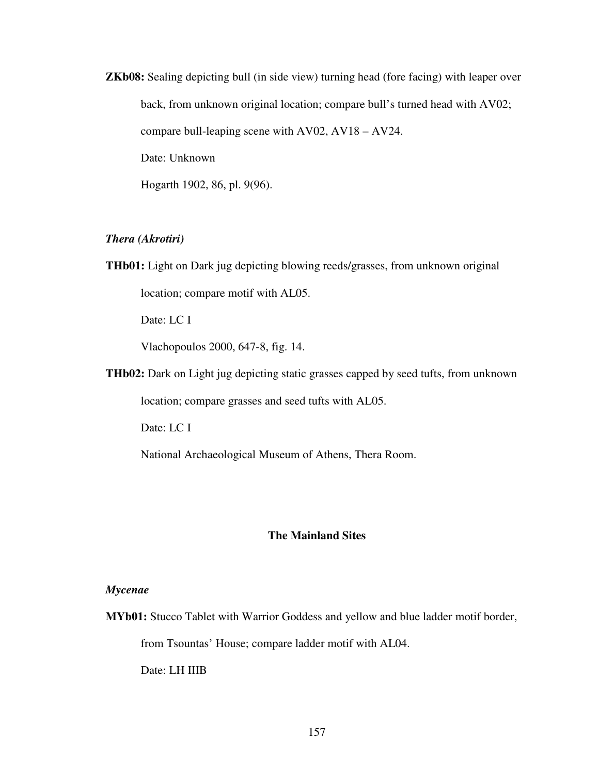**ZKb08:** Sealing depicting bull (in side view) turning head (fore facing) with leaper over back, from unknown original location; compare bull's turned head with AV02; compare bull-leaping scene with AV02, AV18 – AV24. Date: Unknown Hogarth 1902, 86, pl. 9(96).

## *Thera (Akrotiri)*

**THb01:** Light on Dark jug depicting blowing reeds/grasses, from unknown original location; compare motif with AL05.

Date: LC I

Vlachopoulos 2000, 647-8, fig. 14.

**THb02:** Dark on Light jug depicting static grasses capped by seed tufts, from unknown location; compare grasses and seed tufts with AL05.

Date: LC I

National Archaeological Museum of Athens, Thera Room.

## **The Mainland Sites**

## *Mycenae*

**MYb01:** Stucco Tablet with Warrior Goddess and yellow and blue ladder motif border, from Tsountas' House; compare ladder motif with AL04. Date: LH IIIB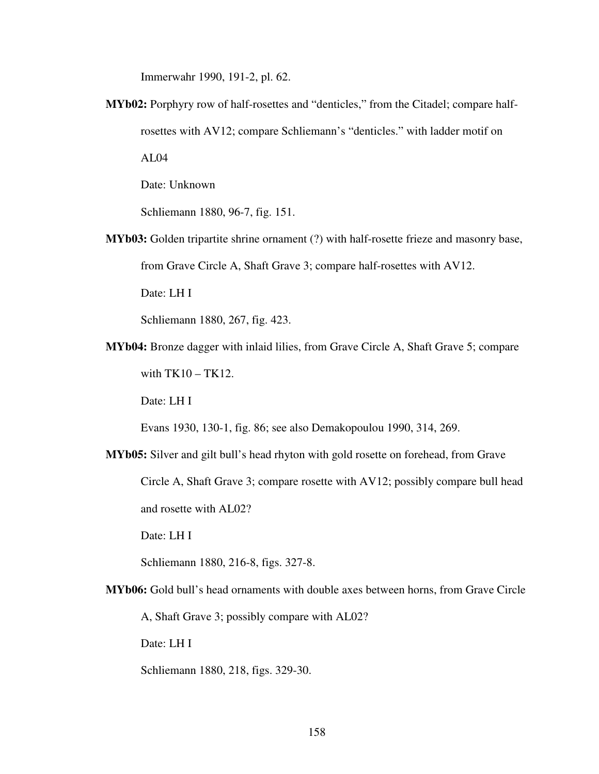Immerwahr 1990, 191-2, pl. 62.

**MYb02:** Porphyry row of half-rosettes and "denticles," from the Citadel; compare halfrosettes with AV12; compare Schliemann's "denticles." with ladder motif on  $AI.04$ 

Date: Unknown

Schliemann 1880, 96-7, fig. 151.

**MYb03:** Golden tripartite shrine ornament (?) with half-rosette frieze and masonry base,

from Grave Circle A, Shaft Grave 3; compare half-rosettes with AV12.

Date: LH I

Schliemann 1880, 267, fig. 423.

**MYb04:** Bronze dagger with inlaid lilies, from Grave Circle A, Shaft Grave 5; compare with  $TK10 - TK12$ .

Date: LH I

Evans 1930, 130-1, fig. 86; see also Demakopoulou 1990, 314, 269.

**MYb05:** Silver and gilt bull's head rhyton with gold rosette on forehead, from Grave Circle A, Shaft Grave 3; compare rosette with AV12; possibly compare bull head and rosette with AL02?

Date: LH I

Schliemann 1880, 216-8, figs. 327-8.

**MYb06:** Gold bull's head ornaments with double axes between horns, from Grave Circle

A, Shaft Grave 3; possibly compare with AL02?

Date: LH I

Schliemann 1880, 218, figs. 329-30.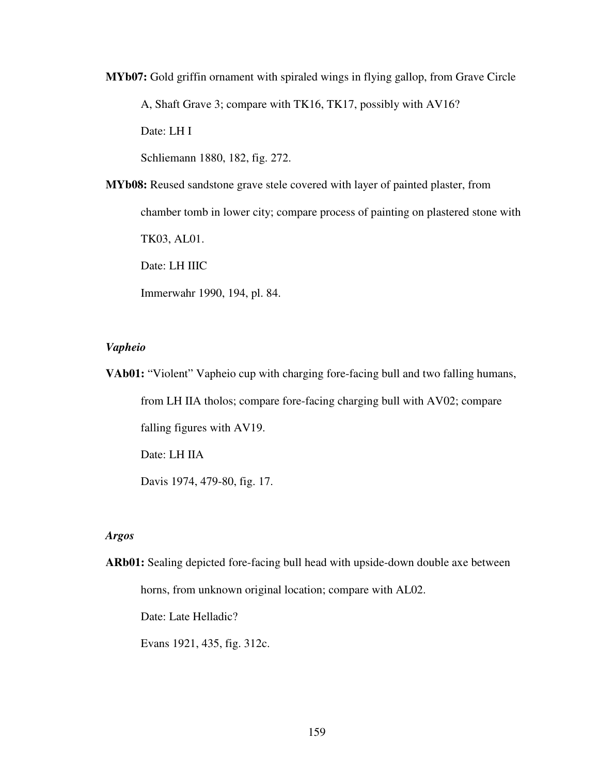**MYb07:** Gold griffin ornament with spiraled wings in flying gallop, from Grave Circle

A, Shaft Grave 3; compare with TK16, TK17, possibly with AV16?

Date: LH I

Schliemann 1880, 182, fig. 272.

**MYb08:** Reused sandstone grave stele covered with layer of painted plaster, from chamber tomb in lower city; compare process of painting on plastered stone with TK03, AL01. Date: LH IIIC Immerwahr 1990, 194, pl. 84.

#### *Vapheio*

**VAb01:** "Violent" Vapheio cup with charging fore-facing bull and two falling humans, from LH IIA tholos; compare fore-facing charging bull with AV02; compare falling figures with AV19. Date: LH IIA

Davis 1974, 479-80, fig. 17.

## *Argos*

**ARb01:** Sealing depicted fore-facing bull head with upside-down double axe between horns, from unknown original location; compare with AL02.

Date: Late Helladic?

Evans 1921, 435, fig. 312c.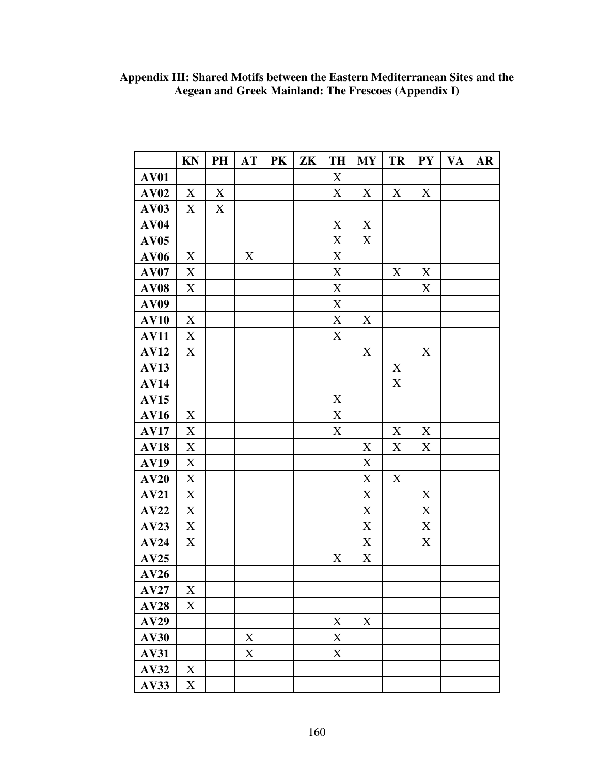|             | KN                        | PH          | <b>AT</b>   | PK | ZK | TH          | <b>MY</b>   | <b>TR</b>   | <b>PY</b>   | <b>VA</b> | $\overline{\mathbf{AR}}$ |
|-------------|---------------------------|-------------|-------------|----|----|-------------|-------------|-------------|-------------|-----------|--------------------------|
| <b>AV01</b> |                           |             |             |    |    | $\mathbf X$ |             |             |             |           |                          |
| AV02        | $\boldsymbol{\mathrm{X}}$ | $\mathbf X$ |             |    |    | $\mathbf X$ | $\mathbf X$ | $\mathbf X$ | $\mathbf X$ |           |                          |
| <b>AV03</b> | X                         | X           |             |    |    |             |             |             |             |           |                          |
| <b>AV04</b> |                           |             |             |    |    | $\mathbf X$ | $\mathbf X$ |             |             |           |                          |
| <b>AV05</b> |                           |             |             |    |    | $\mathbf X$ | $\mathbf X$ |             |             |           |                          |
| <b>AV06</b> | X                         |             | $\mathbf X$ |    |    | $\mathbf X$ |             |             |             |           |                          |
| <b>AV07</b> | $\mathbf X$               |             |             |    |    | $\mathbf X$ |             | $\mathbf X$ | $\mathbf X$ |           |                          |
| AV08        | $\mathbf X$               |             |             |    |    | $\mathbf X$ |             |             | $\mathbf X$ |           |                          |
| <b>AV09</b> |                           |             |             |    |    | $\mathbf X$ |             |             |             |           |                          |
| <b>AV10</b> | X                         |             |             |    |    | $\mathbf X$ | X           |             |             |           |                          |
| <b>AV11</b> | X                         |             |             |    |    | X           |             |             |             |           |                          |
| <b>AV12</b> | $\mathbf X$               |             |             |    |    |             | $\mathbf X$ |             | $\mathbf X$ |           |                          |
| <b>AV13</b> |                           |             |             |    |    |             |             | $\mathbf X$ |             |           |                          |
| <b>AV14</b> |                           |             |             |    |    |             |             | $\mathbf X$ |             |           |                          |
| <b>AV15</b> |                           |             |             |    |    | $\mathbf X$ |             |             |             |           |                          |
| <b>AV16</b> | X                         |             |             |    |    | $\mathbf X$ |             |             |             |           |                          |
| <b>AV17</b> | X                         |             |             |    |    | $\mathbf X$ |             | X           | X           |           |                          |
| <b>AV18</b> | $\mathbf X$               |             |             |    |    |             | $\mathbf X$ | $\mathbf X$ | $\mathbf X$ |           |                          |
| <b>AV19</b> | $\mathbf X$               |             |             |    |    |             | $\mathbf X$ |             |             |           |                          |
| AV20        | $\mathbf X$               |             |             |    |    |             | $\mathbf X$ | $\mathbf X$ |             |           |                          |
| <b>AV21</b> | $\mathbf X$               |             |             |    |    |             | $\mathbf X$ |             | $\mathbf X$ |           |                          |
| AV22        | $\mathbf X$               |             |             |    |    |             | $\mathbf X$ |             | $\mathbf X$ |           |                          |
| AV23        | $\mathbf X$               |             |             |    |    |             | $\mathbf X$ |             | $\mathbf X$ |           |                          |
| AV24        | X                         |             |             |    |    |             | X           |             | $\mathbf X$ |           |                          |
| AV25        |                           |             |             |    |    | X           | $\mathbf X$ |             |             |           |                          |
| AV26        |                           |             |             |    |    |             |             |             |             |           |                          |
| AV27        | X                         |             |             |    |    |             |             |             |             |           |                          |
| AV28        | $\mathbf X$               |             |             |    |    |             |             |             |             |           |                          |
| <b>AV29</b> |                           |             |             |    |    | $\mathbf X$ | $\mathbf X$ |             |             |           |                          |
| <b>AV30</b> |                           |             | $\mathbf X$ |    |    | X           |             |             |             |           |                          |
| <b>AV31</b> |                           |             | $\mathbf X$ |    |    | $\mathbf X$ |             |             |             |           |                          |
| <b>AV32</b> | X                         |             |             |    |    |             |             |             |             |           |                          |
| AV33        | $\mathbf X$               |             |             |    |    |             |             |             |             |           |                          |

## **Appendix III: Shared Motifs between the Eastern Mediterranean Sites and the Aegean and Greek Mainland: The Frescoes (Appendix I)**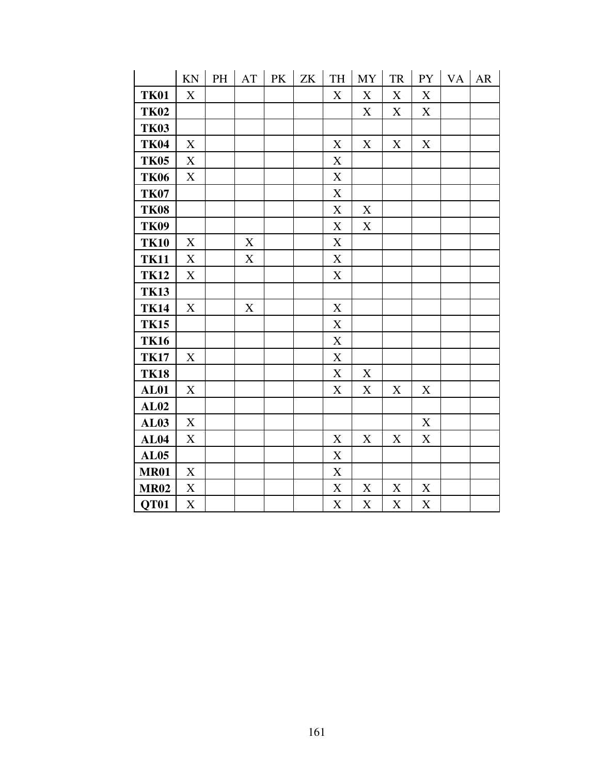|             | KN                        | PH | AT | PK | ZK | TH                        | <b>MY</b>   | ${\rm TR}$  | <b>PY</b>                 | <b>VA</b> | AR |
|-------------|---------------------------|----|----|----|----|---------------------------|-------------|-------------|---------------------------|-----------|----|
| <b>TK01</b> | X                         |    |    |    |    | X                         | $\mathbf X$ | X           | X                         |           |    |
| <b>TK02</b> |                           |    |    |    |    |                           | X           | X           | X                         |           |    |
| <b>TK03</b> |                           |    |    |    |    |                           |             |             |                           |           |    |
| <b>TK04</b> | X                         |    |    |    |    | $\boldsymbol{\mathrm{X}}$ | X           | X           | $\boldsymbol{\mathrm{X}}$ |           |    |
| <b>TK05</b> | X                         |    |    |    |    | $\mathbf X$               |             |             |                           |           |    |
| <b>TK06</b> | X                         |    |    |    |    | X                         |             |             |                           |           |    |
| <b>TK07</b> |                           |    |    |    |    | $\mathbf X$               |             |             |                           |           |    |
| <b>TK08</b> |                           |    |    |    |    | $\boldsymbol{\mathrm{X}}$ | $\mathbf X$ |             |                           |           |    |
| <b>TK09</b> |                           |    |    |    |    | X                         | X           |             |                           |           |    |
| <b>TK10</b> | X                         |    | X  |    |    | X                         |             |             |                           |           |    |
| <b>TK11</b> | X                         |    | X  |    |    | X                         |             |             |                           |           |    |
| <b>TK12</b> | X                         |    |    |    |    | $\mathbf X$               |             |             |                           |           |    |
| <b>TK13</b> |                           |    |    |    |    |                           |             |             |                           |           |    |
| <b>TK14</b> | X                         |    | X  |    |    | X                         |             |             |                           |           |    |
| <b>TK15</b> |                           |    |    |    |    | X                         |             |             |                           |           |    |
| <b>TK16</b> |                           |    |    |    |    | $\mathbf X$               |             |             |                           |           |    |
| <b>TK17</b> | $\boldsymbol{\mathrm{X}}$ |    |    |    |    | $\boldsymbol{\mathrm{X}}$ |             |             |                           |           |    |
| <b>TK18</b> |                           |    |    |    |    | $\mathbf X$               | X           |             |                           |           |    |
| AL01        | X                         |    |    |    |    | X                         | X           | X           | X                         |           |    |
| AL02        |                           |    |    |    |    |                           |             |             |                           |           |    |
| <b>AL03</b> | $\mathbf X$               |    |    |    |    |                           |             |             | $\mathbf X$               |           |    |
| AL04        | X                         |    |    |    |    | X                         | X           | X           | $\mathbf X$               |           |    |
| AL05        |                           |    |    |    |    | $\mathbf X$               |             |             |                           |           |    |
| <b>MR01</b> | X                         |    |    |    |    | X                         |             |             |                           |           |    |
| <b>MR02</b> | $\boldsymbol{\mathrm{X}}$ |    |    |    |    | $\mathbf X$               | $\mathbf X$ | $\mathbf X$ | $\mathbf X$               |           |    |
| <b>OT01</b> | $\mathbf X$               |    |    |    |    | X                         | X           | X           | $\mathbf X$               |           |    |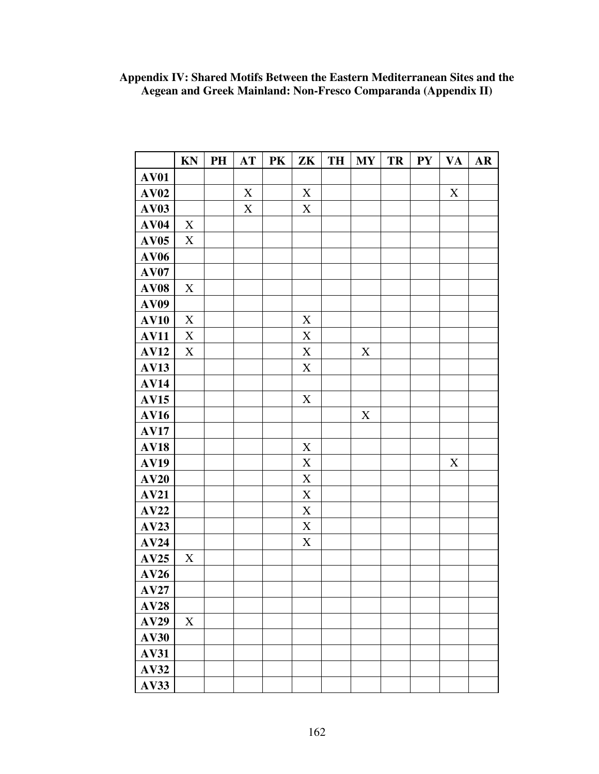| Appendix IV: Shared Motifs Between the Eastern Mediterranean Sites and the |
|----------------------------------------------------------------------------|
| Aegean and Greek Mainland: Non-Fresco Comparanda (Appendix II)             |

|             | <b>KN</b>   | PH | AT          | PK | $ZK$        | TH | MY          | TR | <b>PY</b> | <b>VA</b>   | AR |
|-------------|-------------|----|-------------|----|-------------|----|-------------|----|-----------|-------------|----|
| <b>AV01</b> |             |    |             |    |             |    |             |    |           |             |    |
| AV02        |             |    | $\mathbf X$ |    | $\mathbf X$ |    |             |    |           | $\mathbf X$ |    |
| <b>AV03</b> |             |    | $\mathbf X$ |    | $\mathbf X$ |    |             |    |           |             |    |
| AV04        | $\mathbf X$ |    |             |    |             |    |             |    |           |             |    |
| AV05        | $\mathbf X$ |    |             |    |             |    |             |    |           |             |    |
| <b>AV06</b> |             |    |             |    |             |    |             |    |           |             |    |
| AV07        |             |    |             |    |             |    |             |    |           |             |    |
| <b>AV08</b> | $\mathbf X$ |    |             |    |             |    |             |    |           |             |    |
| <b>AV09</b> |             |    |             |    |             |    |             |    |           |             |    |
| <b>AV10</b> | $\mathbf X$ |    |             |    | X           |    |             |    |           |             |    |
| <b>AV11</b> | $\mathbf X$ |    |             |    | $\mathbf X$ |    |             |    |           |             |    |
| AV12        | $\mathbf X$ |    |             |    | $\mathbf X$ |    | $\mathbf X$ |    |           |             |    |
| <b>AV13</b> |             |    |             |    | $\mathbf X$ |    |             |    |           |             |    |
| <b>AV14</b> |             |    |             |    |             |    |             |    |           |             |    |
| <b>AV15</b> |             |    |             |    | $\mathbf X$ |    |             |    |           |             |    |
| <b>AV16</b> |             |    |             |    |             |    | X           |    |           |             |    |
| <b>AV17</b> |             |    |             |    |             |    |             |    |           |             |    |
| <b>AV18</b> |             |    |             |    | $\mathbf X$ |    |             |    |           |             |    |
| <b>AV19</b> |             |    |             |    | $\mathbf X$ |    |             |    |           | $\mathbf X$ |    |
| AV20        |             |    |             |    | X           |    |             |    |           |             |    |
| AV21        |             |    |             |    | $\mathbf X$ |    |             |    |           |             |    |
| AV22        |             |    |             |    | $\mathbf X$ |    |             |    |           |             |    |
| AV23        |             |    |             |    | $\mathbf X$ |    |             |    |           |             |    |
| AV24        |             |    |             |    | X           |    |             |    |           |             |    |
| AV25        | X           |    |             |    |             |    |             |    |           |             |    |
| AV26        |             |    |             |    |             |    |             |    |           |             |    |
| $\bf{AV27}$ |             |    |             |    |             |    |             |    |           |             |    |
| AV28        |             |    |             |    |             |    |             |    |           |             |    |
| AV29        | $\mathbf X$ |    |             |    |             |    |             |    |           |             |    |
| <b>AV30</b> |             |    |             |    |             |    |             |    |           |             |    |
| <b>AV31</b> |             |    |             |    |             |    |             |    |           |             |    |
| <b>AV32</b> |             |    |             |    |             |    |             |    |           |             |    |
| <b>AV33</b> |             |    |             |    |             |    |             |    |           |             |    |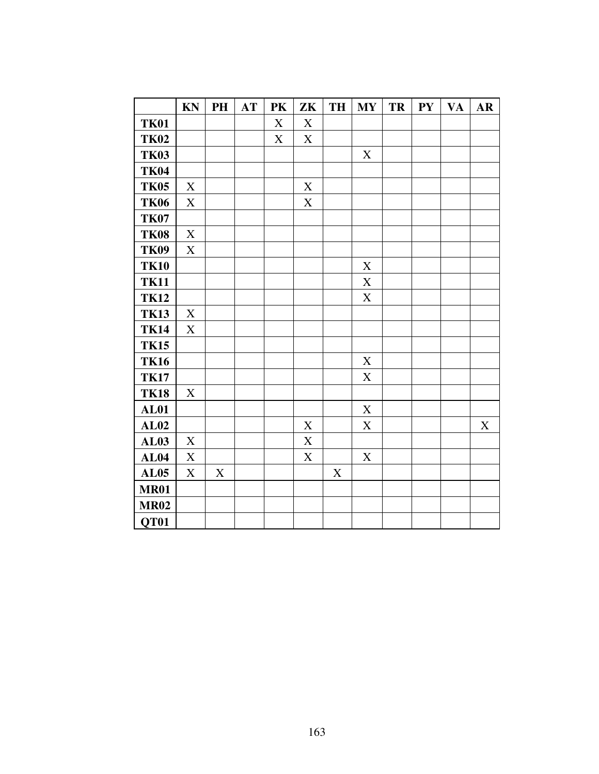|             | KN                        | PH                        | AT | PK | ZK          | TH          | <b>MY</b>   | TR | <b>PY</b> | <b>VA</b> | $\mathbf{AR}$ |
|-------------|---------------------------|---------------------------|----|----|-------------|-------------|-------------|----|-----------|-----------|---------------|
| <b>TK01</b> |                           |                           |    | X  | X           |             |             |    |           |           |               |
| <b>TK02</b> |                           |                           |    | X  | X           |             |             |    |           |           |               |
| <b>TK03</b> |                           |                           |    |    |             |             | $\mathbf X$ |    |           |           |               |
| <b>TK04</b> |                           |                           |    |    |             |             |             |    |           |           |               |
| <b>TK05</b> | $\mathbf X$               |                           |    |    | $\mathbf X$ |             |             |    |           |           |               |
| <b>TK06</b> | X                         |                           |    |    | X           |             |             |    |           |           |               |
| <b>TK07</b> |                           |                           |    |    |             |             |             |    |           |           |               |
| <b>TK08</b> | $\mathbf X$               |                           |    |    |             |             |             |    |           |           |               |
| <b>TK09</b> | X                         |                           |    |    |             |             |             |    |           |           |               |
| <b>TK10</b> |                           |                           |    |    |             |             | $\mathbf X$ |    |           |           |               |
| <b>TK11</b> |                           |                           |    |    |             |             | $\mathbf X$ |    |           |           |               |
| <b>TK12</b> |                           |                           |    |    |             |             | $\mathbf X$ |    |           |           |               |
| <b>TK13</b> | X                         |                           |    |    |             |             |             |    |           |           |               |
| <b>TK14</b> | X                         |                           |    |    |             |             |             |    |           |           |               |
| <b>TK15</b> |                           |                           |    |    |             |             |             |    |           |           |               |
| <b>TK16</b> |                           |                           |    |    |             |             | $\mathbf X$ |    |           |           |               |
| <b>TK17</b> |                           |                           |    |    |             |             | $\mathbf X$ |    |           |           |               |
| <b>TK18</b> | X                         |                           |    |    |             |             |             |    |           |           |               |
| <b>AL01</b> |                           |                           |    |    |             |             | $\mathbf X$ |    |           |           |               |
| AL02        |                           |                           |    |    | $\mathbf X$ |             | $\mathbf X$ |    |           |           | $\mathbf X$   |
| <b>AL03</b> | $\boldsymbol{\mathrm{X}}$ |                           |    |    | $\mathbf X$ |             |             |    |           |           |               |
| <b>AL04</b> | $\mathbf X$               |                           |    |    | $\mathbf X$ |             | $\mathbf X$ |    |           |           |               |
| <b>AL05</b> | X                         | $\boldsymbol{\mathrm{X}}$ |    |    |             | $\mathbf X$ |             |    |           |           |               |
| <b>MR01</b> |                           |                           |    |    |             |             |             |    |           |           |               |
| <b>MR02</b> |                           |                           |    |    |             |             |             |    |           |           |               |
| QT01        |                           |                           |    |    |             |             |             |    |           |           |               |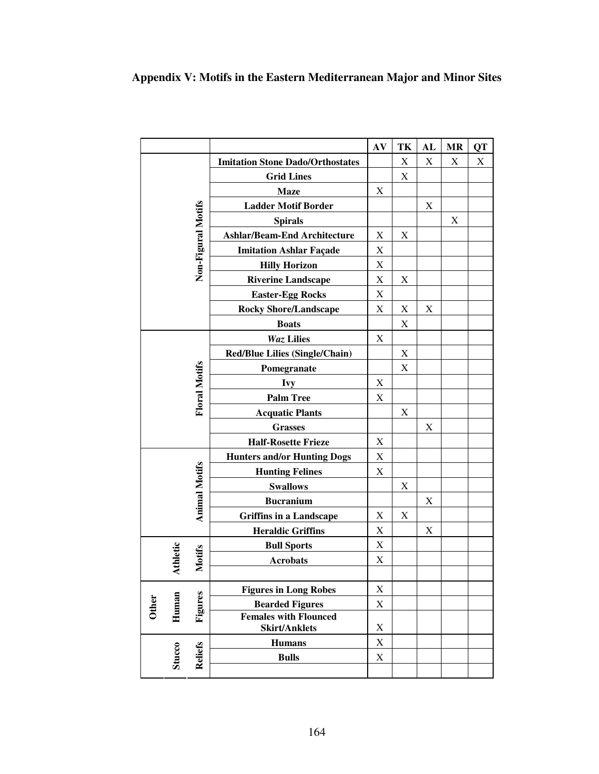# **Appendix V: Motifs in the Eastern Mediterranean Major and Minor Sites**

|              |                      |                      |                                                      | AV                        | TK                        | AL          | <b>MR</b> | QT |
|--------------|----------------------|----------------------|------------------------------------------------------|---------------------------|---------------------------|-------------|-----------|----|
|              |                      |                      | <b>Imitation Stone Dado/Orthostates</b>              |                           | $\boldsymbol{\mathrm{X}}$ | $\mathbf X$ | X         | X  |
|              |                      | <b>Grid Lines</b>    |                                                      | $\boldsymbol{\mathrm{X}}$ |                           |             |           |    |
|              |                      |                      | <b>Maze</b>                                          | X                         |                           |             |           |    |
|              |                      |                      | <b>Ladder Motif Border</b>                           |                           |                           | $\mathbf X$ |           |    |
|              |                      |                      | <b>Spirals</b>                                       |                           |                           |             | X         |    |
|              |                      |                      | <b>Ashlar/Beam-End Architecture</b>                  | $\boldsymbol{\mathrm{X}}$ | $\boldsymbol{\mathrm{X}}$ |             |           |    |
|              |                      |                      | <b>Imitation Ashlar Façade</b>                       | X                         |                           |             |           |    |
|              |                      | Non-Figural Motifs   | <b>Hilly Horizon</b>                                 | $\boldsymbol{\mathrm{X}}$ |                           |             |           |    |
|              |                      |                      | <b>Riverine Landscape</b>                            | $\boldsymbol{\mathrm{X}}$ | X                         |             |           |    |
|              |                      |                      | <b>Easter-Egg Rocks</b>                              | $\mathbf X$               |                           |             |           |    |
|              |                      |                      | <b>Rocky Shore/Landscape</b>                         | $\boldsymbol{\mathrm{X}}$ | X                         | Χ           |           |    |
|              |                      |                      | <b>Boats</b>                                         |                           | $\boldsymbol{\mathrm{X}}$ |             |           |    |
|              |                      |                      | <b>Waz Lilies</b>                                    | X                         |                           |             |           |    |
|              |                      |                      | <b>Red/Blue Lilies (Single/Chain)</b>                |                           | $\mathbf X$               |             |           |    |
|              |                      |                      | Pomegranate                                          |                           | X                         |             |           |    |
|              | <b>Floral Motifs</b> |                      | <b>Ivy</b><br><b>Palm Tree</b>                       |                           |                           |             |           |    |
|              |                      |                      |                                                      |                           |                           |             |           |    |
|              |                      |                      | <b>Acquatic Plants</b>                               |                           | X                         |             |           |    |
|              |                      |                      | <b>Grasses</b>                                       |                           |                           | X           |           |    |
|              |                      |                      | <b>Half-Rosette Frieze</b>                           | X                         |                           |             |           |    |
|              |                      |                      | <b>Hunters and/or Hunting Dogs</b>                   | $\boldsymbol{\mathrm{X}}$ |                           |             |           |    |
|              |                      |                      | <b>Hunting Felines</b>                               | $\boldsymbol{\mathrm{X}}$ |                           |             |           |    |
|              |                      |                      | <b>Swallows</b>                                      |                           | $\mathbf X$               |             |           |    |
|              |                      | <b>Animal Motifs</b> | <b>Bucranium</b>                                     |                           |                           | X           |           |    |
|              |                      |                      | <b>Griffins in a Landscape</b>                       | X                         | X                         |             |           |    |
|              |                      |                      | <b>Heraldic Griffins</b>                             | X                         |                           | X           |           |    |
|              |                      |                      | <b>Bull Sports</b>                                   | $\mathbf X$               |                           |             |           |    |
|              | Athletic             | <b>Motifs</b>        | <b>Acrobats</b>                                      | X                         |                           |             |           |    |
|              |                      |                      |                                                      |                           |                           |             |           |    |
|              |                      |                      | <b>Figures in Long Robes</b>                         | $\mathbf X$               |                           |             |           |    |
| <b>Other</b> | Human                | Figures              | <b>Bearded Figures</b>                               | X                         |                           |             |           |    |
|              |                      |                      | <b>Females with Flounced</b><br><b>Skirt/Anklets</b> | X                         |                           |             |           |    |
|              |                      |                      | <b>Humans</b>                                        | X                         |                           |             |           |    |
|              | <b>Stucco</b>        | <b>Reliefs</b>       | <b>Bulls</b>                                         | $\mathbf X$               |                           |             |           |    |
|              |                      |                      |                                                      |                           |                           |             |           |    |
|              |                      |                      |                                                      |                           |                           |             |           |    |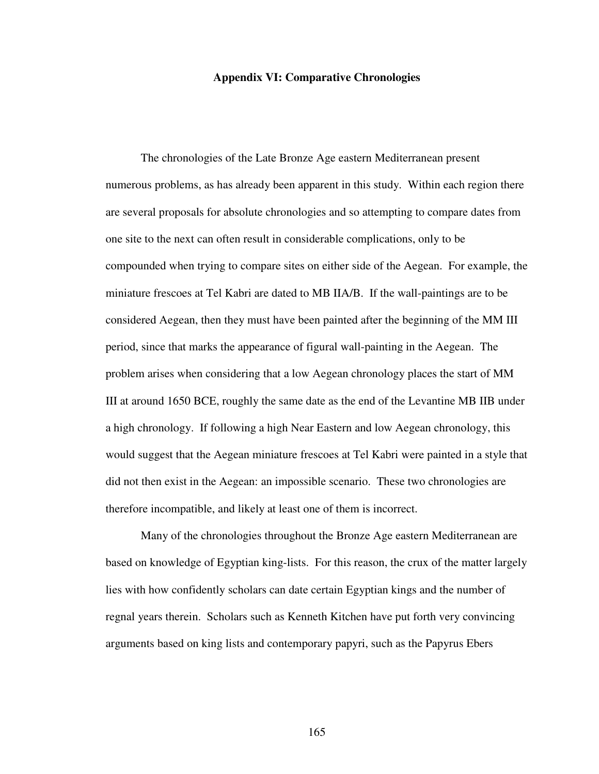#### **Appendix VI: Comparative Chronologies**

 The chronologies of the Late Bronze Age eastern Mediterranean present numerous problems, as has already been apparent in this study. Within each region there are several proposals for absolute chronologies and so attempting to compare dates from one site to the next can often result in considerable complications, only to be compounded when trying to compare sites on either side of the Aegean. For example, the miniature frescoes at Tel Kabri are dated to MB IIA/B. If the wall-paintings are to be considered Aegean, then they must have been painted after the beginning of the MM III period, since that marks the appearance of figural wall-painting in the Aegean. The problem arises when considering that a low Aegean chronology places the start of MM III at around 1650 BCE, roughly the same date as the end of the Levantine MB IIB under a high chronology. If following a high Near Eastern and low Aegean chronology, this would suggest that the Aegean miniature frescoes at Tel Kabri were painted in a style that did not then exist in the Aegean: an impossible scenario. These two chronologies are therefore incompatible, and likely at least one of them is incorrect.

 Many of the chronologies throughout the Bronze Age eastern Mediterranean are based on knowledge of Egyptian king-lists. For this reason, the crux of the matter largely lies with how confidently scholars can date certain Egyptian kings and the number of regnal years therein. Scholars such as Kenneth Kitchen have put forth very convincing arguments based on king lists and contemporary papyri, such as the Papyrus Ebers

165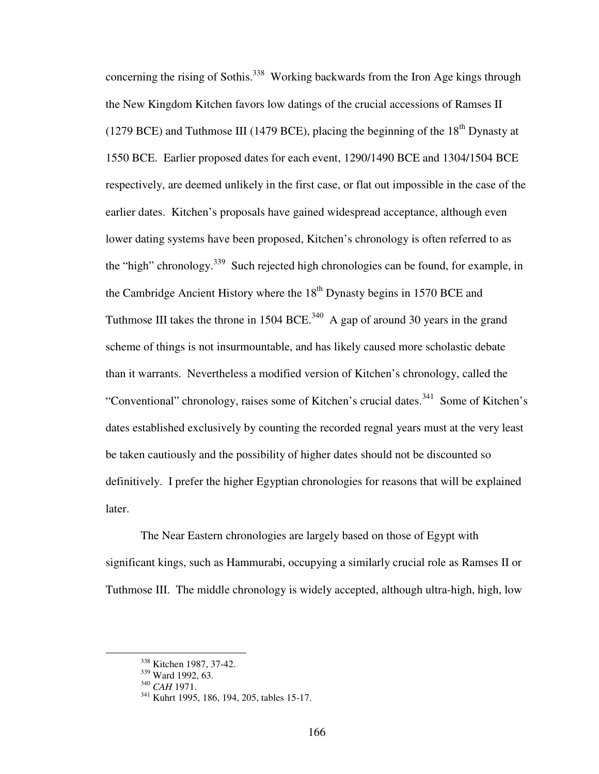concerning the rising of Sothis.<sup>338</sup> Working backwards from the Iron Age kings through the New Kingdom Kitchen favors low datings of the crucial accessions of Ramses II (1279 BCE) and Tuthmose III (1479 BCE), placing the beginning of the  $18<sup>th</sup>$  Dynasty at 1550 BCE. Earlier proposed dates for each event, 1290/1490 BCE and 1304/1504 BCE respectively, are deemed unlikely in the first case, or flat out impossible in the case of the earlier dates. Kitchen's proposals have gained widespread acceptance, although even lower dating systems have been proposed, Kitchen's chronology is often referred to as the "high" chronology.<sup>339</sup> Such rejected high chronologies can be found, for example, in the Cambridge Ancient History where the  $18<sup>th</sup>$  Dynasty begins in 1570 BCE and Tuthmose III takes the throne in 1504 BCE.<sup>340</sup> A gap of around 30 years in the grand scheme of things is not insurmountable, and has likely caused more scholastic debate than it warrants. Nevertheless a modified version of Kitchen's chronology, called the "Conventional" chronology, raises some of Kitchen's crucial dates.<sup>341</sup> Some of Kitchen's dates established exclusively by counting the recorded regnal years must at the very least be taken cautiously and the possibility of higher dates should not be discounted so definitively. I prefer the higher Egyptian chronologies for reasons that will be explained later.

 The Near Eastern chronologies are largely based on those of Egypt with significant kings, such as Hammurabi, occupying a similarly crucial role as Ramses II or Tuthmose III. The middle chronology is widely accepted, although ultra-high, high, low

 $\overline{a}$ 

<sup>&</sup>lt;sup>338</sup> Kitchen 1987, 37-42.

<sup>&</sup>lt;sup>339</sup> Ward 1992, 63.

<sup>340</sup> *CAH* 1971.

<sup>&</sup>lt;sup>341</sup> Kuhrt 1995, 186, 194, 205, tables 15-17.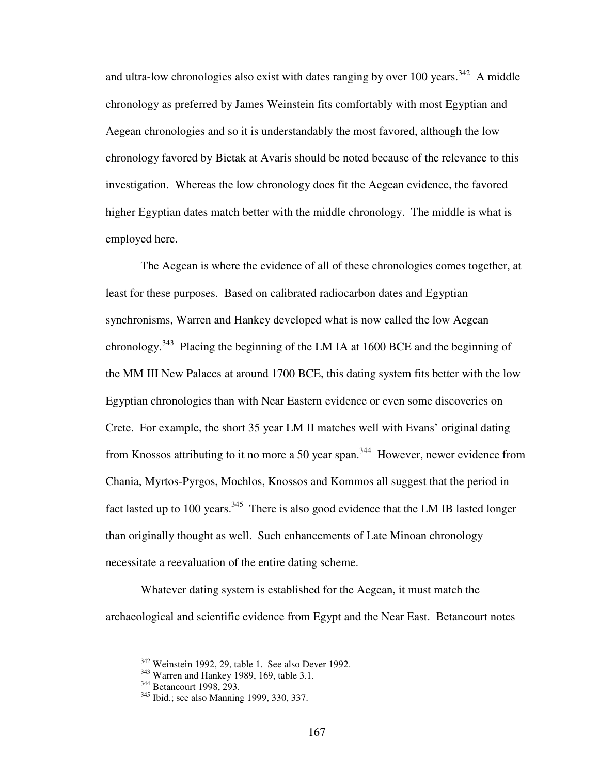and ultra-low chronologies also exist with dates ranging by over 100 years.<sup>342</sup> A middle chronology as preferred by James Weinstein fits comfortably with most Egyptian and Aegean chronologies and so it is understandably the most favored, although the low chronology favored by Bietak at Avaris should be noted because of the relevance to this investigation. Whereas the low chronology does fit the Aegean evidence, the favored higher Egyptian dates match better with the middle chronology. The middle is what is employed here.

 The Aegean is where the evidence of all of these chronologies comes together, at least for these purposes. Based on calibrated radiocarbon dates and Egyptian synchronisms, Warren and Hankey developed what is now called the low Aegean chronology.<sup>343</sup> Placing the beginning of the LM IA at 1600 BCE and the beginning of the MM III New Palaces at around 1700 BCE, this dating system fits better with the low Egyptian chronologies than with Near Eastern evidence or even some discoveries on Crete. For example, the short 35 year LM II matches well with Evans' original dating from Knossos attributing to it no more a 50 year span.<sup>344</sup> However, newer evidence from Chania, Myrtos-Pyrgos, Mochlos, Knossos and Kommos all suggest that the period in fact lasted up to 100 years.<sup>345</sup> There is also good evidence that the LM IB lasted longer than originally thought as well. Such enhancements of Late Minoan chronology necessitate a reevaluation of the entire dating scheme.

 Whatever dating system is established for the Aegean, it must match the archaeological and scientific evidence from Egypt and the Near East. Betancourt notes

 $\overline{a}$ 

<sup>&</sup>lt;sup>342</sup> Weinstein 1992, 29, table 1. See also Dever 1992.

<sup>343</sup> Warren and Hankey 1989, 169, table 3.1.

<sup>344</sup> Betancourt 1998, 293.

<sup>&</sup>lt;sup>345</sup> Ibid.; see also Manning 1999, 330, 337.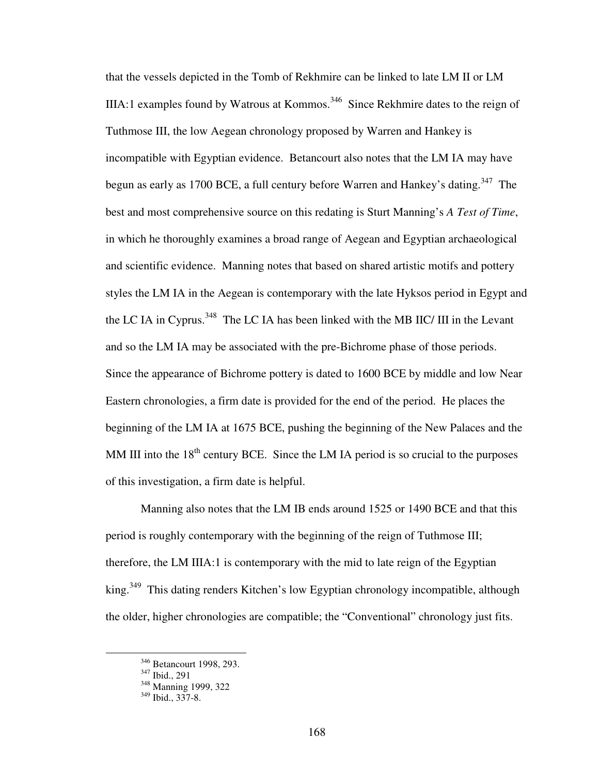that the vessels depicted in the Tomb of Rekhmire can be linked to late LM II or LM IIIA:1 examples found by Watrous at Kommos.<sup>346</sup> Since Rekhmire dates to the reign of Tuthmose III, the low Aegean chronology proposed by Warren and Hankey is incompatible with Egyptian evidence. Betancourt also notes that the LM IA may have begun as early as 1700 BCE, a full century before Warren and Hankey's dating.<sup>347</sup> The best and most comprehensive source on this redating is Sturt Manning's *A Test of Time*, in which he thoroughly examines a broad range of Aegean and Egyptian archaeological and scientific evidence. Manning notes that based on shared artistic motifs and pottery styles the LM IA in the Aegean is contemporary with the late Hyksos period in Egypt and the LC IA in Cyprus.<sup>348</sup> The LC IA has been linked with the MB IIC/ III in the Levant and so the LM IA may be associated with the pre-Bichrome phase of those periods. Since the appearance of Bichrome pottery is dated to 1600 BCE by middle and low Near Eastern chronologies, a firm date is provided for the end of the period. He places the beginning of the LM IA at 1675 BCE, pushing the beginning of the New Palaces and the MM III into the  $18<sup>th</sup>$  century BCE. Since the LM IA period is so crucial to the purposes of this investigation, a firm date is helpful.

 Manning also notes that the LM IB ends around 1525 or 1490 BCE and that this period is roughly contemporary with the beginning of the reign of Tuthmose III; therefore, the LM IIIA:1 is contemporary with the mid to late reign of the Egyptian king.<sup>349</sup> This dating renders Kitchen's low Egyptian chronology incompatible, although the older, higher chronologies are compatible; the "Conventional" chronology just fits.

 $\overline{a}$ 

<sup>&</sup>lt;sup>346</sup> Betancourt 1998, 293.

<sup>347</sup> Ibid., 291

<sup>&</sup>lt;sup>348</sup> Manning 1999, 322

<sup>349</sup> Ibid., 337-8.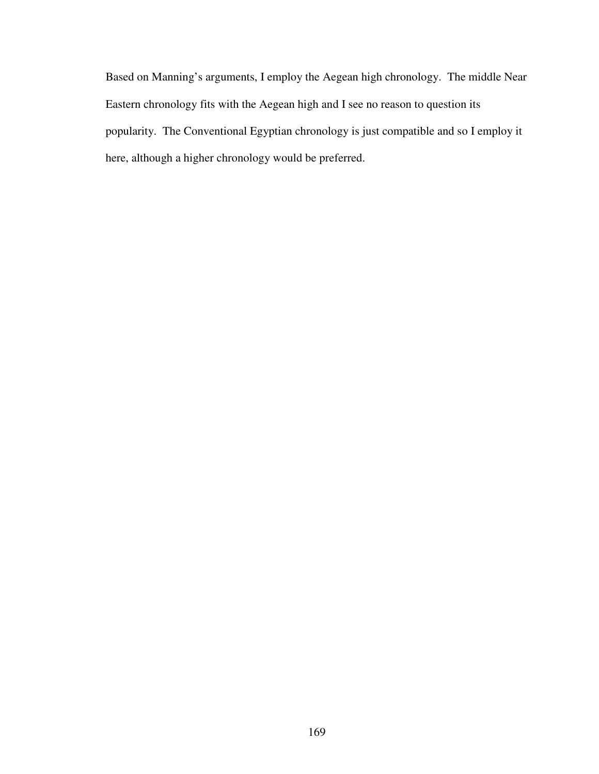Based on Manning's arguments, I employ the Aegean high chronology. The middle Near Eastern chronology fits with the Aegean high and I see no reason to question its popularity. The Conventional Egyptian chronology is just compatible and so I employ it here, although a higher chronology would be preferred.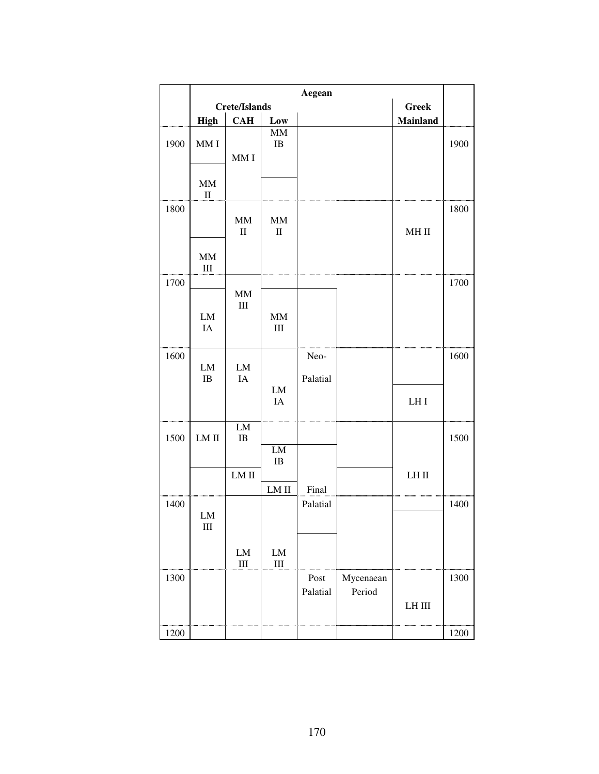|      |                                           |                                 |                            | Aegean           |                     |                 |      |
|------|-------------------------------------------|---------------------------------|----------------------------|------------------|---------------------|-----------------|------|
|      |                                           | <b>Crete/Islands</b>            |                            |                  |                     | <b>Greek</b>    |      |
|      | <b>High</b>                               | <b>CAH</b>                      | Low                        |                  |                     | Mainland        |      |
| 1900 | MM I                                      | MMI                             | $\text{MM}{}$<br>$\rm IB$  |                  |                     |                 | 1900 |
|      | MM<br>$\mathbf{I}$                        |                                 |                            |                  |                     |                 |      |
| 1800 |                                           | $\text{MM}{}$<br>$\rm II$       | $\text{MM}{}$<br>$\rm II$  |                  |                     | $MH$ $II$       | 1800 |
|      | MM<br>$\rm III$                           |                                 |                            |                  |                     |                 |      |
| 1700 |                                           |                                 |                            |                  |                     |                 | 1700 |
|      | ${\rm LM}$<br>IA                          | $\mathbf{M}\mathbf{M}$<br>$III$ | $\text{MM}{}$<br>$\rm III$ |                  |                     |                 |      |
| 1600 | ${\rm LM}$<br>$\rm IB$                    | ${\rm LM}$<br><b>IA</b>         | LM                         | Neo-<br>Palatial |                     |                 | 1600 |
|      |                                           |                                 | IA                         |                  |                     | LH <sub>I</sub> |      |
| 1500 | LM II                                     | LM<br>$\rm IB$                  |                            |                  |                     |                 | 1500 |
|      |                                           |                                 | LM<br>$\rm IB$             |                  |                     |                 |      |
|      |                                           | $LM$ $II$                       | LM II                      | Final            |                     | $LH$ $\rm II$   |      |
| 1400 | ${\rm LM}$<br>$\mathop{\rm III}\nolimits$ |                                 |                            | Palatial         |                     |                 | 1400 |
|      |                                           | ${\rm LM}$<br>$\rm III$         | ${\rm LM}$<br>$\rm III$    |                  |                     |                 |      |
| 1300 |                                           |                                 |                            | Post<br>Palatial | Mycenaean<br>Period | $LH$ III        | 1300 |
| 1200 |                                           |                                 |                            |                  |                     |                 | 1200 |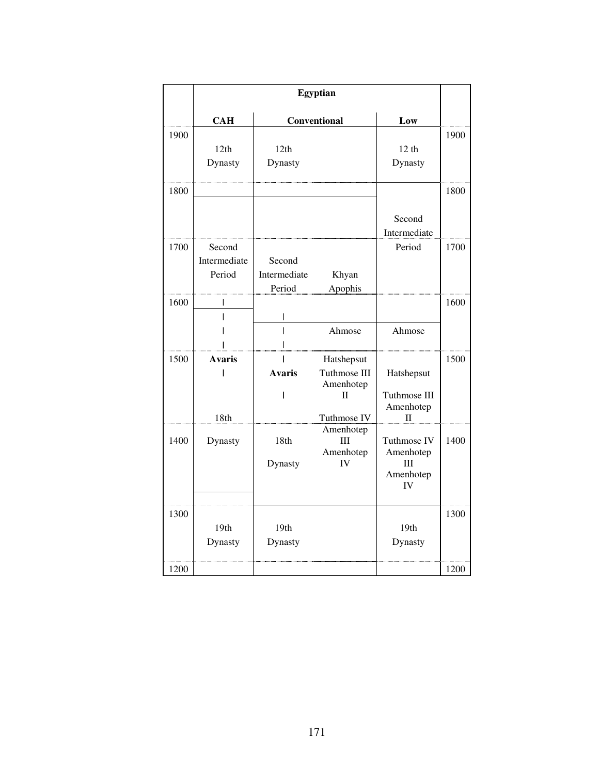|      | <b>Egyptian</b>                  |                                  |                                                                        |                                                    |      |
|------|----------------------------------|----------------------------------|------------------------------------------------------------------------|----------------------------------------------------|------|
|      | <b>CAH</b>                       | Conventional                     |                                                                        | Low                                                |      |
| 1900 | 12th<br>Dynasty                  | 12th<br>Dynasty                  |                                                                        | 12 <sub>th</sub><br>Dynasty                        | 1900 |
| 1800 |                                  |                                  |                                                                        | Second<br>Intermediate                             | 1800 |
| 1700 | Second<br>Intermediate<br>Period | Second<br>Intermediate<br>Period | Khyan<br>Apophis                                                       | Period                                             | 1700 |
| 1600 |                                  | I                                | Ahmose                                                                 | Ahmose                                             | 1600 |
| 1500 | <b>Avaris</b><br>18th            | <b>Avaris</b><br>I               | Hatshepsut<br>Tuthmose III<br>Amenhotep<br>$\mathbf{I}$<br>Tuthmose IV | Hatshepsut<br>Tuthmose III<br>Amenhotep<br>П       | 1500 |
| 1400 | Dynasty                          | 18th<br>Dynasty                  | Amenhotep<br>Ш<br>Amenhotep<br><b>IV</b>                               | Tuthmose IV<br>Amenhotep<br>III<br>Amenhotep<br>IV | 1400 |
| 1300 | 19th<br>Dynasty                  | 19th<br>Dynasty                  |                                                                        | 19th<br>Dynasty                                    | 1300 |
| 1200 |                                  |                                  |                                                                        |                                                    | 1200 |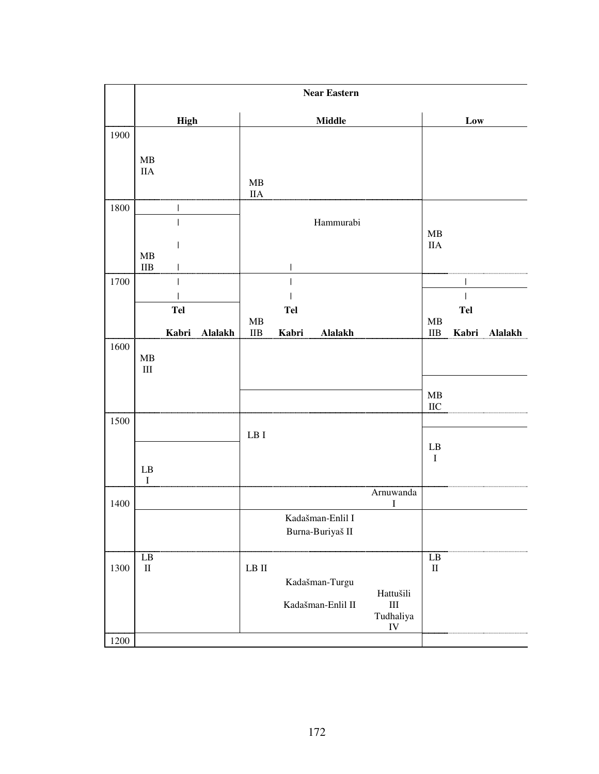|              | <b>Near Eastern</b>             |                                                                                                           |                                                                              |  |  |  |
|--------------|---------------------------------|-----------------------------------------------------------------------------------------------------------|------------------------------------------------------------------------------|--|--|--|
|              | <b>High</b>                     | Middle                                                                                                    | Low                                                                          |  |  |  |
| 1900         | MB<br><b>IIA</b>                | MB<br>$\rm IIA$                                                                                           |                                                                              |  |  |  |
| 1800         | MB<br>$\rm IIB$<br>$\mathsf{I}$ | Hammurabi<br>$\mathbf{I}$                                                                                 | MB<br><b>IIA</b>                                                             |  |  |  |
| 1700         | Tel<br>Kabri<br><b>Alalakh</b>  | <b>Tel</b><br>MB<br>$\rm IIB$<br>Kabri<br><b>Alalakh</b>                                                  | $\mathbf{I}$<br><b>Tel</b><br>$\mathbf{MB}$<br>$\rm IIB$<br>Kabri<br>Alalakh |  |  |  |
| 1600         | ${\bf MB}$<br>$\rm III$         |                                                                                                           | MB<br>$\rm IIC$                                                              |  |  |  |
| 1500         | ${\rm LB}$<br>$\bf I$           | $\rm LB$ I                                                                                                | $\mathbf{L}\mathbf{B}$<br>$\mathbf I$                                        |  |  |  |
| 1400         |                                 | Arnuwanda<br>I<br>Kadašman-Enlil I<br>Burna-Buriyaš II                                                    |                                                                              |  |  |  |
| 1300<br>1200 | LB<br>$\rm II$                  | ${\rm LB}$ ${\rm II}$<br>Kadašman-Turgu<br>Hattušili<br>Kadašman-Enlil II<br>$\rm III$<br>Tudhaliya<br>IV | LB<br>$\rm II$                                                               |  |  |  |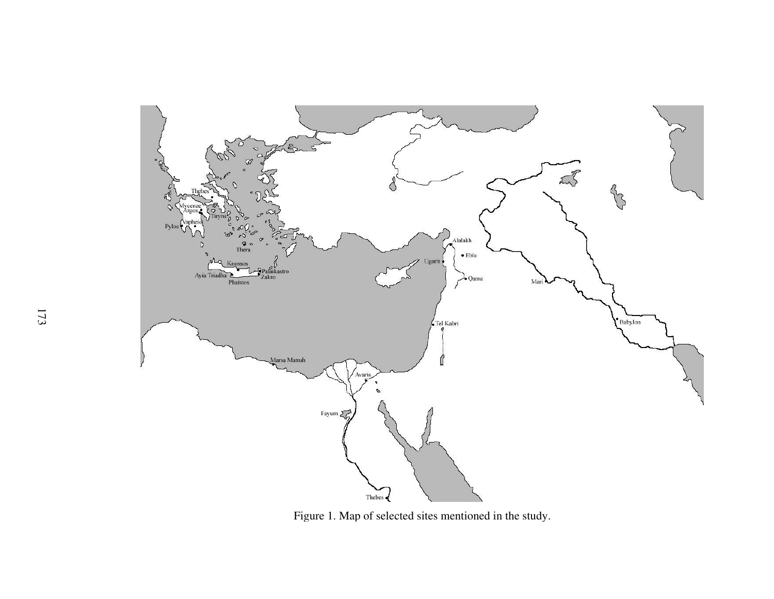

Figure 1. Map of selected sites mentioned in the study.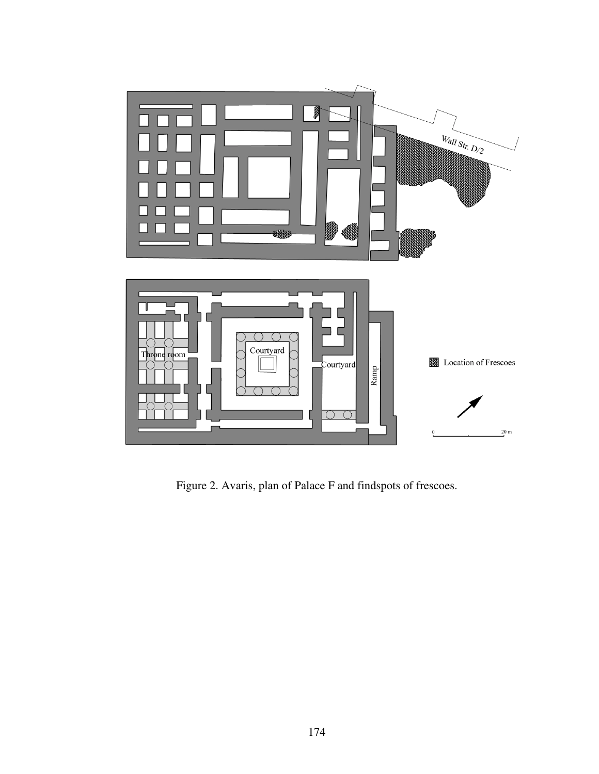

Figure 2. Avaris, plan of Palace F and findspots of frescoes.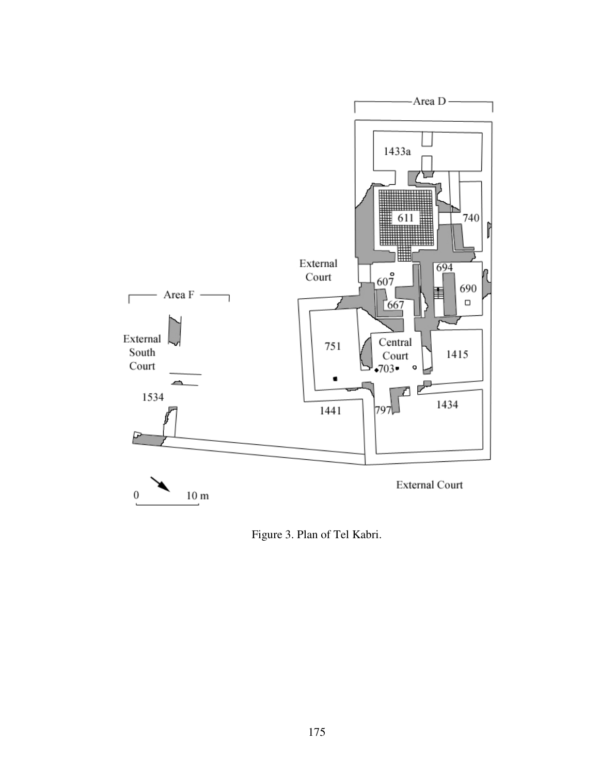

Figure 3. Plan of Tel Kabri.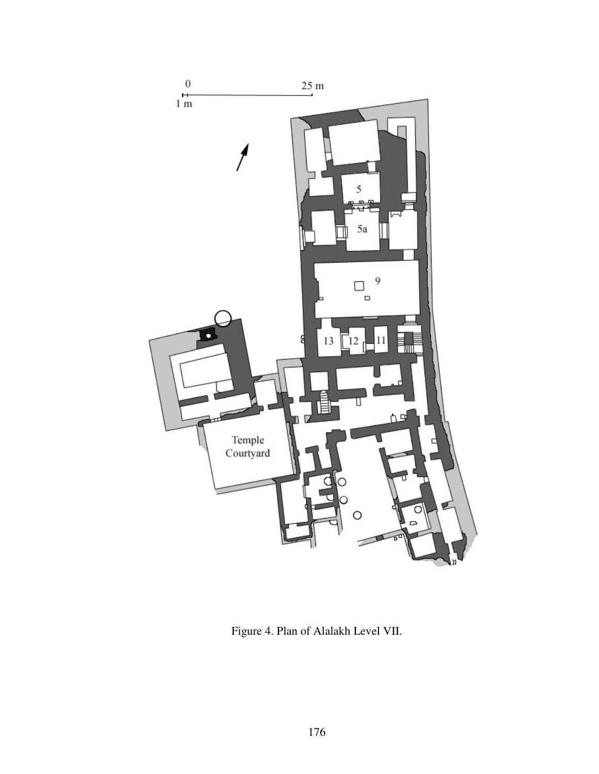

Figure 4. Plan of Alalakh Level VII.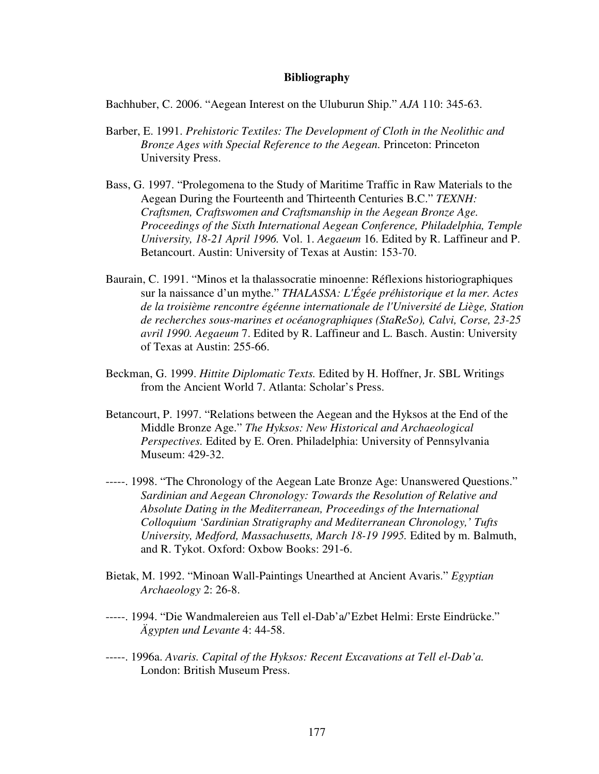## **Bibliography**

Bachhuber, C. 2006. "Aegean Interest on the Uluburun Ship." *AJA* 110: 345-63.

- Barber, E. 1991. *Prehistoric Textiles: The Development of Cloth in the Neolithic and Bronze Ages with Special Reference to the Aegean.* Princeton: Princeton University Press.
- Bass, G. 1997. "Prolegomena to the Study of Maritime Traffic in Raw Materials to the Aegean During the Fourteenth and Thirteenth Centuries B.C." *TEXNH: Craftsmen, Craftswomen and Craftsmanship in the Aegean Bronze Age. Proceedings of the Sixth International Aegean Conference, Philadelphia, Temple University, 18-21 April 1996.* Vol. 1. *Aegaeum* 16. Edited by R. Laffineur and P. Betancourt. Austin: University of Texas at Austin: 153-70.
- Baurain, C. 1991. "Minos et la thalassocratie minoenne: Réflexions historiographiques sur la naissance d'un mythe." *THALASSA: L'Égée préhistorique et la mer. Actes de la troisième rencontre égéenne internationale de l'Université de Liège, Station de recherches sous-marines et océanographiques (StaReSo), Calvi, Corse, 23-25 avril 1990. Aegaeum* 7. Edited by R. Laffineur and L. Basch. Austin: University of Texas at Austin: 255-66.
- Beckman, G. 1999. *Hittite Diplomatic Texts.* Edited by H. Hoffner, Jr. SBL Writings from the Ancient World 7. Atlanta: Scholar's Press.
- Betancourt, P. 1997. "Relations between the Aegean and the Hyksos at the End of the Middle Bronze Age." *The Hyksos: New Historical and Archaeological Perspectives.* Edited by E. Oren. Philadelphia: University of Pennsylvania Museum: 429-32.
- -----. 1998. "The Chronology of the Aegean Late Bronze Age: Unanswered Questions." *Sardinian and Aegean Chronology: Towards the Resolution of Relative and Absolute Dating in the Mediterranean, Proceedings of the International Colloquium 'Sardinian Stratigraphy and Mediterranean Chronology,' Tufts University, Medford, Massachusetts, March 18-19 1995.* Edited by m. Balmuth, and R. Tykot. Oxford: Oxbow Books: 291-6.
- Bietak, M. 1992. "Minoan Wall-Paintings Unearthed at Ancient Avaris." *Egyptian Archaeology* 2: 26-8.
- -----. 1994. "Die Wandmalereien aus Tell el-Dab'a/'Ezbet Helmi: Erste Eindrücke." *Ägypten und Levante* 4: 44-58.
- -----. 1996a. *Avaris. Capital of the Hyksos: Recent Excavations at Tell el-Dab'a.* London: British Museum Press.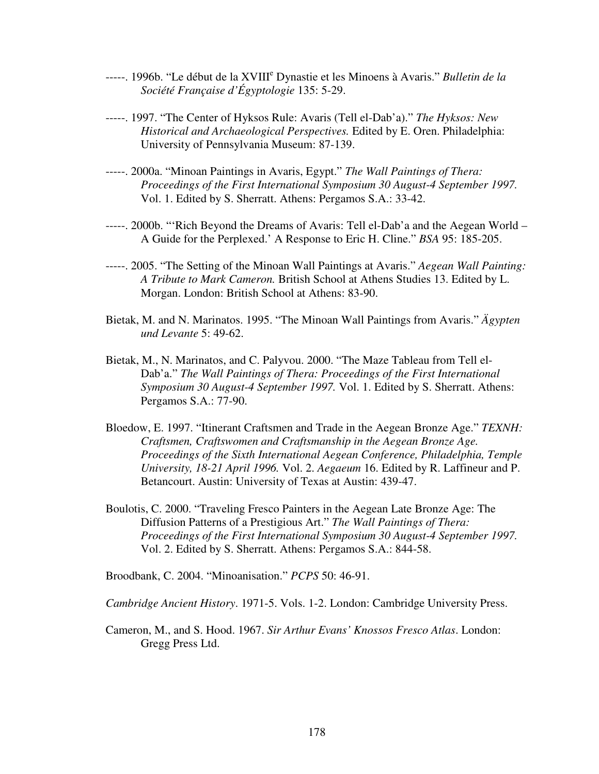- -----. 1996b. "Le début de la XVIII<sup>e</sup> Dynastie et les Minoens à Avaris." *Bulletin de la Société Française d'Égyptologie* 135: 5-29.
- -----. 1997. "The Center of Hyksos Rule: Avaris (Tell el-Dab'a)." *The Hyksos: New Historical and Archaeological Perspectives.* Edited by E. Oren. Philadelphia: University of Pennsylvania Museum: 87-139.
- -----. 2000a. "Minoan Paintings in Avaris, Egypt." *The Wall Paintings of Thera: Proceedings of the First International Symposium 30 August-4 September 1997.* Vol. 1. Edited by S. Sherratt. Athens: Pergamos S.A.: 33-42.
- -----. 2000b. "'Rich Beyond the Dreams of Avaris: Tell el-Dab'a and the Aegean World A Guide for the Perplexed.' A Response to Eric H. Cline." *BSA* 95: 185-205.
- -----. 2005. "The Setting of the Minoan Wall Paintings at Avaris." *Aegean Wall Painting: A Tribute to Mark Cameron.* British School at Athens Studies 13. Edited by L. Morgan. London: British School at Athens: 83-90.
- Bietak, M. and N. Marinatos. 1995. "The Minoan Wall Paintings from Avaris." *Ägypten und Levante* 5: 49-62.
- Bietak, M., N. Marinatos, and C. Palyvou. 2000. "The Maze Tableau from Tell el-Dab'a." *The Wall Paintings of Thera: Proceedings of the First International Symposium 30 August-4 September 1997.* Vol. 1. Edited by S. Sherratt. Athens: Pergamos S.A.: 77-90.
- Bloedow, E. 1997. "Itinerant Craftsmen and Trade in the Aegean Bronze Age." *TEXNH: Craftsmen, Craftswomen and Craftsmanship in the Aegean Bronze Age. Proceedings of the Sixth International Aegean Conference, Philadelphia, Temple University, 18-21 April 1996.* Vol. 2. *Aegaeum* 16. Edited by R. Laffineur and P. Betancourt. Austin: University of Texas at Austin: 439-47.
- Boulotis, C. 2000. "Traveling Fresco Painters in the Aegean Late Bronze Age: The Diffusion Patterns of a Prestigious Art." *The Wall Paintings of Thera: Proceedings of the First International Symposium 30 August-4 September 1997.* Vol. 2. Edited by S. Sherratt. Athens: Pergamos S.A.: 844-58.

Broodbank, C. 2004. "Minoanisation." *PCPS* 50: 46-91.

*Cambridge Ancient History*. 1971-5. Vols. 1-2. London: Cambridge University Press.

Cameron, M., and S. Hood. 1967. *Sir Arthur Evans' Knossos Fresco Atlas*. London: Gregg Press Ltd.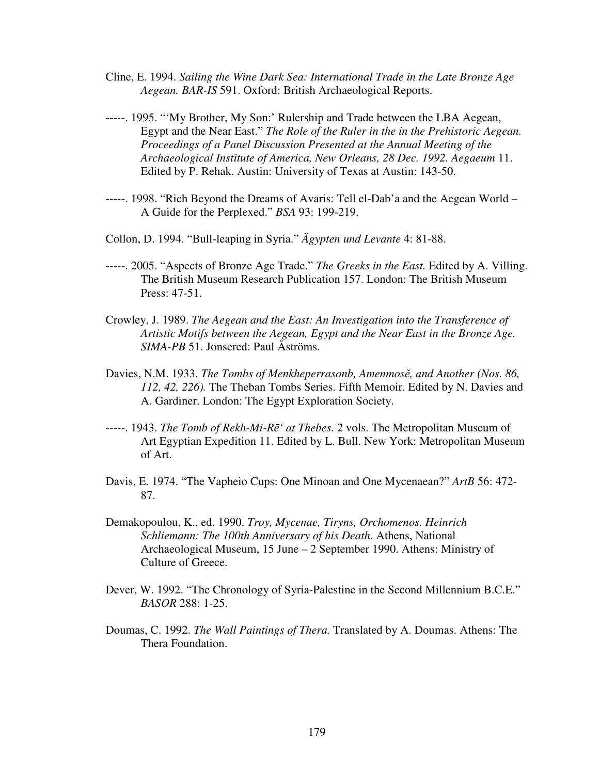- Cline, E. 1994. *Sailing the Wine Dark Sea: International Trade in the Late Bronze Age Aegean. BAR-IS* 591. Oxford: British Archaeological Reports.
- -----. 1995. "'My Brother, My Son:' Rulership and Trade between the LBA Aegean, Egypt and the Near East." *The Role of the Ruler in the in the Prehistoric Aegean. Proceedings of a Panel Discussion Presented at the Annual Meeting of the Archaeological Institute of America, New Orleans, 28 Dec. 1992. Aegaeum* 11. Edited by P. Rehak. Austin: University of Texas at Austin: 143-50.
- -----. 1998. "Rich Beyond the Dreams of Avaris: Tell el-Dab'a and the Aegean World A Guide for the Perplexed." *BSA* 93: 199-219.
- Collon, D. 1994. "Bull-leaping in Syria." *Ägypten und Levante* 4: 81-88.
- -----. 2005. "Aspects of Bronze Age Trade." *The Greeks in the East.* Edited by A. Villing. The British Museum Research Publication 157. London: The British Museum Press: 47-51.
- Crowley, J. 1989. *The Aegean and the East: An Investigation into the Transference of Artistic Motifs between the Aegean, Egypt and the Near East in the Bronze Age. SIMA-PB* 51. Jonsered: Paul Åströms.
- Davies, N.M. 1933. *The Tombs of Menkheperrasonb, Amenmos*ĕ*, and Another (Nos. 86, 112, 42, 226).* The Theban Tombs Series. Fifth Memoir. Edited by N. Davies and A. Gardiner. London: The Egypt Exploration Society.
- -----. 1943. *The Tomb of Rekh-Mi-R*ē*' at Thebes.* 2 vols. The Metropolitan Museum of Art Egyptian Expedition 11. Edited by L. Bull. New York: Metropolitan Museum of Art.
- Davis, E. 1974. "The Vapheio Cups: One Minoan and One Mycenaean?" *ArtB* 56: 472- 87.
- Demakopoulou, K., ed. 1990. *Troy, Mycenae, Tiryns, Orchomenos. Heinrich Schliemann: The 100th Anniversary of his Death*. Athens, National Archaeological Museum, 15 June – 2 September 1990. Athens: Ministry of Culture of Greece.
- Dever, W. 1992. "The Chronology of Syria-Palestine in the Second Millennium B.C.E." *BASOR* 288: 1-25.
- Doumas, C. 1992. *The Wall Paintings of Thera.* Translated by A. Doumas. Athens: The Thera Foundation.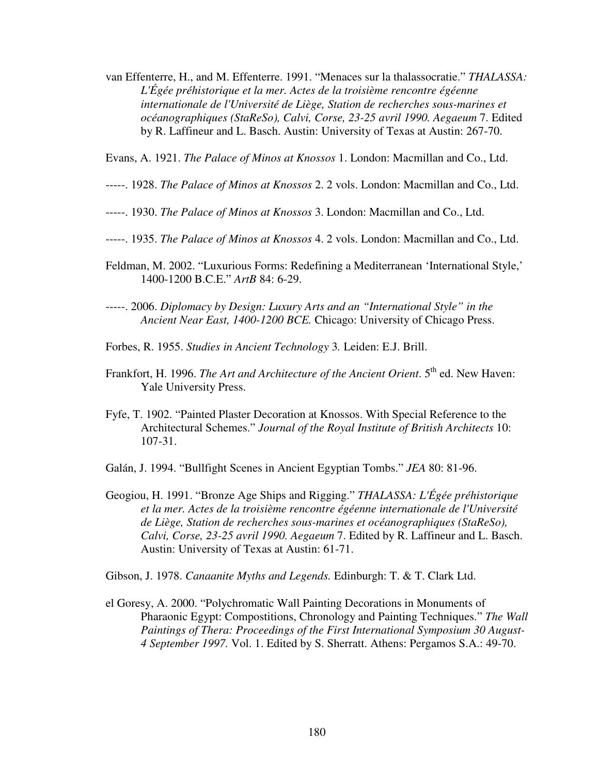van Effenterre, H., and M. Effenterre. 1991. "Menaces sur la thalassocratie." *THALASSA: L'Égée préhistorique et la mer. Actes de la troisième rencontre égéenne internationale de l'Université de Liège, Station de recherches sous-marines et océanographiques (StaReSo), Calvi, Corse, 23-25 avril 1990. Aegaeum* 7. Edited by R. Laffineur and L. Basch. Austin: University of Texas at Austin: 267-70.

Evans, A. 1921. *The Palace of Minos at Knossos* 1. London: Macmillan and Co., Ltd.

- -----. 1928. *The Palace of Minos at Knossos* 2. 2 vols. London: Macmillan and Co., Ltd.
- -----. 1930. *The Palace of Minos at Knossos* 3. London: Macmillan and Co., Ltd.
- -----. 1935. *The Palace of Minos at Knossos* 4. 2 vols. London: Macmillan and Co., Ltd.
- Feldman, M. 2002. "Luxurious Forms: Redefining a Mediterranean 'International Style,' 1400-1200 B.C.E." *ArtB* 84: 6-29.
- -----. 2006. *Diplomacy by Design: Luxury Arts and an "International Style" in the Ancient Near East, 1400-1200 BCE.* Chicago: University of Chicago Press.
- Forbes, R. 1955. *Studies in Ancient Technology* 3*.* Leiden: E.J. Brill.
- Frankfort, H. 1996. *The Art and Architecture of the Ancient Orient*. 5<sup>th</sup> ed. New Haven: Yale University Press.
- Fyfe, T. 1902. "Painted Plaster Decoration at Knossos. With Special Reference to the Architectural Schemes." *Journal of the Royal Institute of British Architects* 10: 107-31.
- Galán, J. 1994. "Bullfight Scenes in Ancient Egyptian Tombs." *JEA* 80: 81-96.
- Geogiou, H. 1991. "Bronze Age Ships and Rigging." *THALASSA: L'Égée préhistorique et la mer. Actes de la troisième rencontre égéenne internationale de l'Université de Liège, Station de recherches sous-marines et océanographiques (StaReSo), Calvi, Corse, 23-25 avril 1990. Aegaeum* 7. Edited by R. Laffineur and L. Basch. Austin: University of Texas at Austin: 61-71.

Gibson, J. 1978. *Canaanite Myths and Legends.* Edinburgh: T. & T. Clark Ltd.

el Goresy, A. 2000. "Polychromatic Wall Painting Decorations in Monuments of Pharaonic Egypt: Compostitions, Chronology and Painting Techniques." *The Wall Paintings of Thera: Proceedings of the First International Symposium 30 August-4 September 1997.* Vol. 1. Edited by S. Sherratt. Athens: Pergamos S.A.: 49-70.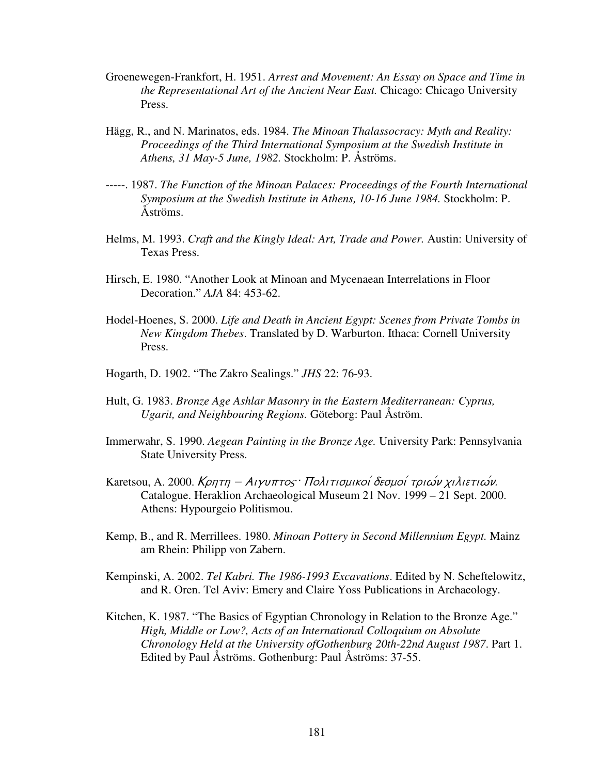- Groenewegen-Frankfort, H. 1951. *Arrest and Movement: An Essay on Space and Time in the Representational Art of the Ancient Near East.* Chicago: Chicago University Press.
- Hägg, R., and N. Marinatos, eds. 1984. *The Minoan Thalassocracy: Myth and Reality: Proceedings of the Third International Symposium at the Swedish Institute in Athens, 31 May-5 June, 1982.* Stockholm: P. Åströms.
- -----. 1987. *The Function of the Minoan Palaces: Proceedings of the Fourth International Symposium at the Swedish Institute in Athens, 10-16 June 1984.* Stockholm: P. Åströms.
- Helms, M. 1993. *Craft and the Kingly Ideal: Art, Trade and Power.* Austin: University of Texas Press.
- Hirsch, E. 1980. "Another Look at Minoan and Mycenaean Interrelations in Floor Decoration." *AJA* 84: 453-62.
- Hodel-Hoenes, S. 2000. *Life and Death in Ancient Egypt: Scenes from Private Tombs in New Kingdom Thebes*. Translated by D. Warburton. Ithaca: Cornell University Press.
- Hogarth, D. 1902. "The Zakro Sealings." *JHS* 22: 76-93.
- Hult, G. 1983. *Bronze Age Ashlar Masonry in the Eastern Mediterranean: Cyprus, Ugarit, and Neighbouring Regions.* Göteborg: Paul Åström.
- Immerwahr, S. 1990. *Aegean Painting in the Bronze Age.* University Park: Pennsylvania State University Press.
- Karetsou, A. 2000. Κρητη Αιγυπτος: Πολιτισμικοί δεσμοί τριων χιλιετιων. Catalogue. Heraklion Archaeological Museum 21 Nov. 1999 – 21 Sept. 2000. Athens: Hypourgeio Politismou.
- Kemp, B., and R. Merrillees. 1980. *Minoan Pottery in Second Millennium Egypt.* Mainz am Rhein: Philipp von Zabern.
- Kempinski, A. 2002. *Tel Kabri. The 1986-1993 Excavations*. Edited by N. Scheftelowitz, and R. Oren. Tel Aviv: Emery and Claire Yoss Publications in Archaeology.
- Kitchen, K. 1987. "The Basics of Egyptian Chronology in Relation to the Bronze Age." *High, Middle or Low?, Acts of an International Colloquium on Absolute Chronology Held at the University ofGothenburg 20th-22nd August 1987*. Part 1. Edited by Paul Åströms. Gothenburg: Paul Åströms: 37-55.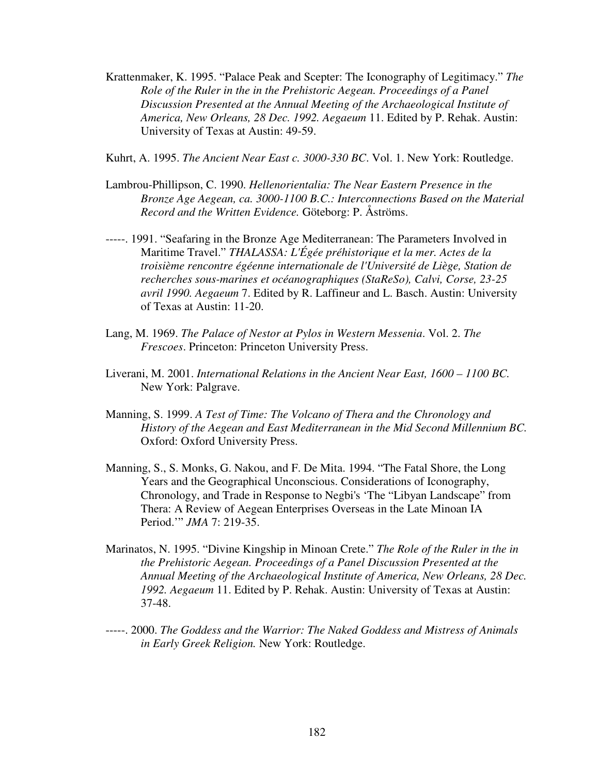Krattenmaker, K. 1995. "Palace Peak and Scepter: The Iconography of Legitimacy." *The Role of the Ruler in the in the Prehistoric Aegean. Proceedings of a Panel Discussion Presented at the Annual Meeting of the Archaeological Institute of America, New Orleans, 28 Dec. 1992. Aegaeum* 11. Edited by P. Rehak. Austin: University of Texas at Austin: 49-59.

Kuhrt, A. 1995. *The Ancient Near East c. 3000-330 BC*. Vol. 1. New York: Routledge.

- Lambrou-Phillipson, C. 1990. *Hellenorientalia: The Near Eastern Presence in the Bronze Age Aegean, ca. 3000-1100 B.C.: Interconnections Based on the Material Record and the Written Evidence.* Göteborg: P. Åströms.
- -----. 1991. "Seafaring in the Bronze Age Mediterranean: The Parameters Involved in Maritime Travel." *THALASSA: L'Égée préhistorique et la mer. Actes de la troisième rencontre égéenne internationale de l'Université de Liège, Station de recherches sous-marines et océanographiques (StaReSo), Calvi, Corse, 23-25 avril 1990. Aegaeum* 7. Edited by R. Laffineur and L. Basch. Austin: University of Texas at Austin: 11-20.
- Lang, M. 1969. *The Palace of Nestor at Pylos in Western Messenia*. Vol. 2. *The Frescoes*. Princeton: Princeton University Press.
- Liverani, M. 2001. *International Relations in the Ancient Near East, 1600 1100 BC.* New York: Palgrave.
- Manning, S. 1999. *A Test of Time: The Volcano of Thera and the Chronology and History of the Aegean and East Mediterranean in the Mid Second Millennium BC.* Oxford: Oxford University Press.
- Manning, S., S. Monks, G. Nakou, and F. De Mita. 1994. "The Fatal Shore, the Long Years and the Geographical Unconscious. Considerations of Iconography, Chronology, and Trade in Response to Negbi's 'The "Libyan Landscape" from Thera: A Review of Aegean Enterprises Overseas in the Late Minoan IA Period.'" *JMA* 7: 219-35.
- Marinatos, N. 1995. "Divine Kingship in Minoan Crete." *The Role of the Ruler in the in the Prehistoric Aegean. Proceedings of a Panel Discussion Presented at the Annual Meeting of the Archaeological Institute of America, New Orleans, 28 Dec. 1992. Aegaeum* 11. Edited by P. Rehak. Austin: University of Texas at Austin: 37-48.
- -----. 2000. *The Goddess and the Warrior: The Naked Goddess and Mistress of Animals in Early Greek Religion.* New York: Routledge.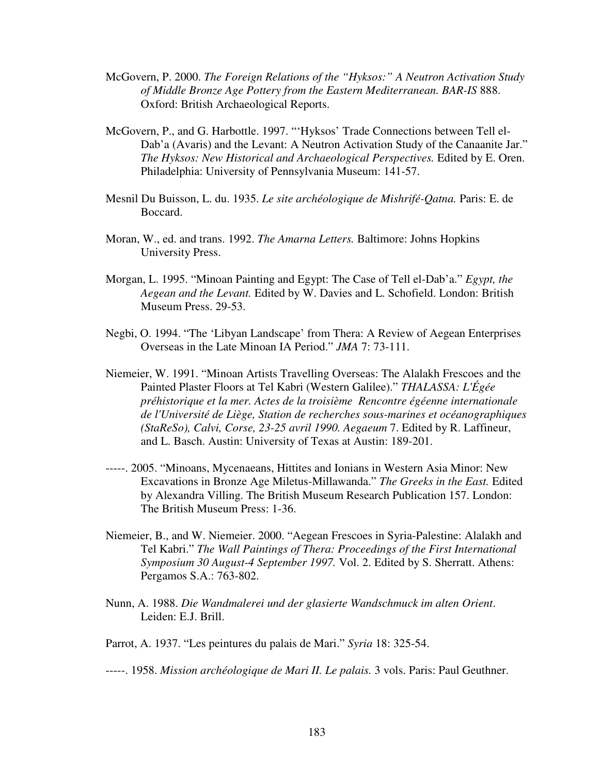- McGovern, P. 2000. *The Foreign Relations of the "Hyksos:" A Neutron Activation Study of Middle Bronze Age Pottery from the Eastern Mediterranean. BAR-IS* 888. Oxford: British Archaeological Reports.
- McGovern, P., and G. Harbottle. 1997. "'Hyksos' Trade Connections between Tell el-Dab'a (Avaris) and the Levant: A Neutron Activation Study of the Canaanite Jar." *The Hyksos: New Historical and Archaeological Perspectives.* Edited by E. Oren. Philadelphia: University of Pennsylvania Museum: 141-57.
- Mesnil Du Buisson, L. du. 1935. *Le site archéologique de Mishrifé-Qatna.* Paris: E. de Boccard.
- Moran, W., ed. and trans. 1992. *The Amarna Letters.* Baltimore: Johns Hopkins University Press.
- Morgan, L. 1995. "Minoan Painting and Egypt: The Case of Tell el-Dab'a." *Egypt, the Aegean and the Levant.* Edited by W. Davies and L. Schofield. London: British Museum Press. 29-53.
- Negbi, O. 1994. "The 'Libyan Landscape' from Thera: A Review of Aegean Enterprises Overseas in the Late Minoan IA Period." *JMA* 7: 73-111.
- Niemeier, W. 1991. "Minoan Artists Travelling Overseas: The Alalakh Frescoes and the Painted Plaster Floors at Tel Kabri (Western Galilee)." *THALASSA: L'Égée préhistorique et la mer. Actes de la troisième Rencontre égéenne internationale de l'Université de Liège, Station de recherches sous-marines et océanographiques (StaReSo), Calvi, Corse, 23-25 avril 1990. Aegaeum* 7. Edited by R. Laffineur, and L. Basch. Austin: University of Texas at Austin: 189-201.
- -----. 2005. "Minoans, Mycenaeans, Hittites and Ionians in Western Asia Minor: New Excavations in Bronze Age Miletus-Millawanda." *The Greeks in the East.* Edited by Alexandra Villing. The British Museum Research Publication 157. London: The British Museum Press: 1-36.
- Niemeier, B., and W. Niemeier. 2000. "Aegean Frescoes in Syria-Palestine: Alalakh and Tel Kabri." *The Wall Paintings of Thera: Proceedings of the First International Symposium 30 August-4 September 1997.* Vol. 2. Edited by S. Sherratt. Athens: Pergamos S.A.: 763-802.
- Nunn, A. 1988. *Die Wandmalerei und der glasierte Wandschmuck im alten Orient*. Leiden: E.J. Brill.
- Parrot, A. 1937. "Les peintures du palais de Mari." *Syria* 18: 325-54.

-----. 1958. *Mission archéologique de Mari II. Le palais.* 3 vols. Paris: Paul Geuthner.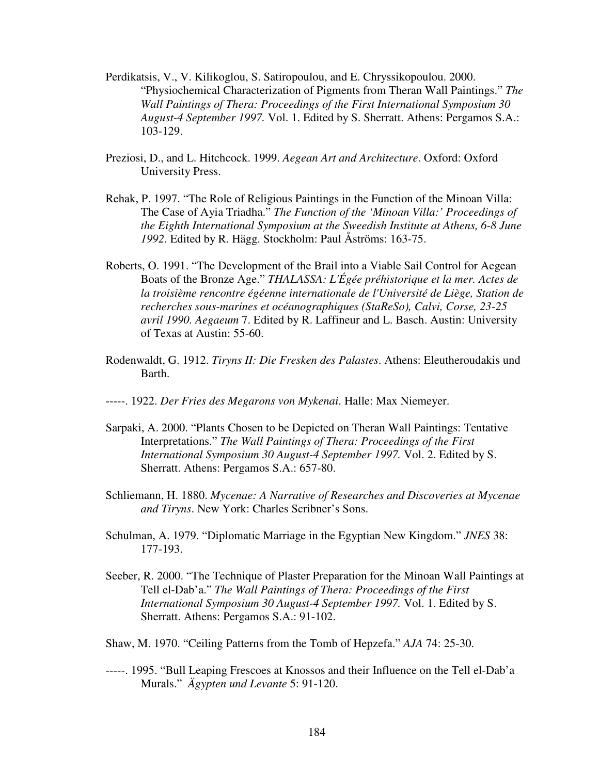- Perdikatsis, V., V. Kilikoglou, S. Satiropoulou, and E. Chryssikopoulou. 2000. "Physiochemical Characterization of Pigments from Theran Wall Paintings." *The Wall Paintings of Thera: Proceedings of the First International Symposium 30 August-4 September 1997.* Vol. 1. Edited by S. Sherratt. Athens: Pergamos S.A.: 103-129.
- Preziosi, D., and L. Hitchcock. 1999. *Aegean Art and Architecture*. Oxford: Oxford University Press.
- Rehak, P. 1997. "The Role of Religious Paintings in the Function of the Minoan Villa: The Case of Ayia Triadha." *The Function of the 'Minoan Villa:' Proceedings of the Eighth International Symposium at the Sweedish Institute at Athens, 6-8 June 1992*. Edited by R. Hägg. Stockholm: Paul Åströms: 163-75.
- Roberts, O. 1991. "The Development of the Brail into a Viable Sail Control for Aegean Boats of the Bronze Age." *THALASSA: L'Égée préhistorique et la mer. Actes de la troisième rencontre égéenne internationale de l'Université de Liège, Station de recherches sous-marines et océanographiques (StaReSo), Calvi, Corse, 23-25 avril 1990. Aegaeum* 7. Edited by R. Laffineur and L. Basch. Austin: University of Texas at Austin: 55-60.
- Rodenwaldt, G. 1912. *Tiryns II: Die Fresken des Palastes*. Athens: Eleutheroudakis und Barth.
- -----. 1922. *Der Fries des Megarons von Mykenai*. Halle: Max Niemeyer.
- Sarpaki, A. 2000. "Plants Chosen to be Depicted on Theran Wall Paintings: Tentative Interpretations." *The Wall Paintings of Thera: Proceedings of the First International Symposium 30 August-4 September 1997.* Vol. 2. Edited by S. Sherratt. Athens: Pergamos S.A.: 657-80.
- Schliemann, H. 1880. *Mycenae: A Narrative of Researches and Discoveries at Mycenae and Tiryns*. New York: Charles Scribner's Sons.
- Schulman, A. 1979. "Diplomatic Marriage in the Egyptian New Kingdom." *JNES* 38: 177-193.
- Seeber, R. 2000. "The Technique of Plaster Preparation for the Minoan Wall Paintings at Tell el-Dab'a." *The Wall Paintings of Thera: Proceedings of the First International Symposium 30 August-4 September 1997.* Vol. 1. Edited by S. Sherratt. Athens: Pergamos S.A.: 91-102.
- Shaw, M. 1970. "Ceiling Patterns from the Tomb of Hepzefa." *AJA* 74: 25-30.
- -----. 1995. "Bull Leaping Frescoes at Knossos and their Influence on the Tell el-Dab'a Murals." *Ägypten und Levante* 5: 91-120.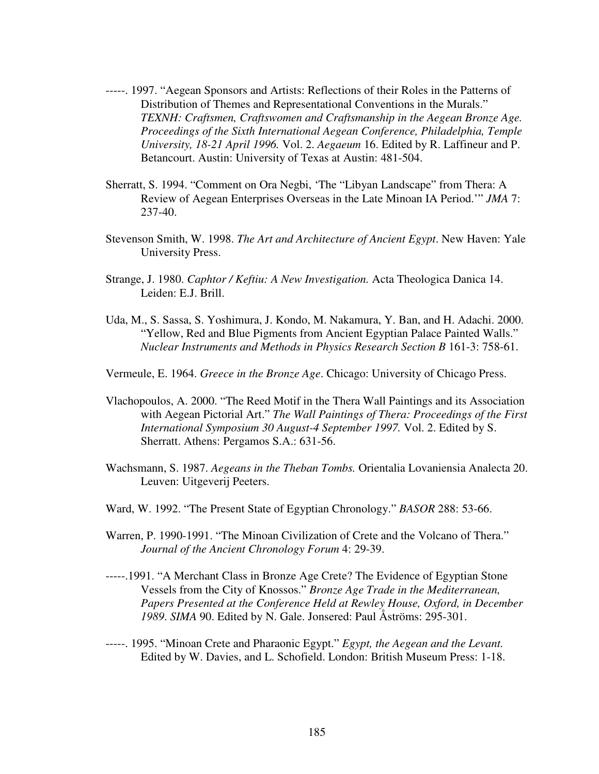- -----. 1997. "Aegean Sponsors and Artists: Reflections of their Roles in the Patterns of Distribution of Themes and Representational Conventions in the Murals." *TEXNH: Craftsmen, Craftswomen and Craftsmanship in the Aegean Bronze Age. Proceedings of the Sixth International Aegean Conference, Philadelphia, Temple University, 18-21 April 1996.* Vol. 2. *Aegaeum* 16. Edited by R. Laffineur and P. Betancourt. Austin: University of Texas at Austin: 481-504.
- Sherratt, S. 1994. "Comment on Ora Negbi, 'The "Libyan Landscape" from Thera: A Review of Aegean Enterprises Overseas in the Late Minoan IA Period.'" *JMA* 7: 237-40.
- Stevenson Smith, W. 1998. *The Art and Architecture of Ancient Egypt*. New Haven: Yale University Press.
- Strange, J. 1980. *Caphtor / Keftiu: A New Investigation.* Acta Theologica Danica 14. Leiden: E.J. Brill.
- Uda, M., S. Sassa, S. Yoshimura, J. Kondo, M. Nakamura, Y. Ban, and H. Adachi. 2000. "Yellow, Red and Blue Pigments from Ancient Egyptian Palace Painted Walls." *Nuclear Instruments and Methods in Physics Research Section B* 161-3: 758-61.

Vermeule, E. 1964. *Greece in the Bronze Age*. Chicago: University of Chicago Press.

- Vlachopoulos, A. 2000. "The Reed Motif in the Thera Wall Paintings and its Association with Aegean Pictorial Art." *The Wall Paintings of Thera: Proceedings of the First International Symposium 30 August-4 September 1997.* Vol. 2. Edited by S. Sherratt. Athens: Pergamos S.A.: 631-56.
- Wachsmann, S. 1987. *Aegeans in the Theban Tombs.* Orientalia Lovaniensia Analecta 20. Leuven: Uitgeverij Peeters.
- Ward, W. 1992. "The Present State of Egyptian Chronology." *BASOR* 288: 53-66.
- Warren, P. 1990-1991. "The Minoan Civilization of Crete and the Volcano of Thera." *Journal of the Ancient Chronology Forum* 4: 29-39.
- -----.1991. "A Merchant Class in Bronze Age Crete? The Evidence of Egyptian Stone Vessels from the City of Knossos." *Bronze Age Trade in the Mediterranean, Papers Presented at the Conference Held at Rewley House, Oxford, in December 1989*. *SIMA* 90. Edited by N. Gale. Jonsered: Paul Åströms: 295-301.
- -----. 1995. "Minoan Crete and Pharaonic Egypt." *Egypt, the Aegean and the Levant.* Edited by W. Davies, and L. Schofield. London: British Museum Press: 1-18.